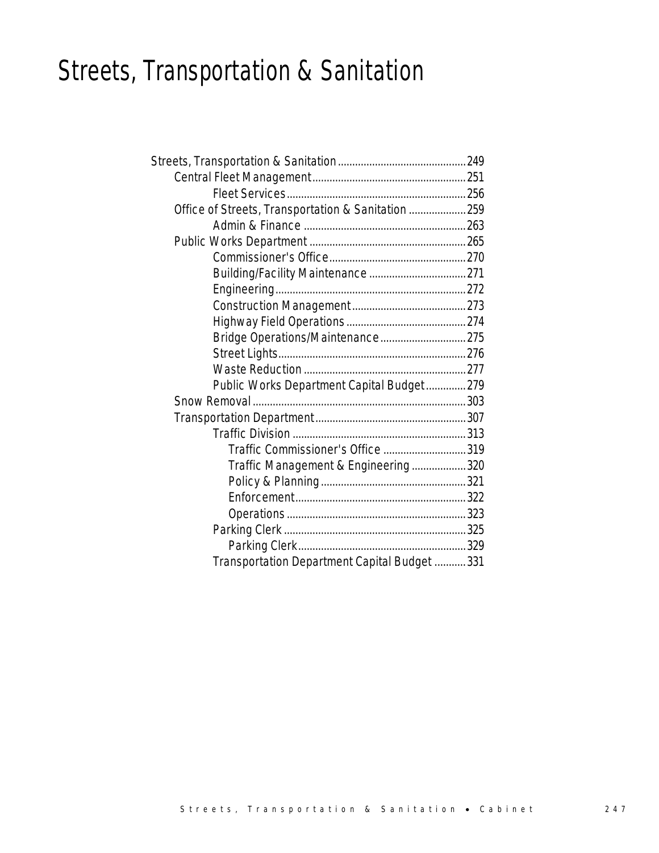## Streets, Transportation & Sanitation

| Office of Streets, Transportation & Sanitation  259 |  |
|-----------------------------------------------------|--|
|                                                     |  |
|                                                     |  |
|                                                     |  |
|                                                     |  |
|                                                     |  |
|                                                     |  |
|                                                     |  |
|                                                     |  |
|                                                     |  |
|                                                     |  |
| Public Works Department Capital Budget279           |  |
|                                                     |  |
|                                                     |  |
|                                                     |  |
| Traffic Commissioner's Office 319                   |  |
| Traffic Management & Engineering320                 |  |
|                                                     |  |
|                                                     |  |
|                                                     |  |
|                                                     |  |
|                                                     |  |
| Transportation Department Capital Budget  331       |  |
|                                                     |  |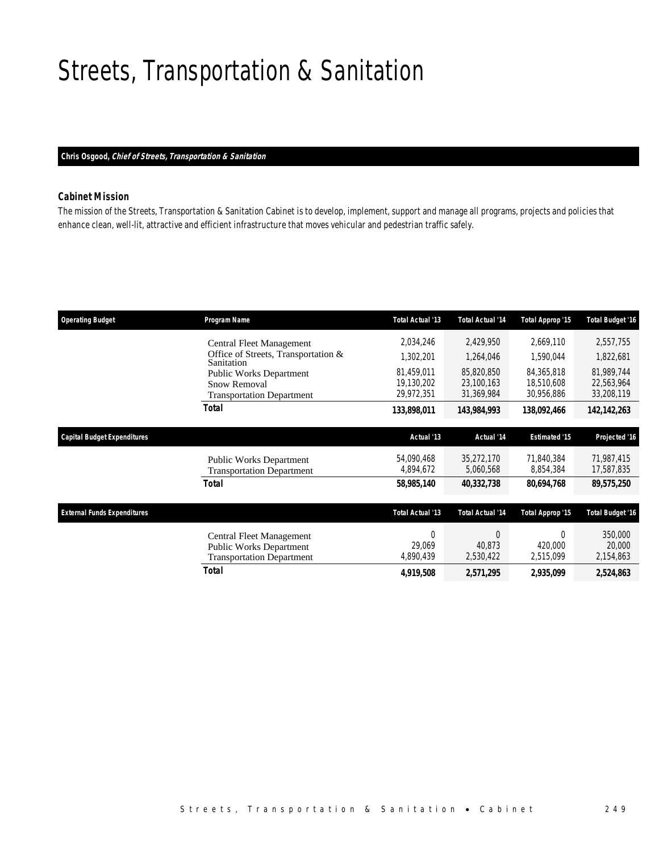# Streets, Transportation & Sanitation

#### *Chris Osgood, Chief of Streets, Transportation & Sanitation*

### *Cabinet Mission*

The mission of the Streets, Transportation & Sanitation Cabinet is to develop, implement, support and manage all programs, projects and policies that enhance clean, well-lit, attractive and efficient infrastructure that moves vehicular and pedestrian traffic safely.

| <b>Operating Budget</b>            | Program Name                                                       | Total Actual '13        | <b>Total Actual '14</b> | Total Approp '15        | <b>Total Budget '16</b>  |
|------------------------------------|--------------------------------------------------------------------|-------------------------|-------------------------|-------------------------|--------------------------|
|                                    | Central Fleet Management                                           | 2,034,246               | 2,429,950               | 2,669,110               | 2,557,755                |
|                                    | Office of Streets, Transportation &<br>Sanitation                  | 1,302,201               | 1,264,046               | 1,590,044               | 1,822,681                |
|                                    | Public Works Department                                            | 81,459,011              | 85,820,850              | 84.365.818              | 81,989,744               |
|                                    | <b>Snow Removal</b>                                                | 19,130,202              | 23,100,163              | 18,510,608              | 22,563,964               |
|                                    | <b>Transportation Department</b>                                   | 29,972,351              | 31,369,984              | 30,956,886              | 33,208,119               |
|                                    | Total                                                              | 133,898,011             | 143,984,993             | 138,092,466             | 142,142,263              |
| Capital Budget Expenditures        |                                                                    | Actual '13              | Actual '14              | <b>Estimated '15</b>    | Projected '16            |
|                                    | <b>Public Works Department</b><br><b>Transportation Department</b> | 54,090,468<br>4,894,672 | 35,272,170<br>5,060,568 | 71,840,384<br>8,854,384 | 71,987,415<br>17,587,835 |
|                                    | <b>Total</b>                                                       | 58,985,140              | 40,332,738              | 80,694,768              | 89,575,250               |
| <b>External Funds Expenditures</b> |                                                                    | Total Actual '13        | <b>Total Actual '14</b> | Total Approp '15        | <b>Total Budget '16</b>  |
|                                    |                                                                    |                         |                         |                         |                          |
|                                    | Central Fleet Management                                           | $\overline{0}$          | $\Omega$                | 0                       | 350,000                  |
|                                    | <b>Public Works Department</b>                                     | 29.069                  | 40.873                  | 420,000                 | 20,000                   |
|                                    | <b>Transportation Department</b>                                   | 4,890,439               | 2,530,422               | 2,515,099               | 2,154,863                |
|                                    | Total                                                              | 4,919,508               | 2,571,295               | 2,935,099               | 2,524,863                |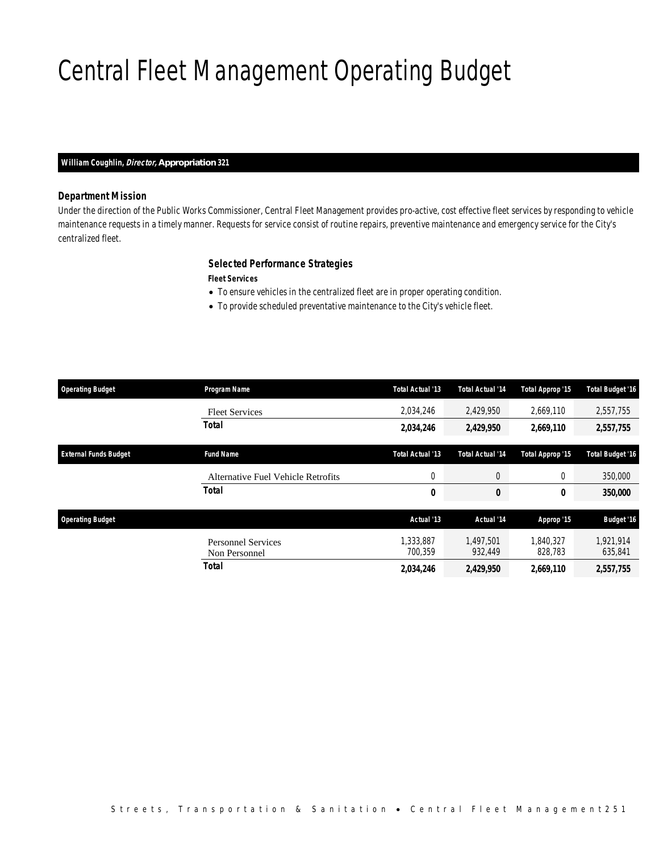# Central Fleet Management Operating Budget

#### *William Coughlin, Director, Appropriation 321*

#### *Department Mission*

Under the direction of the Public Works Commissioner, Central Fleet Management provides pro-active, cost effective fleet services by responding to vehicle maintenance requests in a timely manner. Requests for service consist of routine repairs, preventive maintenance and emergency service for the City's centralized fleet.

### *Selected Performance Strategies*

*Fleet Services* 

- To ensure vehicles in the centralized fleet are in proper operating condition.
- To provide scheduled preventative maintenance to the City's vehicle fleet.

| <b>Operating Budget</b>      | Program Name                               | <b>Total Actual '13</b> | <b>Total Actual '14</b> | Total Approp '15     | <b>Total Budget '16</b> |
|------------------------------|--------------------------------------------|-------------------------|-------------------------|----------------------|-------------------------|
|                              | <b>Fleet Services</b>                      | 2.034.246               | 2.429.950               | 2.669.110            | 2,557,755               |
|                              | <b>Total</b>                               | 2,034,246               | 2,429,950               | 2,669,110            | 2,557,755               |
| <b>External Funds Budget</b> | <b>Fund Name</b>                           | <b>Total Actual '13</b> | <b>Total Actual '14</b> | Total Approp '15     | <b>Total Budget '16</b> |
|                              | <b>Alternative Fuel Vehicle Retrofits</b>  | 0                       | 0                       | $\theta$             | 350,000                 |
|                              | <b>Total</b>                               | 0                       | 0                       | 0                    | 350,000                 |
| <b>Operating Budget</b>      |                                            | Actual '13              | Actual '14              | Approp '15           | <b>Budget '16</b>       |
|                              | <b>Personnel Services</b><br>Non Personnel | 1.333.887<br>700.359    | 1.497.501<br>932,449    | 1.840.327<br>828,783 | 1,921,914<br>635,841    |
|                              | <b>Total</b>                               | 2,034,246               | 2,429,950               | 2,669,110            | 2,557,755               |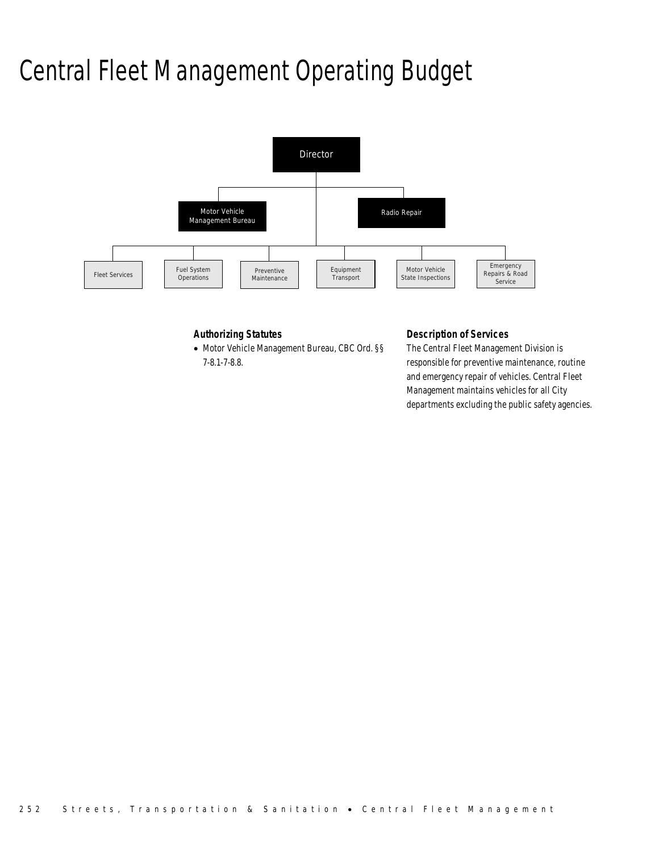## Central Fleet Management Operating Budget



### *Authorizing Statutes*

• Motor Vehicle Management Bureau, CBC Ord. §§ 7-8.1-7-8.8.

### *Description of Services*

The Central Fleet Management Division is responsible for preventive maintenance, routine and emergency repair of vehicles. Central Fleet Management maintains vehicles for all City departments excluding the public safety agencies.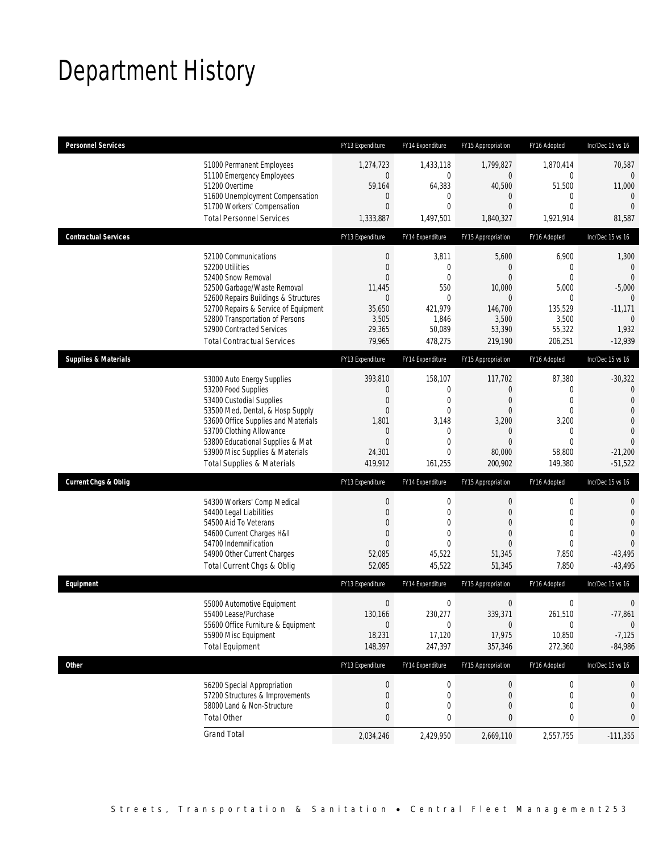## Department History

| <b>Personnel Services</b>       |                                                                     | FY13 Expenditure         | FY14 Expenditure            | FY15 Appropriation         | FY16 Adopted                   | Inc/Dec 15 vs 16              |
|---------------------------------|---------------------------------------------------------------------|--------------------------|-----------------------------|----------------------------|--------------------------------|-------------------------------|
|                                 | 51000 Permanent Employees                                           | 1,274,723                | 1,433,118                   | 1,799,827                  | 1,870,414                      | 70,587                        |
|                                 | 51100 Emergency Employees                                           | $\overline{0}$           | 0                           | $\mathbf 0$                | 0                              | $\overline{0}$                |
|                                 | 51200 Overtime<br>51600 Unemployment Compensation                   | 59,164<br>$\mathbf 0$    | 64,383<br>0                 | 40,500<br>$\theta$         | 51,500<br>0                    | 11,000<br>$\overline{0}$      |
|                                 | 51700 Workers' Compensation                                         | $\overline{0}$           | $\mathbf{0}$                | $\overline{0}$             | $\mathbf{0}$                   | $\overline{0}$                |
|                                 | <b>Total Personnel Services</b>                                     | 1,333,887                | 1,497,501                   | 1,840,327                  | 1,921,914                      | 81,587                        |
| <b>Contractual Services</b>     |                                                                     | FY13 Expenditure         | FY14 Expenditure            | FY15 Appropriation         | FY16 Adopted                   | Inc/Dec 15 vs 16              |
|                                 | 52100 Communications                                                | $\boldsymbol{0}$         | 3,811                       | 5,600                      | 6,900                          | 1,300                         |
|                                 | 52200 Utilities                                                     | $\overline{0}$           | $\mathbf{0}$                | $\overline{0}$             | $\mathbf 0$                    | $\theta$                      |
|                                 | 52400 Snow Removal                                                  | 0                        | $\overline{0}$              | 0                          | $\overline{0}$                 | $\Omega$                      |
|                                 | 52500 Garbage/Waste Removal<br>52600 Repairs Buildings & Structures | 11,445<br>$\overline{0}$ | 550<br>$\mathbf 0$          | 10,000<br>$\overline{0}$   | 5,000<br>$\theta$              | $-5,000$<br>$\mathbf{0}$      |
|                                 | 52700 Repairs & Service of Equipment                                | 35,650                   | 421,979                     | 146,700                    | 135,529                        | $-11,171$                     |
|                                 | 52800 Transportation of Persons                                     | 3,505                    | 1,846                       | 3,500                      | 3,500                          | $\theta$                      |
|                                 | 52900 Contracted Services                                           | 29,365                   | 50,089                      | 53,390                     | 55,322                         | 1,932                         |
|                                 | <b>Total Contractual Services</b>                                   | 79,965                   | 478,275                     | 219,190                    | 206,251                        | $-12,939$                     |
| <b>Supplies &amp; Materials</b> |                                                                     | FY13 Expenditure         | FY14 Expenditure            | FY15 Appropriation         | FY16 Adopted                   | Inc/Dec 15 vs 16              |
|                                 | 53000 Auto Energy Supplies                                          | 393,810                  | 158,107                     | 117,702                    | 87,380                         | $-30,322$                     |
|                                 | 53200 Food Supplies                                                 | 0                        | $\mathbf 0$                 | $\theta$                   | 0                              | $\mathbf 0$                   |
|                                 | 53400 Custodial Supplies                                            | $\mathbf 0$              | $\mathbf 0$                 | $\theta$                   | $\overline{0}$                 | $\overline{0}$                |
|                                 | 53500 Med, Dental, & Hosp Supply                                    | $\overline{0}$           | $\mathbf{0}$                | $\mathbf 0$                | $\overline{0}$                 | $\overline{0}$                |
|                                 | 53600 Office Supplies and Materials                                 | 1,801                    | 3,148                       | 3,200                      | 3,200                          | $\mathbf 0$                   |
|                                 | 53700 Clothing Allowance                                            | 0                        | 0                           | $\theta$                   | 0<br>$\Omega$                  | $\overline{0}$<br>$\Omega$    |
|                                 | 53800 Educational Supplies & Mat<br>53900 Misc Supplies & Materials | $\overline{0}$<br>24,301 | $\mathbf 0$<br>$\mathbf{0}$ | $\overline{0}$<br>80,000   | 58,800                         | $-21,200$                     |
|                                 | <b>Total Supplies &amp; Materials</b>                               | 419,912                  | 161,255                     | 200,902                    | 149,380                        | $-51,522$                     |
| <b>Current Chgs &amp; Oblig</b> |                                                                     | FY13 Expenditure         | FY14 Expenditure            | FY15 Appropriation         | FY16 Adopted                   | Inc/Dec 15 vs 16              |
|                                 |                                                                     |                          |                             |                            |                                |                               |
|                                 | 54300 Workers' Comp Medical                                         | $\boldsymbol{0}$         | 0                           | $\theta$                   | 0                              | $\mathbf 0$                   |
|                                 | 54400 Legal Liabilities                                             | $\overline{0}$<br>0      | $\mathbf{0}$<br>$\Omega$    | $\overline{0}$<br>$\Omega$ | $\mathbf{0}$<br>$\overline{0}$ | $\mathbf 0$<br>$\overline{0}$ |
|                                 | 54500 Aid To Veterans<br>54600 Current Charges H&I                  | $\overline{0}$           | $\mathbf{0}$                | $\theta$                   | $\mathbf{0}$                   | $\overline{0}$                |
|                                 | 54700 Indemnification                                               | $\Omega$                 | $\mathbf{0}$                | $\Omega$                   | $\mathbf{0}$                   | $\Omega$                      |
|                                 | 54900 Other Current Charges                                         | 52,085                   | 45,522                      | 51,345                     | 7,850                          | $-43,495$                     |
|                                 | Total Current Chgs & Oblig                                          | 52,085                   | 45,522                      | 51,345                     | 7,850                          | $-43,495$                     |
| Equipment                       |                                                                     | FY13 Expenditure         | FY14 Expenditure            | FY15 Appropriation         | FY16 Adopted                   | Inc/Dec 15 vs 16              |
|                                 | 55000 Automotive Equipment                                          | $\boldsymbol{0}$         | 0                           | $\bf 0$                    | $\mathbf 0$                    | $\mathbf 0$                   |
|                                 | 55400 Lease/Purchase                                                | 130,166                  | 230,277                     | 339,371                    | 261,510                        | $-77,861$                     |
|                                 | 55600 Office Furniture & Equipment                                  | 0                        | 0                           | $\mathbf 0$                | 0                              | $\theta$                      |
|                                 | 55900 Misc Equipment                                                | 18,231                   | 17,120                      | 17,975                     | 10,850                         | $-7,125$                      |
|                                 | <b>Total Equipment</b>                                              | 148,397                  | 247,397                     | 357,346                    | 272,360                        | $-84,986$                     |
| Other                           |                                                                     | FY13 Expenditure         | FY14 Expenditure            | FY15 Appropriation         | FY16 Adopted                   | Inc/Dec 15 vs 16              |
|                                 | 56200 Special Appropriation                                         | $\boldsymbol{0}$         | 0                           | $\boldsymbol{0}$           | 0                              | 0                             |
|                                 | 57200 Structures & Improvements                                     | 0                        | 0                           | $\theta$                   | 0                              | 0                             |
|                                 | 58000 Land & Non-Structure                                          | 0                        | $\mathbf{0}$                | $\overline{0}$             | $\mathbf{0}$                   | 0                             |
|                                 | <b>Total Other</b>                                                  | 0                        | 0                           | 0                          | 0                              | 0                             |
|                                 | <b>Grand Total</b>                                                  | 2,034,246                | 2,429,950                   | 2,669,110                  | 2,557,755                      | $-111,355$                    |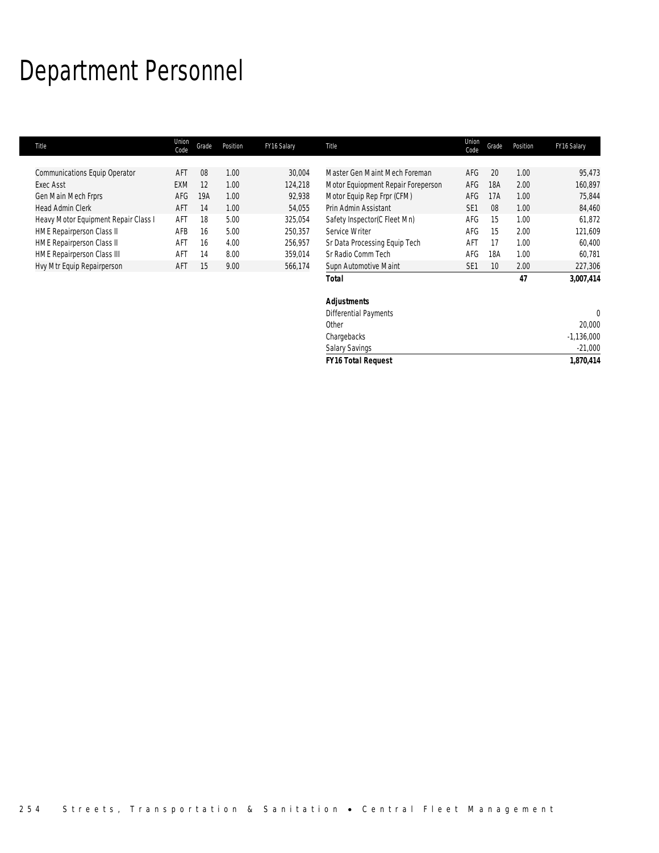## Department Personnel

l.

| Title                                | Union<br>Code | Grade | Position | FY16 Salary | Title                              | Union<br>Code   | Grade | Position | FY16 Salary |
|--------------------------------------|---------------|-------|----------|-------------|------------------------------------|-----------------|-------|----------|-------------|
|                                      |               |       |          |             |                                    |                 |       |          |             |
| <b>Communications Equip Operator</b> | AFT           | 08    | 1.00     | 30,004      | Master Gen Maint Mech Foreman      | AFG             | 20    | 1.00     | 95,473      |
| Exec Asst                            | EXM           | 12    | 1.00     | 124,218     | Motor Equiopment Repair Foreperson | AFG             | 18A   | 2.00     | 160,897     |
| Gen Main Mech Frprs                  | AFG           | 19A   | 1.00     | 92,938      | Motor Equip Rep Frpr (CFM)         | AFG             | 17A   | 1.00     | 75,844      |
| <b>Head Admin Clerk</b>              | AFT           | 14    | 1.00     | 54,055      | Prin Admin Assistant               | SE <sub>1</sub> | 08    | 1.00     | 84.460      |
| Heavy Motor Equipment Repair Class I | AFT           | 18    | 5.00     | 325,054     | Safety Inspector(C Fleet Mn)       | AFG             | 15    | 1.00     | 61,872      |
| <b>HME Repairperson Class II</b>     | AFB           | 16    | 5.00     | 250,357     | Service Writer                     | AFG             | 15    | 2.00     | 121,609     |
| <b>HME Repairperson Class II</b>     | <b>AFT</b>    | 16    | 4.00     | 256,957     | Sr Data Processing Equip Tech      | AFT             | 17    | 1.00     | 60,400      |
| <b>HME Repairperson Class III</b>    | AFT           | 14    | 8.00     | 359,014     | Sr Radio Comm Tech                 | AFG             | 18A   | 1.00     | 60,781      |
| Hvy Mtr Equip Repairperson           | AFT           | 15    | 9.00     | 566,174     | Supn Automotive Maint              | SE <sub>1</sub> | 10    | 2.00     | 227,306     |
|                                      |               |       |          |             | Total                              |                 |       | 47       | 3,007,414   |
|                                      |               |       |          |             |                                    |                 |       |          |             |
|                                      |               |       |          |             | <b>Adjustments</b>                 |                 |       |          |             |
|                                      |               |       |          |             | <b>Differential Payments</b>       |                 |       |          | $\Omega$    |
|                                      |               |       |          |             | Other                              |                 |       |          | 20,000      |

 Chargebacks -1,136,000 Salary Savings -21,000 *FY16 Total Request 1,870,414*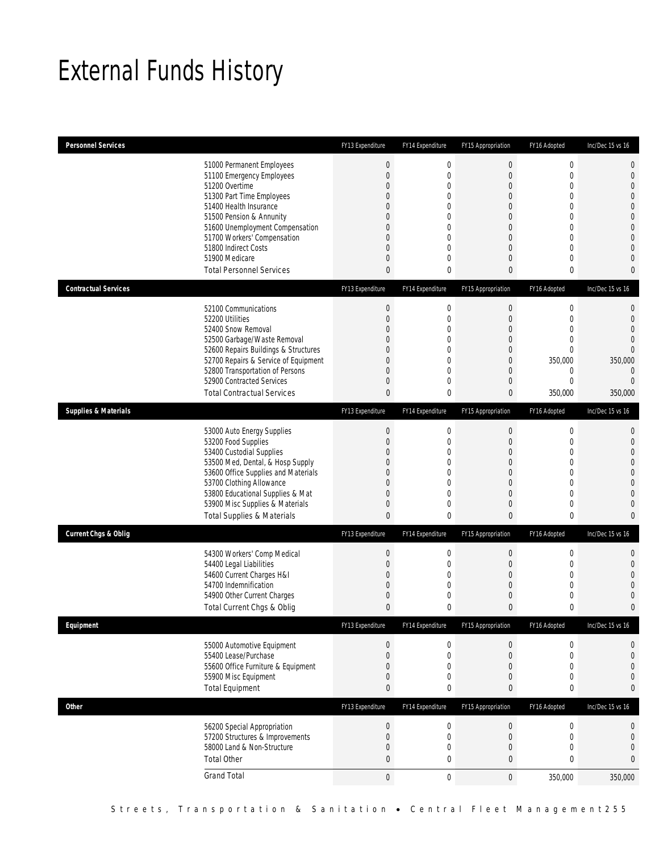## External Funds History

| <b>Personnel Services</b>                                                                                                                                                                                                                                                                                  | FY13 Expenditure                                                                                                       | FY14 Expenditure                                                                                                 | FY15 Appropriation                                                                                | FY16 Adopted                                                                                                                                                            | Inc/Dec 15 vs 16                                                                                                                                                                      |
|------------------------------------------------------------------------------------------------------------------------------------------------------------------------------------------------------------------------------------------------------------------------------------------------------------|------------------------------------------------------------------------------------------------------------------------|------------------------------------------------------------------------------------------------------------------|---------------------------------------------------------------------------------------------------|-------------------------------------------------------------------------------------------------------------------------------------------------------------------------|---------------------------------------------------------------------------------------------------------------------------------------------------------------------------------------|
| 51000 Permanent Employees<br>51100 Emergency Employees<br>51200 Overtime<br>51300 Part Time Employees<br>51400 Health Insurance<br>51500 Pension & Annunity<br>51600 Unemployment Compensation<br>51700 Workers' Compensation<br>51800 Indirect Costs<br>51900 Medicare<br><b>Total Personnel Services</b> | $\boldsymbol{0}$<br>$\boldsymbol{0}$<br>$\boldsymbol{0}$<br>0<br>$\Omega$<br>0<br>0<br>0<br>0<br>$\boldsymbol{0}$<br>0 | $\boldsymbol{0}$<br>$\mathbf 0$<br>$\mathbf 0$<br>0<br>0<br>0<br>0<br>$\overline{0}$<br>0<br>$\overline{0}$<br>0 | $\boldsymbol{0}$<br>0<br>$\mathbf{0}$<br>0<br>$\Omega$<br>0<br>0<br>$\mathbf{0}$<br>0<br>0<br>0   | $\boldsymbol{0}$<br>$\mathbf{0}$<br>$\mathbf 0$<br>$\mathbf{0}$<br>$\Omega$<br>$\mathbf 0$<br>$\mathbf{0}$<br>$\mathbf 0$<br>$\mathbf{0}$<br>$\mathbf 0$<br>$\mathbf 0$ | $\mathbf 0$<br>$\mathbf 0$<br>$\overline{0}$<br>$\overline{0}$<br>$\overline{0}$<br>$\mathbf{0}$<br>$\mathbf 0$<br>$\overline{0}$<br>$\overline{0}$<br>$\overline{0}$<br>$\mathbf{0}$ |
| <b>Contractual Services</b>                                                                                                                                                                                                                                                                                | FY13 Expenditure                                                                                                       | FY14 Expenditure                                                                                                 | FY15 Appropriation                                                                                | FY16 Adopted                                                                                                                                                            | Inc/Dec 15 vs 16                                                                                                                                                                      |
| 52100 Communications<br>52200 Utilities<br>52400 Snow Removal<br>52500 Garbage/Waste Removal<br>52600 Repairs Buildings & Structures<br>52700 Repairs & Service of Equipment<br>52800 Transportation of Persons<br>52900 Contracted Services<br><b>Total Contractual Services</b>                          | $\boldsymbol{0}$<br>$\boldsymbol{0}$<br>$\Omega$<br>0<br>0<br>0<br>0<br>0<br>$\bf{0}$                                  | 0<br>$\mathbf 0$<br>0<br>0<br>$\mathbf{0}$<br>$\boldsymbol{0}$<br>$\mathbf{0}$<br>0<br>0                         | $\boldsymbol{0}$<br>$\mathbf 0$<br>0<br>0<br>0<br>$\boldsymbol{0}$<br>$\mathbf{0}$<br>0<br>0      | $\boldsymbol{0}$<br>$\mathbf 0$<br>$\overline{0}$<br>$\mathbf{0}$<br>$\mathbf 0$<br>350,000<br>0<br>$\overline{0}$<br>350,000                                           | $\mathbf 0$<br>$\mathbf 0$<br>$\overline{0}$<br>$\overline{0}$<br>$\overline{0}$<br>350,000<br>$\overline{0}$<br>$\overline{0}$<br>350,000                                            |
| <b>Supplies &amp; Materials</b>                                                                                                                                                                                                                                                                            | FY13 Expenditure                                                                                                       | FY14 Expenditure                                                                                                 | FY15 Appropriation                                                                                | FY16 Adopted                                                                                                                                                            | Inc/Dec 15 vs 16                                                                                                                                                                      |
| 53000 Auto Energy Supplies<br>53200 Food Supplies<br>53400 Custodial Supplies<br>53500 Med, Dental, & Hosp Supply<br>53600 Office Supplies and Materials<br>53700 Clothing Allowance<br>53800 Educational Supplies & Mat<br>53900 Misc Supplies & Materials<br><b>Total Supplies &amp; Materials</b>       | $\boldsymbol{0}$<br>$\boldsymbol{0}$<br>0<br>0<br>0<br>$\boldsymbol{0}$<br>0<br>0<br>0                                 | 0<br>$\mathbf 0$<br>0<br>$\mathbf 0$<br>$\mathbf{0}$<br>$\overline{0}$<br>$\overline{0}$<br>0<br>0               | $\mathbf 0$<br>$\mathbf{0}$<br>0<br>0<br>0<br>$\mathbf{0}$<br>$\overline{0}$<br>0<br>$\mathbf{0}$ | 0<br>$\mathbf 0$<br>$\overline{0}$<br>$\mathbf{0}$<br>$\mathbf{0}$<br>$\mathbf 0$<br>$\mathbf{0}$<br>$\mathbf 0$<br>$\bf{0}$                                            | $\mathbf{0}$<br>$\mathbf 0$<br>$\overline{0}$<br>$\overline{0}$<br>$\mathbf 0$<br>$\overline{0}$<br>$\overline{0}$<br>$\overline{0}$<br>$\mathbf{0}$                                  |
| <b>Current Chgs &amp; Oblig</b>                                                                                                                                                                                                                                                                            | FY13 Expenditure                                                                                                       | FY14 Expenditure                                                                                                 | FY15 Appropriation                                                                                | FY16 Adopted                                                                                                                                                            | Inc/Dec 15 vs 16                                                                                                                                                                      |
| 54300 Workers' Comp Medical<br>54400 Legal Liabilities<br>54600 Current Charges H&I<br>54700 Indemnification<br>54900 Other Current Charges<br>Total Current Chgs & Oblig                                                                                                                                  | $\boldsymbol{0}$<br>$\boldsymbol{0}$<br>0<br>$\boldsymbol{0}$<br>0<br>$\mathbf{0}$                                     | 0<br>$\boldsymbol{0}$<br>0<br>0<br>$\mathbf 0$<br>0                                                              | $\boldsymbol{0}$<br>$\boldsymbol{0}$<br>0<br>0<br>0<br>$\mathbf{0}$                               | $\boldsymbol{0}$<br>$\mathbf 0$<br>$\mathbf{0}$<br>$\mathbf 0$<br>0<br>$\mathbf 0$                                                                                      | $\mathbf 0$<br>$\mathbf 0$<br>$\overline{0}$<br>$\overline{0}$<br>$\mathbf 0$<br>$\mathbf{0}$                                                                                         |
| Equipment                                                                                                                                                                                                                                                                                                  | FY13 Expenditure                                                                                                       | FY14 Expenditure                                                                                                 | FY15 Appropriation                                                                                | FY16 Adopted                                                                                                                                                            | Inc/Dec 15 vs 16                                                                                                                                                                      |
| 55000 Automotive Equipment<br>55400 Lease/Purchase<br>55600 Office Furniture & Equipment<br>55900 Misc Equipment<br><b>Total Equipment</b>                                                                                                                                                                 | $\boldsymbol{0}$<br>$\boldsymbol{0}$<br>$\boldsymbol{0}$<br>0<br>0                                                     | 0<br>$\boldsymbol{0}$<br>0<br>0<br>0                                                                             | $\boldsymbol{0}$<br>$\boldsymbol{0}$<br>$\mathbf{0}$<br>$\mathbf 0$<br>0                          | 0<br>$\boldsymbol{0}$<br>$\mathbf{0}$<br>0<br>$\bf{0}$                                                                                                                  | 0<br>$\mathbf 0$<br>0<br>$\mathbf{0}$<br>$\bf{0}$                                                                                                                                     |
| <b>Other</b>                                                                                                                                                                                                                                                                                               | FY13 Expenditure                                                                                                       | FY14 Expenditure                                                                                                 | FY15 Appropriation                                                                                | FY16 Adopted                                                                                                                                                            | Inc/Dec 15 vs 16                                                                                                                                                                      |
| 56200 Special Appropriation<br>57200 Structures & Improvements<br>58000 Land & Non-Structure<br><b>Total Other</b>                                                                                                                                                                                         | $\boldsymbol{0}$<br>$\boldsymbol{0}$<br>0<br>$\pmb{0}$                                                                 | 0<br>$\boldsymbol{0}$<br>0<br>$\bf{0}$                                                                           | $\boldsymbol{0}$<br>$\boldsymbol{0}$<br>$\mathbf 0$<br>$\bf{0}$                                   | $\boldsymbol{0}$<br>$\mathbf 0$<br>0<br>$\bf{0}$                                                                                                                        | 0<br>0<br>$\mathbf 0$<br>$\bf{0}$                                                                                                                                                     |
| <b>Grand Total</b>                                                                                                                                                                                                                                                                                         | $\mathbf 0$                                                                                                            | $\boldsymbol{0}$                                                                                                 | $\boldsymbol{0}$                                                                                  | 350,000                                                                                                                                                                 | 350,000                                                                                                                                                                               |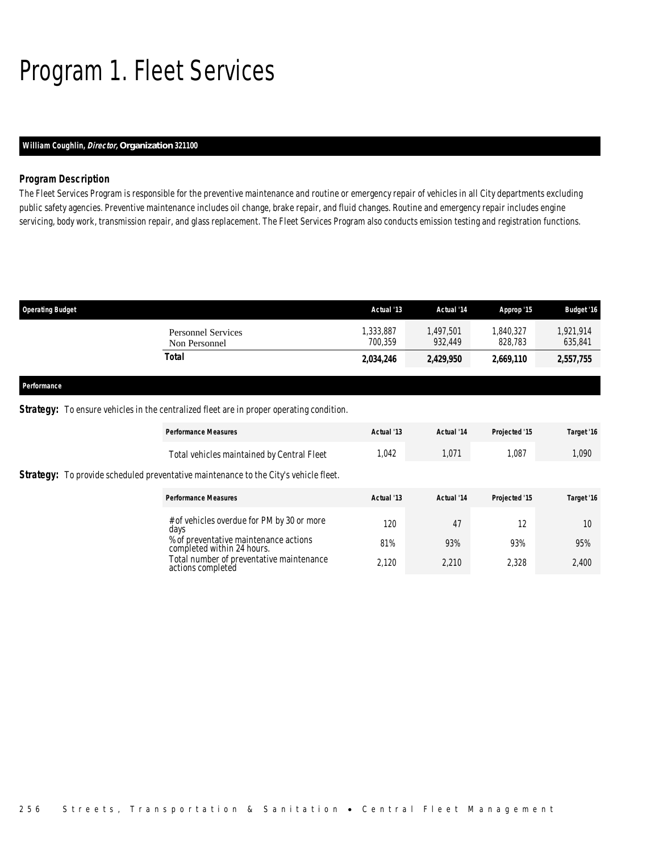# Program 1. Fleet Services

### *William Coughlin, Director, Organization 321100*

#### *Program Description*

The Fleet Services Program is responsible for the preventive maintenance and routine or emergency repair of vehicles in all City departments excluding public safety agencies. Preventive maintenance includes oil change, brake repair, and fluid changes. Routine and emergency repair includes engine servicing, body work, transmission repair, and glass replacement. The Fleet Services Program also conducts emission testing and registration functions.

| <b>Operating Budget</b>                    | Actual '13          | Actual '14           | Approp '15           | <b>Budget '16</b>   |
|--------------------------------------------|---------------------|----------------------|----------------------|---------------------|
| <b>Personnel Services</b><br>Non Personnel | ,333,887<br>700.359 | 1,497,501<br>932,449 | 1,840,327<br>828.783 | .921.914<br>635,841 |
| Total                                      | 2,034,246           | 2,429,950            | 2,669,110            | 2,557,755           |
|                                            |                     |                      |                      |                     |
| $\sim$ $\sim$                              |                     |                      |                      |                     |

#### *Performance*

#### *Strategy:* To ensure vehicles in the centralized fleet are in proper operating condition.

| <b>Performance Measures</b>                                                                 | Actual '13 | Actual '14 | Projected '15 | Target '16 |
|---------------------------------------------------------------------------------------------|------------|------------|---------------|------------|
| Total vehicles maintained by Central Fleet                                                  | 1,042      | 1,071      | 1,087         | 1,090      |
| <b>Strategy:</b> To provide scheduled preventative maintenance to the City's vehicle fleet. |            |            |               |            |
| <b>Performance Measures</b>                                                                 | Actual '13 | Actual '14 | Projected '15 | Target '16 |
| # of vehicles overdue for PM by 30 or more<br>days                                          | 120        | 47         | 12            | 10         |
| % of preventative maintenance actions<br>completed within 24 hours.                         | 81%        | 93%        | 93%           | 95%        |
| Total number of preventative maintenance<br>actions completed                               | 2.120      | 2,210      | 2,328         | 2,400      |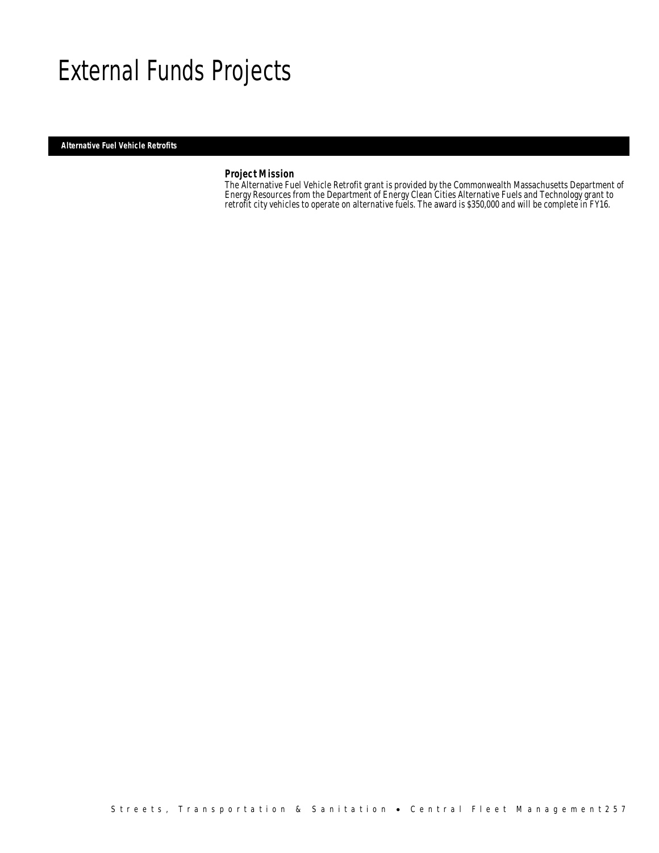## External Funds Projects

*Alternative Fuel Vehicle Retrofits* 

### *Project Mission*

The Alternative Fuel Vehicle Retrofit grant is provided by the Commonwealth Massachusetts Department of Energy Resources from the Department of Energy Clean Cities Alternative Fuels and Technology grant to retrofit city vehicles to operate on alternative fuels. The award is \$350,000 and will be complete in FY16.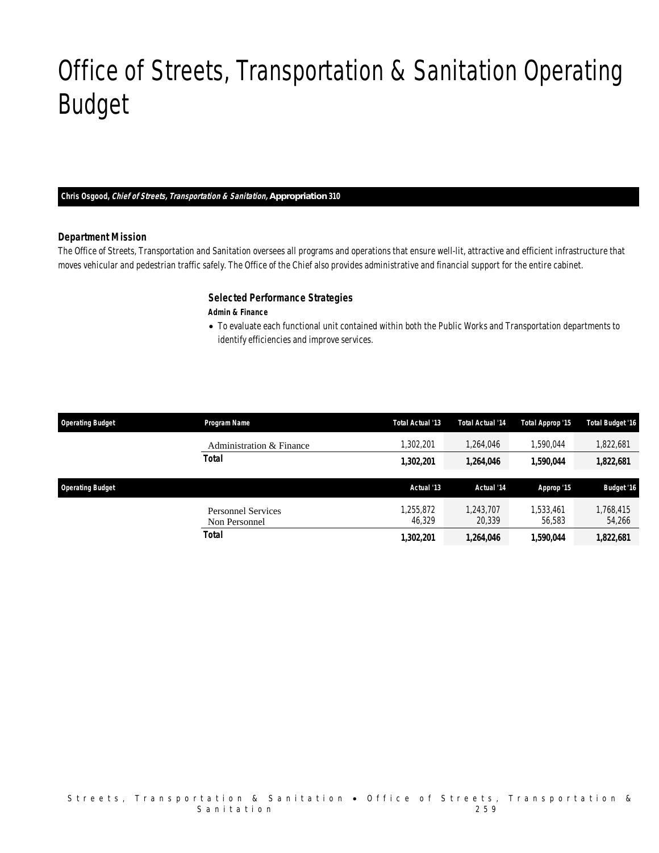# Office of Streets, Transportation & Sanitation Operating Budget

*Chris Osgood, Chief of Streets, Transportation & Sanitation, Appropriation 310* 

### *Department Mission*

Office of Streets, Transportation & Sanitation

The Office of Streets, Transportation and Sanitation oversees all programs and operations that ensure well-lit, attractive and efficient infrastructure that moves vehicular and pedestrian traffic safely. The Office of the Chief also provides administrative and financial support for the entire cabinet.

### *Selected Performance Strategies*

*Admin & Finance* 

• To evaluate each functional unit contained within both the Public Works and Transportation departments to identify efficiencies and improve services.

| <b>Operating Budget</b> | Program Name                               | Total Actual '13    | <b>Total Actual '14</b> | Total Approp '15    | <b>Total Budget '16</b> |
|-------------------------|--------------------------------------------|---------------------|-------------------------|---------------------|-------------------------|
|                         | Administration & Finance                   | 1,302,201           | 1.264.046               | 1.590.044           | 1,822,681               |
|                         | <b>Total</b>                               | 1,302,201           | 1,264,046               | 1,590,044           | 1,822,681               |
|                         |                                            |                     |                         |                     |                         |
| <b>Operating Budget</b> |                                            | Actual '13          | Actual '14              | Approp '15          | <b>Budget '16</b>       |
|                         | <b>Personnel Services</b><br>Non Personnel | 1,255,872<br>46,329 | 1.243.707<br>20,339     | 1,533,461<br>56,583 | 1,768,415<br>54,266     |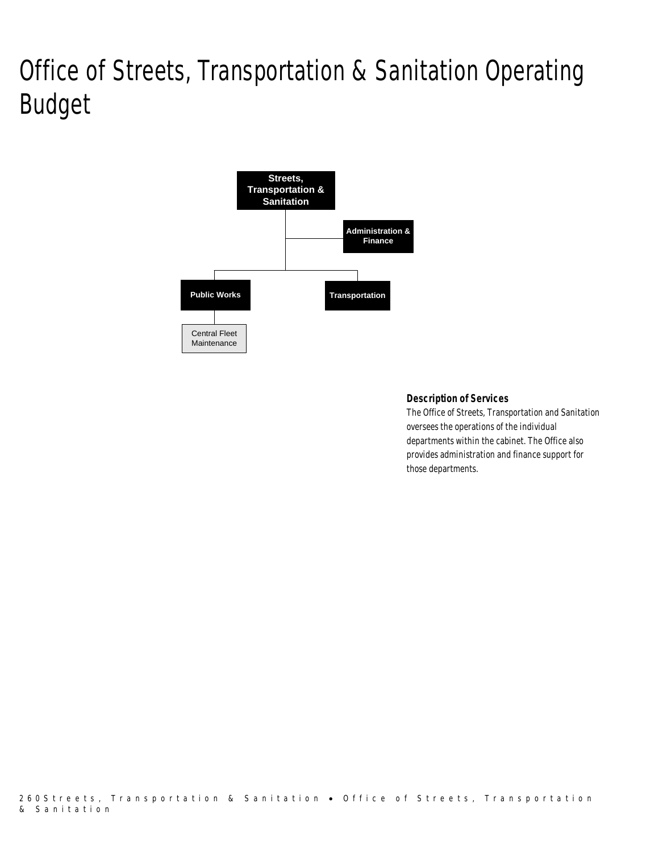# Office of Streets, Transportation & Sanitation Operating Budget



### *Description of Services*

The Office of Streets, Transportation and Sanitation oversees the operations of the individual departments within the cabinet. The Office also provides administration and finance support for those departments.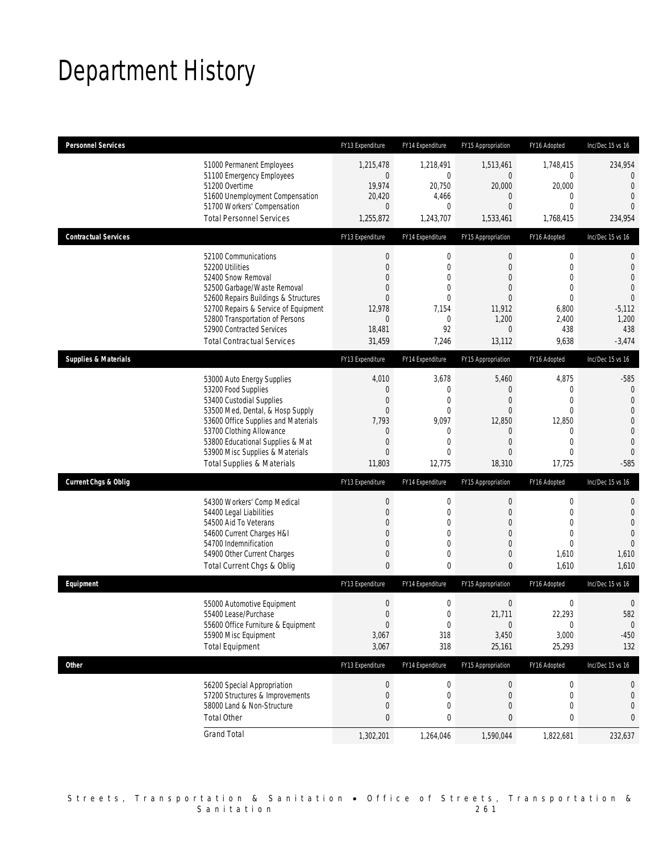## Department History

| <b>Personnel Services</b>       |                                                                                                                                                                                                                                                                                           | FY13 Expenditure                                                                                            | FY14 Expenditure                                                                                                  | FY15 Appropriation                                                                                                                  | FY16 Adopted                                                                                                                | Inc/Dec 15 vs 16                                                                                                        |
|---------------------------------|-------------------------------------------------------------------------------------------------------------------------------------------------------------------------------------------------------------------------------------------------------------------------------------------|-------------------------------------------------------------------------------------------------------------|-------------------------------------------------------------------------------------------------------------------|-------------------------------------------------------------------------------------------------------------------------------------|-----------------------------------------------------------------------------------------------------------------------------|-------------------------------------------------------------------------------------------------------------------------|
|                                 | 51000 Permanent Employees<br>51100 Emergency Employees<br>51200 Overtime<br>51600 Unemployment Compensation<br>51700 Workers' Compensation                                                                                                                                                | 1,215,478<br>$\mathbf 0$<br>19,974<br>20,420<br>0                                                           | 1,218,491<br>$\boldsymbol{0}$<br>20,750<br>4,466<br>$\mathbf 0$                                                   | 1,513,461<br>$\mathbf 0$<br>20,000<br>$\theta$<br>$\overline{0}$                                                                    | 1,748,415<br>$\mathbf{0}$<br>20,000<br>$\mathbf{0}$<br>$\mathbf{0}$                                                         | 234,954<br>$\mathbf 0$<br>$\overline{0}$<br>$\mathbf{0}$<br>$\overline{0}$                                              |
|                                 | <b>Total Personnel Services</b>                                                                                                                                                                                                                                                           | 1,255,872                                                                                                   | 1,243,707                                                                                                         | 1,533,461                                                                                                                           | 1,768,415                                                                                                                   | 234,954                                                                                                                 |
| <b>Contractual Services</b>     |                                                                                                                                                                                                                                                                                           | FY13 Expenditure                                                                                            | FY14 Expenditure                                                                                                  | FY15 Appropriation                                                                                                                  | FY16 Adopted                                                                                                                | Inc/Dec 15 vs 16                                                                                                        |
|                                 | 52100 Communications<br>52200 Utilities<br>52400 Snow Removal<br>52500 Garbage/Waste Removal<br>52600 Repairs Buildings & Structures<br>52700 Repairs & Service of Equipment<br>52800 Transportation of Persons<br>52900 Contracted Services<br><b>Total Contractual Services</b>         | $\boldsymbol{0}$<br>0<br>$\overline{0}$<br>0<br>$\overline{0}$<br>12,978<br>$\mathbf 0$<br>18,481<br>31,459 | $\mathbf 0$<br>$\mathbf 0$<br>$\mathbf{0}$<br>$\mathbf{0}$<br>$\mathbf{0}$<br>7,154<br>$\mathbf 0$<br>92<br>7,246 | $\boldsymbol{0}$<br>$\mathbf{0}$<br>$\mathbf{0}$<br>$\mathbf{0}$<br>$\overline{0}$<br>11,912<br>1,200<br>$\boldsymbol{0}$<br>13,112 | $\mathbf 0$<br>$\mathbf{0}$<br>$\mathbf{0}$<br>$\mathbf{0}$<br>$\mathbf{0}$<br>6,800<br>2,400<br>438<br>9,638               | 0<br>$\mathbf 0$<br>$\boldsymbol{0}$<br>$\mathbf 0$<br>$\mathbf 0$<br>$-5,112$<br>1,200<br>438<br>$-3,474$              |
| <b>Supplies &amp; Materials</b> |                                                                                                                                                                                                                                                                                           | FY13 Expenditure                                                                                            | FY14 Expenditure                                                                                                  | FY15 Appropriation                                                                                                                  | FY16 Adopted                                                                                                                | Inc/Dec 15 vs 16                                                                                                        |
|                                 | 53000 Auto Energy Supplies<br>53200 Food Supplies<br>53400 Custodial Supplies<br>53500 Med, Dental, & Hosp Supply<br>53600 Office Supplies and Materials<br>53700 Clothing Allowance<br>53800 Educational Supplies & Mat<br>53900 Misc Supplies & Materials<br>Total Supplies & Materials | 4,010<br>$\theta$<br>$\overline{0}$<br>0<br>7,793<br>0<br>$\overline{0}$<br>$\overline{0}$<br>11,803        | 3,678<br>$\mathbf 0$<br>$\mathbf{0}$<br>$\mathbf{0}$<br>9,097<br>0<br>$\mathbf{0}$<br>$\mathbf{0}$<br>12,775      | 5,460<br>$\boldsymbol{0}$<br>$\mathbf{0}$<br>$\overline{0}$<br>12,850<br>$\mathbf 0$<br>$\mathbf{0}$<br>$\mathbf{0}$<br>18,310      | 4,875<br>$\mathbf{0}$<br>$\overline{0}$<br>$\mathbf{0}$<br>12,850<br>$\mathbf{0}$<br>$\mathbf{0}$<br>$\mathbf{0}$<br>17,725 | $-585$<br>$\mathbf 0$<br>$\mathbf{0}$<br>$\theta$<br>$\mathbf 0$<br>$\mathbf 0$<br>$\theta$<br>$\overline{0}$<br>$-585$ |
| <b>Current Chgs &amp; Oblig</b> |                                                                                                                                                                                                                                                                                           | FY13 Expenditure                                                                                            | FY14 Expenditure                                                                                                  | FY15 Appropriation                                                                                                                  | FY16 Adopted                                                                                                                | Inc/Dec 15 vs 16                                                                                                        |
|                                 | 54300 Workers' Comp Medical<br>54400 Legal Liabilities<br>54500 Aid To Veterans<br>54600 Current Charges H&I<br>54700 Indemnification<br>54900 Other Current Charges<br>Total Current Chgs & Oblig                                                                                        | $\boldsymbol{0}$<br>0<br>$\overline{0}$<br>0<br>0<br>0<br>0                                                 | $\mathbf 0$<br>$\mathbf{0}$<br>$\mathbf{0}$<br>$\mathbf{0}$<br>$\mathbf{0}$<br>$\mathbf{0}$<br>0                  | $\boldsymbol{0}$<br>$\mathbf{0}$<br>$\mathbf{0}$<br>$\mathbf{0}$<br>$\mathbf{0}$<br>$\mathbf 0$<br>$\mathbf{0}$                     | $\mathbf 0$<br>$\mathbf{0}$<br>$\mathbf{0}$<br>$\mathbf{0}$<br>$\mathbf{0}$<br>1,610<br>1,610                               | $\mathbf 0$<br>$\mathbf 0$<br>$\mathbf{0}$<br>$\mathbf{0}$<br>$\overline{0}$<br>1,610<br>1,610                          |
| Equipment                       |                                                                                                                                                                                                                                                                                           | FY13 Expenditure                                                                                            | FY14 Expenditure                                                                                                  | FY15 Appropriation                                                                                                                  | FY16 Adopted                                                                                                                | Inc/Dec 15 vs 16                                                                                                        |
|                                 | 55000 Automotive Equipment<br>55400 Lease/Purchase<br>55600 Office Furniture & Equipment<br>55900 Misc Equipment<br><b>Total Equipment</b>                                                                                                                                                | $\mathbf 0$<br>$\boldsymbol{0}$<br>$\boldsymbol{0}$<br>3,067<br>3,067                                       | $\mathbf 0$<br>$\boldsymbol{0}$<br>$\boldsymbol{0}$<br>318<br>318                                                 | $\boldsymbol{0}$<br>21,711<br>$\mathbf 0$<br>3,450<br>25,161                                                                        | $\mathbf 0$<br>22,293<br>$\mathbf 0$<br>3,000<br>25,293                                                                     | $\mathbf 0$<br>582<br>$\mathbf 0$<br>$-450$<br>132                                                                      |
| Other                           |                                                                                                                                                                                                                                                                                           | FY13 Expenditure                                                                                            | FY14 Expenditure                                                                                                  | FY15 Appropriation                                                                                                                  | FY16 Adopted                                                                                                                | Inc/Dec 15 vs 16                                                                                                        |
|                                 | 56200 Special Appropriation<br>57200 Structures & Improvements<br>58000 Land & Non-Structure<br><b>Total Other</b>                                                                                                                                                                        | $\boldsymbol{0}$<br>$\mathbf 0$<br>0<br>0                                                                   | $\boldsymbol{0}$<br>$\boldsymbol{0}$<br>0<br>0                                                                    | $\boldsymbol{0}$<br>$\boldsymbol{0}$<br>$\theta$<br>$\pmb{0}$                                                                       | 0<br>$\mathbf 0$<br>0<br>0                                                                                                  | 0<br>$\mathbf 0$<br>$\mathbf 0$<br>0                                                                                    |
|                                 | <b>Grand Total</b>                                                                                                                                                                                                                                                                        | 1,302,201                                                                                                   | 1,264,046                                                                                                         | 1,590,044                                                                                                                           | 1,822,681                                                                                                                   | 232,637                                                                                                                 |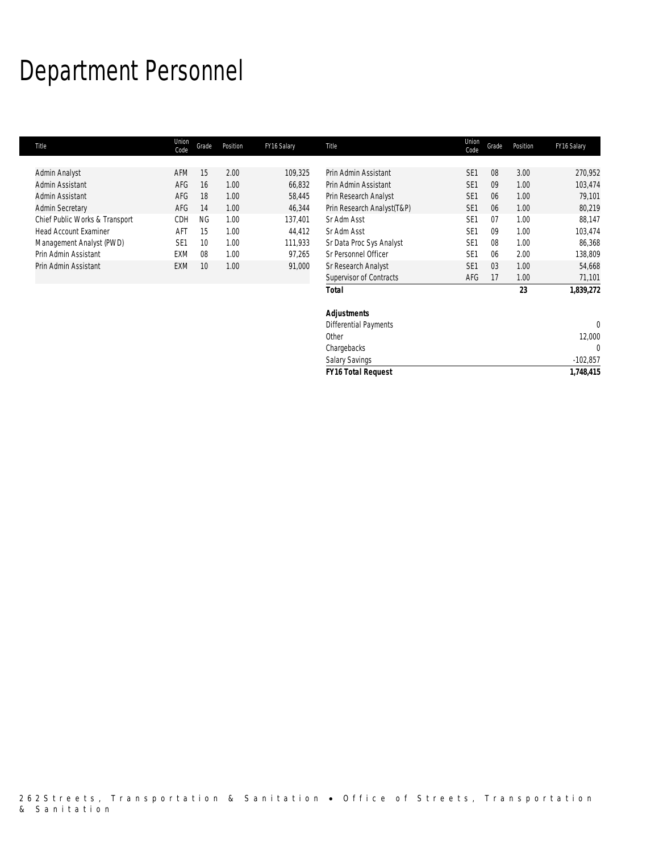## Department Personnel

| Title                          | Union<br>Code   | Grade | Position | FY16 Salary | Title                        | Union<br>Code   | Grade | Position | FY16 Salary  |
|--------------------------------|-----------------|-------|----------|-------------|------------------------------|-----------------|-------|----------|--------------|
|                                |                 |       |          |             |                              |                 |       |          |              |
| Admin Analyst                  | AFM             | 15    | 2.00     | 109,325     | Prin Admin Assistant         | SE <sub>1</sub> | 08    | 3.00     | 270,952      |
| Admin Assistant                | AFG             | 16    | 1.00     | 66,832      | Prin Admin Assistant         | SE <sub>1</sub> | 09    | 1.00     | 103,474      |
| Admin Assistant                | AFG             | 18    | 1.00     | 58,445      | Prin Research Analyst        | SE <sub>1</sub> | 06    | 1.00     | 79,101       |
| Admin Secretary                | AFG             | 14    | 1.00     | 46,344      | Prin Research Analyst(T&P)   | SE <sub>1</sub> | 06    | 1.00     | 80,219       |
| Chief Public Works & Transport | CDH             | ΝG    | 1.00     | 137,401     | Sr Adm Asst                  | SE <sub>1</sub> | 07    | 1.00     | 88,147       |
| <b>Head Account Examiner</b>   | AFT             | 15    | 1.00     | 44,412      | Sr Adm Asst                  | SE <sub>1</sub> | 09    | 1.00     | 103,474      |
| Management Analyst (PWD)       | SE <sub>1</sub> | 10    | 1.00     | 111,933     | Sr Data Proc Sys Analyst     | SE <sub>1</sub> | 08    | 1.00     | 86,368       |
| Prin Admin Assistant           | <b>EXM</b>      | 08    | 1.00     | 97,265      | Sr Personnel Officer         | SE <sub>1</sub> | 06    | 2.00     | 138,809      |
| Prin Admin Assistant           | <b>EXM</b>      | 10    | 1.00     | 91,000      | Sr Research Analyst          | SE <sub>1</sub> | 03    | 1.00     | 54,668       |
|                                |                 |       |          |             | Supervisor of Contracts      | AFG             | 17    | 1.00     | 71,101       |
|                                |                 |       |          |             | <b>Total</b>                 |                 |       | 23       | 1,839,272    |
|                                |                 |       |          |             | <b>Adjustments</b>           |                 |       |          |              |
|                                |                 |       |          |             | <b>Differential Payments</b> |                 |       |          | $\mathbf{0}$ |
|                                |                 |       |          |             | Other                        |                 |       |          | 12,000       |
|                                |                 |       |          |             | Chargebacks                  |                 |       |          | 0            |
|                                |                 |       |          |             | <b>Salary Savings</b>        |                 |       |          | $-102,857$   |
|                                |                 |       |          |             | <b>FY16 Total Request</b>    |                 |       |          | 1,748,415    |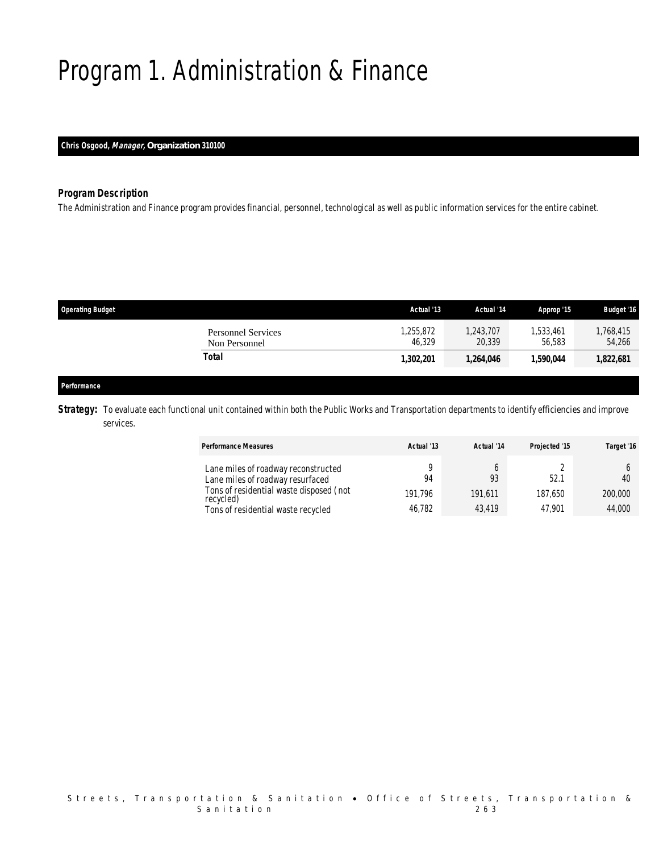## Program 1. Administration & Finance

### *Chris Osgood, Manager, Organization 310100*

### *Program Description*

The Administration and Finance program provides financial, personnel, technological as well as public information services for the entire cabinet.

| <b>Operating Budget</b>                    | Actual '13         | Actual '14          | Approp '15         | <b>Budget '16</b>   |
|--------------------------------------------|--------------------|---------------------|--------------------|---------------------|
| <b>Personnel Services</b><br>Non Personnel | ,255,872<br>46,329 | 1,243,707<br>20,339 | .533.461<br>56.583 | 1,768,415<br>54,266 |
| Total                                      | 1,302,201          | 1,264,046           | 1,590,044          | 1,822,681           |
|                                            |                    |                     |                    |                     |

#### *Performance*

**Strategy:** To evaluate each functional unit contained within both the Public Works and Transportation departments to identify efficiencies and improve services.

| <b>Performance Measures</b>                                                                                                                                           | Actual '13              | Actual '14              | Projected '15             | Target '16              |
|-----------------------------------------------------------------------------------------------------------------------------------------------------------------------|-------------------------|-------------------------|---------------------------|-------------------------|
| Lane miles of roadway reconstructed<br>Lane miles of roadway resurfaced<br>Tons of residential waste disposed (not<br>recycled)<br>Tons of residential waste recycled | 94<br>191.796<br>46.782 | 93<br>191.611<br>43.419 | 52.1<br>187.650<br>47.901 | 40<br>200,000<br>44,000 |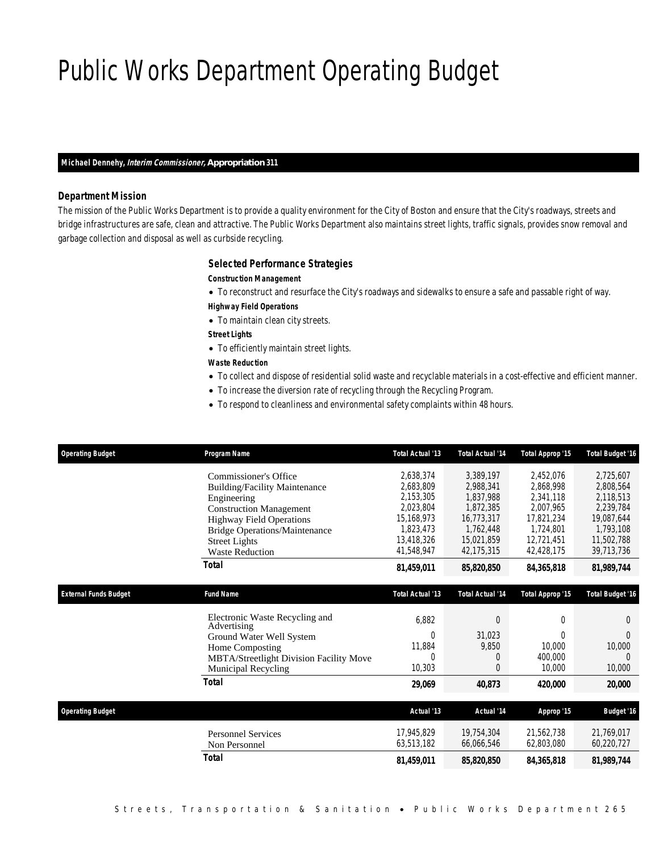## Public Works Department Operating Budget

#### *Michael Dennehy, Interim Commissioner, Appropriation 311*

#### *Department Mission*

The mission of the Public Works Department is to provide a quality environment for the City of Boston and ensure that the City's roadways, streets and bridge infrastructures are safe, clean and attractive. The Public Works Department also maintains street lights, traffic signals, provides snow removal and garbage collection and disposal as well as curbside recycling.

#### *Selected Performance Strategies*

#### *Construction Management*

- To reconstruct and resurface the City's roadways and sidewalks to ensure a safe and passable right of way.
- *Highway Field Operations*
- To maintain clean city streets.
- *Street Lights*
- To efficiently maintain street lights.

### *Waste Reduction*

- To collect and dispose of residential solid waste and recyclable materials in a cost-effective and efficient manner.
- To increase the diversion rate of recycling through the Recycling Program.
- To respond to cleanliness and environmental safety complaints within 48 hours.

| <b>Operating Budget</b>      | Program Name                                   | Total Actual '13 | <b>Total Actual '14</b> | Total Approp '15 | <b>Total Budget '16</b> |
|------------------------------|------------------------------------------------|------------------|-------------------------|------------------|-------------------------|
|                              | Commissioner's Office                          | 2,638,374        | 3,389,197               | 2,452,076        | 2,725,607               |
|                              | <b>Building/Facility Maintenance</b>           | 2,683,809        | 2.988.341               | 2,868,998        | 2,808,564               |
|                              | Engineering                                    | 2.153.305        | 1.837.988               | 2.341.118        | 2.118.513               |
|                              | <b>Construction Management</b>                 | 2,023,804        | 1,872,385               | 2,007,965        | 2,239,784               |
|                              | <b>Highway Field Operations</b>                | 15.168.973       | 16.773.317              | 17.821.234       | 19,087,644              |
|                              | <b>Bridge Operations/Maintenance</b>           | 1.823.473        | 1.762.448               | 1.724.801        | 1.793.108               |
|                              | <b>Street Lights</b>                           | 13,418,326       | 15.021.859              | 12.721.451       | 11,502,788              |
|                              | <b>Waste Reduction</b>                         | 41,548,947       | 42,175,315              | 42,428,175       | 39,713,736              |
|                              | Total                                          | 81,459,011       | 85,820,850              | 84,365,818       | 81,989,744              |
| <b>External Funds Budget</b> | <b>Fund Name</b>                               | Total Actual '13 | <b>Total Actual '14</b> | Total Approp '15 | <b>Total Budget '16</b> |
|                              |                                                |                  |                         |                  |                         |
|                              | Electronic Waste Recycling and<br>Advertising  | 6,882            | $\Omega$                | 0                | $\Omega$                |
|                              | Ground Water Well System                       | $\overline{0}$   | 31,023                  | 0                | $\Omega$                |
|                              | Home Composting                                | 11,884           | 9,850                   | 10,000           | 10,000                  |
|                              | <b>MBTA/Streetlight Division Facility Move</b> | $\Omega$         | $\Omega$                | 400,000          | $\Omega$                |
|                              | <b>Municipal Recycling</b>                     | 10,303           | $\Omega$                | 10,000           | 10,000                  |
|                              | Total                                          | 29,069           | 40,873                  | 420,000          | 20,000                  |
|                              |                                                |                  |                         |                  |                         |
| <b>Operating Budget</b>      |                                                | Actual '13       | Actual '14              | Approp '15       | <b>Budget '16</b>       |
|                              | <b>Personnel Services</b>                      | 17.945.829       | 19,754,304              | 21.562.738       | 21.769.017              |
|                              | Non Personnel                                  | 63,513,182       | 66,066,546              | 62,803,080       | 60,220,727              |
|                              | <b>Total</b>                                   | 81,459,011       | 85,820,850              | 84,365,818       | 81,989,744              |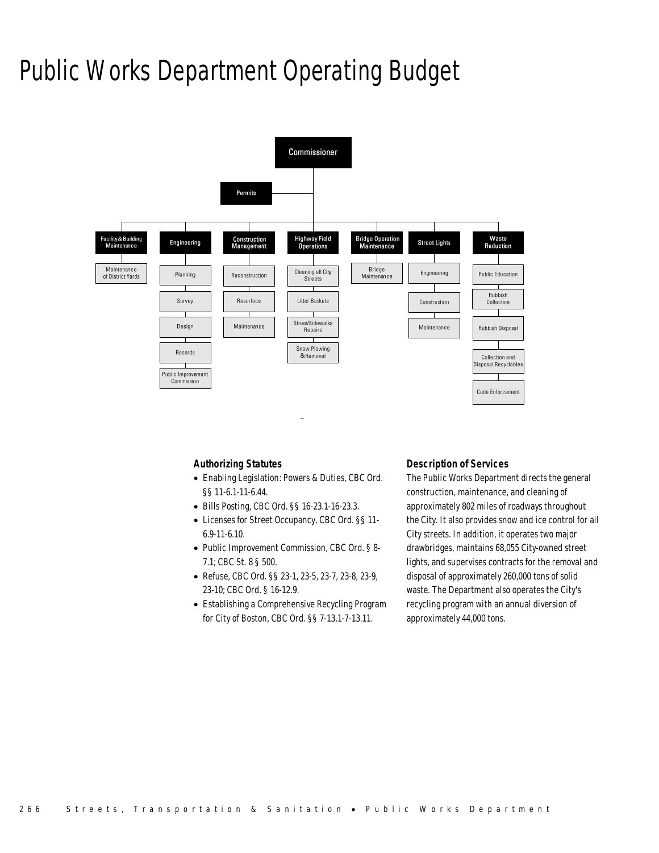## Public Works Department Operating Budget



#### *Authorizing Statutes*

- Enabling Legislation: Powers & Duties, CBC Ord. §§ 11-6.1-11-6.44.
- Bills Posting, CBC Ord. §§ 16-23.1-16-23.3.
- Licenses for Street Occupancy, CBC Ord. §§ 11- 6.9-11-6.10.
- Public Improvement Commission, CBC Ord. § 8- 7.1; CBC St. 8 § 500.
- Refuse, CBC Ord. §§ 23-1, 23-5, 23-7, 23-8, 23-9, 23-10; CBC Ord. § 16-12.9.
- Establishing a Comprehensive Recycling Program for City of Boston, CBC Ord. §§ 7-13.1-7-13.11.

#### *Description of Services*

The Public Works Department directs the general construction, maintenance, and cleaning of approximately 802 miles of roadways throughout the City. It also provides snow and ice control for all City streets. In addition, it operates two major drawbridges, maintains 68,055 City-owned street lights, and supervises contracts for the removal and disposal of approximately 260,000 tons of solid waste. The Department also operates the City's recycling program with an annual diversion of approximately 44,000 tons.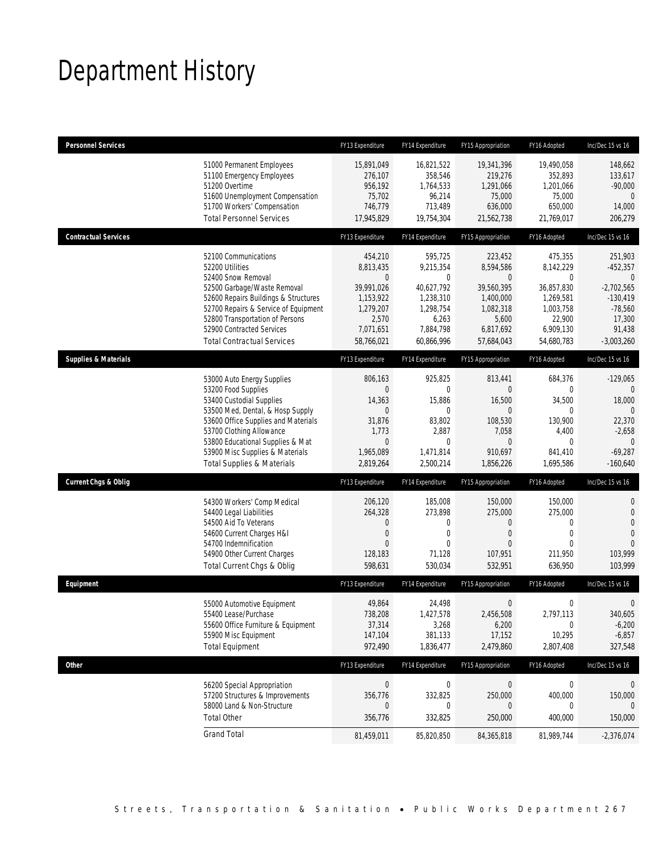## Department History

| <b>Personnel Services</b>       |                                                                                                                                                                                                                                                                                           | FY13 Expenditure                                                                                                     | FY14 Expenditure                                                                                            | FY15 Appropriation                                                                                               | FY16 Adopted                                                                                                      | Inc/Dec 15 vs 16                                                                                                 |
|---------------------------------|-------------------------------------------------------------------------------------------------------------------------------------------------------------------------------------------------------------------------------------------------------------------------------------------|----------------------------------------------------------------------------------------------------------------------|-------------------------------------------------------------------------------------------------------------|------------------------------------------------------------------------------------------------------------------|-------------------------------------------------------------------------------------------------------------------|------------------------------------------------------------------------------------------------------------------|
|                                 | 51000 Permanent Employees<br>51100 Emergency Employees<br>51200 Overtime<br>51600 Unemployment Compensation<br>51700 Workers' Compensation<br><b>Total Personnel Services</b>                                                                                                             | 15,891,049<br>276,107<br>956,192<br>75,702<br>746,779<br>17,945,829                                                  | 16,821,522<br>358,546<br>1,764,533<br>96,214<br>713,489<br>19,754,304                                       | 19,341,396<br>219,276<br>1,291,066<br>75,000<br>636,000<br>21,562,738                                            | 19,490,058<br>352,893<br>1,201,066<br>75,000<br>650.000<br>21,769,017                                             | 148,662<br>133,617<br>$-90,000$<br>$\mathbf{0}$<br>14,000<br>206,279                                             |
| <b>Contractual Services</b>     |                                                                                                                                                                                                                                                                                           | FY13 Expenditure                                                                                                     | FY14 Expenditure                                                                                            | FY15 Appropriation                                                                                               | FY16 Adopted                                                                                                      | Inc/Dec 15 vs 16                                                                                                 |
|                                 | 52100 Communications<br>52200 Utilities<br>52400 Snow Removal<br>52500 Garbage/Waste Removal<br>52600 Repairs Buildings & Structures<br>52700 Repairs & Service of Equipment<br>52800 Transportation of Persons<br>52900 Contracted Services<br><b>Total Contractual Services</b>         | 454,210<br>8,813,435<br>0<br>39,991,026<br>1,153,922<br>1,279,207<br>2,570<br>7,071,651<br>58,766,021                | 595,725<br>9,215,354<br>0<br>40,627,792<br>1,238,310<br>1,298,754<br>6,263<br>7,884,798<br>60,866,996       | 223,452<br>8,594,586<br>$\mathbf{0}$<br>39,560,395<br>1,400,000<br>1,082,318<br>5,600<br>6,817,692<br>57,684,043 | 475,355<br>8,142,229<br>$\mathbf{0}$<br>36.857.830<br>1,269,581<br>1,003,758<br>22,900<br>6,909,130<br>54,680,783 | 251,903<br>$-452,357$<br>$\theta$<br>$-2,702,565$<br>$-130,419$<br>$-78,560$<br>17,300<br>91,438<br>$-3,003,260$ |
| <b>Supplies &amp; Materials</b> |                                                                                                                                                                                                                                                                                           | FY13 Expenditure                                                                                                     | FY14 Expenditure                                                                                            | FY15 Appropriation                                                                                               | FY16 Adopted                                                                                                      | Inc/Dec 15 vs 16                                                                                                 |
|                                 | 53000 Auto Energy Supplies<br>53200 Food Supplies<br>53400 Custodial Supplies<br>53500 Med, Dental, & Hosp Supply<br>53600 Office Supplies and Materials<br>53700 Clothing Allowance<br>53800 Educational Supplies & Mat<br>53900 Misc Supplies & Materials<br>Total Supplies & Materials | 806,163<br>$\overline{0}$<br>14,363<br>$\overline{0}$<br>31,876<br>1,773<br>$\overline{0}$<br>1,965,089<br>2,819,264 | 925,825<br>$\mathbf 0$<br>15,886<br>$\mathbf 0$<br>83,802<br>2,887<br>$\mathbf 0$<br>1,471,814<br>2,500,214 | 813,441<br>$\overline{0}$<br>16,500<br>$\overline{0}$<br>108,530<br>7,058<br>$\theta$<br>910,697<br>1,856,226    | 684,376<br>$\mathbf 0$<br>34,500<br>$\mathbf{0}$<br>130,900<br>4,400<br>$\mathbf 0$<br>841,410<br>1,695,586       | $-129,065$<br>$\mathbf 0$<br>18,000<br>$\Omega$<br>22,370<br>$-2,658$<br>$\theta$<br>$-69,287$<br>$-160,640$     |
| <b>Current Chgs &amp; Oblig</b> |                                                                                                                                                                                                                                                                                           | FY13 Expenditure                                                                                                     | FY14 Expenditure                                                                                            | FY15 Appropriation                                                                                               | FY16 Adopted                                                                                                      | Inc/Dec 15 vs 16                                                                                                 |
|                                 | 54300 Workers' Comp Medical<br>54400 Legal Liabilities<br>54500 Aid To Veterans<br>54600 Current Charges H&I<br>54700 Indemnification<br>54900 Other Current Charges<br>Total Current Chgs & Oblig                                                                                        | 206,120<br>264,328<br>$\mathbf 0$<br>0<br>$\Omega$<br>128,183<br>598,631                                             | 185,008<br>273,898<br>0<br>0<br>0<br>71,128<br>530,034                                                      | 150,000<br>275,000<br>0<br>$\theta$<br>$\Omega$<br>107,951<br>532,951                                            | 150,000<br>275,000<br>$\mathbf 0$<br>$\mathbf{0}$<br>$\Omega$<br>211.950<br>636,950                               | $\mathbf{0}$<br>$\mathbf{0}$<br>$\overline{0}$<br>$\Omega$<br>$\Omega$<br>103,999<br>103,999                     |
| Equipment                       |                                                                                                                                                                                                                                                                                           | FY13 Expenditure                                                                                                     | FY14 Expenditure                                                                                            | FY15 Appropriation                                                                                               | FY16 Adopted                                                                                                      | Inc/Dec 15 vs 16                                                                                                 |
|                                 | 55000 Automotive Equipment<br>55400 Lease/Purchase<br>55600 Office Furniture & Equipment<br>55900 Misc Equipment<br><b>Total Equipment</b>                                                                                                                                                | 49,864<br>738,208<br>37,314<br>147,104<br>972,490                                                                    | 24,498<br>1,427,578<br>3,268<br>381,133<br>1,836,477                                                        | $\mathbf{0}$<br>2,456,508<br>6,200<br>17,152<br>2,479,860                                                        | $\mathbf 0$<br>2,797,113<br>0<br>10,295<br>2,807,408                                                              | $\mathbf 0$<br>340,605<br>$-6,200$<br>$-6,857$<br>327,548                                                        |
| Other                           |                                                                                                                                                                                                                                                                                           | FY13 Expenditure                                                                                                     | FY14 Expenditure                                                                                            | FY15 Appropriation                                                                                               | FY16 Adopted                                                                                                      | Inc/Dec 15 vs 16                                                                                                 |
|                                 | 56200 Special Appropriation<br>57200 Structures & Improvements<br>58000 Land & Non-Structure<br><b>Total Other</b>                                                                                                                                                                        | $\pmb{0}$<br>356,776<br>$\overline{0}$<br>356,776                                                                    | $\overline{0}$<br>332,825<br>0<br>332,825                                                                   | $\mathbf 0$<br>250,000<br>$\mathbf 0$<br>250,000                                                                 | 0<br>400,000<br>0<br>400,000                                                                                      | 0<br>150,000<br>$\theta$<br>150,000                                                                              |
|                                 | <b>Grand Total</b>                                                                                                                                                                                                                                                                        | 81,459,011                                                                                                           | 85,820,850                                                                                                  | 84,365,818                                                                                                       | 81,989,744                                                                                                        | $-2,376,074$                                                                                                     |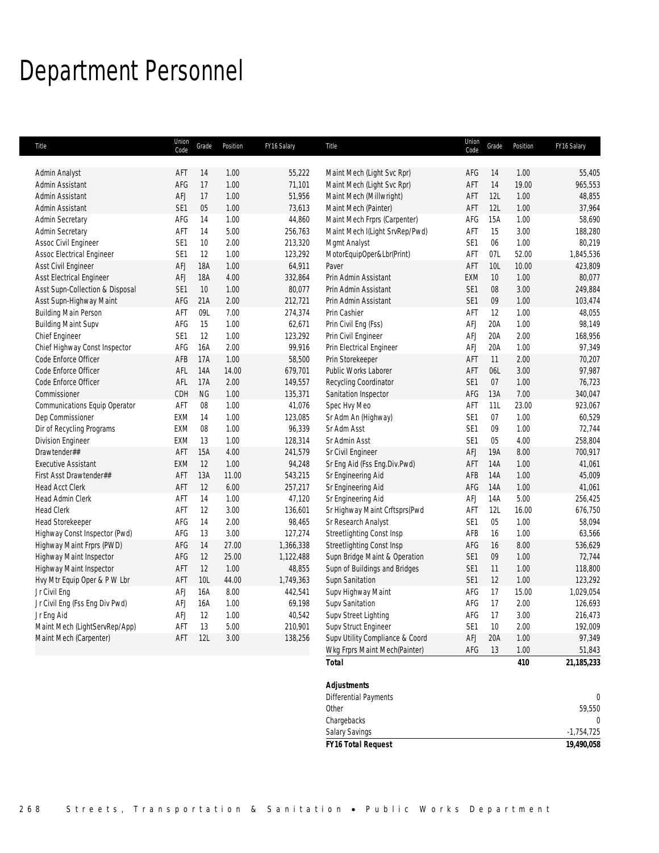## Department Personnel

| Title                           | Union<br>Code   | Grade      | Position | FY16 Salary | Title                           | Union<br>Code   | Grade | Position | FY16 Salary  |
|---------------------------------|-----------------|------------|----------|-------------|---------------------------------|-----------------|-------|----------|--------------|
|                                 |                 |            |          |             |                                 |                 |       |          |              |
| Admin Analyst                   | AFT             | 14         | 1.00     | 55,222      | Maint Mech (Light Svc Rpr)      | AFG             | 14    | 1.00     | 55,405       |
| Admin Assistant                 | AFG             | 17         | 1.00     | 71,101      | Maint Mech (Light Svc Rpr)      | AFT             | 14    | 19.00    | 965,553      |
| Admin Assistant                 | AFJ             | 17         | 1.00     | 51,956      | Maint Mech (Millwright)         | AFT             | 12L   | 1.00     | 48,855       |
| Admin Assistant                 | SE1             | 05         | 1.00     | 73,613      | Maint Mech (Painter)            | AFT             | 12L   | 1.00     | 37,964       |
| Admin Secretary                 | AFG             | 14         | 1.00     | 44,860      | Maint Mech Frprs (Carpenter)    | AFG             | 15A   | 1.00     | 58,690       |
| Admin Secretary                 | AFT             | 14         | 5.00     | 256,763     | Maint Mech I(Light SrvRep/Pwd)  | AFT             | 15    | 3.00     | 188,280      |
| Assoc Civil Engineer            | SE <sub>1</sub> | 10         | 2.00     | 213,320     | Mgmt Analyst                    | SE1             | 06    | 1.00     | 80,219       |
| Assoc Electrical Engineer       | SE <sub>1</sub> | 12         | 1.00     | 123,292     | MotorEquipOper&Lbr(Print)       | AFT             | 07L   | 52.00    | 1,845,536    |
| <b>Asst Civil Engineer</b>      | <b>AFJ</b>      | <b>18A</b> | 1.00     | 64,911      | Paver                           | AFT             | 10L   | 10.00    | 423,809      |
| Asst Electrical Engineer        | <b>AFJ</b>      | <b>18A</b> | 4.00     | 332,864     | Prin Admin Assistant            | EXM             | 10    | 1.00     | 80,077       |
| Asst Supn-Collection & Disposal | SE1             | $10$       | 1.00     | 80,077      | Prin Admin Assistant            | SE1             | 08    | 3.00     | 249,884      |
| Asst Supn-Highway Maint         | AFG             | 21A        | 2.00     | 212,721     | Prin Admin Assistant            | SE1             | 09    | 1.00     | 103,474      |
| <b>Building Main Person</b>     | AFT             | 09L        | 7.00     | 274,374     | Prin Cashier                    | AFT             | 12    | 1.00     | 48,055       |
| <b>Building Maint Supv</b>      | AFG             | 15         | 1.00     | 62,671      | Prin Civil Eng (Fss)            | <b>AFJ</b>      | 20A   | 1.00     | 98,149       |
| Chief Engineer                  | SE <sub>1</sub> | 12         | 1.00     | 123,292     | Prin Civil Engineer             | AFJ             | 20A   | 2.00     | 168,956      |
| Chief Highway Const Inspector   | AFG             | 16A        | 2.00     | 99,916      | Prin Electrical Engineer        | <b>AFJ</b>      | 20A   | 1.00     | 97,349       |
| Code Enforce Officer            | AFB             | 17A        | 1.00     | 58,500      | Prin Storekeeper                | AFT             | 11    | 2.00     | 70,207       |
| Code Enforce Officer            | AFL             | 14A        | 14.00    | 679,701     | Public Works Laborer            | AFT             | 06L   | 3.00     | 97,987       |
| Code Enforce Officer            | AFL             | 17A        | 2.00     | 149,557     | Recycling Coordinator           | SE1             | 07    | 1.00     | 76,723       |
| Commissioner                    | CDH             | <b>NG</b>  | 1.00     | 135,371     | Sanitation Inspector            | AFG             | 13A   | 7.00     | 340,047      |
| Communications Equip Operator   | AFT             | $08\,$     | 1.00     | 41,076      | Spec Hvy Meo                    | AFT             | 11L   | 23.00    | 923,067      |
| Dep Commissioner                | <b>EXM</b>      | 14         | 1.00     | 123,085     | Sr Adm An (Highway)             | SE1             | 07    | 1.00     | 60,529       |
| Dir of Recycling Programs       | EXM             | 08         | 1.00     | 96,339      | Sr Adm Asst                     | SE1             | 09    | 1.00     | 72,744       |
| <b>Division Engineer</b>        | EXM             | 13         | 1.00     | 128,314     | Sr Admin Asst                   | SE <sub>1</sub> | 05    | 4.00     | 258,804      |
| Drawtender##                    | AFT             | 15A        | 4.00     | 241,579     | Sr Civil Engineer               | AFJ             | 19A   | 8.00     | 700,917      |
| <b>Executive Assistant</b>      | EXM             | 12         | 1.00     | 94,248      | Sr Eng Aid (Fss Eng.Div.Pwd)    | AFT             | 14A   | 1.00     | 41,061       |
| First Asst Drawtender##         | AFT             | 13A        | 11.00    | 543,215     | Sr Engineering Aid              | AFB             | 14A   | 1.00     | 45,009       |
| <b>Head Acct Clerk</b>          | AFT             | 12         | 6.00     | 257,217     | Sr Engineering Aid              | AFG             | 14A   | 1.00     | 41,061       |
| Head Admin Clerk                | AFT             | 14         | 1.00     | 47,120      | Sr Engineering Aid              | AFJ             | 14A   | 5.00     | 256,425      |
| <b>Head Clerk</b>               | AFT             | 12         | 3.00     | 136,601     | Sr Highway Maint Crftsprs(Pwd   | AFT             | 12L   | 16.00    | 676,750      |
| Head Storekeeper                | AFG             | 14         | 2.00     | 98,465      | Sr Research Analyst             | SE <sub>1</sub> | 05    | 1.00     | 58,094       |
| Highway Const Inspector (Pwd)   | AFG             | 13         | 3.00     | 127,274     | Streetlighting Const Insp       | AFB             | 16    | 1.00     | 63,566       |
| Highway Maint Frprs (PWD)       | AFG             | 14         | 27.00    | 1,366,338   | Streetlighting Const Insp       | AFG             | 16    | 8.00     | 536,629      |
| Highway Maint Inspector         | AFG             | 12         | 25.00    | 1,122,488   | Supn Bridge Maint & Operation   | SE1             | 09    | 1.00     | 72,744       |
| Highway Maint Inspector         | AFT             | 12         | 1.00     | 48,855      | Supn of Buildings and Bridges   | SE1             | 11    | 1.00     | 118,800      |
| Hvy Mtr Equip Oper & P W Lbr    | AFT             | 10L        | 44.00    | 1,749,363   | Supn Sanitation                 | SE1             | 12    | 1.00     | 123,292      |
| Jr Civil Eng                    | <b>AFJ</b>      | 16A        | 8.00     | 442,541     | Supv Highway Maint              | AFG             | 17    | 15.00    | 1,029,054    |
| Jr Civil Eng (Fss Eng Div Pwd)  | AFJ             | 16A        | 1.00     | 69,198      | Supv Sanitation                 | AFG             | 17    | 2.00     | 126,693      |
| Jr Eng Aid                      | AFJ             | 12         | 1.00     | 40,542      | Supv Street Lighting            | AFG             | 17    | 3.00     | 216,473      |
| Maint Mech (LightServRep/App)   | AFT             | 13         | 5.00     | 210,901     | Supv Struct Engineer            | SE <sub>1</sub> | 10    | 2.00     | 192,009      |
| Maint Mech (Carpenter)          | AFT             | 12L        | 3.00     | 138,256     | Supv Utility Compliance & Coord | AFJ             | 20A   | 1.00     | 97,349       |
|                                 |                 |            |          |             | Wkg Frprs Maint Mech(Painter)   | ${\sf AFG}$     | 13    | 1.00     | 51,843       |
|                                 |                 |            |          |             | <b>Total</b>                    |                 |       | 410      |              |
|                                 |                 |            |          |             |                                 |                 |       |          | 21, 185, 233 |
|                                 |                 |            |          |             | <b>Adjustments</b>              |                 |       |          |              |
|                                 |                 |            |          |             | Differential Payments           |                 |       |          | 0            |

| <b>Salary Savings</b>     | $-1.754.725$ |
|---------------------------|--------------|
| <b>FY16 Total Request</b> | 19,490.058   |

Other 59,550 Chargebacks 0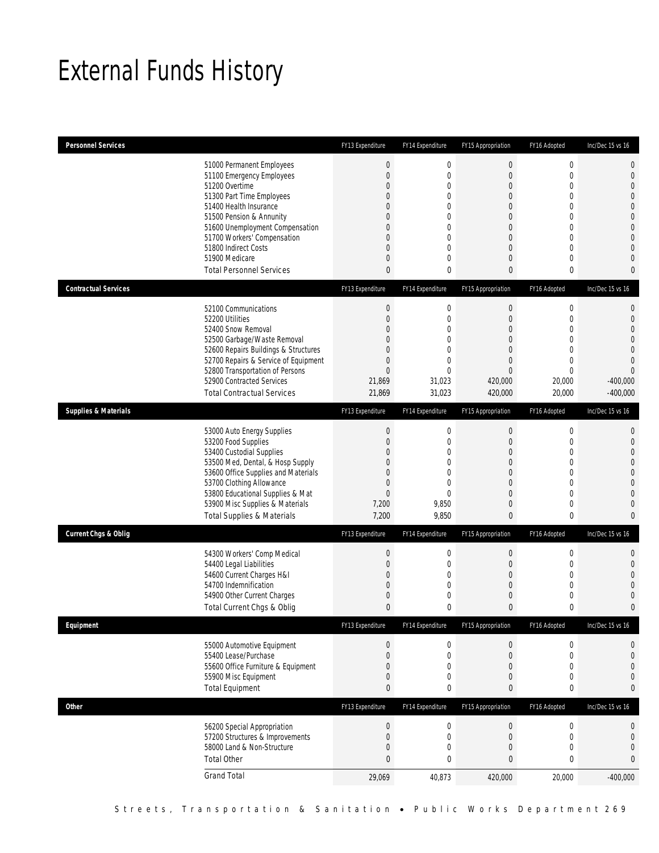## External Funds History

| <b>Personnel Services</b>       |                                                                                                                                                                                                                                                                                                            | FY13 Expenditure                                                                                      | FY14 Expenditure                                                                                              | FY15 Appropriation                                                                                                                                                       | FY16 Adopted                                                                                                                                                     | Inc/Dec 15 vs 16                                                                                                                                                                    |
|---------------------------------|------------------------------------------------------------------------------------------------------------------------------------------------------------------------------------------------------------------------------------------------------------------------------------------------------------|-------------------------------------------------------------------------------------------------------|---------------------------------------------------------------------------------------------------------------|--------------------------------------------------------------------------------------------------------------------------------------------------------------------------|------------------------------------------------------------------------------------------------------------------------------------------------------------------|-------------------------------------------------------------------------------------------------------------------------------------------------------------------------------------|
|                                 | 51000 Permanent Employees<br>51100 Emergency Employees<br>51200 Overtime<br>51300 Part Time Employees<br>51400 Health Insurance<br>51500 Pension & Annunity<br>51600 Unemployment Compensation<br>51700 Workers' Compensation<br>51800 Indirect Costs<br>51900 Medicare<br><b>Total Personnel Services</b> | $\boldsymbol{0}$<br>$\mathbf{0}$<br>0<br>0<br>0<br>0<br>0<br>0<br>0<br>0<br>$\mathbf{0}$              | $\boldsymbol{0}$<br>0<br>0<br>0<br>$\Omega$<br>$\mathbf 0$<br>0<br>$\overline{0}$<br>0<br>$\overline{0}$<br>0 | $\mathbf 0$<br>$\overline{0}$<br>$\mathbf 0$<br>$\overline{0}$<br>$\Omega$<br>$\mathbf 0$<br>$\overline{0}$<br>$\boldsymbol{0}$<br>$\overline{0}$<br>$\overline{0}$<br>0 | $\boldsymbol{0}$<br>$\mathbf 0$<br>$\mathbf 0$<br>$\mathbf{0}$<br>$\mathbf{0}$<br>$\mathbf 0$<br>$\mathbf{0}$<br>$\mathbf 0$<br>$\mathbf{0}$<br>$\mathbf 0$<br>0 | $\mathbf 0$<br>$\mathbf 0$<br>$\overline{0}$<br>$\overline{0}$<br>$\overline{0}$<br>$\mathbf{0}$<br>$\mathbf 0$<br>$\mathbf{0}$<br>$\overline{0}$<br>$\overline{0}$<br>$\mathbf{0}$ |
| <b>Contractual Services</b>     |                                                                                                                                                                                                                                                                                                            | FY13 Expenditure                                                                                      | FY14 Expenditure                                                                                              | FY15 Appropriation                                                                                                                                                       | FY16 Adopted                                                                                                                                                     | Inc/Dec 15 vs 16                                                                                                                                                                    |
|                                 | 52100 Communications<br>52200 Utilities<br>52400 Snow Removal<br>52500 Garbage/Waste Removal<br>52600 Repairs Buildings & Structures<br>52700 Repairs & Service of Equipment<br>52800 Transportation of Persons<br>52900 Contracted Services<br><b>Total Contractual Services</b>                          | $\boldsymbol{0}$<br>$\boldsymbol{0}$<br>0<br>0<br>0<br>0<br>$\overline{0}$<br>21,869<br>21,869        | $\boldsymbol{0}$<br>0<br>$\Omega$<br>$\overline{0}$<br>0<br>$\mathbf 0$<br>$\overline{0}$<br>31,023<br>31,023 | $\boldsymbol{0}$<br>$\boldsymbol{0}$<br>$\overline{0}$<br>$\overline{0}$<br>$\overline{0}$<br>$\boldsymbol{0}$<br>$\mathbf{0}$<br>420,000<br>420,000                     | $\boldsymbol{0}$<br>$\mathbf 0$<br>$\overline{0}$<br>$\mathbf 0$<br>$\mathbf{0}$<br>$\mathbf 0$<br>$\overline{0}$<br>20,000<br>20,000                            | 0<br>$\mathbf 0$<br>$\overline{0}$<br>$\overline{0}$<br>$\mathbf 0$<br>$\overline{0}$<br>$\overline{0}$<br>$-400,000$<br>$-400,000$                                                 |
| <b>Supplies &amp; Materials</b> |                                                                                                                                                                                                                                                                                                            | FY13 Expenditure                                                                                      | FY14 Expenditure                                                                                              | FY15 Appropriation                                                                                                                                                       | FY16 Adopted                                                                                                                                                     | Inc/Dec 15 vs 16                                                                                                                                                                    |
|                                 | 53000 Auto Energy Supplies<br>53200 Food Supplies<br>53400 Custodial Supplies<br>53500 Med, Dental, & Hosp Supply<br>53600 Office Supplies and Materials<br>53700 Clothing Allowance<br>53800 Educational Supplies & Mat<br>53900 Misc Supplies & Materials<br><b>Total Supplies &amp; Materials</b>       | $\theta$<br>$\boldsymbol{0}$<br>0<br>0<br>0<br>$\boldsymbol{0}$<br>$\boldsymbol{0}$<br>7,200<br>7,200 | 0<br>0<br>0<br>$\overline{0}$<br>0<br>$\overline{0}$<br>$\overline{0}$<br>9,850<br>9,850                      | 0<br>$\boldsymbol{0}$<br>$\overline{0}$<br>$\mathbf 0$<br>$\overline{0}$<br>$\overline{0}$<br>$\overline{0}$<br>$\overline{0}$<br>$\mathbf{0}$                           | $\boldsymbol{0}$<br>$\mathbf 0$<br>$\overline{0}$<br>$\mathbf 0$<br>$\mathbf{0}$<br>$\mathbf 0$<br>$\mathbf{0}$<br>$\mathbf 0$<br>$\bf{0}$                       | $\mathbf{0}$<br>$\mathbf 0$<br>$\overline{0}$<br>$\overline{0}$<br>$\mathbf 0$<br>$\overline{0}$<br>$\overline{0}$<br>$\overline{0}$<br>$\overline{0}$                              |
| <b>Current Chgs &amp; Oblig</b> |                                                                                                                                                                                                                                                                                                            | FY13 Expenditure                                                                                      | FY14 Expenditure                                                                                              | FY15 Appropriation                                                                                                                                                       | FY16 Adopted                                                                                                                                                     | Inc/Dec 15 vs 16                                                                                                                                                                    |
|                                 | 54300 Workers' Comp Medical<br>54400 Legal Liabilities<br>54600 Current Charges H&I<br>54700 Indemnification<br>54900 Other Current Charges<br>Total Current Chgs & Oblig                                                                                                                                  | $\theta$<br>$\boldsymbol{0}$<br>0<br>0<br>0<br>$\mathbf{0}$                                           | 0<br>0<br>0<br>$\overline{0}$<br>0<br>0                                                                       | 0<br>$\boldsymbol{0}$<br>$\overline{0}$<br>$\mathbf 0$<br>$\mathbf 0$<br>0                                                                                               | $\boldsymbol{0}$<br>$\mathbf 0$<br>$\mathbf{0}$<br>$\mathbf 0$<br>$\mathbf 0$<br>$\mathbf{0}$                                                                    | $\mathbf 0$<br>$\mathbf 0$<br>$\overline{0}$<br>$\overline{0}$<br>$\mathbf 0$<br>$\mathbf{0}$                                                                                       |
| Equipment                       |                                                                                                                                                                                                                                                                                                            | FY13 Expenditure                                                                                      | FY14 Expenditure                                                                                              | FY15 Appropriation                                                                                                                                                       | FY16 Adopted                                                                                                                                                     | Inc/Dec 15 vs 16                                                                                                                                                                    |
|                                 | 55000 Automotive Equipment<br>55400 Lease/Purchase<br>55600 Office Furniture & Equipment<br>55900 Misc Equipment<br><b>Total Equipment</b>                                                                                                                                                                 | $\theta$<br>$\boldsymbol{0}$<br>0<br>0<br>0                                                           | 0<br>0<br>0<br>0<br>0                                                                                         | 0<br>$\boldsymbol{0}$<br>$\overline{0}$<br>$\boldsymbol{0}$<br>0                                                                                                         | $\boldsymbol{0}$<br>$\boldsymbol{0}$<br>$\mathbf{0}$<br>$\mathbf 0$<br>$\mathbf 0$                                                                               | 0<br>$\mathbf 0$<br>0<br>$\mathbf{0}$<br>$\bf{0}$                                                                                                                                   |
| Other                           |                                                                                                                                                                                                                                                                                                            | FY13 Expenditure                                                                                      | FY14 Expenditure                                                                                              | FY15 Appropriation                                                                                                                                                       | FY16 Adopted                                                                                                                                                     | Inc/Dec 15 vs 16                                                                                                                                                                    |
|                                 | 56200 Special Appropriation<br>57200 Structures & Improvements<br>58000 Land & Non-Structure<br><b>Total Other</b>                                                                                                                                                                                         | $\theta$<br>$\boldsymbol{0}$<br>0<br>$\mathbf{0}$                                                     | $\bf 0$<br>$\boldsymbol{0}$<br>0<br>0                                                                         | $\boldsymbol{0}$<br>$\boldsymbol{0}$<br>0<br>$\bf{0}$                                                                                                                    | $\boldsymbol{0}$<br>$\mathbf 0$<br>$\mathbf 0$<br>$\mathbf 0$                                                                                                    | 0<br>$\boldsymbol{0}$<br>$\mathbf 0$<br>$\bf{0}$                                                                                                                                    |
|                                 | <b>Grand Total</b>                                                                                                                                                                                                                                                                                         | 29,069                                                                                                | 40,873                                                                                                        | 420,000                                                                                                                                                                  | 20,000                                                                                                                                                           | $-400,000$                                                                                                                                                                          |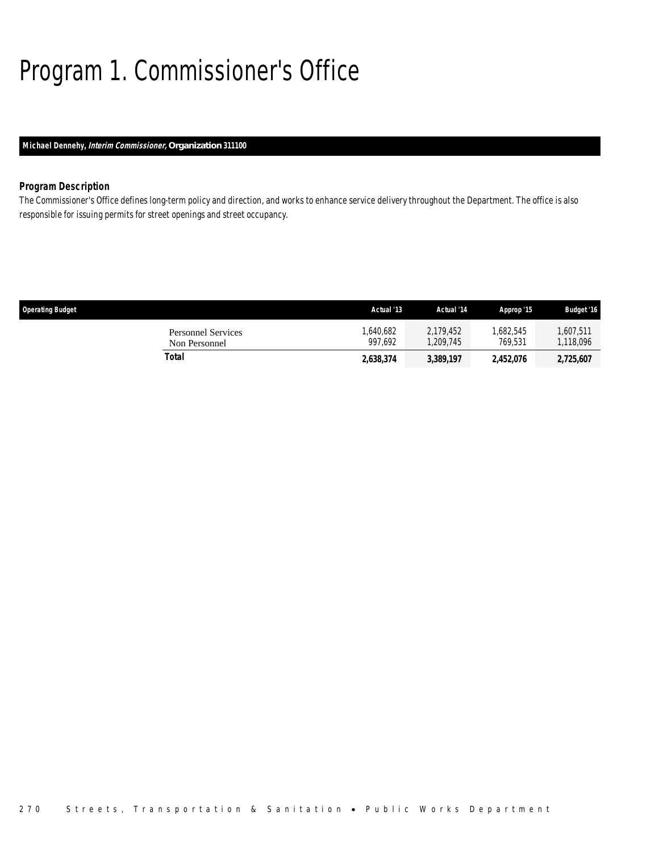# Program 1. Commissioner's Office

### *Michael Dennehy, Interim Commissioner, Organization 311100*

### *Program Description*

The Commissioner's Office defines long-term policy and direction, and works to enhance service delivery throughout the Department. The office is also responsible for issuing permits for street openings and street occupancy.

| <b>Operating Budget</b>             | Actual '13          | Actual '14            | Approp '15           | <b>Budget '16</b>       |
|-------------------------------------|---------------------|-----------------------|----------------------|-------------------------|
| Personnel Services<br>Non Personnel | .640.682<br>997.692 | 2.179.452<br>.209.745 | 1.682.545<br>769.531 | 607,511, ا<br>1,118,096 |
| Total                               | 2,638,374           | 3,389,197             | 2,452,076            | 2,725,607               |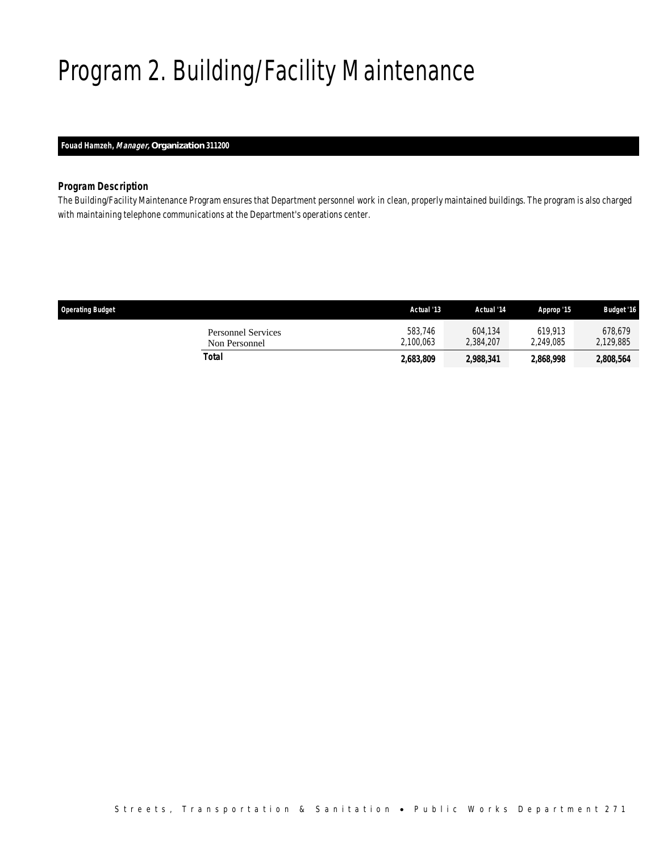# Program 2. Building/Facility Maintenance

### *Fouad Hamzeh, Manager, Organization 311200*

#### *Program Description*

The Building/Facility Maintenance Program ensures that Department personnel work in clean, properly maintained buildings. The program is also charged with maintaining telephone communications at the Department's operations center.

| <b>Operating Budget</b>             | Actual '13           | Actual '14           | Approp '15           | <b>Budget '16</b>    |
|-------------------------------------|----------------------|----------------------|----------------------|----------------------|
| Personnel Services<br>Non Personnel | 583.746<br>2.100.063 | 604.134<br>2.384.207 | 619.913<br>2.249.085 | 678.679<br>2,129,885 |
| Total                               | 2,683,809            | 2,988,341            | 2,868,998            | 2,808,564            |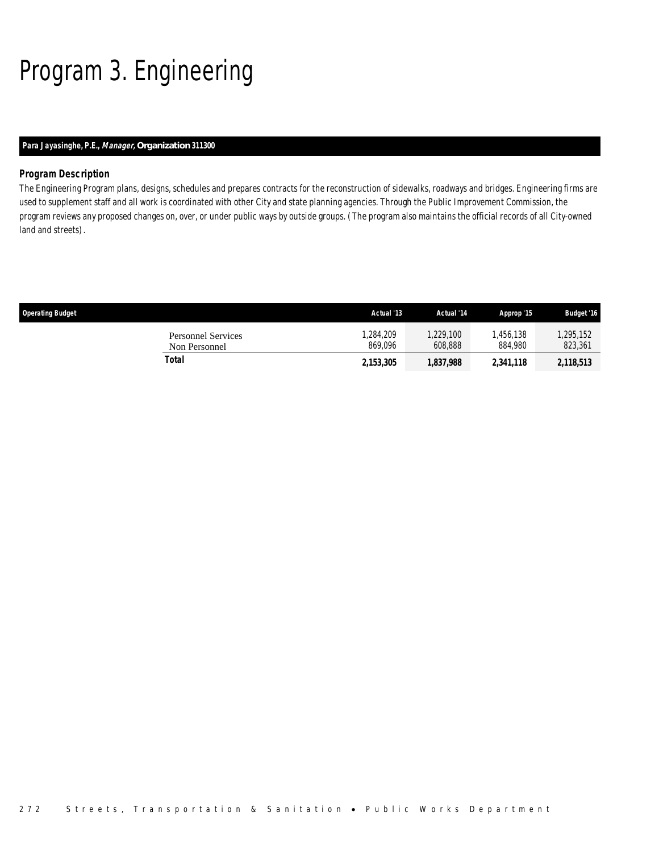# Program 3. Engineering

### *Para Jayasinghe, P.E., Manager, Organization 311300*

### *Program Description*

The Engineering Program plans, designs, schedules and prepares contracts for the reconstruction of sidewalks, roadways and bridges. Engineering firms are used to supplement staff and all work is coordinated with other City and state planning agencies. Through the Public Improvement Commission, the program reviews any proposed changes on, over, or under public ways by outside groups. (The program also maintains the official records of all City-owned land and streets).

| <b>Operating Budget</b>                    | Actual '13          | Actual '14           | Approp '15           | <b>Budget '16</b>    |
|--------------------------------------------|---------------------|----------------------|----------------------|----------------------|
| <b>Personnel Services</b><br>Non Personnel | .284.209<br>869.096 | 1.229.100<br>608.888 | 1.456.138<br>884.980 | 1,295,152<br>823,361 |
| Total                                      | 2,153,305           | 1,837,988            | 2,341,118            | 2,118,513            |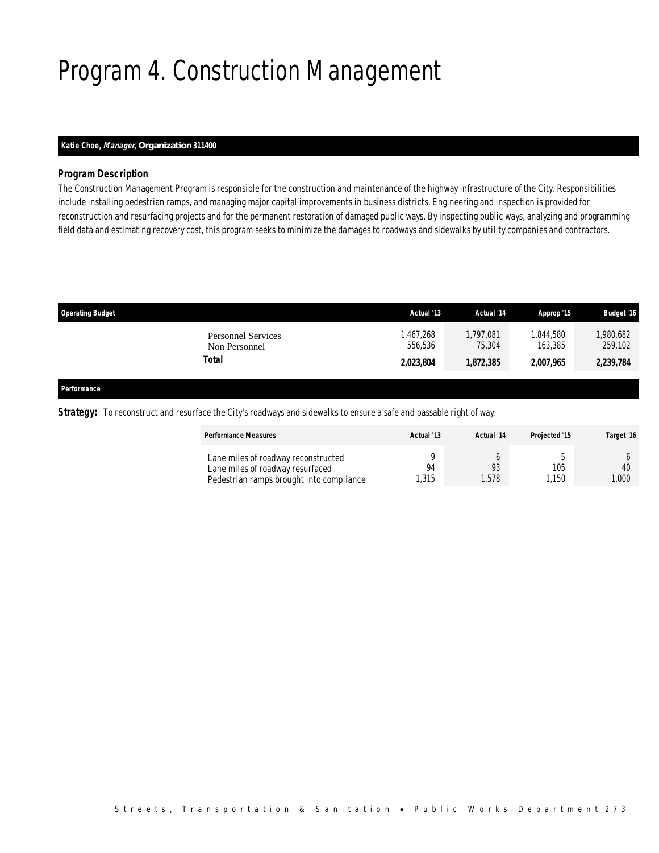# Program 4. Construction Management

#### *Katie Choe, Manager, Organization 311400*

#### *Program Description*

The Construction Management Program is responsible for the construction and maintenance of the highway infrastructure of the City. Responsibilities include installing pedestrian ramps, and managing major capital improvements in business districts. Engineering and inspection is provided for reconstruction and resurfacing projects and for the permanent restoration of damaged public ways. By inspecting public ways, analyzing and programming field data and estimating recovery cost, this program seeks to minimize the damages to roadways and sidewalks by utility companies and contractors.

| Actual '13          | Actual '14          | Approp '15           | <b>Budget '16</b>  |
|---------------------|---------------------|----------------------|--------------------|
| ,467,268<br>556.536 | 1,797,081<br>75,304 | 1,844,580<br>163.385 | 980,682<br>259,102 |
| 2,023,804           | 1,872,385           | 2,007,965            | 2,239,784          |
|                     |                     |                      |                    |

#### *Performance*

*Strategy:* To reconstruct and resurface the City's roadways and sidewalks to ensure a safe and passable right of way.

| <b>Performance Measures</b>                                                                                         | Actual '13 | Actual '14 | Projected '15 | Target '16  |
|---------------------------------------------------------------------------------------------------------------------|------------|------------|---------------|-------------|
| Lane miles of roadway reconstructed<br>Lane miles of roadway resurfaced<br>Pedestrian ramps brought into compliance | 94<br>.315 | Q3<br>.578 | 105<br>.150   | 40<br>1,000 |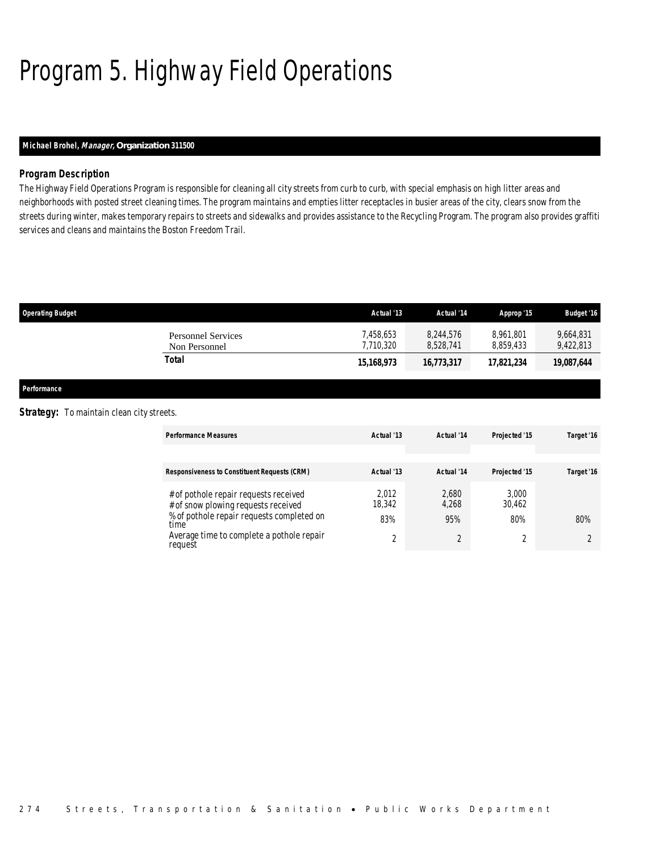# Program 5. Highway Field Operations

### *Michael Brohel, Manager, Organization 311500*

### *Program Description*

The Highway Field Operations Program is responsible for cleaning all city streets from curb to curb, with special emphasis on high litter areas and neighborhoods with posted street cleaning times. The program maintains and empties litter receptacles in busier areas of the city, clears snow from the streets during winter, makes temporary repairs to streets and sidewalks and provides assistance to the Recycling Program. The program also provides graffiti services and cleans and maintains the Boston Freedom Trail.

| <b>Operating Budget</b>                    | Actual '13             | Actual '14             | Approp '15             | <b>Budget '16</b>      |
|--------------------------------------------|------------------------|------------------------|------------------------|------------------------|
| <b>Personnel Services</b><br>Non Personnel | 7,458,653<br>7.710.320 | 8.244.576<br>8.528.741 | 8.961.801<br>8.859.433 | 9.664.831<br>9,422,813 |
| Total                                      | 15,168,973             | 16,773,317             | 17.821.234             | 19,087,644             |

*Performance* 

#### **Strategy:** To maintain clean city streets.

| <b>Performance Measures</b>                                                  | Actual '13      | Actual '14     | Projected '15   | Target '16 |
|------------------------------------------------------------------------------|-----------------|----------------|-----------------|------------|
|                                                                              |                 |                |                 |            |
| <b>Responsiveness to Constituent Requests (CRM)</b>                          | Actual '13      | Actual '14     | Projected '15   | Target '16 |
| # of pothole repair requests received<br># of snow plowing requests received | 2.012<br>18,342 | 2,680<br>4,268 | 3.000<br>30,462 |            |
| % of pothole repair requests completed on<br>time                            | 83%             | 95%            | 80%             | 80%        |
| Average time to complete a pothole repair<br>request                         | $\sim$          | $\Omega$       |                 |            |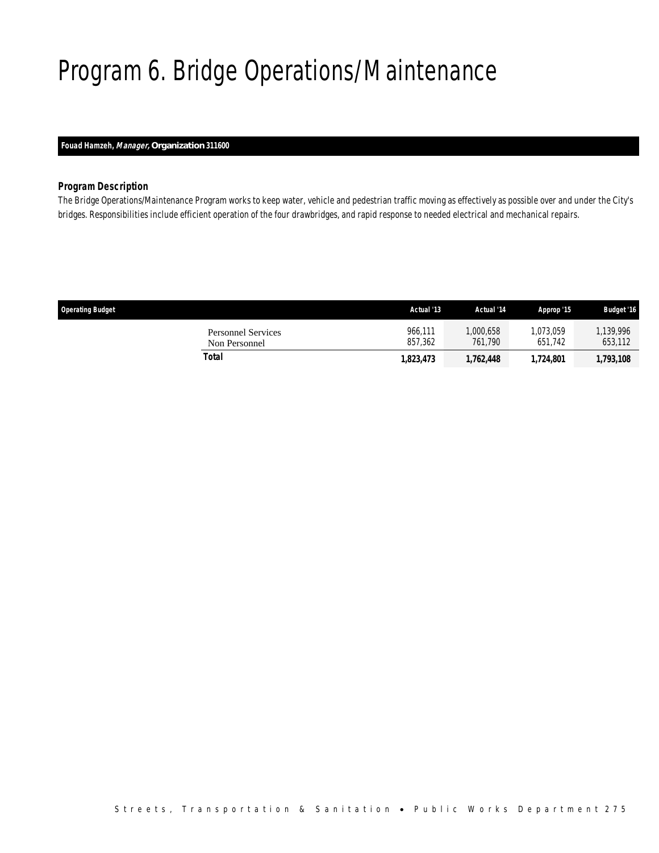# Program 6. Bridge Operations/Maintenance

### *Fouad Hamzeh, Manager, Organization 311600*

#### *Program Description*

The Bridge Operations/Maintenance Program works to keep water, vehicle and pedestrian traffic moving as effectively as possible over and under the City's bridges. Responsibilities include efficient operation of the four drawbridges, and rapid response to needed electrical and mechanical repairs.

| <b>Operating Budget</b>                    | Actual '13         | Actual '14          | Approp '15           | <b>Budget '16</b>   |
|--------------------------------------------|--------------------|---------------------|----------------------|---------------------|
| <b>Personnel Services</b><br>Non Personnel | 966.111<br>857.362 | .000.658<br>761.790 | 1.073.059<br>651.742 | .139.996<br>653.112 |
| Total                                      | 1,823,473          | 1,762,448           | 1,724,801            | 1,793,108           |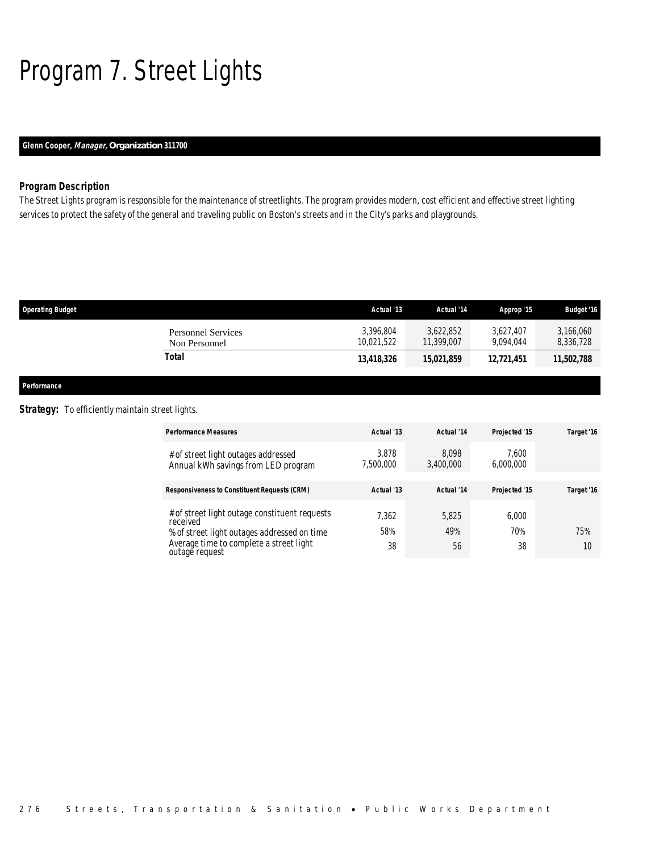# Program 7. Street Lights

### *Glenn Cooper, Manager, Organization 311700*

### *Program Description*

The Street Lights program is responsible for the maintenance of streetlights. The program provides modern, cost efficient and effective street lighting services to protect the safety of the general and traveling public on Boston's streets and in the City's parks and playgrounds.

| <b>Operating Budget</b>                    | Actual '13              | Actual '14              | Approp '15             | <b>Budget '16</b>      |
|--------------------------------------------|-------------------------|-------------------------|------------------------|------------------------|
| <b>Personnel Services</b><br>Non Personnel | 3,396,804<br>10.021.522 | 3.622.852<br>11,399,007 | 3.627.407<br>9.094.044 | 3,166,060<br>8,336,728 |
| Total                                      | 13,418,326              | 15,021,859              | 12,721,451             | 11,502,788             |
|                                            |                         |                         |                        |                        |

*Performance* 

#### **Strategy:** To efficiently maintain street lights.

| <b>Performance Measures</b>                                                | Actual '13         | Actual '14         | Projected '15      | Target '16 |
|----------------------------------------------------------------------------|--------------------|--------------------|--------------------|------------|
| # of street light outages addressed<br>Annual kWh savings from LED program | 3.878<br>7,500,000 | 8.098<br>3,400,000 | 7.600<br>6,000,000 |            |
| <b>Responsiveness to Constituent Requests (CRM)</b>                        | Actual '13         | Actual '14         | Projected '15      | Target '16 |
| # of street light outage constituent requests<br>received                  | 7.362              | 5,825              | 6,000              |            |
| % of street light outages addressed on time                                | 58%                | 49%                | 70%                | 75%        |
| Average time to complete a street light<br>outage request                  | 38                 | 56                 | 38                 | 10         |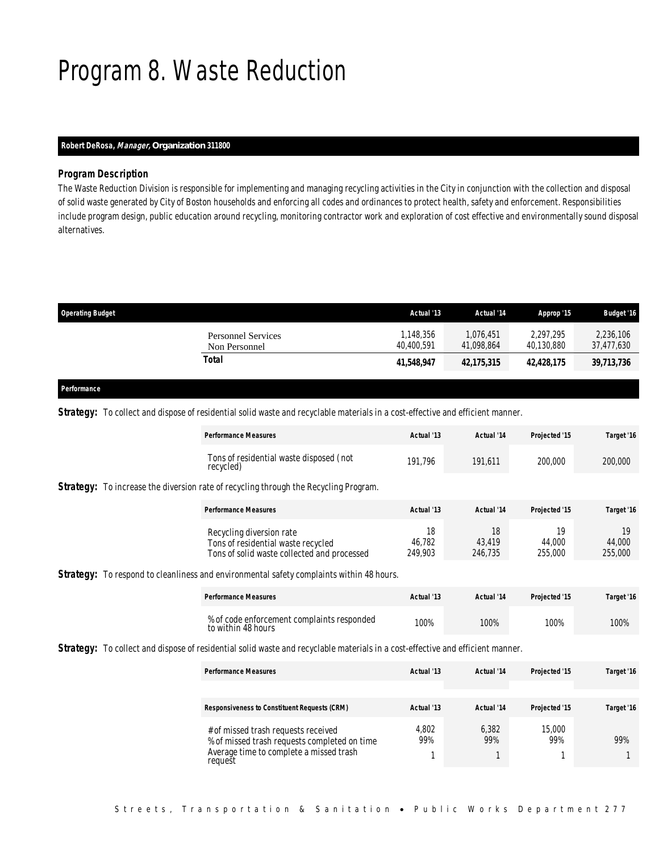## Program 8. Waste Reduction

#### *Robert DeRosa, Manager, Organization 311800*

#### *Program Description*

The Waste Reduction Division is responsible for implementing and managing recycling activities in the City in conjunction with the collection and disposal of solid waste generated by City of Boston households and enforcing all codes and ordinances to protect health, safety and enforcement. Responsibilities include program design, public education around recycling, monitoring contractor work and exploration of cost effective and environmentally sound disposal alternatives.

| <b>Operating Budget</b>                    | Actual '13              | Actual '14              | Approp '15              | <b>Budget '16</b>       |
|--------------------------------------------|-------------------------|-------------------------|-------------------------|-------------------------|
| <b>Personnel Services</b><br>Non Personnel | 1.148.356<br>40.400.591 | 1.076.451<br>41.098.864 | 2.297.295<br>40.130.880 | 2,236,106<br>37,477,630 |
| Total                                      | 41.548.947              | 42,175,315              | 42.428.175              | 39,713,736              |

#### *Performance*

**Strategy:** To collect and dispose of residential solid waste and recyclable materials in a cost-effective and efficient manner.

| <b>Performance Measures</b>                                                                                   | Actual '13              | Actual '14              | Projected '15           | Target '16              |
|---------------------------------------------------------------------------------------------------------------|-------------------------|-------------------------|-------------------------|-------------------------|
| Tons of residential waste disposed (not<br>recycled)                                                          | 191.796                 | 191.611                 | 200,000                 | 200,000                 |
| <b>Strategy:</b> To increase the diversion rate of recycling through the Recycling Program.                   |                         |                         |                         |                         |
| <b>Performance Measures</b>                                                                                   | Actual '13              | Actual '14              | Projected '15           | Target '16              |
| Recycling diversion rate<br>Tons of residential waste recycled<br>Tons of solid waste collected and processed | 18<br>46.782<br>249.903 | 18<br>43.419<br>246,735 | 19<br>44.000<br>255,000 | 19<br>44,000<br>255,000 |

**Strategy:** To respond to cleanliness and environmental safety complaints within 48 hours.

| <b>Performance Measures</b>                                      | Actual '13 | Actual '14 | Projected '15 | Target '16 |
|------------------------------------------------------------------|------------|------------|---------------|------------|
| % of code enforcement complaints responded<br>to within 48 hours | 100%       | 100%       | 100%          | 100%       |

**Strategy:** To collect and dispose of residential solid waste and recyclable materials in a cost-effective and efficient manner.

| <b>Performance Measures</b>                                                                                                               | Actual '13   | Actual '14   | Projected '15 | Target '16 |
|-------------------------------------------------------------------------------------------------------------------------------------------|--------------|--------------|---------------|------------|
|                                                                                                                                           |              |              |               |            |
| <b>Responsiveness to Constituent Requests (CRM)</b>                                                                                       | Actual '13   | Actual '14   | Projected '15 | Target '16 |
| # of missed trash requests received<br>% of missed trash requests completed on time<br>Average time to complete a missed trash<br>request | 4,802<br>99% | 6,382<br>99% | 15,000<br>99% | 99%        |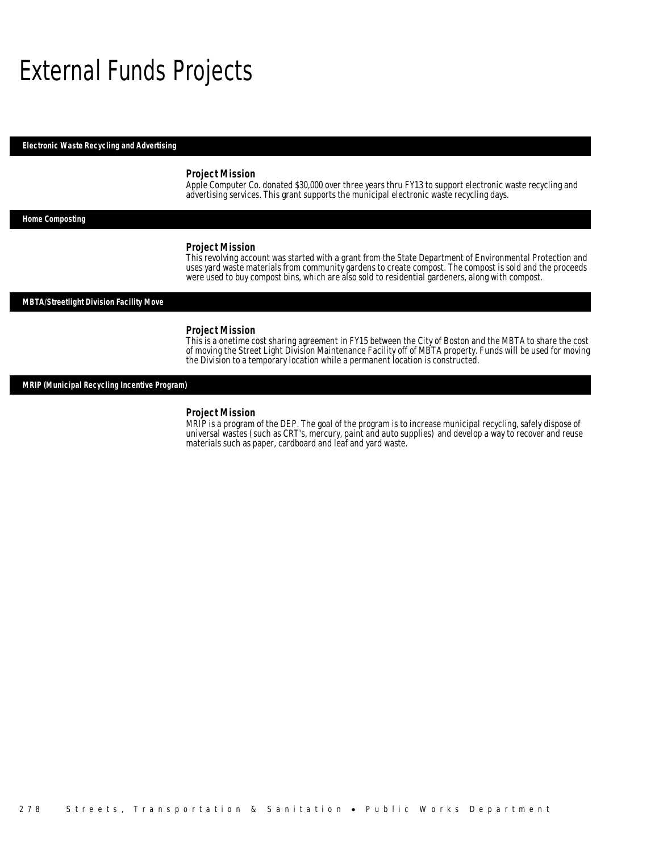## External Funds Projects

*Electronic Waste Recycling and Advertising* 

#### *Project Mission*

Apple Computer Co. donated \$30,000 over three years thru FY13 to support electronic waste recycling and advertising services. This grant supports the municipal electronic waste recycling days.

#### *Home Composting*

#### *Project Mission*

This revolving account was started with a grant from the State Department of Environmental Protection and uses yard waste materials from community gardens to create compost. The compost is sold and the proceeds<br>were used to buy compost bins, which are also sold to residential gardeners, along with compost.

### *MBTA/Streetlight Division Facility Move*

#### *Project Mission*

This is a onetime cost sharing agreement in FY15 between the City of Boston and the MBTA to share the cost of moving the Street Light Division Maintenance Facility off of MBTA property. Funds will be used for moving the Division to a temporary location while a permanent location is constructed.

*MRIP (Municipal Recycling Incentive Program)* 

#### *Project Mission*

MRIP is a program of the DEP. The goal of the program is to increase municipal recycling, safely dispose of universal wastes (such as CRT's, mercury, paint and auto supplies) and develop a way to recover and reuse materials such as paper, cardboard and leaf and yard waste.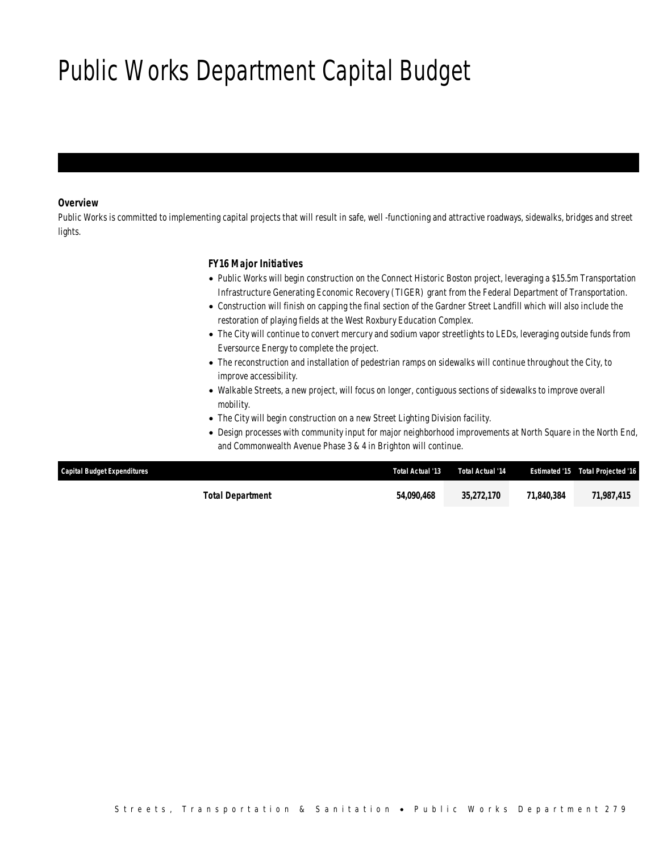# Public Works Department Capital Budget

#### *Overview*

Public Works is committed to implementing capital projects that will result in safe, well -functioning and attractive roadways, sidewalks, bridges and street lights.

#### *FY16 Major Initiatives*

- Public Works will begin construction on the Connect Historic Boston project, leveraging a \$15.5m Transportation Infrastructure Generating Economic Recovery (TIGER) grant from the Federal Department of Transportation.
- Construction will finish on capping the final section of the Gardner Street Landfill which will also include the restoration of playing fields at the West Roxbury Education Complex.
- The City will continue to convert mercury and sodium vapor streetlights to LEDs, leveraging outside funds from Eversource Energy to complete the project.
- The reconstruction and installation of pedestrian ramps on sidewalks will continue throughout the City, to improve accessibility.
- Walkable Streets, a new project, will focus on longer, contiguous sections of sidewalks to improve overall mobility.
- The City will begin construction on a new Street Lighting Division facility.
- Design processes with community input for major neighborhood improvements at North Square in the North End, and Commonwealth Avenue Phase 3 & 4 in Brighton will continue.

| <b>Capital Budget Expenditures</b> | <b>Total Actual '13</b> | Total Actual '14 |            | Estimated '15 Total Projected '16 |
|------------------------------------|-------------------------|------------------|------------|-----------------------------------|
| Total Department                   | 54,090,468              | 35,272,170       | 71,840,384 | 71,987,415                        |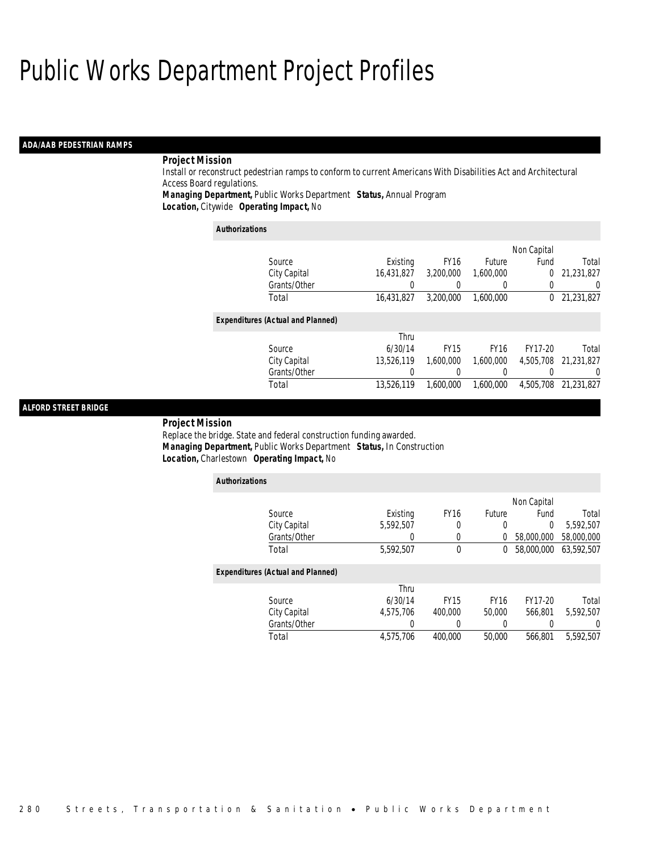## Public Works Department Project Profiles

#### *ADA/AAB PEDESTRIAN RAMPS*

### *Project Mission*

Install or reconstruct pedestrian ramps to conform to current Americans With Disabilities Act and Architectural Access Board regulations.

*Managing Department,* Public Works Department *Status,* Annual Program*Location,* Citywide *Operating Impact,* No

| <b>Authorizations</b>                    |            |             |             |             |                  |
|------------------------------------------|------------|-------------|-------------|-------------|------------------|
|                                          |            |             |             | Non Capital |                  |
| Source                                   | Existing   | <b>FY16</b> | Future      | Fund        | Total            |
| City Capital                             | 16,431,827 | 3,200,000   | 1,600,000   | 0           | 21,231,827       |
| Grants/Other                             |            |             |             | 0           | $\left( \right)$ |
| Total                                    | 16,431,827 | 3,200,000   | 1.600.000   | $^{0}$      | 21,231,827       |
| <b>Expenditures (Actual and Planned)</b> |            |             |             |             |                  |
|                                          | Thru       |             |             |             |                  |
| Source                                   | 6/30/14    | <b>FY15</b> | <b>FY16</b> | FY17-20     | Total            |
| City Capital                             | 13.526.119 | 1.600.000   | 1.600.000   | 4.505.708   | 21.231.827       |
| Grants/Other                             |            |             |             | 0           | $\left($         |
| Total                                    | 13.526.119 | 1.600.000   | 1.600.000   | 4.505.708   | 21.231.827       |

#### *ALFORD STREET BRIDGE*

#### *Project Mission*

Replace the bridge. State and federal construction funding awarded. *Managing Department,* Public Works Department *Status,* In Construction*Location,* Charlestown *Operating Impact,* No

| <b>Authorizations</b>                    |           |             |               |             |            |
|------------------------------------------|-----------|-------------|---------------|-------------|------------|
|                                          |           |             |               | Non Capital |            |
| Source                                   | Existing  | <b>FY16</b> | <b>Future</b> | Fund        | Total      |
| City Capital                             | 5.592.507 | 0           | $\Omega$      | 0           | 5,592,507  |
| Grants/Other                             |           | 0           | 0             | 58,000,000  | 58,000,000 |
| Total                                    | 5,592,507 | $\theta$    | 0             | 58,000,000  | 63,592,507 |
| <b>Expenditures (Actual and Planned)</b> |           |             |               |             |            |
|                                          | Thru      |             |               |             |            |
| Source                                   | 6/30/14   | <b>FY15</b> | <b>FY16</b>   | FY17-20     | Total      |
| City Capital                             | 4.575.706 | 400,000     | 50,000        | 566.801     | 5,592,507  |
| Grants/Other                             |           |             |               |             | 0          |
| Total                                    | 4.575.706 | 400.000     | 50,000        | 566,801     | 5.592.507  |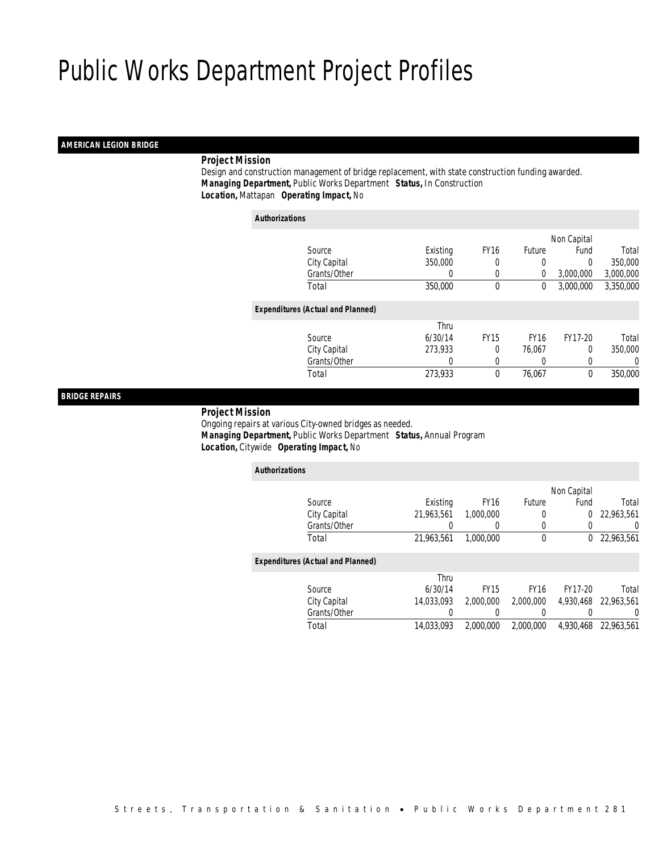## Public Works Department Project Profiles

### *AMERICAN LEGION BRIDGE*

### *Project Mission*

 Design and construction management of bridge replacement, with state construction funding awarded. *Managing Department,* Public Works Department *Status,* In Construction*Location,* Mattapan *Operating Impact,* No

|                                          |          |             |             | Non Capital |           |
|------------------------------------------|----------|-------------|-------------|-------------|-----------|
| Source                                   | Existing | <b>FY16</b> | Future      | Fund        | Total     |
| City Capital                             | 350,000  | 0           | 0           | 0           | 350,000   |
| Grants/Other                             | 0        | 0           | 0           | 3,000,000   | 3,000,000 |
| Total                                    | 350,000  | 0           | 0           | 3,000,000   | 3,350,000 |
|                                          |          |             |             |             |           |
| <b>Expenditures (Actual and Planned)</b> |          |             |             |             |           |
|                                          | Thru     |             |             |             |           |
| Source                                   | 6/30/14  | FY15        | <b>FY16</b> | FY17-20     | Total     |
| City Capital                             | 273,933  | 0           | 76.067      | 0           | 350,000   |
| Grants/Other                             | 0        | 0           | 0           | 0           |           |

*BRIDGE REPAIRS* 

#### *Project Mission*

 Ongoing repairs at various City-owned bridges as needed. *Managing Department,* Public Works Department *Status,* Annual Program*Location,* Citywide *Operating Impact,* No

| <b>Authorizations</b>                    |            |             |             |             |                      |
|------------------------------------------|------------|-------------|-------------|-------------|----------------------|
|                                          |            |             |             | Non Capital |                      |
| Source                                   | Existing   | <b>FY16</b> | Future      | Fund        | Total                |
| City Capital                             | 21.963.561 | 1.000.000   | 0           | 0           | 22.963.561           |
| Grants/Other                             | 0          | 0           | 0           | 0           | 0                    |
| Total                                    | 21.963.561 | 1.000.000   | $\mathbf 0$ | $\Omega$    | 22,963,561           |
| <b>Expenditures (Actual and Planned)</b> |            |             |             |             |                      |
|                                          | Thru       |             |             |             |                      |
| Source                                   | 6/30/14    | <b>FY15</b> | <b>FY16</b> | FY17-20     | Total                |
| City Capital                             | 14.033.093 | 2,000,000   | 2,000,000   |             | 4.930.468 22.963.561 |
| Grants/Other                             | 0          | 0           | 0           |             | 0                    |
| Total                                    | 14.033.093 | 2.000.000   | 2.000.000   | 4.930.468   | 22.963.561           |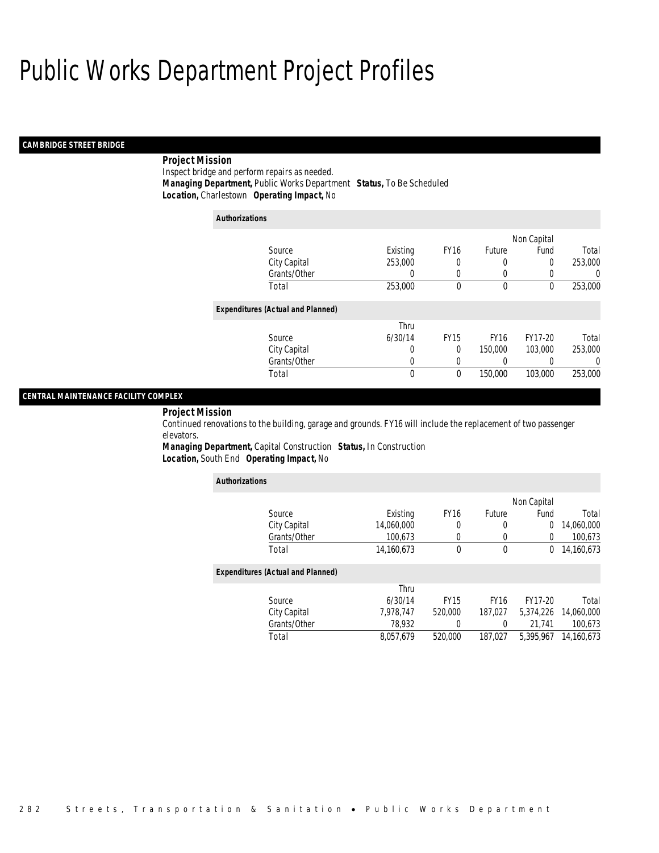## Public Works Department Project Profiles

#### *CAMBRIDGE STREET BRIDGE*

## *Project Mission*

Inspect bridge and perform repairs as needed. *Managing Department,* Public Works Department *Status,* To Be Scheduled*Location,* Charlestown *Operating Impact,* No

| <b>Authorizations</b> |                                          |             |             |             |          |          |
|-----------------------|------------------------------------------|-------------|-------------|-------------|----------|----------|
|                       |                                          |             |             |             |          |          |
|                       | Source                                   | Existing    | <b>FY16</b> | Future      | Fund     | Total    |
|                       | City Capital                             | 253,000     | 0           | 0           | 0        | 253,000  |
|                       | Grants/Other                             | 0           | 0           | 0           |          | 0        |
|                       | Total                                    | 253,000     | $\theta$    | $\theta$    | $\theta$ | 253,000  |
|                       | <b>Expenditures (Actual and Planned)</b> |             |             |             |          |          |
|                       |                                          | Thru        |             |             |          |          |
|                       | Source                                   | 6/30/14     | <b>FY15</b> | <b>FY16</b> | FY17-20  | Total    |
|                       | City Capital                             | 0           | $\Omega$    | 150,000     | 103,000  | 253,000  |
|                       | Grants/Other                             | 0           | 0           | 0           |          | $\Omega$ |
|                       | Total                                    | $\mathbf 0$ | 0           | 150,000     | 103,000  | 253,000  |

## *CENTRAL MAINTENANCE FACILITY COMPLEX*

*Project Mission* 

Continued renovations to the building, garage and grounds. FY16 will include the replacement of two passenger elevators.

*Managing Department,* Capital Construction *Status,* In Construction*Location,* South End *Operating Impact,* No

| <b>Authorizations</b>                    |            |             |             |                |            |  |
|------------------------------------------|------------|-------------|-------------|----------------|------------|--|
|                                          |            |             | Non Capital |                |            |  |
| Source                                   | Existing   | <b>FY16</b> | Future      | Fund           | Total      |  |
| City Capital                             | 14,060,000 | 0           | 0           | $\overline{0}$ | 14,060,000 |  |
| Grants/Other                             | 100,673    | 0           | 0           | 0              | 100,673    |  |
| Total                                    | 14.160.673 | $\theta$    | $\mathbf 0$ | 0              | 14,160,673 |  |
| <b>Expenditures (Actual and Planned)</b> |            |             |             |                |            |  |
|                                          | Thru       |             |             |                |            |  |
| Source                                   | 6/30/14    | <b>FY15</b> | <b>FY16</b> | FY17-20        | Total      |  |
| City Capital                             | 7,978,747  | 520,000     | 187,027     | 5,374,226      | 14,060,000 |  |
| Grants/Other                             | 78,932     | 0           | 0           | 21.741         | 100,673    |  |
| Total                                    | 8.057.679  | 520,000     | 187.027     | 5.395.967      | 14.160.673 |  |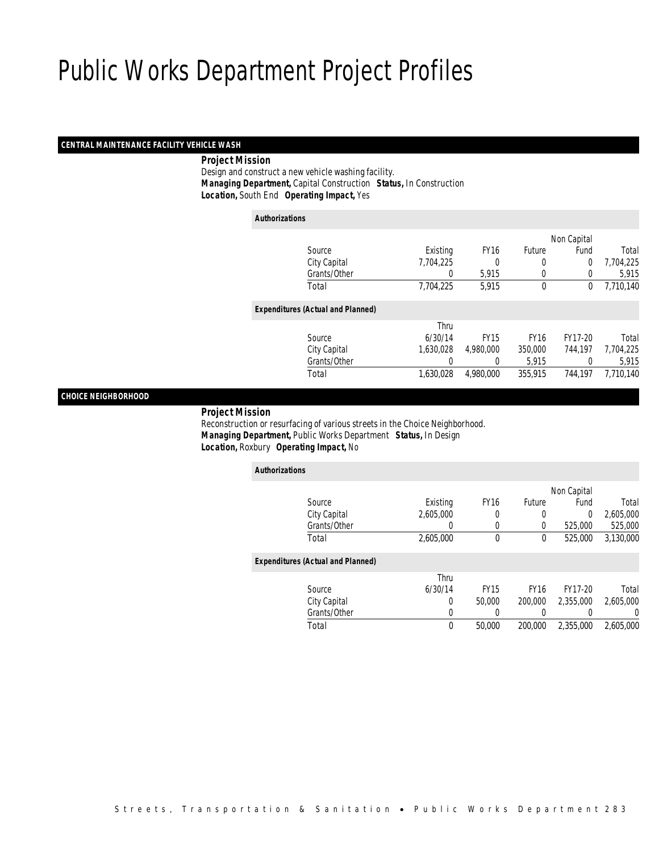### *CENTRAL MAINTENANCE FACILITY VEHICLE WASH*

*Project Mission*

 Design and construct a new vehicle washing facility. *Managing Department,* Capital Construction *Status,* In Construction*Location,* South End *Operating Impact,* Yes

| <b>Authorizations</b>                    |           |             |             |                |           |
|------------------------------------------|-----------|-------------|-------------|----------------|-----------|
|                                          |           |             |             | Non Capital    |           |
| Source                                   | Existing  | <b>FY16</b> | Future      | Fund           | Total     |
| City Capital                             | 7,704,225 | 0           | 0           | $\overline{0}$ | 7,704,225 |
| Grants/Other                             | 0         | 5,915       | 0           | 0              | 5,915     |
| Total                                    | 7,704,225 | 5,915       | $\mathbf 0$ | 0              | 7,710,140 |
| <b>Expenditures (Actual and Planned)</b> |           |             |             |                |           |
|                                          | Thru      |             |             |                |           |
| Source                                   | 6/30/14   | <b>FY15</b> | <b>FY16</b> | FY17-20        | Total     |
| City Capital                             | 1.630.028 | 4.980.000   | 350,000     | 744.197        | 7,704,225 |
| Grants/Other                             | 0         | $\left($    | 5,915       | 0              | 5,915     |
| Total                                    | 1.630.028 | 4,980,000   | 355,915     | 744.197        | 7,710,140 |

*CHOICE NEIGHBORHOOD* 

#### *Project Mission*

 Reconstruction or resurfacing of various streets in the Choice Neighborhood. *Managing Department,* Public Works Department *Status,* In Design*Location,* Roxbury *Operating Impact,* No

| <b>Authorizations</b>                    |           |             |             |             |           |
|------------------------------------------|-----------|-------------|-------------|-------------|-----------|
|                                          |           |             |             | Non Capital |           |
| Source                                   | Existing  | <b>FY16</b> | Future      | Fund        | Total     |
| City Capital                             | 2,605,000 | 0           | $\Omega$    | 0           | 2,605,000 |
| Grants/Other                             | 0         | 0           | 0           | 525,000     | 525,000   |
| Total                                    | 2,605,000 | 0           | 0           | 525,000     | 3.130.000 |
| <b>Expenditures (Actual and Planned)</b> |           |             |             |             |           |
|                                          | Thru      |             |             |             |           |
| Source                                   | 6/30/14   | <b>FY15</b> | <b>FY16</b> | FY17-20     | Total     |
| City Capital                             | 0         | 50,000      | 200,000     | 2,355,000   | 2.605.000 |
| Grants/Other                             | 0         |             | 0           |             | $\left($  |
| Total                                    | 0         | 50,000      | 200,000     | 2.355,000   | 2.605.000 |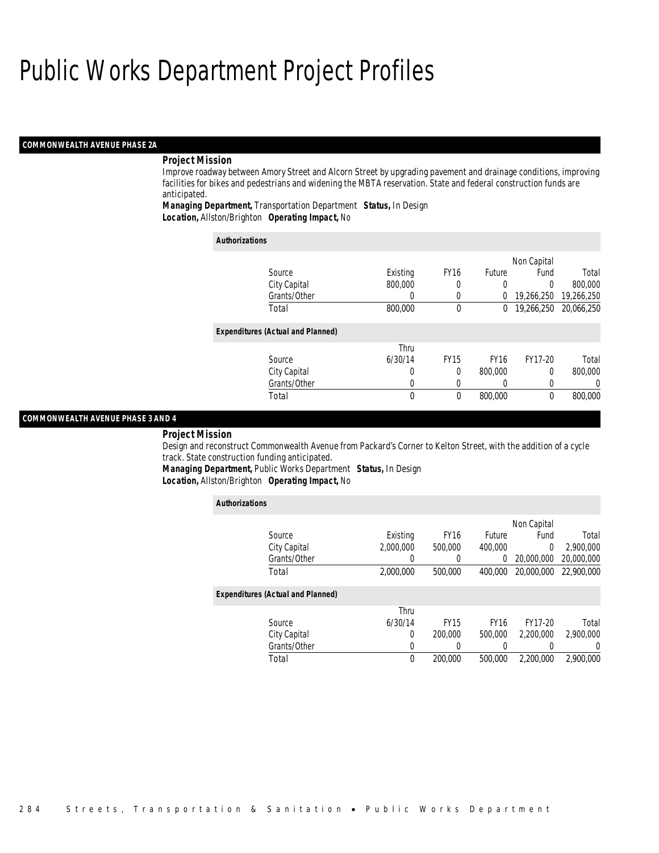#### *COMMONWEALTH AVENUE PHASE 2A*

#### *Project Mission*

Improve roadway between Amory Street and Alcorn Street by upgrading pavement and drainage conditions, improving facilities for bikes and pedestrians and widening the MBTA reservation. State and federal construction funds are anticipated.

*Managing Department,* Transportation Department *Status,* In Design*Location,* Allston/Brighton *Operating Impact,* No

| <b>Authorizations</b>                    |          |                  |             |             |            |
|------------------------------------------|----------|------------------|-------------|-------------|------------|
|                                          |          |                  |             | Non Capital |            |
| Source                                   | Existing | FY <sub>16</sub> | Future      | Fund        | Total      |
| City Capital                             | 800,000  | 0                | 0           | $\Omega$    | 800,000    |
| Grants/Other                             | 0        | $\bf{0}$         | 0           | 19,266,250  | 19,266,250 |
| Total                                    | 800,000  | $\mathbf{0}$     | $\Omega$    | 19,266,250  | 20.066.250 |
| <b>Expenditures (Actual and Planned)</b> |          |                  |             |             |            |
|                                          | Thru     |                  |             |             |            |
| Source                                   | 6/30/14  | <b>FY15</b>      | <b>FY16</b> | FY17-20     | Total      |
| City Capital                             | 0        | 0                | 800,000     | 0           | 800,000    |
| Grants/Other                             | 0        | $\Omega$         |             | 0           | $\left($   |
| Total                                    | 0        | $\theta$         | 800,000     | 0           | 800,000    |

#### *COMMONWEALTH AVENUE PHASE 3 AND 4*

#### *Project Mission*

Design and reconstruct Commonwealth Avenue from Packard's Corner to Kelton Street, with the addition of a cycle track. State construction funding anticipated.

*Managing Department,* Public Works Department *Status,* In Design*Location,* Allston/Brighton *Operating Impact,* No

| <b>Authorizations</b>                    |           |             |             |             |            |
|------------------------------------------|-----------|-------------|-------------|-------------|------------|
|                                          |           |             |             | Non Capital |            |
| Source                                   | Existing  | <b>FY16</b> | Future      | Fund        | Total      |
| City Capital                             | 2.000.000 | 500,000     | 400.000     | $\Omega$    | 2,900,000  |
| Grants/Other                             |           |             | 0           | 20,000,000  | 20,000,000 |
| Total                                    | 2,000,000 | 500,000     | 400,000     | 20,000,000  | 22,900,000 |
| <b>Expenditures (Actual and Planned)</b> |           |             |             |             |            |
|                                          | Thru      |             |             |             |            |
| Source                                   | 6/30/14   | <b>FY15</b> | <b>FY16</b> | FY17-20     | Total      |
| City Capital                             | 0         | 200,000     | 500,000     | 2.200.000   | 2.900.000  |
| Grants/Other                             | 0         | 0           | 0           |             | $\Omega$   |
| Total                                    | $\theta$  | 200,000     | 500,000     | 2.200.000   | 2.900.000  |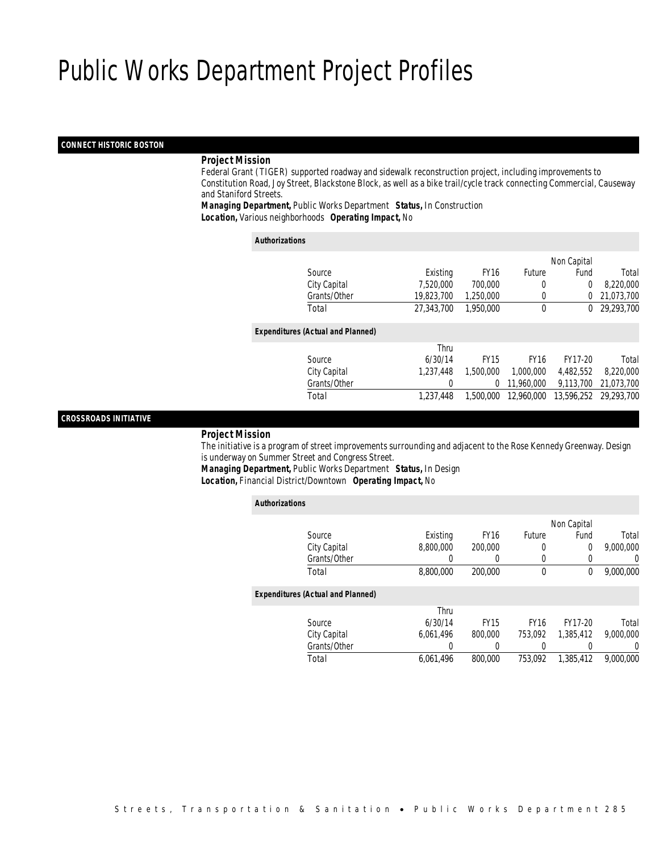#### *CONNECT HISTORIC BOSTON*

#### *Project Mission*

 Federal Grant (TIGER) supported roadway and sidewalk reconstruction project, including improvements to Constitution Road, Joy Street, Blackstone Block, as well as a bike trail/cycle track connecting Commercial, Causeway and Staniford Streets.

*Managing Department,* Public Works Department *Status,* In Construction*Location,* Various neighborhoods *Operating Impact,* No

| <b>Authorizations</b>                    |            |             |             |             |            |
|------------------------------------------|------------|-------------|-------------|-------------|------------|
|                                          |            |             |             | Non Capital |            |
| Source                                   | Existing   | <b>FY16</b> | Future      | Fund        | Total      |
| City Capital                             | 7.520.000  | 700,000     | 0           | 0           | 8,220,000  |
| Grants/Other                             | 19,823,700 | 1,250,000   | 0           | 0           | 21,073,700 |
| Total                                    | 27,343,700 | 1.950.000   | $\mathbf 0$ | $\Omega$    | 29,293,700 |
| <b>Expenditures (Actual and Planned)</b> |            |             |             |             |            |
|                                          | Thru       |             |             |             |            |
| Source                                   | 6/30/14    | <b>FY15</b> | <b>FY16</b> | FY17-20     | Total      |
| City Capital                             | 1.237.448  | 1,500,000   | 1.000.000   | 4,482,552   | 8,220,000  |
| Grants/Other                             | 0          | 0           | 11,960,000  | 9,113,700   | 21,073,700 |
| Total                                    | 1.237.448  | 1,500,000   | 12,960,000  | 13.596.252  | 29,293,700 |

#### *CROSSROADS INITIATIVE*

#### *Project Mission*

 The initiative is a program of street improvements surrounding and adjacent to the Rose Kennedy Greenway. Design is underway on Summer Street and Congress Street.

*Managing Department,* Public Works Department *Status,* In Design*Location,* Financial District/Downtown *Operating Impact,* No

| <b>Authorizations</b>                    |           |             |             |             |                  |
|------------------------------------------|-----------|-------------|-------------|-------------|------------------|
|                                          |           |             |             | Non Capital |                  |
| Source                                   | Existing  | <b>FY16</b> | Future      | Fund        | Total            |
| City Capital                             | 8,800,000 | 200,000     | 0           | 0           | 9,000,000        |
| Grants/Other                             | 0         | 0           | 0           | 0           | 0                |
| Total                                    | 8,800,000 | 200,000     | $\mathbf 0$ | 0           | 9,000,000        |
| <b>Expenditures (Actual and Planned)</b> |           |             |             |             |                  |
|                                          | Thru      |             |             |             |                  |
| Source                                   | 6/30/14   | <b>FY15</b> | <b>FY16</b> | FY17-20     | Total            |
| City Capital                             | 6.061.496 | 800,000     | 753.092     | 1.385.412   | 9.000.000        |
| Grants/Other                             | 0         | 0           | 0           |             | $\left( \right)$ |
| Total                                    | 6.061.496 | 800,000     | 753.092     | 1.385.412   | 9.000.000        |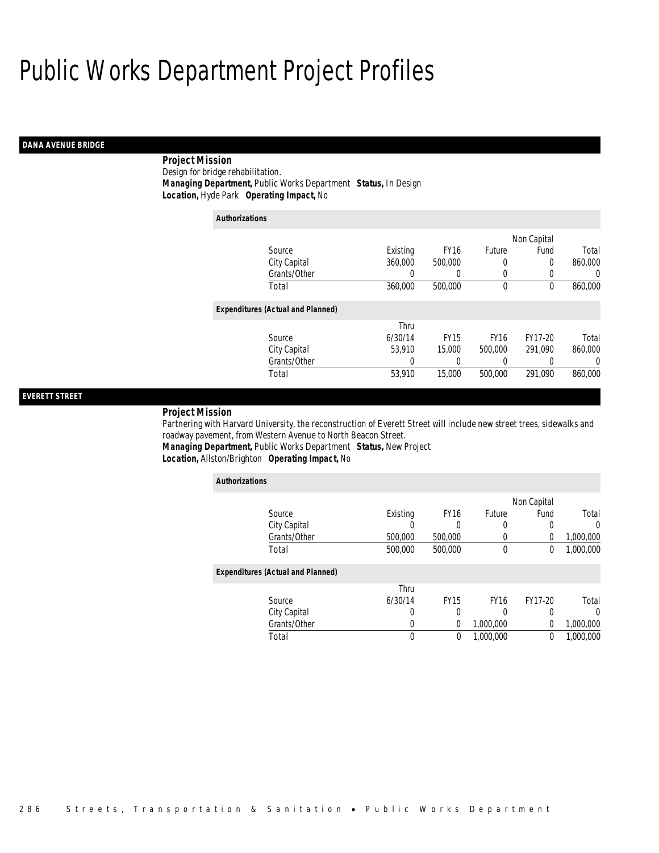#### *DANA AVENUE BRIDGE*

### *Project Mission* Design for bridge rehabilitation. *Managing Department,* Public Works Department *Status,* In Design*Location,* Hyde Park *Operating Impact,* No

| <b>Authorizations</b>                    |          |             |             |             |          |
|------------------------------------------|----------|-------------|-------------|-------------|----------|
|                                          |          |             |             | Non Capital |          |
| Source                                   | Existing | <b>FY16</b> | Future      | Fund        | Total    |
| City Capital                             | 360,000  | 500,000     | 0           | $\Omega$    | 860,000  |
| Grants/Other                             | 0        |             | 0           | 0           | $\Omega$ |
| Total                                    | 360,000  | 500,000     | $\theta$    | $\theta$    | 860,000  |
| <b>Expenditures (Actual and Planned)</b> |          |             |             |             |          |
|                                          | Thru     |             |             |             |          |
| Source                                   | 6/30/14  | <b>FY15</b> | <b>FY16</b> | FY17-20     | Total    |
| City Capital                             | 53,910   | 15,000      | 500,000     | 291.090     | 860,000  |
| Grants/Other                             | 0        | 0           | $\left($    | 0           | $\Omega$ |
| Total                                    | 53,910   | 15,000      | 500,000     | 291,090     | 860,000  |

### *EVERETT STREET*

#### *Project Mission*

Partnering with Harvard University, the reconstruction of Everett Street will include new street trees, sidewalks and roadway pavement, from Western Avenue to North Beacon Street. *Managing Department,* Public Works Department *Status,* New Project

*Location,* Allston/Brighton *Operating Impact,* No

| <b>Authorizations</b>                    |          |             |             |             |           |
|------------------------------------------|----------|-------------|-------------|-------------|-----------|
|                                          |          |             |             | Non Capital |           |
| Source                                   | Existing | <b>FY16</b> | Future      | Fund        | Total     |
| City Capital                             | U        |             | 0           | 0           | $\Omega$  |
| Grants/Other                             | 500,000  | 500,000     | 0           | 0           | 1,000,000 |
| Total                                    | 500,000  | 500,000     | $\mathbf 0$ | 0           | 1,000,000 |
| <b>Expenditures (Actual and Planned)</b> |          |             |             |             |           |
|                                          | Thru     |             |             |             |           |
| Source                                   | 6/30/14  | <b>FY15</b> | <b>FY16</b> | FY17-20     | Total     |
| City Capital                             | 0        | 0           | 0           | 0           | $\Omega$  |
| Grants/Other                             | 0        | 0           | 1,000,000   | $\Omega$    | 1,000,000 |
| Total                                    | 0        | 0           | 1.000.000   | $\theta$    | 1,000,000 |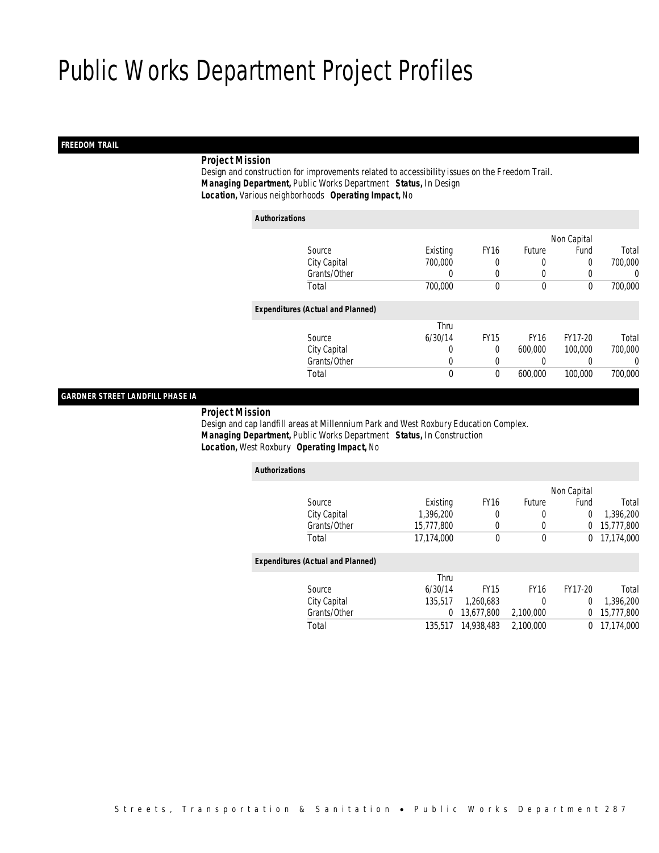#### *FREEDOM TRAIL*

### *Project Mission*

 Design and construction for improvements related to accessibility issues on the Freedom Trail. *Managing Department,* Public Works Department *Status,* In Design*Location,* Various neighborhoods *Operating Impact,* No

| <b>Authorizations</b>                    |             |              |             |              |         |
|------------------------------------------|-------------|--------------|-------------|--------------|---------|
|                                          |             |              |             | Non Capital  |         |
| Source                                   | Existing    | <b>FY16</b>  | Future      | Fund         | Total   |
| City Capital                             | 700,000     | 0            | 0           | 0            | 700,000 |
| Grants/Other                             | 0           | 0            | 0           | 0            | 0       |
| Total                                    | 700.000     | $\theta$     | $\theta$    | $\mathbf{0}$ | 700,000 |
| <b>Expenditures (Actual and Planned)</b> |             |              |             |              |         |
|                                          | Thru        |              |             |              |         |
| Source                                   | 6/30/14     | <b>FY15</b>  | <b>FY16</b> | FY17-20      | Total   |
| City Capital                             | 0           | 0            | 600,000     | 100,000      | 700,000 |
| Grants/Other                             | 0           | $\Omega$     | 0           | 0            | 0       |
| Total                                    | $\mathbf 0$ | $\mathbf{0}$ | 600,000     | 100,000      | 700,000 |

### *GARDNER STREET LANDFILL PHASE IA*

#### *Project Mission*

 Design and cap landfill areas at Millennium Park and West Roxbury Education Complex. *Managing Department,* Public Works Department *Status,* In Construction*Location,* West Roxbury *Operating Impact,* No

| <b>Authorizations</b>                    |              |            |             |             |             |            |
|------------------------------------------|--------------|------------|-------------|-------------|-------------|------------|
|                                          |              |            |             |             | Non Capital |            |
| Source                                   |              | Existing   | <b>FY16</b> | Future      | Fund        | Total      |
|                                          | City Capital | 1,396,200  | 0           | 0           | 0           | 1,396,200  |
|                                          | Grants/Other | 15,777,800 | 0           | 0           | 0           | 15,777,800 |
| Total                                    |              | 17.174.000 | 0           | 0           | $\Omega$    | 17.174.000 |
| <b>Expenditures (Actual and Planned)</b> |              |            |             |             |             |            |
|                                          |              | Thru       |             |             |             |            |
| Source                                   |              | 6/30/14    | <b>FY15</b> | <b>FY16</b> | FY17-20     | Total      |
|                                          | City Capital | 135,517    | 1,260,683   | $\Omega$    | $\Omega$    | 1,396,200  |
|                                          | Grants/Other | 0          | 13,677,800  | 2,100,000   | $\Omega$    | 15,777,800 |
| Total                                    |              | 135.517    | 14.938.483  | 2.100.000   | 0           | 17,174,000 |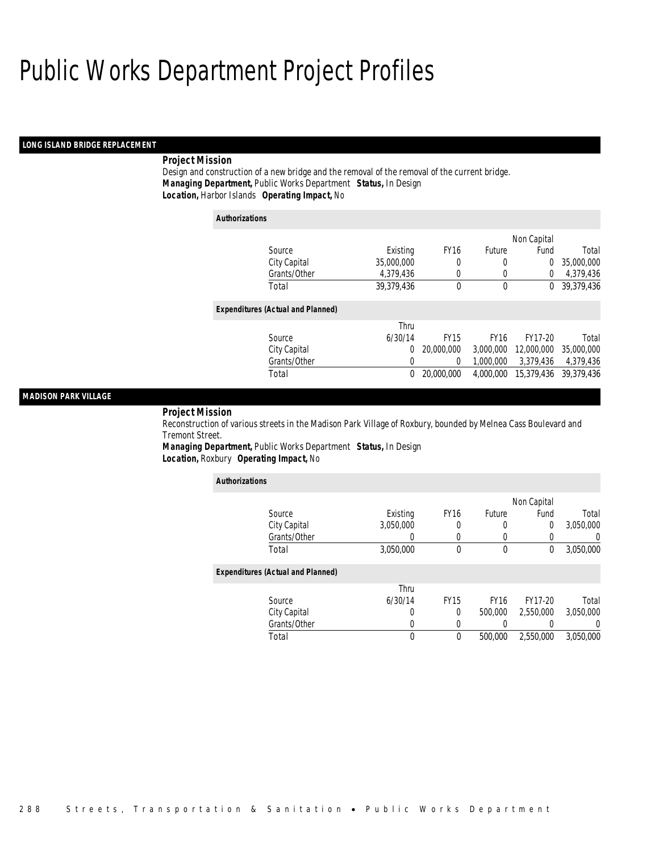#### *LONG ISLAND BRIDGE REPLACEMENT*

#### *Project Mission*

Design and construction of a new bridge and the removal of the removal of the current bridge. *Managing Department,* Public Works Department *Status,* In Design*Location,* Harbor Islands *Operating Impact,* No

| <b>Authorizations</b> |                                          |            |                  |             |             |            |
|-----------------------|------------------------------------------|------------|------------------|-------------|-------------|------------|
|                       |                                          |            |                  |             | Non Capital |            |
|                       | Source                                   | Existing   | FY <sub>16</sub> | Future      | Fund        | Total      |
|                       | City Capital                             | 35,000,000 | 0                | 0           | 0           | 35,000,000 |
|                       | Grants/Other                             | 4,379,436  | 0                | 0           | $\Omega$    | 4,379,436  |
|                       | Total                                    | 39.379.436 | 0                | 0           | $^{0}$      | 39,379,436 |
|                       | <b>Expenditures (Actual and Planned)</b> |            |                  |             |             |            |
|                       |                                          | Thru       |                  |             |             |            |
|                       | Source                                   | 6/30/14    | <b>FY15</b>      | <b>FY16</b> | FY17-20     | Total      |
|                       | City Capital                             | 0          | 20,000,000       | 3,000,000   | 12,000,000  | 35,000,000 |
|                       | Grants/Other                             | 0          | 0                | 1.000.000   | 3,379,436   | 4,379,436  |
|                       | Total                                    | 0          | 20,000,000       | 4.000.000   | 15,379,436  | 39,379,436 |

### *MADISON PARK VILLAGE*

#### *Project Mission*

Reconstruction of various streets in the Madison Park Village of Roxbury, bounded by Melnea Cass Boulevard and Tremont Street.

*Managing Department,* Public Works Department *Status,* In Design*Location,* Roxbury *Operating Impact,* No

| <b>Authorizations</b>                    |                  |             |             |             |                  |
|------------------------------------------|------------------|-------------|-------------|-------------|------------------|
|                                          |                  |             |             | Non Capital |                  |
| Source                                   | Existing         | <b>FY16</b> | Future      | Fund        | Total            |
| City Capital                             | 3,050,000        | 0           |             | 0           | 3,050,000        |
| Grants/Other                             | 0                | 0           |             | 0           | $\left( \right)$ |
| Total                                    | 3,050,000        | 0           | $\mathbf 0$ | 0           | 3,050,000        |
| <b>Expenditures (Actual and Planned)</b> |                  |             |             |             |                  |
|                                          | Thru             |             |             |             |                  |
| Source                                   | 6/30/14          | <b>FY15</b> | <b>FY16</b> | FY17-20     | Total            |
| City Capital                             | $\left( \right)$ | 0           | 500,000     | 2,550,000   | 3,050,000        |
| Grants/Other                             | 0                |             |             |             |                  |
| Total                                    | 0                | 0           | 500,000     | 2.550.000   | 3.050.000        |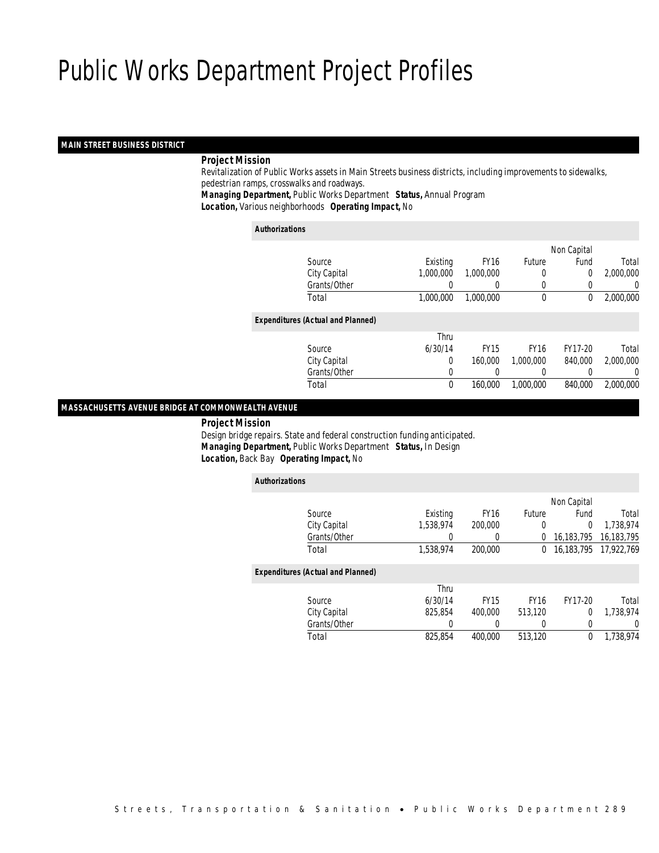### *MAIN STREET BUSINESS DISTRICT*

#### *Project Mission*

 Revitalization of Public Works assets in Main Streets business districts, including improvements to sidewalks, pedestrian ramps, crosswalks and roadways.

*Managing Department,* Public Works Department *Status,* Annual Program

*Location,* Various neighborhoods *Operating Impact,* No

### *Authorizations*

|                                          |           |             |                  | Non Capital |           |
|------------------------------------------|-----------|-------------|------------------|-------------|-----------|
| Source                                   | Existing  | <b>FY16</b> | <b>Future</b>    | Fund        | Total     |
| City Capital                             | 1,000,000 | 1,000,000   | $\Omega$         | 0           | 2,000,000 |
| Grants/Other                             |           |             | $\left( \right)$ |             | 0         |
| Total                                    | 1,000,000 | 1,000,000   | $\mathbf 0$      | 0           | 2,000,000 |
| <b>Expenditures (Actual and Planned)</b> |           |             |                  |             |           |
|                                          | Thru      |             |                  |             |           |
| Source                                   | 6/30/14   | <b>FY15</b> | <b>FY16</b>      | FY17-20     | Total     |
| City Capital                             | 0         | 160,000     | 1.000.000        | 840,000     | 2,000,000 |
| Grants/Other                             | 0         | 0           | $\left($         |             | 0         |
| Total                                    | 0         | 160,000     | 1,000,000        | 840,000     | 2,000,000 |
|                                          |           |             |                  |             |           |

### *MASSACHUSETTS AVENUE BRIDGE AT COMMONWEALTH AVENUE*

*Project Mission*

 Design bridge repairs. State and federal construction funding anticipated. *Managing Department,* Public Works Department *Status,* In Design*Location,* Back Bay *Operating Impact,* No

| <b>Authorizations</b>                    |           |             |             |             |                  |
|------------------------------------------|-----------|-------------|-------------|-------------|------------------|
|                                          |           |             |             | Non Capital |                  |
| Source                                   | Existing  | <b>FY16</b> | Future      | Fund        | Total            |
| City Capital                             | 1,538,974 | 200,000     | 0           | 0           | 1,738,974        |
| Grants/Other                             |           | 0           | 0           | 16,183,795  | 16,183,795       |
| Total                                    | 1,538,974 | 200,000     | 0           | 16.183.795  | 17,922,769       |
| <b>Expenditures (Actual and Planned)</b> |           |             |             |             |                  |
|                                          | Thru      |             |             |             |                  |
| Source                                   | 6/30/14   | <b>FY15</b> | <b>FY16</b> | FY17-20     | Total            |
| City Capital                             | 825.854   | 400,000     | 513,120     | 0           | 1.738.974        |
| Grants/Other                             | 0         | 0           | 0           |             | $\left( \right)$ |
| Total                                    | 825.854   | 400.000     | 513.120     | 0           | 1.738.974        |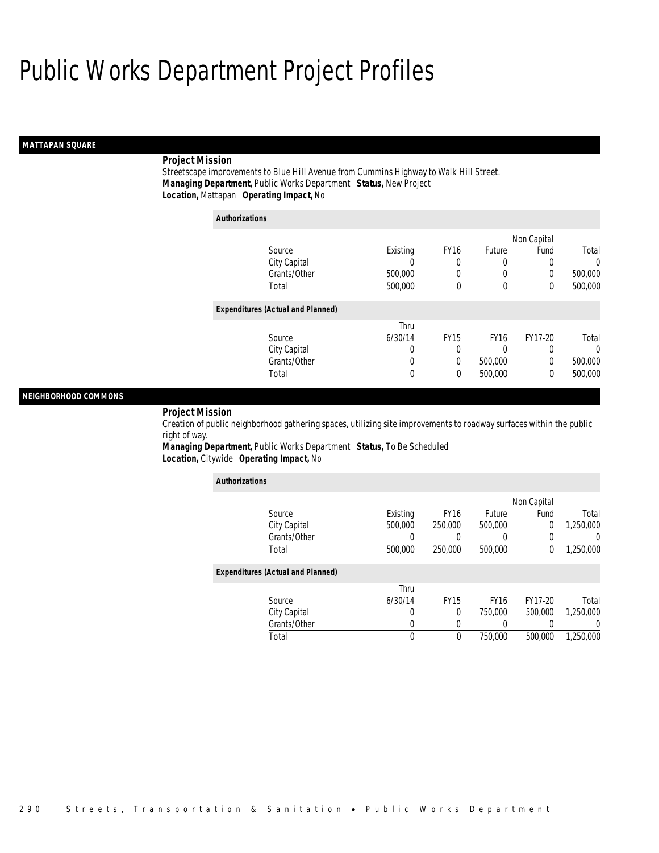#### *MATTAPAN SQUARE*

### *Project Mission*

Streetscape improvements to Blue Hill Avenue from Cummins Highway to Walk Hill Street. *Managing Department,* Public Works Department *Status,* New Project*Location,* Mattapan *Operating Impact,* No

| <b>Authorizations</b>                    |          |             |             |                |          |
|------------------------------------------|----------|-------------|-------------|----------------|----------|
|                                          |          |             |             | Non Capital    |          |
| Source                                   | Existing | <b>FY16</b> | Future      | Fund           | Total    |
| City Capital                             |          | 0           | 0           | 0              | $\Omega$ |
| Grants/Other                             | 500,000  | 0           | 0           | $\Omega$       | 500,000  |
| Total                                    | 500,000  | 0           | 0           | 0              | 500,000  |
| <b>Expenditures (Actual and Planned)</b> |          |             |             |                |          |
|                                          | Thru     |             |             |                |          |
| Source                                   | 6/30/14  | <b>FY15</b> | <b>FY16</b> | FY17-20        | Total    |
| City Capital                             | 0        | 0           | 0           | 0              | $\Omega$ |
| Grants/Other                             | 0        | 0           | 500,000     | $\overline{0}$ | 500,000  |
| Total                                    | 0        | 0           | 500,000     | $\theta$       | 500,000  |

#### *NEIGHBORHOOD COMMONS*

*Project Mission* 

Creation of public neighborhood gathering spaces, utilizing site improvements to roadway surfaces within the public right of way.

*Managing Department,* Public Works Department *Status,* To Be Scheduled*Location,* Citywide *Operating Impact,* No

| <b>Authorizations</b>                    |          |             |             |             |                  |
|------------------------------------------|----------|-------------|-------------|-------------|------------------|
|                                          |          |             |             | Non Capital |                  |
| Source                                   | Existing | <b>FY16</b> | Future      | Fund        | Total            |
| City Capital                             | 500,000  | 250,000     | 500,000     | 0           | 1,250,000        |
| Grants/Other                             | 0        |             |             |             | 0                |
| Total                                    | 500,000  | 250,000     | 500,000     | 0           | 1,250,000        |
| <b>Expenditures (Actual and Planned)</b> |          |             |             |             |                  |
|                                          | Thru     |             |             |             |                  |
| Source                                   | 6/30/14  | <b>FY15</b> | <b>FY16</b> | FY17-20     | Total            |
| City Capital                             | 0        | 0           | 750,000     | 500,000     | 1,250,000        |
| Grants/Other                             | 0        | 0           |             |             | $\left( \right)$ |
| Total                                    | 0        | $\theta$    | 750,000     | 500,000     | 1.250.000        |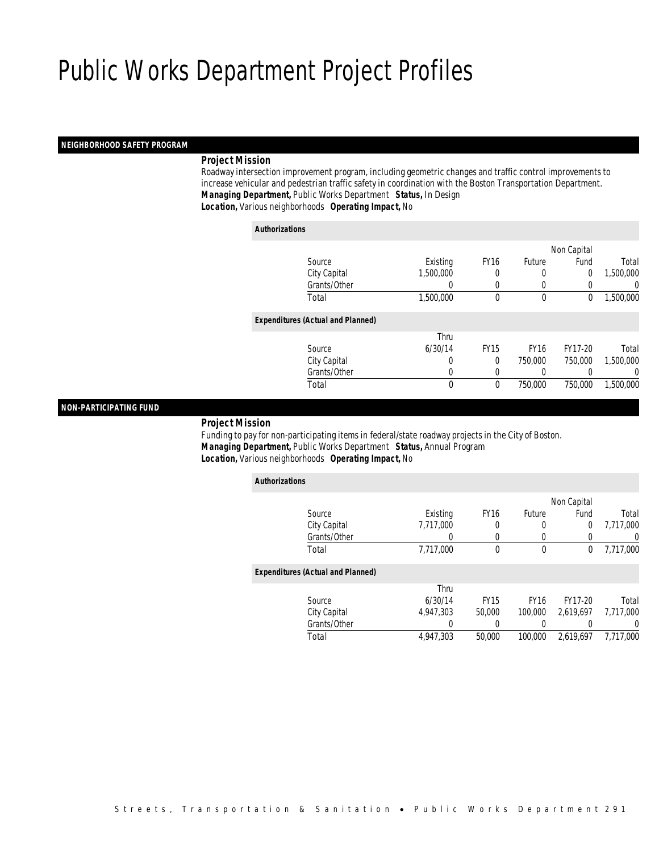#### *NEIGHBORHOOD SAFETY PROGRAM*

#### *Project Mission*

 Roadway intersection improvement program, including geometric changes and traffic control improvements to increase vehicular and pedestrian traffic safety in coordination with the Boston Transportation Department. *Managing Department,* Public Works Department *Status,* In Design*Location,* Various neighborhoods *Operating Impact,* No

#### *Authorizations*

|                                          |                  |             |               | Non Capital |           |
|------------------------------------------|------------------|-------------|---------------|-------------|-----------|
| Source                                   | Existing         | <b>FY16</b> | <b>Future</b> | Fund        | Total     |
| City Capital                             | 1,500,000        | $\left($    | $\left($      | 0           | 1,500,000 |
| Grants/Other                             | $\left( \right)$ | 0           | $\left($      |             | 0         |
| Total                                    | 1,500,000        | $\theta$    | $\theta$      | 0           | 1,500,000 |
| <b>Expenditures (Actual and Planned)</b> |                  |             |               |             |           |
|                                          | Thru             |             |               |             |           |
| Source                                   | 6/30/14          | <b>FY15</b> | <b>FY16</b>   | FY17-20     | Total     |
| City Capital                             | 0                | $\Omega$    | 750,000       | 750,000     | 1,500,000 |
| Grants/Other                             | 0                |             | 0             |             | 0         |
| Total                                    | $\mathbf{0}$     | $\theta$    | 750,000       | 750,000     | 1,500,000 |
|                                          |                  |             |               |             |           |

### *NON-PARTICIPATING FUND*

*Project Mission*

 Funding to pay for non-participating items in federal/state roadway projects in the City of Boston. *Managing Department,* Public Works Department *Status,* Annual Program*Location,* Various neighborhoods *Operating Impact,* No

| <b>Authorizations</b>                    |           |             |             |             |           |
|------------------------------------------|-----------|-------------|-------------|-------------|-----------|
|                                          |           |             |             | Non Capital |           |
| Source                                   | Existing  | <b>FY16</b> | Future      | Fund        | Total     |
| City Capital                             | 7,717,000 | 0           | 0           | 0           | 7,717,000 |
| Grants/Other                             |           | 0           | 0           |             | 0         |
| Total                                    | 7,717,000 | 0           | 0           | 0           | 7,717,000 |
| <b>Expenditures (Actual and Planned)</b> |           |             |             |             |           |
|                                          | Thru      |             |             |             |           |
| Source                                   | 6/30/14   | <b>FY15</b> | <b>FY16</b> | FY17-20     | Total     |
| City Capital                             | 4.947.303 | 50,000      | 100,000     | 2.619.697   | 7.717.000 |
| Grants/Other                             |           | 0           | 0           |             | 0         |
| Total                                    | 4.947.303 | 50,000      | 100,000     | 2.619.697   | 7.717.000 |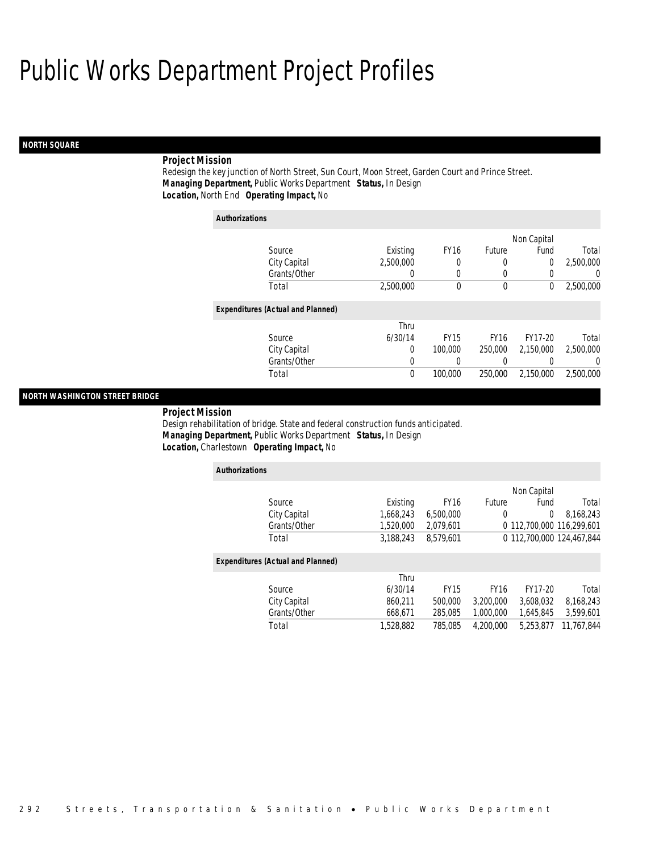### *NORTH SQUARE*

### *Project Mission*

Redesign the key junction of North Street, Sun Court, Moon Street, Garden Court and Prince Street. *Managing Department,* Public Works Department *Status,* In Design*Location,* North End *Operating Impact,* No

| <b>Authorizations</b>                    |                  |             |             |             |           |
|------------------------------------------|------------------|-------------|-------------|-------------|-----------|
|                                          |                  |             |             | Non Capital |           |
| Source                                   | Existing         | <b>FY16</b> | Future      | Fund        | Total     |
| City Capital                             | 2.500.000        |             | 0           | 0           | 2,500,000 |
| Grants/Other                             | $\left( \right)$ | $\left($    | 0           |             | 0         |
| Total                                    | 2,500,000        | $\theta$    | 0           | 0           | 2,500,000 |
| <b>Expenditures (Actual and Planned)</b> |                  |             |             |             |           |
|                                          | Thru             |             |             |             |           |
| Source                                   | 6/30/14          | <b>FY15</b> | <b>FY16</b> | FY17-20     | Total     |
| City Capital                             | $\Omega$         | 100,000     | 250,000     | 2.150.000   | 2,500,000 |
| Grants/Other                             |                  |             | 0           |             | 0         |
| Total                                    | $\mathbf 0$      | 100,000     | 250,000     | 2,150,000   | 2,500,000 |

### *NORTH WASHINGTON STREET BRIDGE*

*Project Mission* 

Design rehabilitation of bridge. State and federal construction funds anticipated. *Managing Department,* Public Works Department *Status,* In Design*Location,* Charlestown *Operating Impact,* No

| <b>Authorizations</b>                    |           |                  |               |                           |            |
|------------------------------------------|-----------|------------------|---------------|---------------------------|------------|
|                                          |           |                  |               | Non Capital               |            |
| Source                                   | Existing  | FY <sub>16</sub> | <b>Future</b> | Fund                      | Total      |
| City Capital                             | 1.668.243 | 6.500.000        | $\Omega$      | $\overline{0}$            | 8.168.243  |
| Grants/Other                             | 1,520,000 | 2.079.601        |               | 0 112,700,000 116,299,601 |            |
| Total                                    | 3.188.243 | 8.579.601        |               | 0 112,700,000 124,467,844 |            |
| <b>Expenditures (Actual and Planned)</b> |           |                  |               |                           |            |
|                                          | Thru      |                  |               |                           |            |
| Source                                   | 6/30/14   | <b>FY15</b>      | <b>FY16</b>   | FY17-20                   | Total      |
| City Capital                             | 860.211   | 500,000          | 3.200.000     | 3.608.032                 | 8.168.243  |
| Grants/Other                             | 668,671   | 285,085          | 1,000,000     | 1,645,845                 | 3,599,601  |
| Total                                    | 1,528,882 | 785.085          | 4.200.000     | 5.253.877                 | 11.767.844 |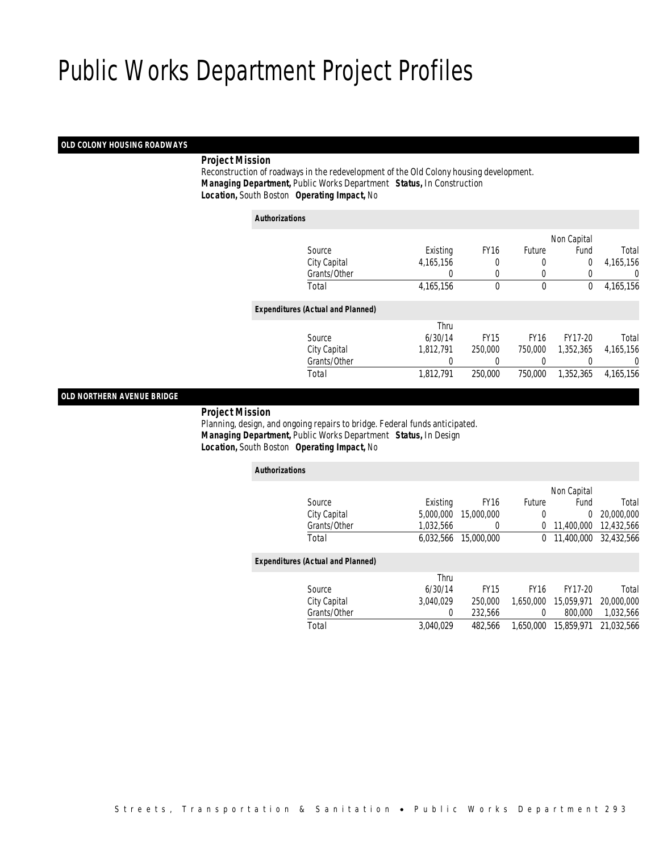### *OLD COLONY HOUSING ROADWAYS*

#### *Project Mission*

 Reconstruction of roadways in the redevelopment of the Old Colony housing development. *Managing Department,* Public Works Department *Status,* In Construction*Location,* South Boston *Operating Impact,* No

|                                          |           |                  |              | Non Capital |           |
|------------------------------------------|-----------|------------------|--------------|-------------|-----------|
| Source                                   | Existing  | FY <sub>16</sub> | Future       | Fund        | Total     |
| City Capital                             | 4,165,156 |                  | 0            | $\theta$    | 4,165,156 |
| Grants/Other                             | $\Omega$  | 0                | 0            | 0           |           |
| Total                                    | 4,165,156 | $\mathbf 0$      | $\mathbf{0}$ | $\mathbf 0$ | 4,165,156 |
| <b>Expenditures (Actual and Planned)</b> |           |                  |              |             |           |
|                                          |           |                  |              |             |           |
|                                          | Thru      |                  |              |             |           |
| Source                                   | 6/30/14   | <b>FY15</b>      | <b>FY16</b>  | FY17-20     | Total     |
| City Capital                             | 1.812.791 | 250,000          | 750,000      | 1.352.365   |           |
| Grants/Other                             | $\Omega$  |                  | 0            |             | 4,165,156 |

### *OLD NORTHERN AVENUE BRIDGE*

#### *Project Mission*

 Planning, design, and ongoing repairs to bridge. Federal funds anticipated. *Managing Department,* Public Works Department *Status,* In Design*Location,* South Boston *Operating Impact,* No

| <b>Authorizations</b> |                                          |           |             |             |             |            |
|-----------------------|------------------------------------------|-----------|-------------|-------------|-------------|------------|
|                       |                                          |           |             |             | Non Capital |            |
|                       | Source                                   | Existing  | <b>FY16</b> | Future      | Fund        | Total      |
|                       | City Capital                             | 5,000,000 | 15,000,000  | 0           | 0           | 20,000,000 |
|                       | Grants/Other                             | 1,032,566 | 0           | 0           | 11,400,000  | 12,432,566 |
|                       | Total                                    | 6.032.566 | 15,000,000  | $\Omega$    | 11,400,000  | 32.432.566 |
|                       | <b>Expenditures (Actual and Planned)</b> |           |             |             |             |            |
|                       |                                          | Thru      |             |             |             |            |
|                       | Source                                   | 6/30/14   | <b>FY15</b> | <b>FY16</b> | FY17-20     | Total      |
|                       | City Capital                             | 3.040.029 | 250,000     | 1.650.000   | 15.059.971  | 20,000,000 |
|                       | Grants/Other                             | 0         | 232.566     | 0           | 800,000     | 1,032,566  |
|                       | Total                                    | 3.040.029 | 482.566     | 1.650.000   | 15,859,971  | 21.032.566 |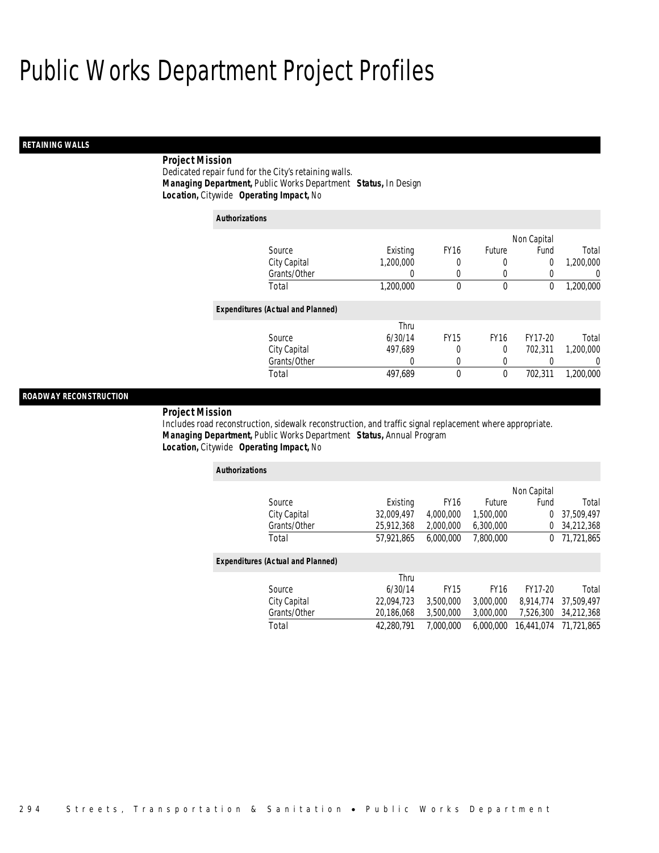### *RETAINING WALLS*

### *Project Mission*

Dedicated repair fund for the City's retaining walls. *Managing Department,* Public Works Department *Status,* In Design*Location,* Citywide *Operating Impact,* No

| <b>Authorizations</b> |                                          |           |             |               |             |                |
|-----------------------|------------------------------------------|-----------|-------------|---------------|-------------|----------------|
|                       |                                          |           |             |               | Non Capital |                |
|                       | Source                                   | Existing  | <b>FY16</b> | <b>Future</b> | Fund        | Total          |
|                       | City Capital                             | 1,200,000 | 0           | 0             | 0           | 1,200,000      |
|                       | Grants/Other                             |           | 0           | 0             |             | $\overline{0}$ |
|                       | Total                                    | 1,200,000 | $\theta$    | $\mathbf 0$   | 0           | 1,200,000      |
|                       | <b>Expenditures (Actual and Planned)</b> |           |             |               |             |                |
|                       |                                          | Thru      |             |               |             |                |
|                       | Source                                   | 6/30/14   | <b>FY15</b> | <b>FY16</b>   | FY17-20     | Total          |
|                       | City Capital                             | 497.689   | 0           | 0             | 702.311     | 1,200,000      |
|                       | Grants/Other                             |           | 0           | 0             |             | 0              |
|                       | Total                                    | 497,689   | $\theta$    | $\mathbf 0$   | 702.311     | 1,200,000      |

### *ROADWAY RECONSTRUCTION*

#### *Project Mission*

Includes road reconstruction, sidewalk reconstruction, and traffic signal replacement where appropriate. *Managing Department,* Public Works Department *Status,* Annual Program*Location,* Citywide *Operating Impact,* No

| <b>Authorizations</b>                    |            |             |             |             |            |
|------------------------------------------|------------|-------------|-------------|-------------|------------|
|                                          |            |             |             | Non Capital |            |
| Source                                   | Existing   | <b>FY16</b> | Future      | Fund        | Total      |
| City Capital                             | 32.009.497 | 4.000.000   | 1,500,000   | 0           | 37,509,497 |
| Grants/Other                             | 25,912,368 | 2,000,000   | 6,300,000   | 0           | 34,212,368 |
| Total                                    | 57.921.865 | 6.000.000   | 7.800.000   | $^{0}$      | 71,721,865 |
| <b>Expenditures (Actual and Planned)</b> |            |             |             |             |            |
|                                          | Thru       |             |             |             |            |
| Source                                   | 6/30/14    | <b>FY15</b> | <b>FY16</b> | FY17-20     | Total      |
| City Capital                             | 22.094.723 | 3.500.000   | 3.000.000   | 8,914,774   | 37.509.497 |
| Grants/Other                             | 20,186,068 | 3,500,000   | 3.000.000   | 7,526,300   | 34,212,368 |
| Total                                    | 42.280.791 | 7.000.000   | 6.000.000   | 16,441,074  | 71.721.865 |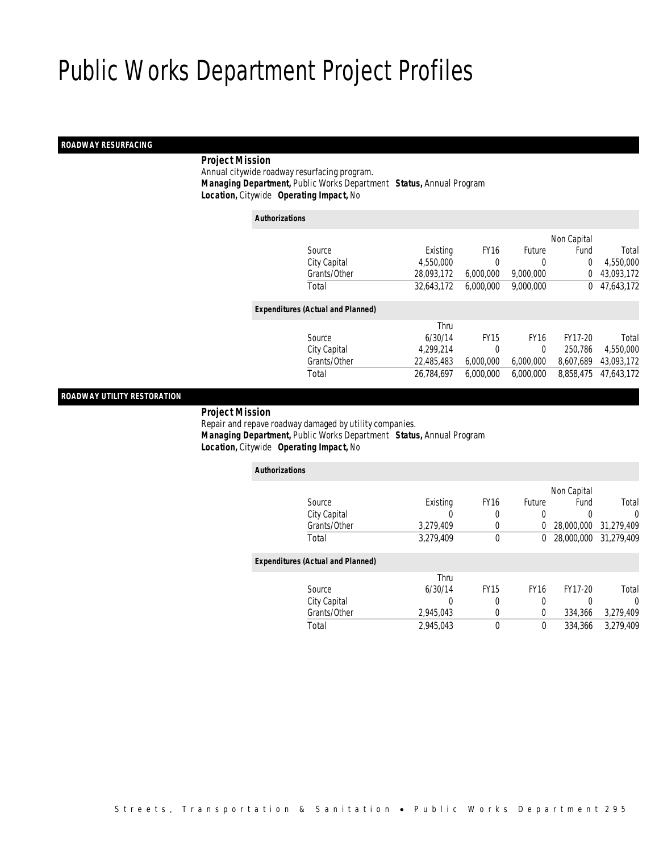#### *ROADWAY RESURFACING*

### *Project Mission*

 Annual citywide roadway resurfacing program. *Managing Department,* Public Works Department *Status,* Annual Program*Location,* Citywide *Operating Impact,* No

| <b>Authorizations</b>                    |            |                  |             |             |            |
|------------------------------------------|------------|------------------|-------------|-------------|------------|
|                                          |            |                  |             | Non Capital |            |
| Source                                   | Existing   | FY <sub>16</sub> | Future      | Fund        | Total      |
| City Capital                             | 4,550,000  | 0                | 0           | 0           | 4,550,000  |
| Grants/Other                             | 28.093.172 | 6.000.000        | 9.000.000   | 0           | 43,093,172 |
| Total                                    | 32.643.172 | 6.000.000        | 9.000.000   | 0           | 47.643.172 |
| <b>Expenditures (Actual and Planned)</b> |            |                  |             |             |            |
|                                          | Thru       |                  |             |             |            |
| Source                                   | 6/30/14    | <b>FY15</b>      | <b>FY16</b> | FY17-20     | Total      |
| City Capital                             | 4.299.214  | 0                | 0           | 250.786     | 4.550.000  |
| Grants/Other                             | 22,485,483 | 6.000.000        | 6,000,000   | 8,607,689   | 43,093,172 |
| Total                                    | 26.784.697 | 6.000.000        | 6.000.000   | 8.858.475   | 47.643.172 |
|                                          |            |                  |             |             |            |

### *ROADWAY UTILITY RESTORATION*

#### *Project Mission*

 Repair and repave roadway damaged by utility companies. *Managing Department,* Public Works Department *Status,* Annual Program*Location,* Citywide *Operating Impact,* No

| <b>Authorizations</b>                    |           |             |             |             |            |
|------------------------------------------|-----------|-------------|-------------|-------------|------------|
|                                          |           |             |             | Non Capital |            |
| Source                                   | Existing  | <b>FY16</b> | Future      | Fund        | Total      |
| City Capital                             | 0         | 0           | 0           |             | 0          |
| Grants/Other                             | 3,279,409 | 0           | 0           | 28,000,000  | 31,279,409 |
| Total                                    | 3,279,409 | 0           | 0           | 28,000,000  | 31.279.409 |
| <b>Expenditures (Actual and Planned)</b> |           |             |             |             |            |
|                                          | Thru      |             |             |             |            |
| Source                                   | 6/30/14   | <b>FY15</b> | <b>FY16</b> | FY17-20     | Total      |
| City Capital                             | $\Omega$  | 0           | 0           | O           | 0          |
| Grants/Other                             | 2,945,043 | 0           | 0           | 334,366     | 3,279,409  |
| Total                                    | 2,945,043 | $\Omega$    | 0           | 334,366     | 3.279.409  |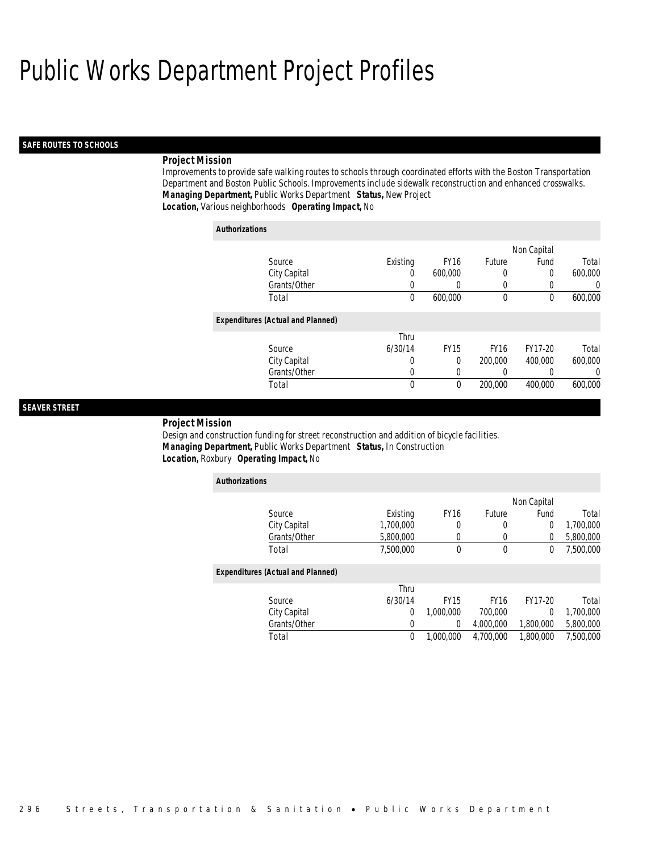### *SAFE ROUTES TO SCHOOLS*

#### *Project Mission*

Improvements to provide safe walking routes to schools through coordinated efforts with the Boston Transportation Department and Boston Public Schools. Improvements include sidewalk reconstruction and enhanced crosswalks. *Managing Department,* Public Works Department *Status,* New Project*Location,* Various neighborhoods *Operating Impact,* No

> *Authorizations* Source **Existing** FY16 Future Non Capital Fund Total City Capital 0 600,000 0 0 600,000 Grants/Other 0 0 0 0 0 0 Total 0 600,000 0 0 600,000*Expenditures (Actual and Planned)* Source Thru<br>6/30/14 6/30/14 FY15 FY16 FY17-20 Total City Capital **0** 0 200,000 400,000 600,000 Grants/Other 0 0 0 0 0 0 Total 0 0 200,000 400,000 600,000

#### *SEAVER STREET*

#### *Project Mission*

Design and construction funding for street reconstruction and addition of bicycle facilities. *Managing Department,* Public Works Department *Status,* In Construction*Location,* Roxbury *Operating Impact,* No

| <b>Authorizations</b>                    |           |             |               |                |           |
|------------------------------------------|-----------|-------------|---------------|----------------|-----------|
|                                          |           |             |               | Non Capital    |           |
| Source                                   | Existing  | <b>FY16</b> | <b>Future</b> | Fund           | Total     |
| City Capital                             | 1,700,000 | 0           | 0             | $\overline{0}$ | 1,700,000 |
| Grants/Other                             | 5,800,000 | 0           | 0             | 0              | 5,800,000 |
| Total                                    | 7.500.000 | $\theta$    | $\mathbf 0$   | 0              | 7,500,000 |
| <b>Expenditures (Actual and Planned)</b> |           |             |               |                |           |
|                                          | Thru      |             |               |                |           |
| Source                                   | 6/30/14   | <b>FY15</b> | <b>FY16</b>   | FY17-20        | Total     |
| City Capital                             | 0         | 1.000.000   | 700,000       | $\overline{0}$ | 1,700,000 |
| Grants/Other                             | 0         | 0           | 4,000,000     | 1,800,000      | 5,800,000 |
| Total                                    | $\bf{0}$  | 1.000.000   | 4.700.000     | 1.800.000      | 7.500.000 |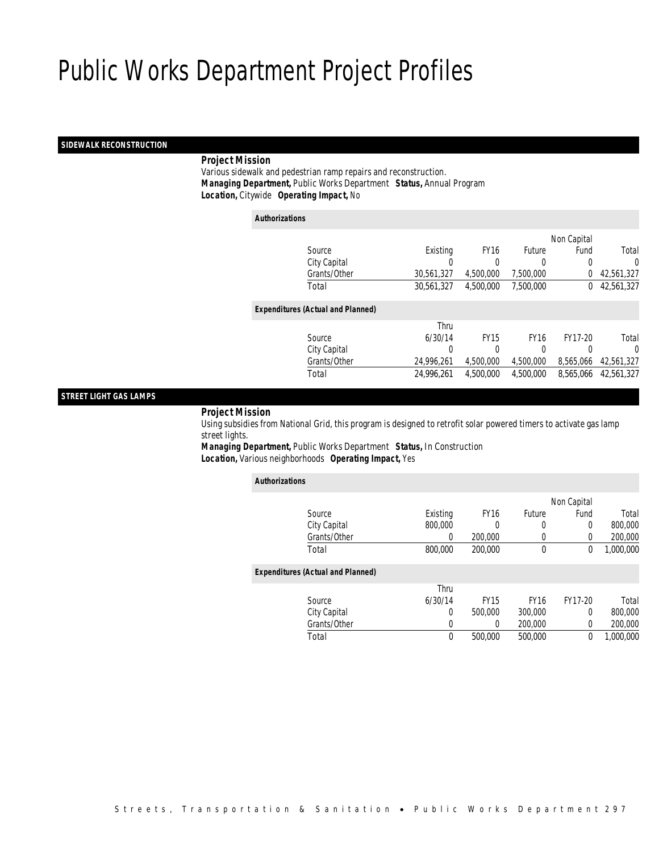#### *SIDEWALK RECONSTRUCTION*

#### *Project Mission*

 Various sidewalk and pedestrian ramp repairs and reconstruction. *Managing Department,* Public Works Department *Status,* Annual Program*Location,* Citywide *Operating Impact,* No

|                                          |             |             | Non Capital |            |
|------------------------------------------|-------------|-------------|-------------|------------|
| Existing                                 | <b>FY16</b> | Future      | Fund        | Total      |
| City Capital<br>0                        | 0           | 0           | 0           | 0          |
| Grants/Other<br>30,561,327               | 4,500,000   | 7.500.000   | 0           | 42,561,327 |
| 30,561,327                               | 4,500,000   | 7.500.000   | $\Omega$    | 42,561,327 |
| <b>Expenditures (Actual and Planned)</b> |             |             |             |            |
| Thru                                     |             |             |             |            |
| 6/30/14                                  | <b>FY15</b> | <b>FY16</b> | FY17-20     | Total      |
| City Capital<br>0                        | 0           | 0           | 0           | 0          |
| Grants/Other<br>24,996,261               | 4,500,000   | 4,500,000   | 8,565,066   | 42,561,327 |
| 24,996,261                               | 4,500,000   | 4,500,000   | 8,565,066   | 42,561,327 |
|                                          |             |             |             |            |

### *STREET LIGHT GAS LAMPS*

### *Project Mission*

 Using subsidies from National Grid, this program is designed to retrofit solar powered timers to activate gas lamp street lights.

*Managing Department,* Public Works Department *Status,* In Construction*Location,* Various neighborhoods *Operating Impact,* Yes

| <b>Authorizations</b>                    |          |             |                  |             |           |
|------------------------------------------|----------|-------------|------------------|-------------|-----------|
|                                          |          |             |                  | Non Capital |           |
| Source                                   | Existing | <b>FY16</b> | Future           | Fund        | Total     |
| City Capital                             | 800,000  | 0           | 0                | 0           | 800,000   |
| Grants/Other                             | 0        | 200,000     | 0                | 0           | 200,000   |
| Total                                    | 800.000  | 200,000     | $\boldsymbol{0}$ | 0           | 1,000,000 |
| <b>Expenditures (Actual and Planned)</b> |          |             |                  |             |           |
|                                          | Thru     |             |                  |             |           |
| Source                                   | 6/30/14  | <b>FY15</b> | <b>FY16</b>      | FY17-20     | Total     |
| City Capital                             | 0        | 500,000     | 300,000          | 0           | 800,000   |
| Grants/Other                             | 0        | 0           | 200,000          | $\Omega$    | 200,000   |
| Total                                    | 0        | 500,000     | 500,000          | 0           | 1.000.000 |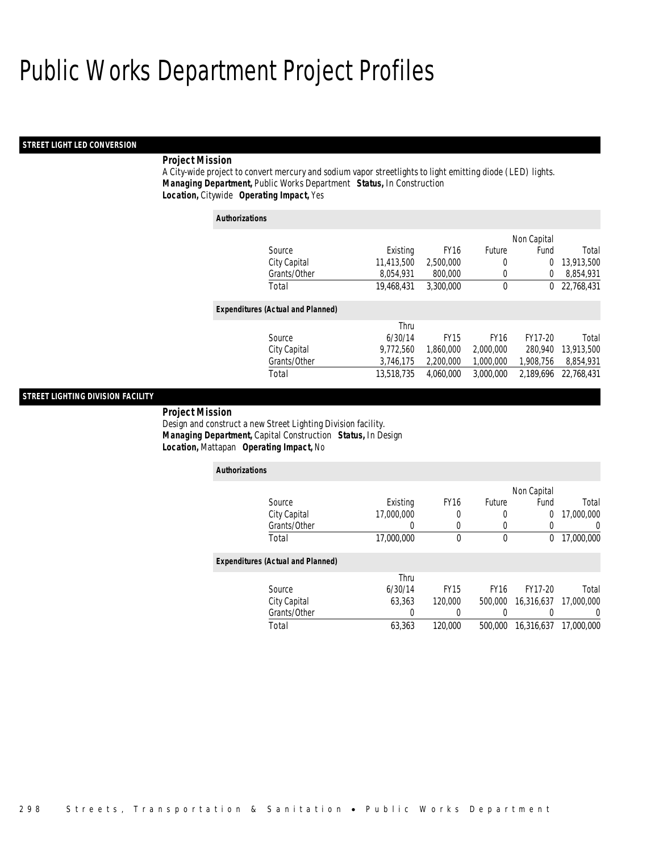#### *STREET LIGHT LED CONVERSION*

#### *Project Mission*

A City-wide project to convert mercury and sodium vapor streetlights to light emitting diode (LED) lights. *Managing Department,* Public Works Department *Status,* In Construction*Location,* Citywide *Operating Impact,* Yes

## *Authorizations*

|                                          |            |             |             | Non Capital |            |
|------------------------------------------|------------|-------------|-------------|-------------|------------|
| Source                                   | Existing   | <b>FY16</b> | Future      | Fund        | Total      |
| City Capital                             | 11,413,500 | 2,500,000   | 0           | 0           | 13,913,500 |
| Grants/Other                             | 8,054,931  | 800,000     | 0           | 0           | 8,854,931  |
| Total                                    | 19,468,431 | 3.300.000   | $\mathbf 0$ | 0           | 22,768,431 |
| <b>Expenditures (Actual and Planned)</b> |            |             |             |             |            |
|                                          | Thru       |             |             |             |            |
| Source                                   | 6/30/14    | <b>FY15</b> | <b>FY16</b> | FY17-20     | Total      |
| City Capital                             | 9,772,560  | 1,860,000   | 2,000,000   | 280.940     | 13,913,500 |
| Grants/Other                             | 3,746,175  | 2,200,000   | 1.000.000   | 1,908,756   | 8,854,931  |
| Total                                    | 13,518,735 | 4,060,000   | 3,000,000   | 2.189.696   | 22.768.431 |

### *STREET LIGHTING DIVISION FACILITY*

 *Project Mission* Design and construct a new Street Lighting Division facility. *Managing Department,* Capital Construction *Status,* In Design*Location,* Mattapan *Operating Impact,* No

| <b>Authorizations</b>                    |            |             |             |             |            |
|------------------------------------------|------------|-------------|-------------|-------------|------------|
|                                          |            |             |             | Non Capital |            |
| Source                                   | Existing   | <b>FY16</b> | Future      | Fund        | Total      |
| City Capital                             | 17,000,000 | 0           | 0           | 0           | 17,000,000 |
| Grants/Other                             |            | 0           | 0           | 0           |            |
| Total                                    | 17,000,000 | 0           | $\mathbf 0$ | 0           | 17,000,000 |
| <b>Expenditures (Actual and Planned)</b> |            |             |             |             |            |
|                                          | Thru       |             |             |             |            |
| Source                                   | 6/30/14    | <b>FY15</b> | <b>FY16</b> | FY17-20     | Total      |
| City Capital                             | 63.363     | 120,000     | 500,000     | 16,316,637  | 17,000,000 |
| Grants/Other                             |            | 0           | 0           | 0           |            |
| Total                                    | 63.363     | 120,000     | 500.000     | 16,316,637  | 17,000,000 |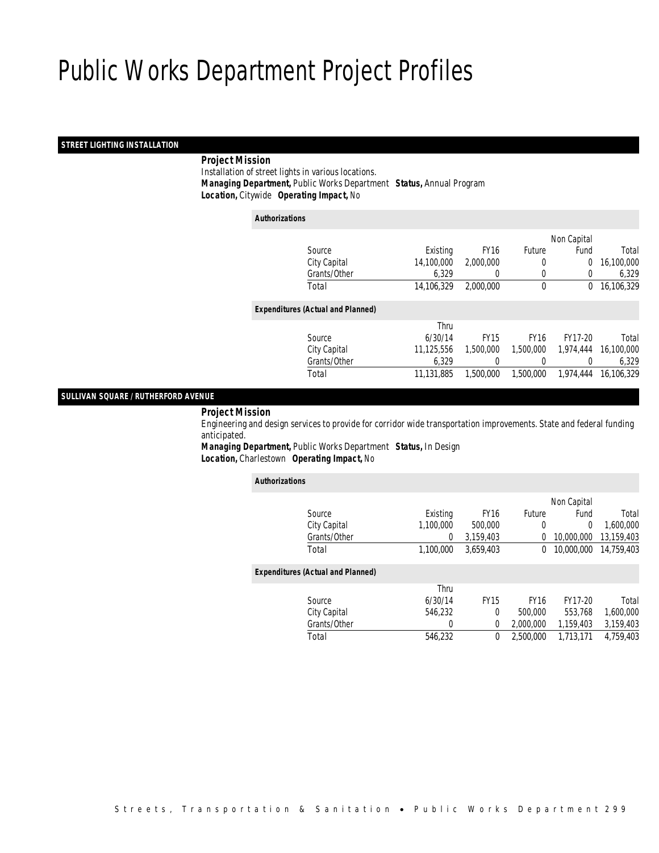### *STREET LIGHTING INSTALLATION*

#### *Project Mission*

 Installation of street lights in various locations. *Managing Department,* Public Works Department *Status,* Annual Program*Location,* Citywide *Operating Impact,* No

| <b>Authorizations</b> |                                          |            |             |             |                |            |
|-----------------------|------------------------------------------|------------|-------------|-------------|----------------|------------|
|                       |                                          |            |             |             | Non Capital    |            |
|                       | Source                                   | Existing   | <b>FY16</b> | Future      | Fund           | Total      |
|                       | City Capital                             | 14,100,000 | 2,000,000   | 0           | $\overline{0}$ | 16,100,000 |
|                       | Grants/Other                             | 6.329      | 0           | 0           | $\Omega$       | 6.329      |
|                       | Total                                    | 14.106.329 | 2,000,000   | $\theta$    | $\Omega$       | 16,106,329 |
|                       | <b>Expenditures (Actual and Planned)</b> |            |             |             |                |            |
|                       |                                          | Thru       |             |             |                |            |
|                       | Source                                   | 6/30/14    | <b>FY15</b> | <b>FY16</b> | FY17-20        | Total      |
|                       | City Capital                             | 11,125,556 | 1,500,000   | 1.500.000   | 1.974.444      | 16,100,000 |
|                       | Grants/Other                             | 6.329      |             |             |                | 6,329      |
|                       | Total                                    | 11.131.885 | 1,500,000   | 1,500,000   | 1.974.444      | 16,106,329 |
|                       |                                          |            |             |             |                |            |

### *SULLIVAN SQUARE / RUTHERFORD AVENUE*

#### *Project Mission*

 Engineering and design services to provide for corridor wide transportation improvements. State and federal funding anticipated.

*Managing Department,* Public Works Department *Status,* In Design*Location,* Charlestown *Operating Impact,* No

*Authorizations*

|                                          |           |             |                | Non Capital |            |
|------------------------------------------|-----------|-------------|----------------|-------------|------------|
| Source                                   | Existing  | <b>FY16</b> | Future         | Fund        | Total      |
| City Capital                             | 1,100,000 | 500,000     | 0              | 0           | 1,600,000  |
| Grants/Other                             | 0         | 3,159,403   | $\overline{0}$ | 10,000,000  | 13,159,403 |
| Total                                    | 1,100,000 | 3,659,403   | $\mathbf{0}$   | 10,000,000  | 14,759,403 |
|                                          |           |             |                |             |            |
| <b>Expenditures (Actual and Planned)</b> |           |             |                |             |            |
|                                          | Thru      |             |                |             |            |
| Source                                   | 6/30/14   | <b>FY15</b> | <b>FY16</b>    | FY17-20     | Total      |
| City Capital                             | 546,232   | 0           | 500,000        | 553,768     | 1,600,000  |
| Grants/Other                             | 0         | 0           | 2,000,000      | 1,159,403   | 3,159,403  |
| Total                                    | 546,232   | 0           | 2,500,000      | 1,713,171   | 4,759,403  |
|                                          |           |             |                |             |            |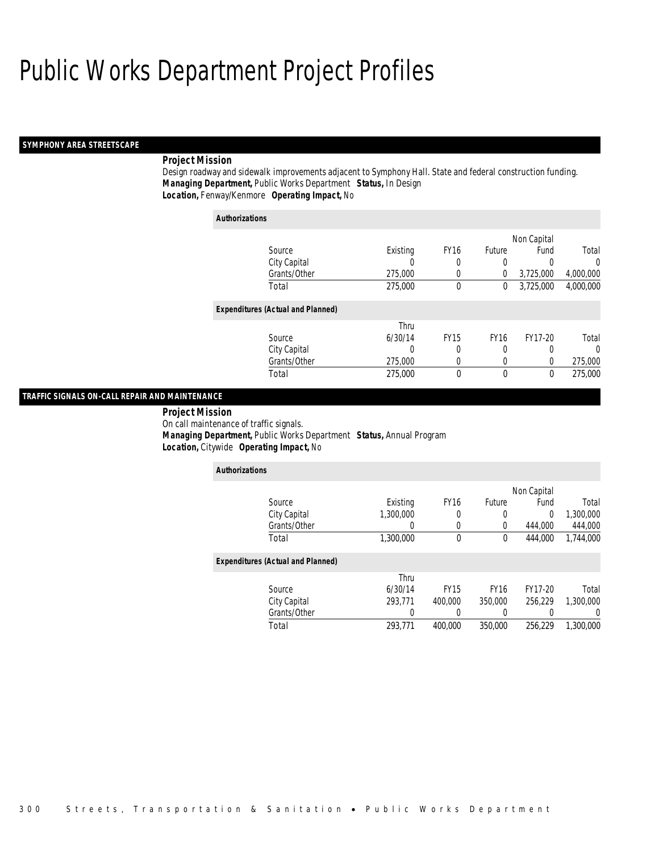#### *SYMPHONY AREA STREETSCAPE*

#### *Project Mission*

Design roadway and sidewalk improvements adjacent to Symphony Hall. State and federal construction funding. *Managing Department,* Public Works Department *Status,* In Design*Location,* Fenway/Kenmore *Operating Impact,* No

| <b>Authorizations</b> |                                          |          |             |               |             |           |
|-----------------------|------------------------------------------|----------|-------------|---------------|-------------|-----------|
|                       |                                          |          |             |               | Non Capital |           |
|                       | Source                                   | Existing | <b>FY16</b> | <b>Future</b> | Fund        | Total     |
|                       | City Capital                             | 0        | 0           | 0             |             | 0         |
|                       | Grants/Other                             | 275,000  | 0           | 0             | 3,725,000   | 4,000,000 |
|                       | Total                                    | 275,000  | 0           | 0             | 3,725,000   | 4,000,000 |
|                       | <b>Expenditures (Actual and Planned)</b> |          |             |               |             |           |
|                       |                                          | Thru     |             |               |             |           |
|                       | Source                                   | 6/30/14  | <b>FY15</b> | <b>FY16</b>   | FY17-20     | Total     |
|                       | City Capital                             | 0        | 0           | 0             | 0           | 0         |
|                       | Grants/Other                             | 275,000  |             | 0             |             | 275,000   |
|                       | Total                                    | 275,000  | 0           | $\theta$      | 0           | 275,000   |

### *TRAFFIC SIGNALS ON-CALL REPAIR AND MAINTENANCE*

 *Project Mission* On call maintenance of traffic signals. *Managing Department,* Public Works Department *Status,* Annual Program*Location,* Citywide *Operating Impact,* No

| <b>Authorizations</b>                    |           |             |             |             |           |
|------------------------------------------|-----------|-------------|-------------|-------------|-----------|
|                                          |           |             |             | Non Capital |           |
| Source                                   | Existing  | <b>FY16</b> | Future      | Fund        | Total     |
| City Capital                             | 1.300.000 | 0           | 0           | 0           | 1,300,000 |
| Grants/Other                             |           | 0           | 0           | 444,000     | 444,000   |
| Total                                    | 1,300,000 | 0           | 0           | 444,000     | 1,744,000 |
| <b>Expenditures (Actual and Planned)</b> |           |             |             |             |           |
|                                          | Thru      |             |             |             |           |
| Source                                   | 6/30/14   | <b>FY15</b> | <b>FY16</b> | FY17-20     | Total     |
| City Capital                             | 293.771   | 400,000     | 350,000     | 256.229     | 1,300,000 |
| Grants/Other                             |           | 0           | $\left($    | 0           |           |
| Total                                    | 293.771   | 400.000     | 350,000     | 256,229     | 1,300,000 |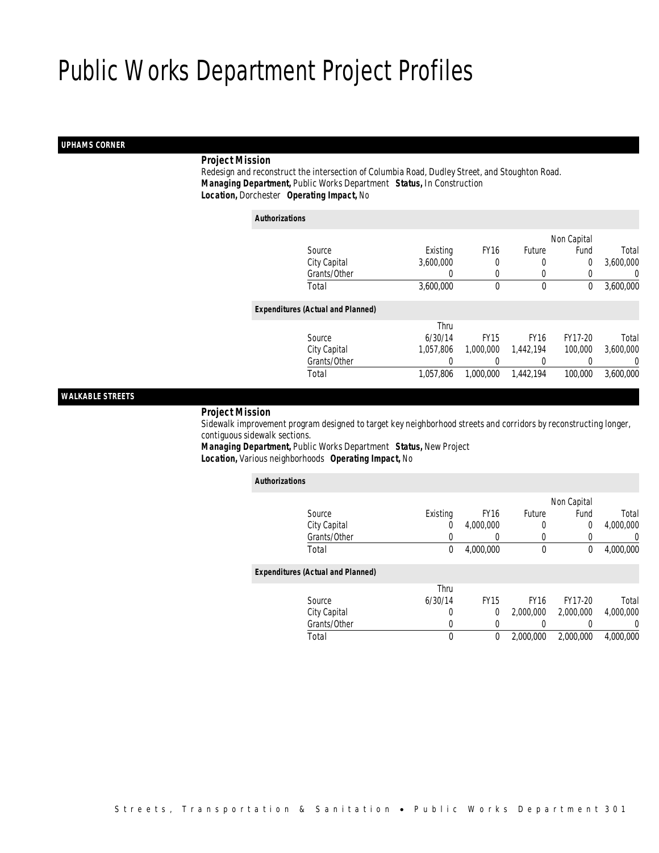#### *UPHAMS CORNER*

### *Project Mission*

 Redesign and reconstruct the intersection of Columbia Road, Dudley Street, and Stoughton Road. *Managing Department,* Public Works Department *Status,* In Construction*Location,* Dorchester *Operating Impact,* No

|                                          |           |             |             | Non Capital |           |
|------------------------------------------|-----------|-------------|-------------|-------------|-----------|
| Source                                   | Existing  | <b>FY16</b> | Future      | Fund        | Total     |
| City Capital                             | 3,600,000 | 0           | 0           | 0           | 3,600,000 |
| Grants/Other                             | 0         | 0           | 0           | 0           |           |
| Total                                    | 3,600,000 | 0           | 0           | 0           | 3,600,000 |
|                                          |           |             |             |             |           |
|                                          |           |             |             |             |           |
| <b>Expenditures (Actual and Planned)</b> | Thru      |             |             |             |           |
| Source                                   | 6/30/14   | <b>FY15</b> | <b>FY16</b> | FY17-20     | Total     |
| City Capital                             | 1,057,806 | 1,000,000   | 1,442,194   | 100,000     |           |
| Grants/Other                             |           | 0           | 0           | 0           | 3,600,000 |

#### *WALKABLE STREETS*

#### *Project Mission*

 Sidewalk improvement program designed to target key neighborhood streets and corridors by reconstructing longer, contiguous sidewalk sections.

*Managing Department,* Public Works Department *Status,* New Project*Location,* Various neighborhoods *Operating Impact,* No

| <b>Authorizations</b>                    |          |             |             |           |           |
|------------------------------------------|----------|-------------|-------------|-----------|-----------|
|                                          |          |             | Non Capital |           |           |
| Source                                   | Existing | <b>FY16</b> | Future      | Fund      | Total     |
| City Capital                             | 0        | 4.000.000   | 0           | 0         | 4.000.000 |
| Grants/Other                             |          | 0           | 0           | O         | 0         |
| Total                                    | 0        | 4,000,000   | 0           | 0         | 4,000,000 |
| <b>Expenditures (Actual and Planned)</b> |          |             |             |           |           |
|                                          | Thru     |             |             |           |           |
| Source                                   | 6/30/14  | <b>FY15</b> | <b>FY16</b> | FY17-20   | Total     |
| City Capital                             | 0        | 0           | 2,000,000   | 2.000.000 | 4.000.000 |
| Grants/Other                             | 0        |             | 0           | 0         | $\left($  |
| Total                                    | 0        | 0           | 2.000.000   | 2.000.000 | 4.000.000 |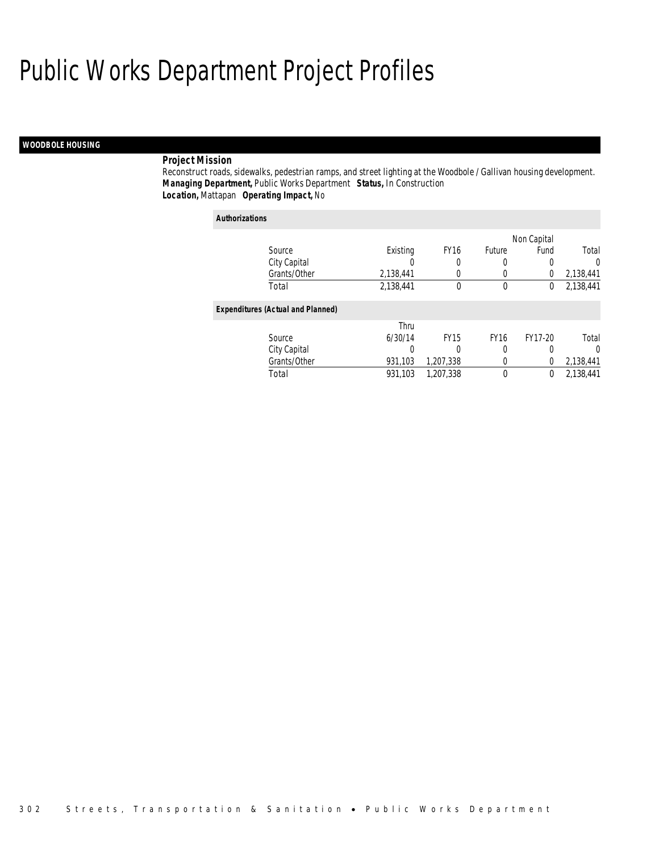### *WOODBOLE HOUSING*

### *Project Mission*

Reconstruct roads, sidewalks, pedestrian ramps, and street lighting at the Woodbole / Gallivan housing development. *Managing Department,* Public Works Department *Status,* In Construction*Location,* Mattapan *Operating Impact,* No

| <b>Authorizations</b> |                                          |           |             |             |             |           |
|-----------------------|------------------------------------------|-----------|-------------|-------------|-------------|-----------|
|                       |                                          |           |             |             | Non Capital |           |
|                       | Source                                   | Existing  | <b>FY16</b> | Future      | Fund        | Total     |
|                       | City Capital                             |           | 0           |             | 0           | 0         |
|                       | Grants/Other                             | 2,138,441 | 0           | 0           | 0           | 2,138,441 |
|                       | Total                                    | 2.138.441 | $\theta$    | $\theta$    | 0           | 2.138.441 |
|                       | <b>Expenditures (Actual and Planned)</b> |           |             |             |             |           |
|                       |                                          | Thru      |             |             |             |           |
|                       | Source                                   | 6/30/14   | <b>FY15</b> | <b>FY16</b> | FY17-20     | Total     |
|                       | City Capital                             |           |             | 0           | 0           | $\Omega$  |
|                       | Grants/Other                             | 931,103   | 1,207,338   | 0           | 0           | 2,138,441 |
|                       | Total                                    | 931.103   | 1.207.338   | $\mathbf 0$ | 0           | 2.138.441 |
|                       |                                          |           |             |             |             |           |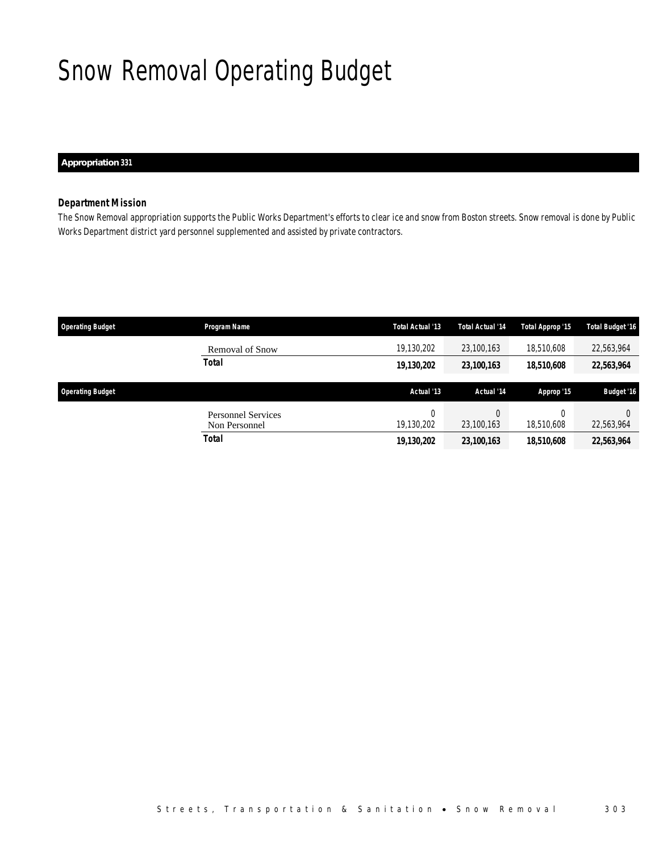# Snow Removal Operating Budget

*Appropriation 331* 

### *Department Mission*

The Snow Removal appropriation supports the Public Works Department's efforts to clear ice and snow from Boston streets. Snow removal is done by Public Works Department district yard personnel supplemented and assisted by private contractors.

| <b>Operating Budget</b> | Program Name                               | Total Actual '13 | <b>Total Actual '14</b> | Total Approp '15 | <b>Total Budget '16</b> |
|-------------------------|--------------------------------------------|------------------|-------------------------|------------------|-------------------------|
|                         | <b>Removal of Snow</b>                     | 19,130,202       | 23,100,163              | 18,510,608       | 22,563,964              |
|                         | Total                                      | 19,130,202       | 23,100,163              | 18,510,608       | 22,563,964              |
| <b>Operating Budget</b> |                                            | Actual '13       | Actual '14              | Approp '15       | <b>Budget '16</b>       |
|                         | <b>Personnel Services</b><br>Non Personnel | 19,130,202       | 0<br>23,100,163         | 18,510,608       | 22,563,964              |
|                         |                                            |                  |                         |                  |                         |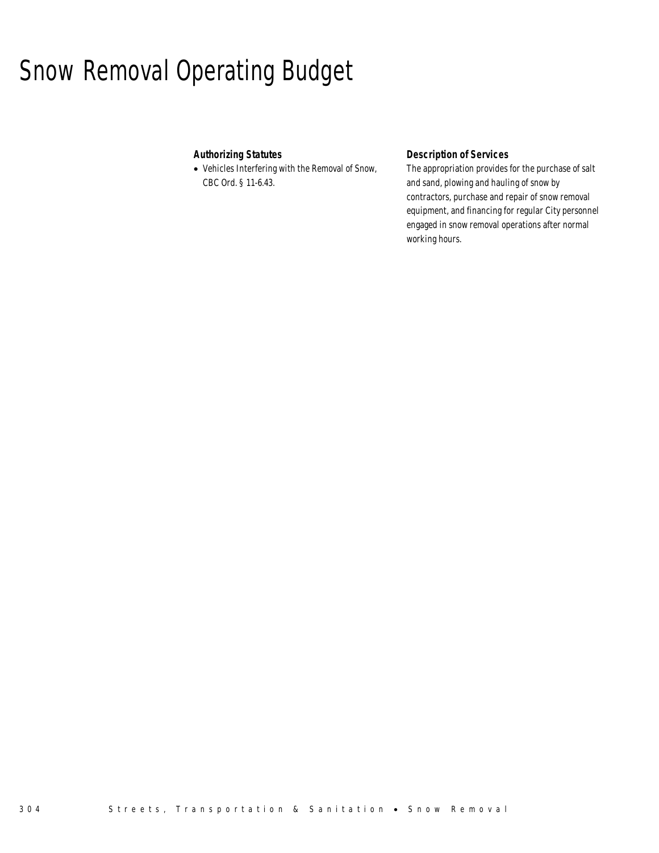# Snow Removal Operating Budget

### *Authorizing Statutes*

• Vehicles Interfering with the Removal of Snow, CBC Ord. § 11-6.43.

### *Description of Services*

The appropriation provides for the purchase of salt and sand, plowing and hauling of snow by contractors, purchase and repair of snow removal equipment, and financing for regular City personnel engaged in snow removal operations after normal working hours.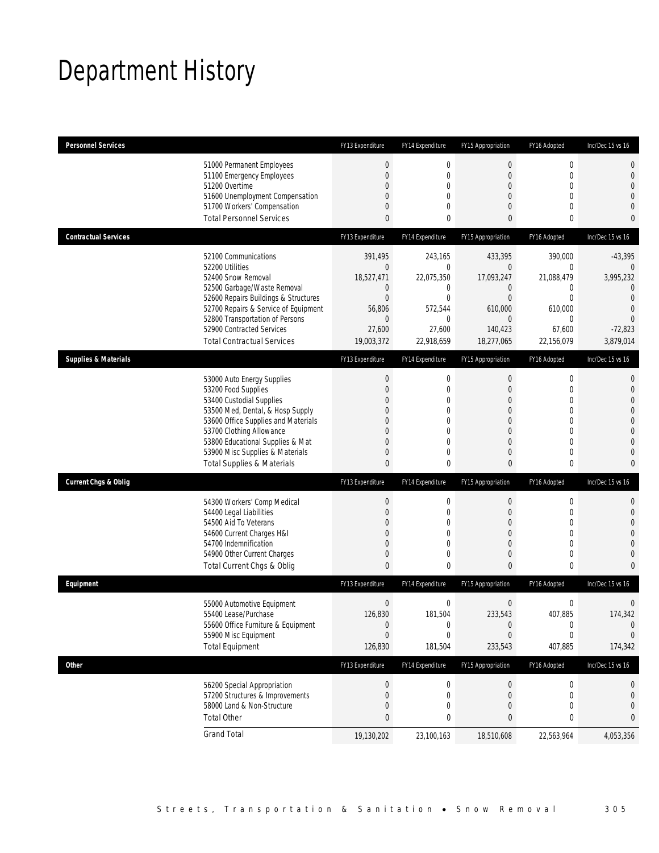# Department History

| <b>Personnel Services</b>                                                                                                                                                                                                                                                                            | FY13 Expenditure                                                                                            | FY14 Expenditure                                                                                             | FY15 Appropriation                                                                                                              | FY16 Adopted                                                                                                                                 | Inc/Dec 15 vs 16                                                                                                           |
|------------------------------------------------------------------------------------------------------------------------------------------------------------------------------------------------------------------------------------------------------------------------------------------------------|-------------------------------------------------------------------------------------------------------------|--------------------------------------------------------------------------------------------------------------|---------------------------------------------------------------------------------------------------------------------------------|----------------------------------------------------------------------------------------------------------------------------------------------|----------------------------------------------------------------------------------------------------------------------------|
| 51000 Permanent Employees<br>51100 Emergency Employees<br>51200 Overtime<br>51600 Unemployment Compensation<br>51700 Workers' Compensation<br><b>Total Personnel Services</b>                                                                                                                        | $\boldsymbol{0}$<br>$\theta$<br>0<br>0<br>0<br>0                                                            | $\boldsymbol{0}$<br>$\mathbf{0}$<br>$\mathbf{0}$<br>$\mathbf{0}$<br>$\mathbf{0}$<br>0                        | $\mathbf 0$<br>$\mathbf 0$<br>$\mathbf 0$<br>$\mathbf{0}$<br>$\mathbf{0}$<br>$\bf{0}$                                           | $\mathbf 0$<br>$\mathbf 0$<br>$\mathbf 0$<br>$\overline{0}$<br>$\overline{0}$<br>$\mathbf 0$                                                 | 0<br>0<br>0<br>0<br>0<br>0                                                                                                 |
| <b>Contractual Services</b>                                                                                                                                                                                                                                                                          | FY13 Expenditure                                                                                            | FY14 Expenditure                                                                                             | FY15 Appropriation                                                                                                              | FY16 Adopted                                                                                                                                 | Inc/Dec 15 vs 16                                                                                                           |
| 52100 Communications<br>52200 Utilities<br>52400 Snow Removal<br>52500 Garbage/Waste Removal<br>52600 Repairs Buildings & Structures<br>52700 Repairs & Service of Equipment<br>52800 Transportation of Persons<br>52900 Contracted Services<br><b>Total Contractual Services</b>                    | 391,495<br>$\mathbf{0}$<br>18,527,471<br>0<br>$\mathbf{0}$<br>56,806<br>$\mathbf 0$<br>27,600<br>19,003,372 | 243,165<br>$\mathbf 0$<br>22,075,350<br>0<br>$\mathbf{0}$<br>572,544<br>$\mathbf{0}$<br>27,600<br>22,918,659 | 433,395<br>$\boldsymbol{0}$<br>17,093,247<br>$\mathbf 0$<br>$\mathbf{0}$<br>610,000<br>$\theta$<br>140,423<br>18,277,065        | 390,000<br>$\mathbf 0$<br>21,088,479<br>0<br>$\overline{0}$<br>610,000<br>$\mathbf 0$<br>67,600<br>22,156,079                                | $-43,395$<br>$\mathbf 0$<br>3,995,232<br>0<br>$\overline{0}$<br>$\overline{0}$<br>$\overline{0}$<br>$-72,823$<br>3,879,014 |
| <b>Supplies &amp; Materials</b>                                                                                                                                                                                                                                                                      | FY13 Expenditure                                                                                            | FY14 Expenditure                                                                                             | FY15 Appropriation                                                                                                              | FY16 Adopted                                                                                                                                 | Inc/Dec 15 vs 16                                                                                                           |
| 53000 Auto Energy Supplies<br>53200 Food Supplies<br>53400 Custodial Supplies<br>53500 Med, Dental, & Hosp Supply<br>53600 Office Supplies and Materials<br>53700 Clothing Allowance<br>53800 Educational Supplies & Mat<br>53900 Misc Supplies & Materials<br><b>Total Supplies &amp; Materials</b> | $\boldsymbol{0}$<br>0<br>0<br>0<br>0<br>0<br>0<br>0<br>$\bf{0}$                                             | 0<br>$\mathbf{0}$<br>0<br>$\mathbf 0$<br>0<br>$\mathbf{0}$<br>$\mathbf{0}$<br>$\mathbf{0}$<br>0              | $\bf{0}$<br>$\mathbf{0}$<br>$\theta$<br>$\mathbf 0$<br>$\theta$<br>$\mathbf{0}$<br>$\mathbf{0}$<br>$\mathbf{0}$<br>$\mathbf{0}$ | 0<br>$\overline{0}$<br>$\mathbf{0}$<br>$\overline{0}$<br>$\overline{0}$<br>$\overline{0}$<br>$\overline{0}$<br>$\overline{0}$<br>$\mathbf 0$ | 0<br>$\mathbf 0$<br>0<br>0<br>0<br>0<br>0<br>0<br>0                                                                        |
| <b>Current Chgs &amp; Oblig</b>                                                                                                                                                                                                                                                                      | FY13 Expenditure                                                                                            | FY14 Expenditure                                                                                             | FY15 Appropriation                                                                                                              | FY16 Adopted                                                                                                                                 | Inc/Dec 15 vs 16                                                                                                           |
| 54300 Workers' Comp Medical<br>54400 Legal Liabilities<br>54500 Aid To Veterans<br>54600 Current Charges H&I<br>54700 Indemnification<br>54900 Other Current Charges<br>Total Current Chgs & Oblig                                                                                                   | $\boldsymbol{0}$<br>$\boldsymbol{0}$<br>0<br>0<br>0<br>$\theta$<br>0                                        | 0<br>$\mathbf 0$<br>0<br>$\mathbf 0$<br>$\mathbf{0}$<br>0<br>0                                               | $\bf{0}$<br>$\mathbf 0$<br>$\mathbf{0}$<br>$\mathbf 0$<br>$\mathbf{0}$<br>$\mathbf 0$<br>$\mathbf{0}$                           | 0<br>$\mathbf{0}$<br>$\overline{0}$<br>$\overline{0}$<br>$\overline{0}$<br>$\mathbf 0$<br>$\mathbf 0$                                        | 0<br>$\mathbf 0$<br>0<br>0<br>0<br>0<br>0                                                                                  |
| Equipment                                                                                                                                                                                                                                                                                            | FY13 Expenditure                                                                                            | FY14 Expenditure                                                                                             | FY15 Appropriation                                                                                                              | FY16 Adopted                                                                                                                                 | Inc/Dec 15 vs 16                                                                                                           |
| 55000 Automotive Equipment<br>55400 Lease/Purchase<br>55600 Office Furniture & Equipment<br>55900 Misc Equipment<br><b>Total Equipment</b>                                                                                                                                                           | 0<br>126,830<br>$\boldsymbol{0}$<br>$\boldsymbol{0}$<br>126,830                                             | 0<br>181,504<br>$\boldsymbol{0}$<br>$\mathbf{0}$<br>181,504                                                  | $\mathbf 0$<br>233,543<br>$\boldsymbol{0}$<br>$\mathbf 0$<br>233,543                                                            | 0<br>407,885<br>0<br>$\overline{0}$<br>407,885                                                                                               | $\mathbf 0$<br>174,342<br>$\mathbf{0}$<br>0<br>174,342                                                                     |
| <b>Other</b>                                                                                                                                                                                                                                                                                         | FY13 Expenditure                                                                                            | FY14 Expenditure                                                                                             | FY15 Appropriation                                                                                                              | FY16 Adopted                                                                                                                                 | Inc/Dec 15 vs 16                                                                                                           |
| 56200 Special Appropriation<br>57200 Structures & Improvements<br>58000 Land & Non-Structure<br><b>Total Other</b>                                                                                                                                                                                   | $\boldsymbol{0}$<br>0<br>0<br>0                                                                             | 0<br>0<br>$\mathbf 0$<br>0                                                                                   | $\bf{0}$<br>$\theta$<br>$\theta$<br>0                                                                                           | 0<br>0<br>0<br>0                                                                                                                             | 0<br>0<br>0<br>0                                                                                                           |
| <b>Grand Total</b>                                                                                                                                                                                                                                                                                   | 19,130,202                                                                                                  | 23,100,163                                                                                                   | 18,510,608                                                                                                                      | 22,563,964                                                                                                                                   | 4,053,356                                                                                                                  |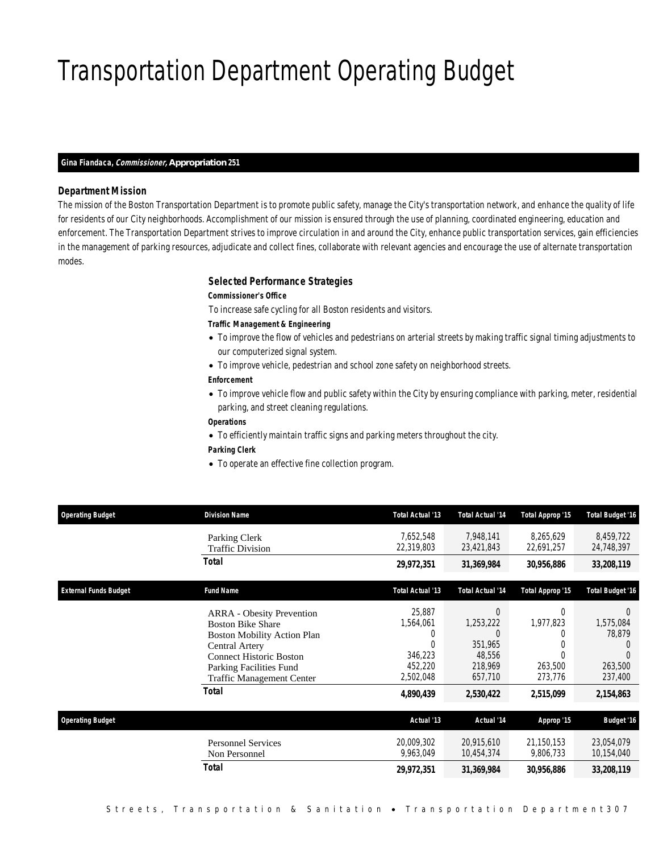# Transportation Department Operating Budget

#### *Gina Fiandaca, Commissioner, Appropriation 251*

### *Department Mission*

The mission of the Boston Transportation Department is to promote public safety, manage the City's transportation network, and enhance the quality of life for residents of our City neighborhoods. Accomplishment of our mission is ensured through the use of planning, coordinated engineering, education and enforcement. The Transportation Department strives to improve circulation in and around the City, enhance public transportation services, gain efficiencies in the management of parking resources, adjudicate and collect fines, collaborate with relevant agencies and encourage the use of alternate transportation modes.

#### *Selected Performance Strategies*

### *Commissioner's Office*

To increase safe cycling for all Boston residents and visitors.

#### *Traffic Management & Engineering*

- To improve the flow of vehicles and pedestrians on arterial streets by making traffic signal timing adjustments to our computerized signal system.
- To improve vehicle, pedestrian and school zone safety on neighborhood streets.

#### *Enforcement*

• To improve vehicle flow and public safety within the City by ensuring compliance with parking, meter, residential parking, and street cleaning regulations.

#### *Operations*

• To efficiently maintain traffic signs and parking meters throughout the city.

#### *Parking Clerk*

• To operate an effective fine collection program.

| <b>Operating Budget</b>      | <b>Division Name</b>                                                                                                                                                                                                                         | <b>Total Actual '13</b>                                                  | <b>Total Actual '14</b>                                                                   | Total Approp '15                                         | <b>Total Budget '16</b>                                            |
|------------------------------|----------------------------------------------------------------------------------------------------------------------------------------------------------------------------------------------------------------------------------------------|--------------------------------------------------------------------------|-------------------------------------------------------------------------------------------|----------------------------------------------------------|--------------------------------------------------------------------|
|                              | Parking Clerk<br><b>Traffic Division</b>                                                                                                                                                                                                     | 7,652,548<br>22,319,803                                                  | 7,948,141<br>23,421,843                                                                   | 8,265,629<br>22,691,257                                  | 8,459,722<br>24,748,397                                            |
|                              | <b>Total</b>                                                                                                                                                                                                                                 | 29,972,351                                                               | 31,369,984                                                                                | 30,956,886                                               | 33,208,119                                                         |
| <b>External Funds Budget</b> | <b>Fund Name</b>                                                                                                                                                                                                                             | Total Actual '13                                                         | Total Actual '14                                                                          | Total Approp '15                                         | <b>Total Budget '16</b>                                            |
|                              | <b>ARRA</b> - Obesity Prevention<br><b>Boston Bike Share</b><br><b>Boston Mobility Action Plan</b><br><b>Central Artery</b><br><b>Connect Historic Boston</b><br>Parking Facilities Fund<br><b>Traffic Management Center</b><br><b>Total</b> | 25,887<br>1,564,061<br>C<br>346,223<br>452,220<br>2,502,048<br>4,890,439 | $\Omega$<br>1,253,222<br>$\Omega$<br>351,965<br>48.556<br>218,969<br>657,710<br>2,530,422 | $\Omega$<br>1,977,823<br>263,500<br>273,776<br>2,515,099 | $\Omega$<br>1,575,084<br>78,879<br>263,500<br>237,400<br>2,154,863 |
| <b>Operating Budget</b>      |                                                                                                                                                                                                                                              | Actual '13                                                               | Actual '14                                                                                | Approp '15                                               | <b>Budget '16</b>                                                  |
|                              | <b>Personnel Services</b><br>Non Personnel                                                                                                                                                                                                   | 20,009,302<br>9,963,049                                                  | 20,915,610<br>10,454,374                                                                  | 21,150,153<br>9,806,733                                  | 23,054,079<br>10,154,040                                           |
|                              | <b>Total</b>                                                                                                                                                                                                                                 | 29,972,351                                                               | 31,369,984                                                                                | 30,956,886                                               | 33,208,119                                                         |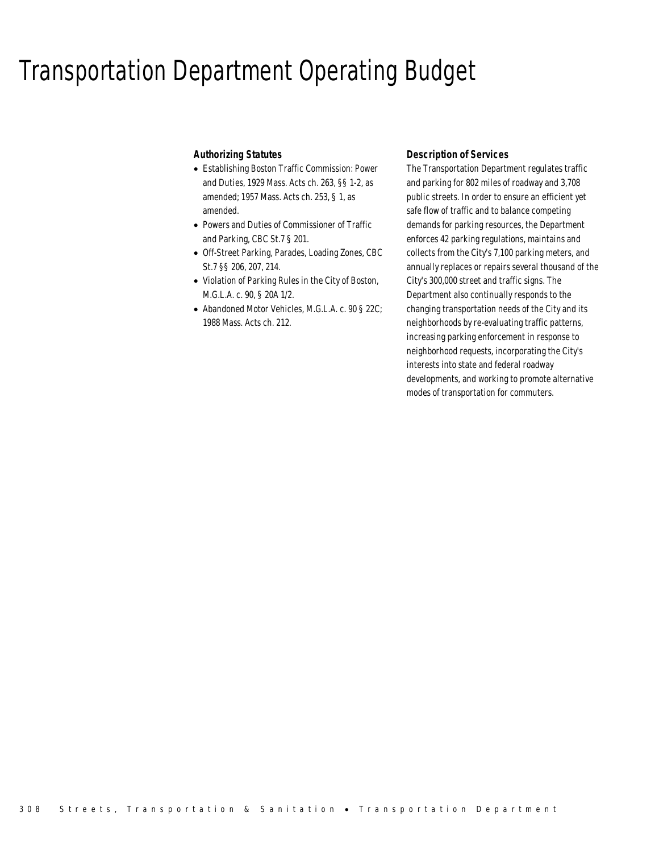## Transportation Department Operating Budget

### *Authorizing Statutes*

- Establishing Boston Traffic Commission: Power and Duties, 1929 Mass. Acts ch. 263, §§ 1-2, as amended; 1957 Mass. Acts ch. 253, § 1, as amended.
- Powers and Duties of Commissioner of Traffic and Parking, CBC St.7 § 201.
- Off-Street Parking, Parades, Loading Zones, CBC St.7 §§ 206, 207, 214.
- Violation of Parking Rules in the City of Boston, M.G.L.A. c. 90, § 20A 1/2.
- Abandoned Motor Vehicles, M.G.L.A. c. 90 § 22C; 1988 Mass. Acts ch. 212.

### *Description of Services*

The Transportation Department regulates traffic and parking for 802 miles of roadway and 3,708 public streets. In order to ensure an efficient yet safe flow of traffic and to balance competing demands for parking resources, the Department enforces 42 parking regulations, maintains and collects from the City's 7,100 parking meters, and annually replaces or repairs several thousand of the City's 300,000 street and traffic signs. The Department also continually responds to the changing transportation needs of the City and its neighborhoods by re-evaluating traffic patterns, increasing parking enforcement in response to neighborhood requests, incorporating the City's interests into state and federal roadway developments, and working to promote alternative modes of transportation for commuters.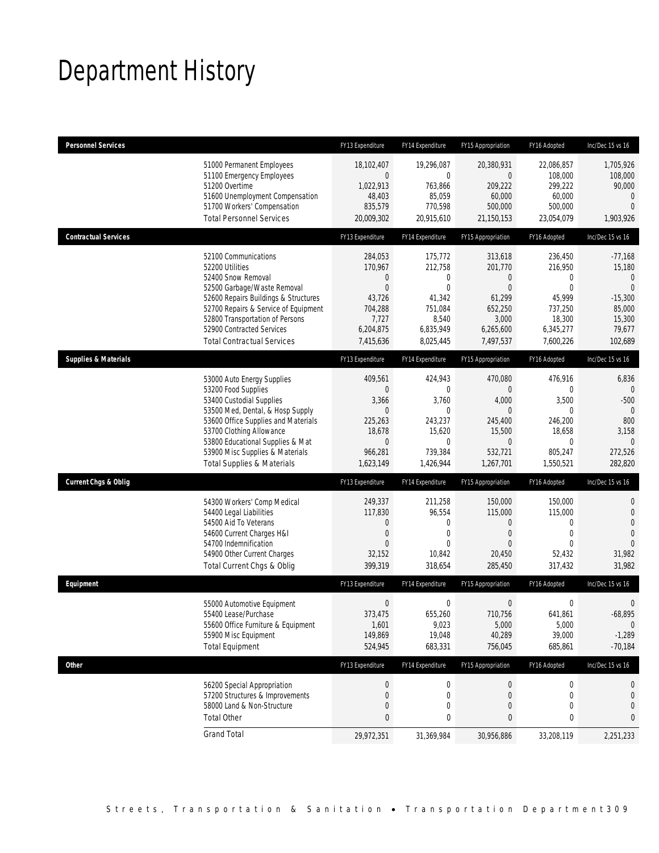# Department History

| <b>Personnel Services</b>       |                                                                                                                                                                                                                                                                                           | FY13 Expenditure                                                                                       | FY14 Expenditure                                                                                           | FY15 Appropriation                                                                                            | FY16 Adopted                                                                                               | Inc/Dec 15 vs 16                                                                                       |
|---------------------------------|-------------------------------------------------------------------------------------------------------------------------------------------------------------------------------------------------------------------------------------------------------------------------------------------|--------------------------------------------------------------------------------------------------------|------------------------------------------------------------------------------------------------------------|---------------------------------------------------------------------------------------------------------------|------------------------------------------------------------------------------------------------------------|--------------------------------------------------------------------------------------------------------|
|                                 | 51000 Permanent Employees<br>51100 Emergency Employees<br>51200 Overtime<br>51600 Unemployment Compensation<br>51700 Workers' Compensation<br><b>Total Personnel Services</b>                                                                                                             | 18,102,407<br>$\overline{0}$<br>1,022,913<br>48,403<br>835,579<br>20,009,302                           | 19,296,087<br>$\mathbf 0$<br>763,866<br>85,059<br>770,598<br>20,915,610                                    | 20,380,931<br>$\mathbf 0$<br>209,222<br>60,000<br>500,000<br>21,150,153                                       | 22,086,857<br>108,000<br>299,222<br>60,000<br>500,000<br>23,054,079                                        | 1,705,926<br>108,000<br>90,000<br>$\mathbf{0}$<br>$\theta$<br>1,903,926                                |
| <b>Contractual Services</b>     |                                                                                                                                                                                                                                                                                           | FY13 Expenditure                                                                                       | FY14 Expenditure                                                                                           | FY15 Appropriation                                                                                            | FY16 Adopted                                                                                               | Inc/Dec 15 vs 16                                                                                       |
|                                 | 52100 Communications<br>52200 Utilities<br>52400 Snow Removal<br>52500 Garbage/Waste Removal<br>52600 Repairs Buildings & Structures<br>52700 Repairs & Service of Equipment<br>52800 Transportation of Persons<br>52900 Contracted Services<br><b>Total Contractual Services</b>         | 284,053<br>170,967<br>0<br>$\overline{0}$<br>43,726<br>704,288<br>7,727<br>6,204,875<br>7,415,636      | 175,772<br>212,758<br>0<br>0<br>41,342<br>751,084<br>8,540<br>6,835,949<br>8,025,445                       | 313,618<br>201,770<br>0<br>$\mathbf{0}$<br>61,299<br>652,250<br>3,000<br>6,265,600<br>7,497,537               | 236,450<br>216,950<br>0<br>$\mathbf{0}$<br>45,999<br>737,250<br>18,300<br>6,345,277<br>7,600,226           | $-77,168$<br>15,180<br>$\mathbf{0}$<br>$\Omega$<br>$-15,300$<br>85,000<br>15,300<br>79,677<br>102,689  |
| <b>Supplies &amp; Materials</b> |                                                                                                                                                                                                                                                                                           | FY13 Expenditure                                                                                       | FY14 Expenditure                                                                                           | FY15 Appropriation                                                                                            | FY16 Adopted                                                                                               | Inc/Dec 15 vs 16                                                                                       |
|                                 | 53000 Auto Energy Supplies<br>53200 Food Supplies<br>53400 Custodial Supplies<br>53500 Med, Dental, & Hosp Supply<br>53600 Office Supplies and Materials<br>53700 Clothing Allowance<br>53800 Educational Supplies & Mat<br>53900 Misc Supplies & Materials<br>Total Supplies & Materials | 409,561<br>$\overline{0}$<br>3,366<br>$\overline{0}$<br>225,263<br>18,678<br>0<br>966,281<br>1,623,149 | 424,943<br>$\mathbf 0$<br>3,760<br>$\mathbf 0$<br>243,237<br>15,620<br>$\mathbf 0$<br>739,384<br>1,426,944 | 470,080<br>$\overline{0}$<br>4,000<br>$\overline{0}$<br>245,400<br>15,500<br>$\theta$<br>532,721<br>1,267,701 | 476,916<br>$\mathbf 0$<br>3,500<br>$\mathbf 0$<br>246,200<br>18,658<br>$\mathbf 0$<br>805,247<br>1,550,521 | 6,836<br>$\mathbf{0}$<br>$-500$<br>$\Omega$<br>800<br>3,158<br>$\theta$<br>272,526<br>282,820          |
| <b>Current Chgs &amp; Oblig</b> |                                                                                                                                                                                                                                                                                           | FY13 Expenditure                                                                                       | FY14 Expenditure                                                                                           | FY15 Appropriation                                                                                            | FY16 Adopted                                                                                               | Inc/Dec 15 vs 16                                                                                       |
|                                 | 54300 Workers' Comp Medical<br>54400 Legal Liabilities<br>54500 Aid To Veterans<br>54600 Current Charges H&I<br>54700 Indemnification<br>54900 Other Current Charges<br>Total Current Chgs & Oblig                                                                                        | 249,337<br>117,830<br>$\mathbf 0$<br>0<br>$\Omega$<br>32,152<br>399,319                                | 211,258<br>96,554<br>0<br>0<br>0<br>10,842<br>318,654                                                      | 150,000<br>115,000<br>0<br>$\theta$<br>$\theta$<br>20.450<br>285,450                                          | 150,000<br>115,000<br>$\mathbf 0$<br>$\mathbf{0}$<br>$\Omega$<br>52,432<br>317,432                         | $\mathbf{0}$<br>$\mathbf{0}$<br>$\overline{0}$<br>$\overline{0}$<br>$\overline{0}$<br>31,982<br>31,982 |
| Equipment                       |                                                                                                                                                                                                                                                                                           | FY13 Expenditure                                                                                       | FY14 Expenditure                                                                                           | FY15 Appropriation                                                                                            | FY16 Adopted                                                                                               | Inc/Dec 15 vs 16                                                                                       |
|                                 | 55000 Automotive Equipment<br>55400 Lease/Purchase<br>55600 Office Furniture & Equipment<br>55900 Misc Equipment<br><b>Total Equipment</b>                                                                                                                                                | $\mathbf 0$<br>373,475<br>1,601<br>149,869<br>524,945                                                  | 0<br>655,260<br>9,023<br>19,048<br>683,331                                                                 | $\mathbf{0}$<br>710,756<br>5,000<br>40,289<br>756,045                                                         | $\mathbf 0$<br>641,861<br>5,000<br>39,000<br>685,861                                                       | $\mathbf 0$<br>$-68,895$<br>$\Omega$<br>$-1,289$<br>$-70,184$                                          |
| Other                           |                                                                                                                                                                                                                                                                                           | FY13 Expenditure                                                                                       | FY14 Expenditure                                                                                           | FY15 Appropriation                                                                                            | FY16 Adopted                                                                                               | Inc/Dec 15 vs 16                                                                                       |
|                                 | 56200 Special Appropriation<br>57200 Structures & Improvements<br>58000 Land & Non-Structure<br><b>Total Other</b>                                                                                                                                                                        | $\pmb{0}$<br>0<br>0<br>0                                                                               | $\boldsymbol{0}$<br>$\mathbf 0$<br>0<br>0                                                                  | $\bf{0}$<br>$\theta$<br>0<br>0                                                                                | $\boldsymbol{0}$<br>$\mathbf 0$<br>$\mathbf 0$<br>0                                                        | 0<br>0<br>0<br>0                                                                                       |
|                                 | <b>Grand Total</b>                                                                                                                                                                                                                                                                        | 29,972,351                                                                                             | 31,369,984                                                                                                 | 30,956,886                                                                                                    | 33,208,119                                                                                                 | 2,251,233                                                                                              |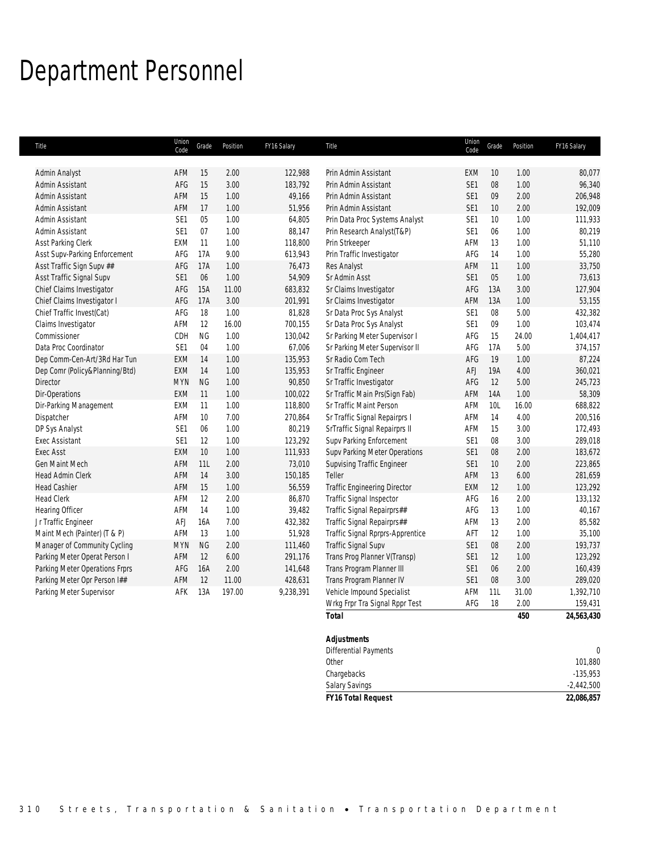# Department Personnel

| Title                          | Union<br>Code   | Grade      | Position | FY16 Salary | Title                               | Union<br>Code   | Grade           | Position | FY16 Salary |
|--------------------------------|-----------------|------------|----------|-------------|-------------------------------------|-----------------|-----------------|----------|-------------|
|                                |                 |            |          |             |                                     |                 |                 |          |             |
| Admin Analyst                  | AFM             | 15         | 2.00     | 122,988     | Prin Admin Assistant                | <b>EXM</b>      | 10              | 1.00     | 80,077      |
| Admin Assistant                | AFG             | 15         | 3.00     | 183,792     | Prin Admin Assistant                | SE1             | 08              | 1.00     | 96,340      |
| Admin Assistant                | AFM             | 15         | 1.00     | 49,166      | Prin Admin Assistant                | SE <sub>1</sub> | 09              | 2.00     | 206,948     |
| Admin Assistant                | AFM             | 17         | 1.00     | 51,956      | Prin Admin Assistant                | SE <sub>1</sub> | 10              | 2.00     | 192,009     |
| Admin Assistant                | SE <sub>1</sub> | 05         | 1.00     | 64,805      | Prin Data Proc Systems Analyst      | SE <sub>1</sub> | 10              | 1.00     | 111,933     |
| Admin Assistant                | SE <sub>1</sub> | 07         | 1.00     | 88,147      | Prin Research Analyst(T&P)          | SE <sub>1</sub> | 06              | 1.00     | 80,219      |
| Asst Parking Clerk             | <b>EXM</b>      | 11         | 1.00     | 118,800     | Prin Strkeeper                      | AFM             | 13              | 1.00     | 51,110      |
| Asst Supv-Parking Enforcement  | AFG             | 17A        | 9.00     | 613,943     | Prin Traffic Investigator           | AFG             | 14              | 1.00     | 55,280      |
| Asst Traffic Sign Supv ##      | AFG             | 17A        | 1.00     | 76,473      | Res Analyst                         | AFM             | 11              | 1.00     | 33,750      |
| Asst Traffic Signal Supv       | SE1             | 06         | 1.00     | 54,909      | Sr Admin Asst                       | SE <sub>1</sub> | 05              | 1.00     | 73,613      |
| Chief Claims Investigator      | AFG             | 15A        | 11.00    | 683,832     | Sr Claims Investigator              | AFG             | 13A             | 3.00     | 127,904     |
| Chief Claims Investigator I    | AFG             | 17A        | 3.00     | 201,991     | Sr Claims Investigator              | AFM             | 13A             | 1.00     | 53,155      |
| Chief Traffic Invest(Cat)      | AFG             | 18         | 1.00     | 81,828      | Sr Data Proc Sys Analyst            | SE <sub>1</sub> | 08              | 5.00     | 432,382     |
| Claims Investigator            | AFM             | 12         | 16.00    | 700,155     | Sr Data Proc Sys Analyst            | SE1             | 09              | 1.00     | 103,474     |
| Commissioner                   | CDH             | <b>NG</b>  | 1.00     | 130,042     | Sr Parking Meter Supervisor I       | AFG             | 15              | 24.00    | 1,404,417   |
| Data Proc Coordinator          | SE <sub>1</sub> | 04         | 1.00     | 67,006      | Sr Parking Meter Supervisor II      | AFG             | 17A             | 5.00     | 374,157     |
| Dep Comm-Cen-Art/3Rd Har Tun   | <b>EXM</b>      | 14         | 1.00     | 135,953     | Sr Radio Com Tech                   | AFG             | 19              | 1.00     | 87,224      |
| Dep Comr (Policy&Planning/Btd) | <b>EXM</b>      | 14         | 1.00     | 135,953     | Sr Traffic Engineer                 | AFJ             | 19A             | 4.00     | 360,021     |
| <b>Director</b>                | <b>MYN</b>      | <b>NG</b>  | 1.00     | 90,850      | Sr Traffic Investigator             | AFG             | 12              | 5.00     | 245,723     |
| Dir-Operations                 | <b>EXM</b>      | 11         | 1.00     | 100,022     | Sr Traffic Main Prs(Sign Fab)       | AFM             | 14A             | 1.00     | 58,309      |
| Dir-Parking Management         | <b>EXM</b>      | 11         | 1.00     | 118,800     | Sr Traffic Maint Person             | AFM             | 10 <sub>L</sub> | 16.00    | 688,822     |
| Dispatcher                     | AFM             | 10         | 7.00     | 270,864     | Sr Traffic Signal Repairprs I       | <b>AFM</b>      | 14              | 4.00     | 200,516     |
| DP Sys Analyst                 | SE <sub>1</sub> | 06         | 1.00     | 80,219      | SrTraffic Signal Repairprs II       | AFM             | 15              | 3.00     | 172,493     |
| <b>Exec Assistant</b>          | SE1             | 12         | 1.00     | 123,292     | Supv Parking Enforcement            | SE <sub>1</sub> | 08              | 3.00     | 289,018     |
| <b>Exec Asst</b>               | <b>EXM</b>      | 10         | 1.00     | 111,933     | Supv Parking Meter Operations       | SE1             | 08              | 2.00     | 183,672     |
| Gen Maint Mech                 | AFM             | 11L        | 2.00     | 73,010      | <b>Supvising Traffic Engineer</b>   | SE <sub>1</sub> | 10              | 2.00     | 223,865     |
| <b>Head Admin Clerk</b>        | AFM             | 14         | 3.00     | 150,185     | Teller                              | AFM             | 13              | 6.00     | 281,659     |
| <b>Head Cashier</b>            | AFM             | 15         | 1.00     | 56,559      | <b>Traffic Engineering Director</b> | EXM             | 12              | 1.00     | 123,292     |
| <b>Head Clerk</b>              | AFM             | 12         | 2.00     | 86,870      | <b>Traffic Signal Inspector</b>     | AFG             | 16              | 2.00     | 133,132     |
| <b>Hearing Officer</b>         | AFM             | 14         | 1.00     | 39,482      | Traffic Signal Repairprs##          | AFG             | 13              | 1.00     | 40,167      |
| Jr Traffic Engineer            | AFJ             | 16A        | 7.00     | 432,382     | Traffic Signal Repairprs##          | AFM             | 13              | 2.00     | 85,582      |
| Maint Mech (Painter) (T & P)   | AFM             | 13         | 1.00     | 51,928      | Traffic Signal Rprprs-Apprentice    | AFT             | 12              | 1.00     | 35,100      |
| Manager of Community Cycling   | <b>MYN</b>      | <b>NG</b>  | 2.00     | 111,460     | <b>Traffic Signal Supv</b>          | SE <sub>1</sub> | 08              | 2.00     | 193,737     |
| Parking Meter Operat Person I  | AFM             | 12         | 6.00     | 291,176     | Trans Prog Planner V(Transp)        | SE <sub>1</sub> | 12              | 1.00     | 123,292     |
| Parking Meter Operations Frprs | AFG             | <b>16A</b> | 2.00     | 141,648     | Trans Program Planner III           | SE <sub>1</sub> | 06              | 2.00     | 160,439     |
| Parking Meter Opr Person I##   | AFM             | 12         | 11.00    | 428,631     | Trans Program Planner IV            | SE1             | 08              | 3.00     | 289,020     |
| Parking Meter Supervisor       | AFK             | 13A        | 197.00   | 9,238,391   | Vehicle Impound Specialist          | AFM             | 11L             | 31.00    | 1,392,710   |
|                                |                 |            |          |             | Wrkg Frpr Tra Signal Rppr Test      | AFG             | 18              | 2.00     | 159,431     |
|                                |                 |            |          |             | <b>Total</b>                        |                 |                 | 450      | 24,563,430  |
|                                |                 |            |          |             | <b>Adjustments</b>                  |                 |                 |          |             |

| <b>FY16 Total Request</b> | 22,086,857   |
|---------------------------|--------------|
| <b>Salary Savings</b>     | $-2.442.500$ |
| Chargebacks               | $-135.953$   |
| Other                     | 101.880      |
| Differential Payments     | U            |
| Aujustinems               |              |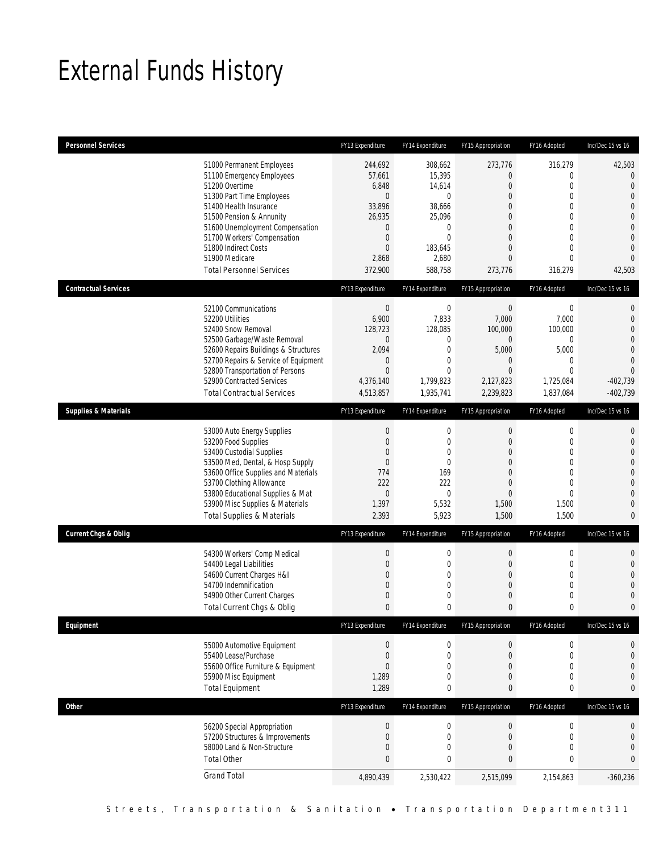# External Funds History

| <b>Personnel Services</b>       |                                                                                                                                                                                                                                                                                                            | FY13 Expenditure                                                                                                                     | FY14 Expenditure                                                                                         | FY15 Appropriation                                                                                                                                                   | FY16 Adopted                                                                                                                                            | Inc/Dec 15 vs 16                                                                                                                                                          |
|---------------------------------|------------------------------------------------------------------------------------------------------------------------------------------------------------------------------------------------------------------------------------------------------------------------------------------------------------|--------------------------------------------------------------------------------------------------------------------------------------|----------------------------------------------------------------------------------------------------------|----------------------------------------------------------------------------------------------------------------------------------------------------------------------|---------------------------------------------------------------------------------------------------------------------------------------------------------|---------------------------------------------------------------------------------------------------------------------------------------------------------------------------|
|                                 | 51000 Permanent Employees<br>51100 Emergency Employees<br>51200 Overtime<br>51300 Part Time Employees<br>51400 Health Insurance<br>51500 Pension & Annunity<br>51600 Unemployment Compensation<br>51700 Workers' Compensation<br>51800 Indirect Costs<br>51900 Medicare<br><b>Total Personnel Services</b> | 244,692<br>57,661<br>6,848<br>$\mathbf 0$<br>33,896<br>26,935<br>$\mathbf 0$<br>$\boldsymbol{0}$<br>$\mathbf{0}$<br>2,868<br>372,900 | 308,662<br>15,395<br>14,614<br>0<br>38,666<br>25,096<br>0<br>$\mathbf{0}$<br>183,645<br>2,680<br>588,758 | 273,776<br>$\overline{0}$<br>$\mathbf{0}$<br>$\overline{0}$<br>$\Omega$<br>$\overline{0}$<br>$\Omega$<br>$\mathbf{0}$<br>$\overline{0}$<br>$\overline{0}$<br>273,776 | 316,279<br>$\mathbf 0$<br>$\mathbf 0$<br>$\mathbf{0}$<br>$\Omega$<br>$\mathbf 0$<br>$\Omega$<br>$\mathbf{0}$<br>$\mathbf{0}$<br>$\mathbf{0}$<br>316,279 | 42,503<br>$\theta$<br>$\overline{0}$<br>$\overline{0}$<br>$\overline{0}$<br>$\overline{0}$<br>$\mathbf 0$<br>$\overline{0}$<br>$\overline{0}$<br>$\overline{0}$<br>42,503 |
| <b>Contractual Services</b>     |                                                                                                                                                                                                                                                                                                            | FY13 Expenditure                                                                                                                     | FY14 Expenditure                                                                                         | FY15 Appropriation                                                                                                                                                   | FY16 Adopted                                                                                                                                            | Inc/Dec 15 vs 16                                                                                                                                                          |
|                                 | 52100 Communications<br>52200 Utilities<br>52400 Snow Removal<br>52500 Garbage/Waste Removal<br>52600 Repairs Buildings & Structures<br>52700 Repairs & Service of Equipment<br>52800 Transportation of Persons<br>52900 Contracted Services<br><b>Total Contractual Services</b>                          | $\boldsymbol{0}$<br>6,900<br>128,723<br>$\mathbf 0$<br>2,094<br>$\mathbf 0$<br>$\mathbf{0}$<br>4,376,140<br>4,513,857                | $\mathbf 0$<br>7,833<br>128,085<br>0<br>0<br>0<br>$\overline{0}$<br>1,799,823<br>1,935,741               | $\bf 0$<br>7,000<br>100,000<br>$\mathbf 0$<br>5,000<br>0<br>$\mathbf{0}$<br>2,127,823<br>2,239,823                                                                   | $\boldsymbol{0}$<br>7,000<br>100,000<br>0<br>5,000<br>$\mathbf 0$<br>$\overline{0}$<br>1,725,084<br>1,837,084                                           | $\mathbf 0$<br>$\mathbf{0}$<br>$\overline{0}$<br>$\overline{0}$<br>$\overline{0}$<br>$\overline{0}$<br>$\overline{0}$<br>$-402,739$<br>$-402,739$                         |
| <b>Supplies &amp; Materials</b> |                                                                                                                                                                                                                                                                                                            | FY13 Expenditure                                                                                                                     | FY14 Expenditure                                                                                         | FY15 Appropriation                                                                                                                                                   | FY16 Adopted                                                                                                                                            | Inc/Dec 15 vs 16                                                                                                                                                          |
|                                 | 53000 Auto Energy Supplies<br>53200 Food Supplies<br>53400 Custodial Supplies<br>53500 Med, Dental, & Hosp Supply<br>53600 Office Supplies and Materials<br>53700 Clothing Allowance<br>53800 Educational Supplies & Mat<br>53900 Misc Supplies & Materials<br><b>Total Supplies &amp; Materials</b>       | $\boldsymbol{0}$<br>$\boldsymbol{0}$<br>$\overline{0}$<br>$\boldsymbol{0}$<br>774<br>222<br>$\mathbf 0$<br>1,397<br>2,393            | 0<br>$\mathbf 0$<br>0<br>$\mathbf{0}$<br>169<br>222<br>$\mathbf 0$<br>5,532<br>5,923                     | 0<br>$\mathbf{0}$<br>$\mathbf{0}$<br>$\overline{0}$<br>$\overline{0}$<br>$\mathbf{0}$<br>$\mathbf{0}$<br>1,500<br>1,500                                              | $\boldsymbol{0}$<br>$\mathbf 0$<br>$\overline{0}$<br>$\mathbf 0$<br>$\mathbf{0}$<br>$\mathbf{0}$<br>$\overline{0}$<br>1,500<br>1,500                    | $\mathbf{0}$<br>$\mathbf 0$<br>$\overline{0}$<br>$\overline{0}$<br>$\mathbf 0$<br>$\overline{0}$<br>$\overline{0}$<br>$\overline{0}$<br>$\mathbf{0}$                      |
| <b>Current Chgs &amp; Oblig</b> |                                                                                                                                                                                                                                                                                                            | FY13 Expenditure                                                                                                                     | FY14 Expenditure                                                                                         | FY15 Appropriation                                                                                                                                                   | FY16 Adopted                                                                                                                                            | Inc/Dec 15 vs 16                                                                                                                                                          |
|                                 | 54300 Workers' Comp Medical<br>54400 Legal Liabilities<br>54600 Current Charges H&I<br>54700 Indemnification<br>54900 Other Current Charges<br>Total Current Chgs & Oblig                                                                                                                                  | $\boldsymbol{0}$<br>$\boldsymbol{0}$<br>$\overline{0}$<br>$\boldsymbol{0}$<br>0<br>$\mathbf{0}$                                      | 0<br>$\mathbf 0$<br>0<br>0<br>0<br>0                                                                     | 0<br>$\mathbf{0}$<br>$\mathbf{0}$<br>0<br>0<br>0                                                                                                                     | $\boldsymbol{0}$<br>$\mathbf 0$<br>$\mathbf{0}$<br>$\mathbf 0$<br>$\mathbf 0$<br>$\mathbf{0}$                                                           | $\mathbf 0$<br>$\mathbf 0$<br>$\overline{0}$<br>$\overline{0}$<br>0<br>$\bf{0}$                                                                                           |
| Equipment                       |                                                                                                                                                                                                                                                                                                            | FY13 Expenditure                                                                                                                     | FY14 Expenditure                                                                                         | FY15 Appropriation                                                                                                                                                   | FY16 Adopted                                                                                                                                            | Inc/Dec 15 vs 16                                                                                                                                                          |
|                                 | 55000 Automotive Equipment<br>55400 Lease/Purchase<br>55600 Office Furniture & Equipment<br>55900 Misc Equipment<br><b>Total Equipment</b>                                                                                                                                                                 | $\boldsymbol{0}$<br>$\boldsymbol{0}$<br>$\boldsymbol{0}$<br>1,289<br>1,289                                                           | 0<br>$\mathbf 0$<br>0<br>0<br>0                                                                          | $\boldsymbol{0}$<br>$\boldsymbol{0}$<br>$\overline{0}$<br>0<br>0                                                                                                     | $\boldsymbol{0}$<br>$\boldsymbol{0}$<br>$\mathbf{0}$<br>$\mathbf 0$<br>$\mathbf 0$                                                                      | 0<br>$\mathbf{0}$<br>$\mathbf 0$<br>$\mathbf{0}$<br>$\bf{0}$                                                                                                              |
| Other                           |                                                                                                                                                                                                                                                                                                            | FY13 Expenditure                                                                                                                     | FY14 Expenditure                                                                                         | FY15 Appropriation                                                                                                                                                   | FY16 Adopted                                                                                                                                            | Inc/Dec 15 vs 16                                                                                                                                                          |
|                                 | 56200 Special Appropriation<br>57200 Structures & Improvements<br>58000 Land & Non-Structure<br><b>Total Other</b>                                                                                                                                                                                         | $\boldsymbol{0}$<br>$\boldsymbol{0}$<br>$\boldsymbol{0}$<br>$\bf{0}$                                                                 | 0<br>$\mathbf 0$<br>0<br>0                                                                               | $\boldsymbol{0}$<br>$\boldsymbol{0}$<br>0<br>$\bf{0}$                                                                                                                | $\boldsymbol{0}$<br>$\mathbf 0$<br>$\mathbf 0$<br>$\mathbf 0$                                                                                           | 0<br>$\boldsymbol{0}$<br>$\mathbf 0$<br>$\bf{0}$                                                                                                                          |
|                                 | <b>Grand Total</b>                                                                                                                                                                                                                                                                                         | 4,890,439                                                                                                                            | 2,530,422                                                                                                | 2,515,099                                                                                                                                                            | 2,154,863                                                                                                                                               | $-360,236$                                                                                                                                                                |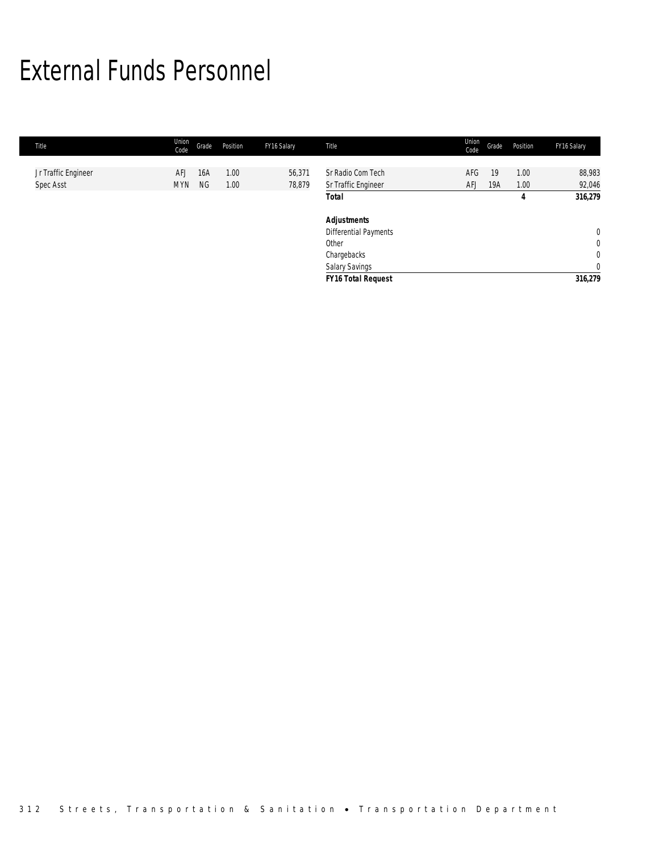# External Funds Personnel

| Title               | Union<br>Code | Grade | Position | FY16 Salary | Title                     | Union<br>Code | Grade | Position | FY16 Salary  |
|---------------------|---------------|-------|----------|-------------|---------------------------|---------------|-------|----------|--------------|
|                     |               |       |          |             |                           |               |       |          |              |
| Jr Traffic Engineer | AFJ           | 16A   | 1.00     | 56,371      | Sr Radio Com Tech         | AFG           | 19    | 1.00     | 88,983       |
| Spec Asst           | <b>MYN</b>    | NG    | 1.00     | 78,879      | Sr Traffic Engineer       | <b>AFJ</b>    | 19A   | 1.00     | 92,046       |
|                     |               |       |          |             | Total                     |               |       | 4        | 316,279      |
|                     |               |       |          |             |                           |               |       |          |              |
|                     |               |       |          |             | <b>Adjustments</b>        |               |       |          |              |
|                     |               |       |          |             | Differential Payments     |               |       |          | $\mathbf{0}$ |
|                     |               |       |          |             | Other                     |               |       |          | $\mathbf{0}$ |
|                     |               |       |          |             | Chargebacks               |               |       |          | $\mathbf 0$  |
|                     |               |       |          |             | Salary Savings            |               |       |          | $\mathbf{0}$ |
|                     |               |       |          |             | <b>FY16 Total Request</b> |               |       |          | 316,279      |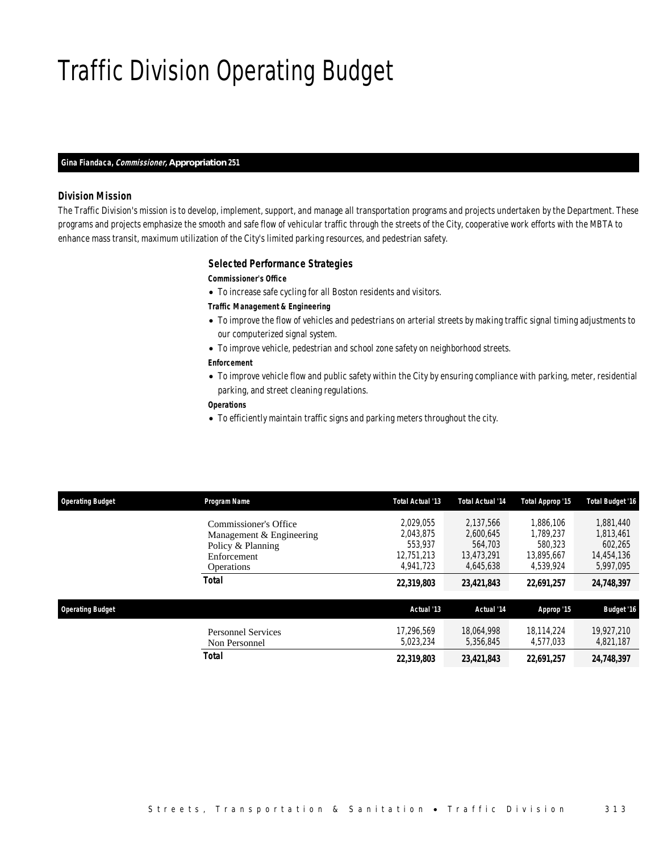# Traffic Division Operating Budget

#### *Gina Fiandaca, Commissioner, Appropriation 251*

### *Division Mission*

The Traffic Division's mission is to develop, implement, support, and manage all transportation programs and projects undertaken by the Department. These programs and projects emphasize the smooth and safe flow of vehicular traffic through the streets of the City, cooperative work efforts with the MBTA to enhance mass transit, maximum utilization of the City's limited parking resources, and pedestrian safety.

#### *Selected Performance Strategies*

#### *Commissioner's Office*

• To increase safe cycling for all Boston residents and visitors.

#### *Traffic Management & Engineering*

- To improve the flow of vehicles and pedestrians on arterial streets by making traffic signal timing adjustments to our computerized signal system.
- To improve vehicle, pedestrian and school zone safety on neighborhood streets.

#### *Enforcement*

• To improve vehicle flow and public safety within the City by ensuring compliance with parking, meter, residential parking, and street cleaning regulations.

#### *Operations*

• To efficiently maintain traffic signs and parking meters throughout the city.

| <b>Operating Budget</b> | <b>Program Name</b>                                                                                        | Total Actual '13                                             | <b>Total Actual '14</b>                                      | Total Approp '15                                             | <b>Total Budget '16</b>                                      |
|-------------------------|------------------------------------------------------------------------------------------------------------|--------------------------------------------------------------|--------------------------------------------------------------|--------------------------------------------------------------|--------------------------------------------------------------|
|                         | Commissioner's Office<br>Management & Engineering<br>Policy & Planning<br>Enforcement<br><b>Operations</b> | 2.029.055<br>2.043.875<br>553.937<br>12.751.213<br>4,941,723 | 2.137.566<br>2.600.645<br>564.703<br>13,473,291<br>4.645.638 | 1.886.106<br>1.789.237<br>580.323<br>13.895.667<br>4.539.924 | 1.881.440<br>1.813.461<br>602.265<br>14,454,136<br>5,997,095 |
|                         | Total                                                                                                      | 22,319,803                                                   | 23,421,843                                                   | 22,691,257                                                   | 24,748,397                                                   |
| <b>Operating Budget</b> |                                                                                                            | Actual '13                                                   | Actual '14                                                   | Approp '15                                                   | <b>Budget '16</b>                                            |
|                         | <b>Personnel Services</b><br>Non Personnel                                                                 | 17.296.569<br>5.023.234                                      | 18.064.998<br>5.356.845                                      | 18,114,224<br>4.577.033                                      | 19.927.210<br>4,821,187                                      |
|                         | Total                                                                                                      | 22.319.803                                                   | 23,421,843                                                   | 22,691,257                                                   | 24,748,397                                                   |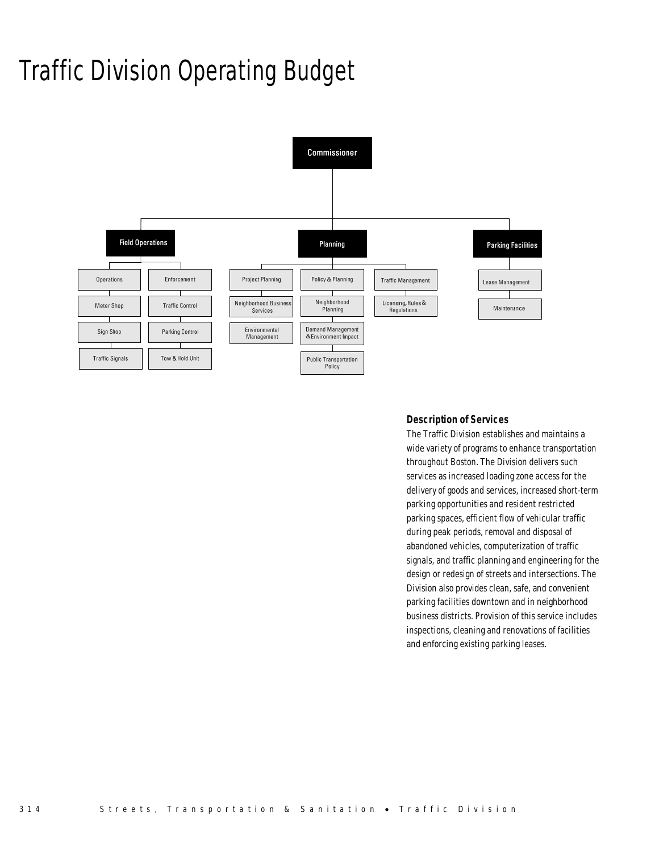# Traffic Division Operating Budget



### *Description of Services*

The Traffic Division establishes and maintains a wide variety of programs to enhance transportation throughout Boston. The Division delivers such services as increased loading zone access for the delivery of goods and services, increased short-term parking opportunities and resident restricted parking spaces, efficient flow of vehicular traffic during peak periods, removal and disposal of abandoned vehicles, computerization of traffic signals, and traffic planning and engineering for the design or redesign of streets and intersections. The Division also provides clean, safe, and convenient parking facilities downtown and in neighborhood business districts. Provision of this service includes inspections, cleaning and renovations of facilities and enforcing existing parking leases.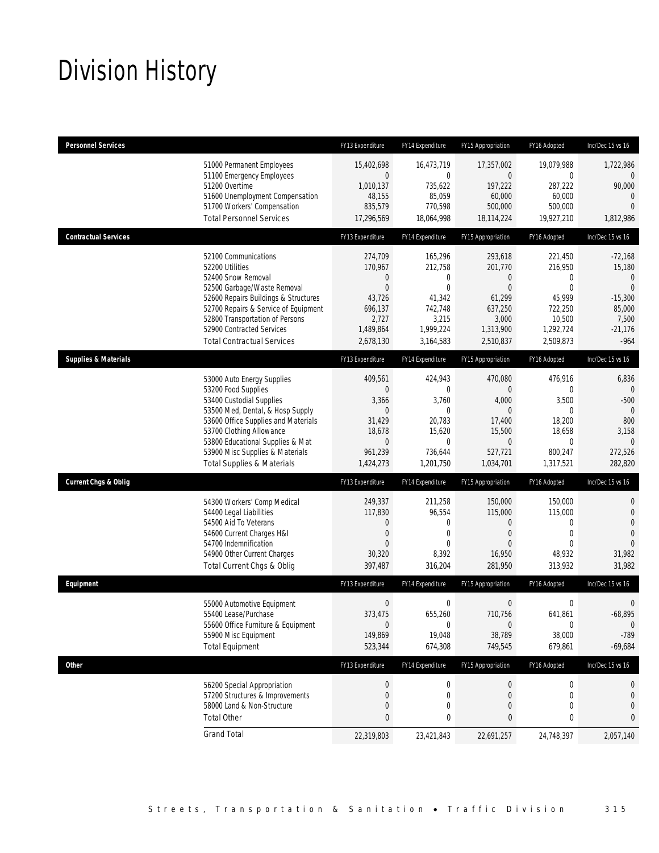# Division History

| <b>Personnel Services</b>       |                                                                                                                                                                                                                                                                                                      | FY13 Expenditure                                                                                                | FY14 Expenditure                                                                                           | FY15 Appropriation                                                                                          | FY16 Adopted                                                                                               | Inc/Dec 15 vs 16                                                                                       |
|---------------------------------|------------------------------------------------------------------------------------------------------------------------------------------------------------------------------------------------------------------------------------------------------------------------------------------------------|-----------------------------------------------------------------------------------------------------------------|------------------------------------------------------------------------------------------------------------|-------------------------------------------------------------------------------------------------------------|------------------------------------------------------------------------------------------------------------|--------------------------------------------------------------------------------------------------------|
|                                 | 51000 Permanent Employees<br>51100 Emergency Employees<br>51200 Overtime<br>51600 Unemployment Compensation<br>51700 Workers' Compensation<br><b>Total Personnel Services</b>                                                                                                                        | 15,402,698<br>$\overline{0}$<br>1,010,137<br>48,155<br>835,579<br>17,296,569                                    | 16,473,719<br>0<br>735,622<br>85,059<br>770,598<br>18,064,998                                              | 17,357,002<br>$\overline{0}$<br>197,222<br>60,000<br>500,000<br>18,114,224                                  | 19,079,988<br>$\mathbf 0$<br>287,222<br>60,000<br>500,000<br>19,927,210                                    | 1,722,986<br>0<br>90,000<br>$\theta$<br>$\Omega$<br>1,812,986                                          |
| <b>Contractual Services</b>     |                                                                                                                                                                                                                                                                                                      | FY13 Expenditure                                                                                                | FY14 Expenditure                                                                                           | FY15 Appropriation                                                                                          | FY16 Adopted                                                                                               | Inc/Dec 15 vs 16                                                                                       |
|                                 | 52100 Communications<br>52200 Utilities<br>52400 Snow Removal<br>52500 Garbage/Waste Removal<br>52600 Repairs Buildings & Structures<br>52700 Repairs & Service of Equipment<br>52800 Transportation of Persons<br>52900 Contracted Services<br><b>Total Contractual Services</b>                    | 274,709<br>170,967<br>0<br>$\overline{0}$<br>43,726<br>696,137<br>2,727<br>1,489,864<br>2,678,130               | 165,296<br>212,758<br>0<br>0<br>41,342<br>742,748<br>3,215<br>1,999,224<br>3,164,583                       | 293,618<br>201,770<br>$\mathbf 0$<br>$\overline{0}$<br>61,299<br>637,250<br>3,000<br>1,313,900<br>2,510,837 | 221,450<br>216,950<br>0<br>$\mathbf{0}$<br>45,999<br>722,250<br>10,500<br>1,292,724<br>2,509,873           | $-72,168$<br>15,180<br>$\mathbf{0}$<br>$\Omega$<br>$-15,300$<br>85,000<br>7,500<br>$-21,176$<br>$-964$ |
| <b>Supplies &amp; Materials</b> |                                                                                                                                                                                                                                                                                                      | FY13 Expenditure                                                                                                | FY14 Expenditure                                                                                           | FY15 Appropriation                                                                                          | FY16 Adopted                                                                                               | Inc/Dec 15 vs 16                                                                                       |
|                                 | 53000 Auto Energy Supplies<br>53200 Food Supplies<br>53400 Custodial Supplies<br>53500 Med, Dental, & Hosp Supply<br>53600 Office Supplies and Materials<br>53700 Clothing Allowance<br>53800 Educational Supplies & Mat<br>53900 Misc Supplies & Materials<br><b>Total Supplies &amp; Materials</b> | 409,561<br>$\overline{0}$<br>3,366<br>$\overline{0}$<br>31,429<br>18,678<br>$\mathbf 0$<br>961,239<br>1,424,273 | 424,943<br>$\mathbf{0}$<br>3,760<br>$\mathbf 0$<br>20,783<br>15,620<br>$\mathbf 0$<br>736,644<br>1,201,750 | 470,080<br>$\theta$<br>4,000<br>$\theta$<br>17,400<br>15,500<br>0<br>527,721<br>1,034,701                   | 476,916<br>$\mathbf 0$<br>3,500<br>$\mathbf 0$<br>18,200<br>18,658<br>$\mathbf{0}$<br>800,247<br>1,317,521 | 6,836<br>$\overline{0}$<br>$-500$<br>$\Omega$<br>800<br>3,158<br>$\overline{0}$<br>272,526<br>282,820  |
| <b>Current Chgs &amp; Oblig</b> |                                                                                                                                                                                                                                                                                                      | FY13 Expenditure                                                                                                | FY14 Expenditure                                                                                           | FY15 Appropriation                                                                                          | FY16 Adopted                                                                                               | Inc/Dec 15 vs 16                                                                                       |
|                                 | 54300 Workers' Comp Medical<br>54400 Legal Liabilities<br>54500 Aid To Veterans<br>54600 Current Charges H&I<br>54700 Indemnification<br>54900 Other Current Charges<br>Total Current Chgs & Oblig                                                                                                   | 249,337<br>117,830<br>0<br>$\overline{0}$<br>$\overline{0}$<br>30,320<br>397,487                                | 211,258<br>96,554<br>0<br>0<br>0<br>8,392<br>316,204                                                       | 150,000<br>115,000<br>0<br>$\theta$<br>$\Omega$<br>16,950<br>281,950                                        | 150,000<br>115,000<br>$\mathbf 0$<br>$\mathbf 0$<br>$\Omega$<br>48,932<br>313,932                          | $\mathbf 0$<br>$\mathbf{0}$<br>$\overline{0}$<br>$\overline{0}$<br>$\Omega$<br>31,982<br>31,982        |
| Equipment                       |                                                                                                                                                                                                                                                                                                      | FY13 Expenditure                                                                                                | FY14 Expenditure                                                                                           | FY15 Appropriation                                                                                          | FY16 Adopted                                                                                               | Inc/Dec 15 vs 16                                                                                       |
|                                 | 55000 Automotive Equipment<br>55400 Lease/Purchase<br>55600 Office Furniture & Equipment<br>55900 Misc Equipment<br><b>Total Equipment</b>                                                                                                                                                           | $\mathbf 0$<br>373,475<br>$\overline{0}$<br>149,869<br>523,344                                                  | 0<br>655,260<br>$\boldsymbol{0}$<br>19,048<br>674,308                                                      | $\boldsymbol{0}$<br>710,756<br>$\mathbf 0$<br>38,789<br>749,545                                             | $\mathbf 0$<br>641,861<br>$\boldsymbol{0}$<br>38,000<br>679,861                                            | $\mathbf 0$<br>$-68,895$<br>$\overline{0}$<br>$-789$<br>$-69,684$                                      |
| Other                           |                                                                                                                                                                                                                                                                                                      | FY13 Expenditure                                                                                                | FY14 Expenditure                                                                                           | FY15 Appropriation                                                                                          | FY16 Adopted                                                                                               | Inc/Dec 15 vs 16                                                                                       |
|                                 | 56200 Special Appropriation<br>57200 Structures & Improvements<br>58000 Land & Non-Structure<br><b>Total Other</b>                                                                                                                                                                                   | $\pmb{0}$<br>0<br>0<br>0                                                                                        | $\boldsymbol{0}$<br>$\mathbf 0$<br>0<br>0                                                                  | $\pmb{0}$<br>0<br>$\theta$<br>0                                                                             | $\boldsymbol{0}$<br>$\mathbf 0$<br>$\mathbf 0$<br>0                                                        | 0<br>$\theta$<br>0<br>0                                                                                |
|                                 | <b>Grand Total</b>                                                                                                                                                                                                                                                                                   | 22,319,803                                                                                                      | 23,421,843                                                                                                 | 22,691,257                                                                                                  | 24,748,397                                                                                                 | 2,057,140                                                                                              |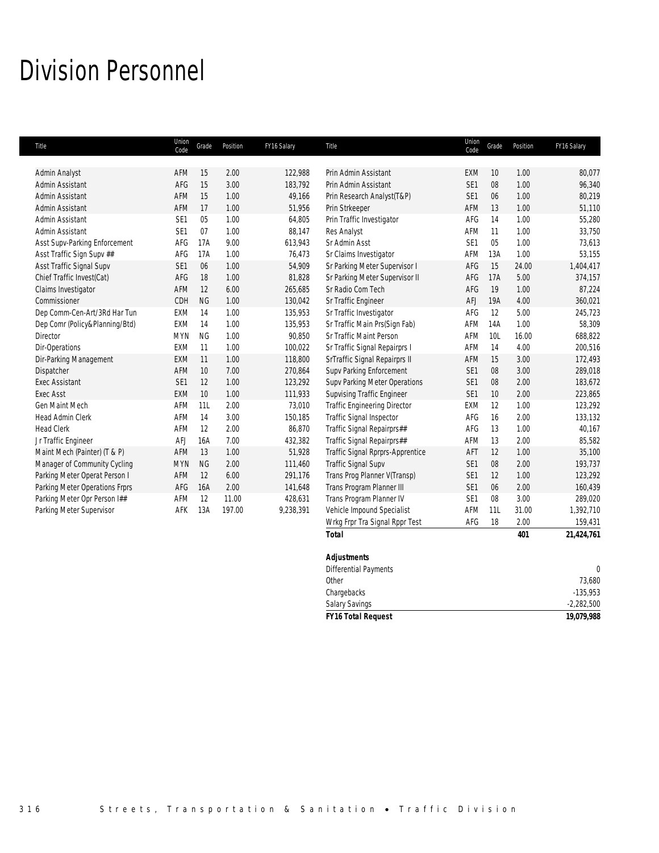# Division Personnel

| Title                          | Union<br>Code   | Grade     | Position | FY16 Salary | Title                               | Union<br>Code   | Grade  | Position | FY16 Salary  |
|--------------------------------|-----------------|-----------|----------|-------------|-------------------------------------|-----------------|--------|----------|--------------|
| Admin Analyst                  | AFM             | 15        | 2.00     | 122,988     | Prin Admin Assistant                | <b>EXM</b>      | 10     | 1.00     | 80,077       |
| Admin Assistant                | AFG             | 15        | 3.00     | 183,792     | Prin Admin Assistant                | SE1             | 08     | 1.00     | 96,340       |
| Admin Assistant                | AFM             | 15        | 1.00     | 49,166      | Prin Research Analyst(T&P)          | SE <sub>1</sub> | 06     | 1.00     | 80,219       |
| Admin Assistant                | AFM             | 17        | 1.00     | 51,956      | Prin Strkeeper                      | AFM             | 13     | 1.00     | 51,110       |
| Admin Assistant                | SE1             | 05        | 1.00     | 64,805      | Prin Traffic Investigator           | AFG             | 14     | 1.00     | 55,280       |
| Admin Assistant                | SE <sub>1</sub> | 07        | 1.00     | 88,147      | Res Analyst                         | AFM             | 11     | 1.00     | 33,750       |
| Asst Supv-Parking Enforcement  | AFG             | 17A       | 9.00     | 613,943     | Sr Admin Asst                       | SE <sub>1</sub> | 05     | 1.00     | 73,613       |
| Asst Traffic Sign Supv ##      | AFG             | 17A       | 1.00     | 76,473      | Sr Claims Investigator              | AFM             | 13A    | 1.00     | 53,155       |
| Asst Traffic Signal Supv       | SE1             | 06        | 1.00     | 54,909      | Sr Parking Meter Supervisor I       | AFG             | 15     | 24.00    | 1,404,417    |
| Chief Traffic Invest(Cat)      | AFG             | 18        | 1.00     | 81,828      | Sr Parking Meter Supervisor II      | AFG             | 17A    | 5.00     | 374,157      |
| Claims Investigator            | AFM             | 12        | 6.00     | 265,685     | Sr Radio Com Tech                   | AFG             | 19     | 1.00     | 87,224       |
| Commissioner                   | CDH             | <b>NG</b> | 1.00     | 130,042     | Sr Traffic Engineer                 | AFJ             | 19A    | 4.00     | 360,021      |
| Dep Comm-Cen-Art/3Rd Har Tun   | EXM             | 14        | 1.00     | 135,953     | Sr Traffic Investigator             | AFG             | 12     | 5.00     | 245,723      |
| Dep Comr (Policy&Planning/Btd) | EXM             | 14        | 1.00     | 135,953     | Sr Traffic Main Prs(Sign Fab)       | AFM             | 14A    | 1.00     | 58,309       |
| Director                       | <b>MYN</b>      | <b>NG</b> | 1.00     | 90,850      | Sr Traffic Maint Person             | AFM             | 10L    | 16.00    | 688,822      |
| Dir-Operations                 | EXM             | 11        | 1.00     | 100,022     | Sr Traffic Signal Repairprs I       | AFM             | 14     | 4.00     | 200,516      |
| Dir-Parking Management         | EXM             | 11        | 1.00     | 118,800     | SrTraffic Signal Repairprs II       | AFM             | 15     | 3.00     | 172,493      |
| Dispatcher                     | AFM             | 10        | 7.00     | 270,864     | Supv Parking Enforcement            | SE1             | $08\,$ | 3.00     | 289,018      |
| <b>Exec Assistant</b>          | SE1             | 12        | 1.00     | 123,292     | Supv Parking Meter Operations       | SE1             | 08     | 2.00     | 183,672      |
| <b>Exec Asst</b>               | <b>EXM</b>      | 10        | 1.00     | 111,933     | <b>Supvising Traffic Engineer</b>   | SE <sub>1</sub> | 10     | 2.00     | 223,865      |
| Gen Maint Mech                 | AFM             | 11L       | 2.00     | 73,010      | <b>Traffic Engineering Director</b> | EXM             | 12     | 1.00     | 123,292      |
| Head Admin Clerk               | AFM             | 14        | 3.00     | 150,185     | Traffic Signal Inspector            | AFG             | 16     | 2.00     | 133,132      |
| <b>Head Clerk</b>              | AFM             | 12        | 2.00     | 86,870      | Traffic Signal Repairprs##          | AFG             | 13     | 1.00     | 40,167       |
| Jr Traffic Engineer            | AFJ             | 16A       | 7.00     | 432,382     | Traffic Signal Repairprs##          | AFM             | 13     | 2.00     | 85,582       |
| Maint Mech (Painter) (T & P)   | AFM             | 13        | 1.00     | 51,928      | Traffic Signal Rprprs-Apprentice    | AFT             | 12     | 1.00     | 35,100       |
| Manager of Community Cycling   | <b>MYN</b>      | <b>NG</b> | 2.00     | 111,460     | Traffic Signal Supv                 | SE <sub>1</sub> | 08     | 2.00     | 193,737      |
| Parking Meter Operat Person I  | AFM             | 12        | 6.00     | 291,176     | Trans Prog Planner V(Transp)        | SE1             | 12     | 1.00     | 123,292      |
| Parking Meter Operations Frprs | AFG             | 16A       | 2.00     | 141,648     | Trans Program Planner III           | SE <sub>1</sub> | 06     | 2.00     | 160,439      |
| Parking Meter Opr Person I##   | AFM             | 12        | 11.00    | 428,631     | Trans Program Planner IV            | SE <sub>1</sub> | 08     | 3.00     | 289,020      |
| Parking Meter Supervisor       | AFK             | 13A       | 197.00   | 9,238,391   | Vehicle Impound Specialist          | AFM             | 11L    | 31.00    | 1,392,710    |
|                                |                 |           |          |             | Wrkg Frpr Tra Signal Rppr Test      | AFG             | 18     | 2.00     | 159,431      |
|                                |                 |           |          |             | <b>Total</b>                        |                 |        | 401      | 21,424,761   |
|                                |                 |           |          |             | <b>Adjustments</b>                  |                 |        |          |              |
|                                |                 |           |          |             | <b>Differential Payments</b>        |                 |        |          | $\mathbf 0$  |
|                                |                 |           |          |             | Other                               |                 |        |          | 73,680       |
|                                |                 |           |          |             | Chargebacks                         |                 |        |          | $-135,953$   |
|                                |                 |           |          |             | Salary Savings                      |                 |        |          | $-2,282,500$ |

*FY16 Total Request 19,079,988*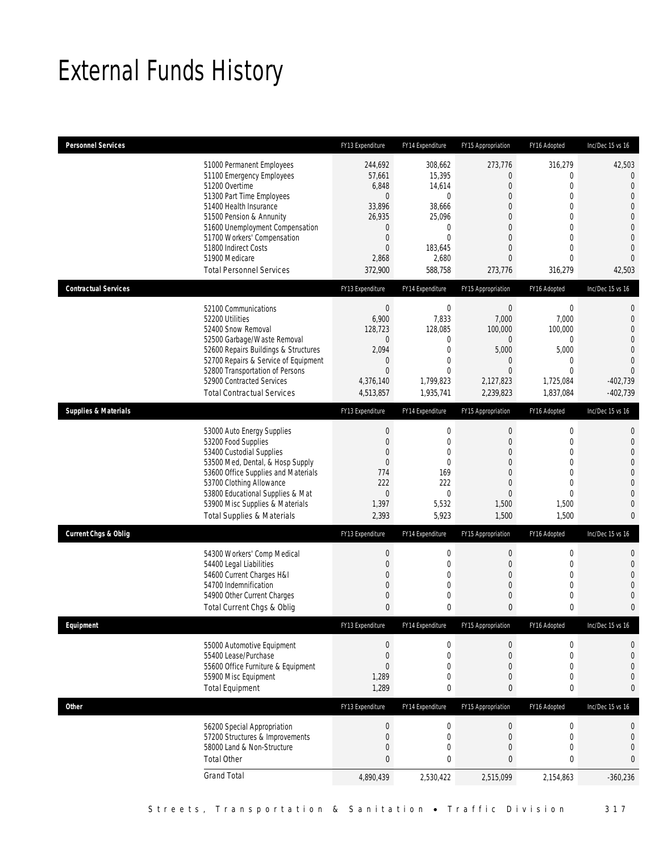# External Funds History

| <b>Personnel Services</b>       |                                                                                                                                                                                                                                                                                                            | FY13 Expenditure                                                                                                                          | FY14 Expenditure                                                                                                        | FY15 Appropriation                                                                                                                                     | FY16 Adopted                                                                                                                                                     | Inc/Dec 15 vs 16                                                                                                                                                             |
|---------------------------------|------------------------------------------------------------------------------------------------------------------------------------------------------------------------------------------------------------------------------------------------------------------------------------------------------------|-------------------------------------------------------------------------------------------------------------------------------------------|-------------------------------------------------------------------------------------------------------------------------|--------------------------------------------------------------------------------------------------------------------------------------------------------|------------------------------------------------------------------------------------------------------------------------------------------------------------------|------------------------------------------------------------------------------------------------------------------------------------------------------------------------------|
|                                 | 51000 Permanent Employees<br>51100 Emergency Employees<br>51200 Overtime<br>51300 Part Time Employees<br>51400 Health Insurance<br>51500 Pension & Annunity<br>51600 Unemployment Compensation<br>51700 Workers' Compensation<br>51800 Indirect Costs<br>51900 Medicare<br><b>Total Personnel Services</b> | 244,692<br>57,661<br>6,848<br>$\boldsymbol{0}$<br>33,896<br>26,935<br>$\mathbf 0$<br>$\boldsymbol{0}$<br>$\mathbf{0}$<br>2,868<br>372,900 | 308,662<br>15,395<br>14,614<br>$\overline{0}$<br>38,666<br>25,096<br>0<br>$\overline{0}$<br>183,645<br>2,680<br>588,758 | 273,776<br>0<br>0<br>$\overline{0}$<br>$\mathbf{0}$<br>$\overline{0}$<br>$\overline{0}$<br>$\mathbf{0}$<br>$\overline{0}$<br>$\overline{0}$<br>273,776 | 316,279<br>$\mathbf 0$<br>$\mathbf 0$<br>$\mathbf{0}$<br>$\mathbf{0}$<br>$\mathbf{0}$<br>$\mathbf{0}$<br>$\mathbf{0}$<br>$\mathbf{0}$<br>$\mathbf{0}$<br>316,279 | 42,503<br>$\overline{0}$<br>$\overline{0}$<br>$\mathbf 0$<br>$\overline{0}$<br>$\overline{0}$<br>$\mathbf 0$<br>$\overline{0}$<br>$\overline{0}$<br>$\overline{0}$<br>42,503 |
| <b>Contractual Services</b>     |                                                                                                                                                                                                                                                                                                            | FY13 Expenditure                                                                                                                          | FY14 Expenditure                                                                                                        | FY15 Appropriation                                                                                                                                     | FY16 Adopted                                                                                                                                                     | Inc/Dec 15 vs 16                                                                                                                                                             |
|                                 | 52100 Communications<br>52200 Utilities<br>52400 Snow Removal<br>52500 Garbage/Waste Removal<br>52600 Repairs Buildings & Structures<br>52700 Repairs & Service of Equipment<br>52800 Transportation of Persons<br>52900 Contracted Services<br><b>Total Contractual Services</b>                          | $\boldsymbol{0}$<br>6,900<br>128,723<br>$\mathbf 0$<br>2,094<br>$\boldsymbol{0}$<br>$\boldsymbol{0}$<br>4,376,140<br>4,513,857            | $\mathbf 0$<br>7,833<br>128,085<br>0<br>$\mathbf{0}$<br>0<br>$\mathbf{0}$<br>1,799,823<br>1,935,741                     | $\boldsymbol{0}$<br>7,000<br>100,000<br>$\overline{0}$<br>5,000<br>0<br>$\mathbf{0}$<br>2,127,823<br>2,239,823                                         | $\boldsymbol{0}$<br>7,000<br>100,000<br>$\mathbf 0$<br>5,000<br>$\mathbf 0$<br>$\mathbf{0}$<br>1,725,084<br>1,837,084                                            | $\mathbf 0$<br>$\mathbf 0$<br>$\overline{0}$<br>$\overline{0}$<br>$\overline{0}$<br>$\Omega$<br>$\overline{0}$<br>$-402,739$<br>$-402,739$                                   |
| <b>Supplies &amp; Materials</b> |                                                                                                                                                                                                                                                                                                            | FY13 Expenditure                                                                                                                          | FY14 Expenditure                                                                                                        | FY15 Appropriation                                                                                                                                     | FY16 Adopted                                                                                                                                                     | Inc/Dec 15 vs 16                                                                                                                                                             |
|                                 | 53000 Auto Energy Supplies<br>53200 Food Supplies<br>53400 Custodial Supplies<br>53500 Med, Dental, & Hosp Supply<br>53600 Office Supplies and Materials<br>53700 Clothing Allowance<br>53800 Educational Supplies & Mat<br>53900 Misc Supplies & Materials<br><b>Total Supplies &amp; Materials</b>       | $\boldsymbol{0}$<br>$\boldsymbol{0}$<br>0<br>$\overline{0}$<br>774<br>222<br>$\overline{0}$<br>1,397<br>2,393                             | $\mathbf 0$<br>$\mathbf 0$<br>$\mathbf 0$<br>$\mathbf 0$<br>169<br>222<br>$\mathbf 0$<br>5,532<br>5,923                 | $\boldsymbol{0}$<br>$\mathbf{0}$<br>$\mathbf{0}$<br>$\overline{0}$<br>$\overline{0}$<br>$\mathbf{0}$<br>$\theta$<br>1,500<br>1,500                     | $\boldsymbol{0}$<br>$\mathbf 0$<br>$\mathbf{0}$<br>$\mathbf{0}$<br>$\mathbf{0}$<br>$\mathbf{0}$<br>$\mathbf 0$<br>1,500<br>1,500                                 | $\mathbf{0}$<br>$\mathbf 0$<br>$\mathbf{0}$<br>$\mathbf{0}$<br>$\overline{0}$<br>$\overline{0}$<br>$\overline{0}$<br>$\overline{0}$<br>$\mathbf{0}$                          |
| <b>Current Chgs &amp; Oblig</b> |                                                                                                                                                                                                                                                                                                            | FY13 Expenditure                                                                                                                          | FY14 Expenditure                                                                                                        | FY15 Appropriation                                                                                                                                     | FY16 Adopted                                                                                                                                                     | Inc/Dec 15 vs 16                                                                                                                                                             |
|                                 | 54300 Workers' Comp Medical<br>54400 Legal Liabilities<br>54600 Current Charges H&I<br>54700 Indemnification<br>54900 Other Current Charges<br>Total Current Chgs & Oblig                                                                                                                                  | $\boldsymbol{0}$<br>$\boldsymbol{0}$<br>0<br>0<br>$\boldsymbol{0}$<br>$\mathbf{0}$                                                        | $\boldsymbol{0}$<br>$\mathbf 0$<br>0<br>0<br>$\mathbf 0$<br>0                                                           | $\boldsymbol{0}$<br>$\mathbf{0}$<br>$\mathbf{0}$<br>$\overline{0}$<br>$\mathbf{0}$<br>0                                                                | $\boldsymbol{0}$<br>$\mathbf 0$<br>$\mathbf 0$<br>$\mathbf 0$<br>$\mathbf 0$<br>$\mathbf 0$                                                                      | $\mathbf{0}$<br>$\mathbf 0$<br>$\overline{0}$<br>$\mathbf{0}$<br>$\mathbf{0}$<br>$\mathbf{0}$                                                                                |
| Equipment                       |                                                                                                                                                                                                                                                                                                            | FY13 Expenditure                                                                                                                          | FY14 Expenditure                                                                                                        | FY15 Appropriation                                                                                                                                     | FY16 Adopted                                                                                                                                                     | Inc/Dec 15 vs 16                                                                                                                                                             |
|                                 | 55000 Automotive Equipment<br>55400 Lease/Purchase<br>55600 Office Furniture & Equipment<br>55900 Misc Equipment<br><b>Total Equipment</b>                                                                                                                                                                 | $\boldsymbol{0}$<br>$\boldsymbol{0}$<br>$\mathbf 0$<br>1,289<br>1,289                                                                     | 0<br>$\mathbf 0$<br>0<br>0<br>0                                                                                         | $\boldsymbol{0}$<br>$\boldsymbol{0}$<br>$\overline{0}$<br>0<br>0                                                                                       | $\boldsymbol{0}$<br>$\mathbf 0$<br>$\mathbf{0}$<br>$\mathbf 0$<br>0                                                                                              | 0<br>$\mathbf 0$<br>$\mathbf{0}$<br>$\mathbf 0$<br>0                                                                                                                         |
| Other                           |                                                                                                                                                                                                                                                                                                            | FY13 Expenditure                                                                                                                          | FY14 Expenditure                                                                                                        | FY15 Appropriation                                                                                                                                     | FY16 Adopted                                                                                                                                                     | Inc/Dec 15 vs 16                                                                                                                                                             |
|                                 | 56200 Special Appropriation<br>57200 Structures & Improvements<br>58000 Land & Non-Structure<br><b>Total Other</b>                                                                                                                                                                                         | $\boldsymbol{0}$<br>$\boldsymbol{0}$<br>$\boldsymbol{0}$<br>$\pmb{0}$                                                                     | $\boldsymbol{0}$<br>$\mathbf 0$<br>0<br>0                                                                               | $\boldsymbol{0}$<br>$\boldsymbol{0}$<br>0<br>0                                                                                                         | $\boldsymbol{0}$<br>$\mathbf 0$<br>$\mathbf 0$<br>$\bf{0}$                                                                                                       | 0<br>$\mathbf 0$<br>$\mathbf 0$<br>0                                                                                                                                         |
|                                 | <b>Grand Total</b>                                                                                                                                                                                                                                                                                         | 4,890,439                                                                                                                                 | 2,530,422                                                                                                               | 2,515,099                                                                                                                                              | 2,154,863                                                                                                                                                        | $-360,236$                                                                                                                                                                   |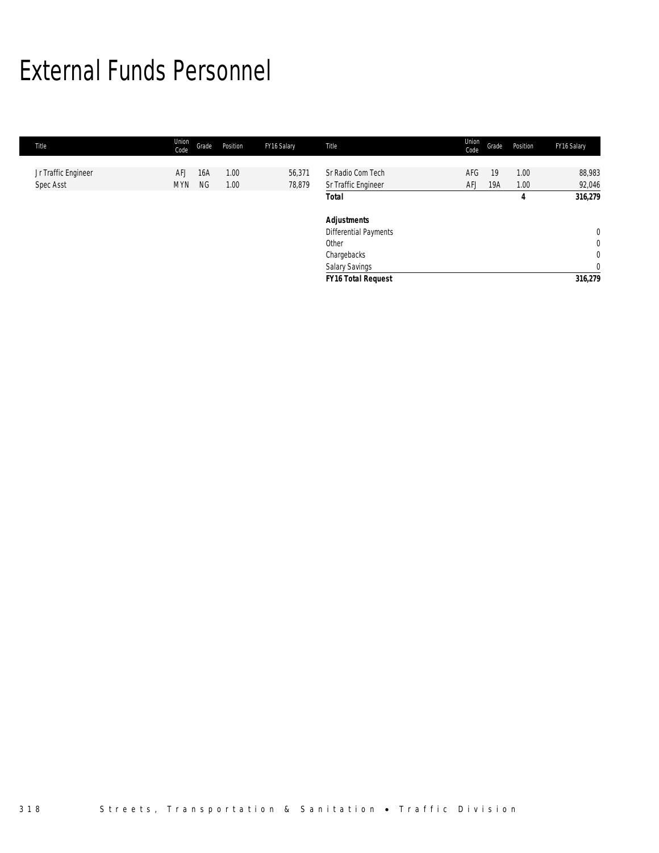# External Funds Personnel

| Title               | Union<br>Code | Grade | Position | FY16 Salary | Title                        | Union<br>Code | Grade | Position | FY16 Salary    |
|---------------------|---------------|-------|----------|-------------|------------------------------|---------------|-------|----------|----------------|
|                     |               |       |          |             |                              |               |       |          |                |
| Jr Traffic Engineer | AFJ           | 16A   | 1.00     | 56,371      | Sr Radio Com Tech            | AFG           | 19    | 1.00     | 88,983         |
| Spec Asst           | <b>MYN</b>    | NG    | 1.00     | 78,879      | Sr Traffic Engineer          | AFJ           | 19A   | 1.00     | 92,046         |
|                     |               |       |          |             | <b>Total</b>                 |               |       | 4        | 316,279        |
|                     |               |       |          |             | <b>Adjustments</b>           |               |       |          |                |
|                     |               |       |          |             | <b>Differential Payments</b> |               |       |          | $\mathbf{0}$   |
|                     |               |       |          |             | Other                        |               |       |          | $\overline{0}$ |
|                     |               |       |          |             | Chargebacks                  |               |       |          | $\mathbf{0}$   |
|                     |               |       |          |             | Salary Savings               |               |       |          | $\mathbf{0}$   |
|                     |               |       |          |             | <b>FY16 Total Request</b>    |               |       |          | 316,279        |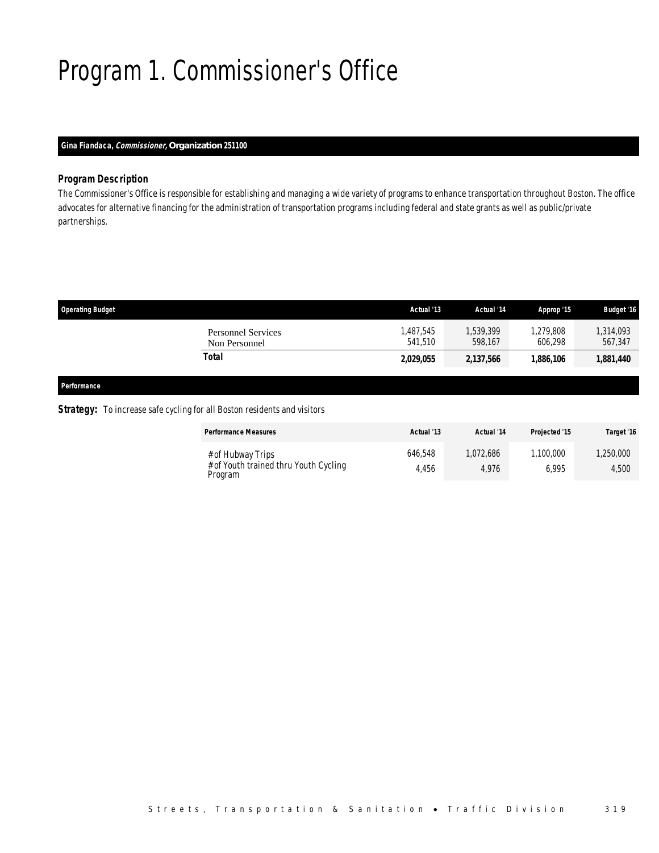# Program 1. Commissioner's Office

## *Gina Fiandaca, Commissioner, Organization 251100*

### *Program Description*

The Commissioner's Office is responsible for establishing and managing a wide variety of programs to enhance transportation throughout Boston. The office advocates for alternative financing for the administration of transportation programs including federal and state grants as well as public/private partnerships.

| <b>Operating Budget</b>                    | Actual '13          | Actual '14           | Approp '15           | <b>Budget '16</b>    |
|--------------------------------------------|---------------------|----------------------|----------------------|----------------------|
| <b>Personnel Services</b><br>Non Personnel | ,487,545<br>541,510 | 1,539,399<br>598.167 | 1,279,808<br>606.298 | 1,314,093<br>567,347 |
| Total                                      | 2,029,055           | 2,137,566            | 1,886,106            | 1,881,440            |
|                                            |                     |                      |                      |                      |

*Performance* 

### **Strategy:** To increase safe cycling for all Boston residents and visitors

| <b>Performance Measures</b>                                           | Actual '13       | Actual '14         | Projected '15     | Target '16               |
|-----------------------------------------------------------------------|------------------|--------------------|-------------------|--------------------------|
| # of Hubway Trips<br># of Youth trained thru Youth Cycling<br>Program | 646.548<br>4.456 | 1.072.686<br>4.976 | .100.000<br>6.995 | $\cdot$ 250,000<br>4,500 |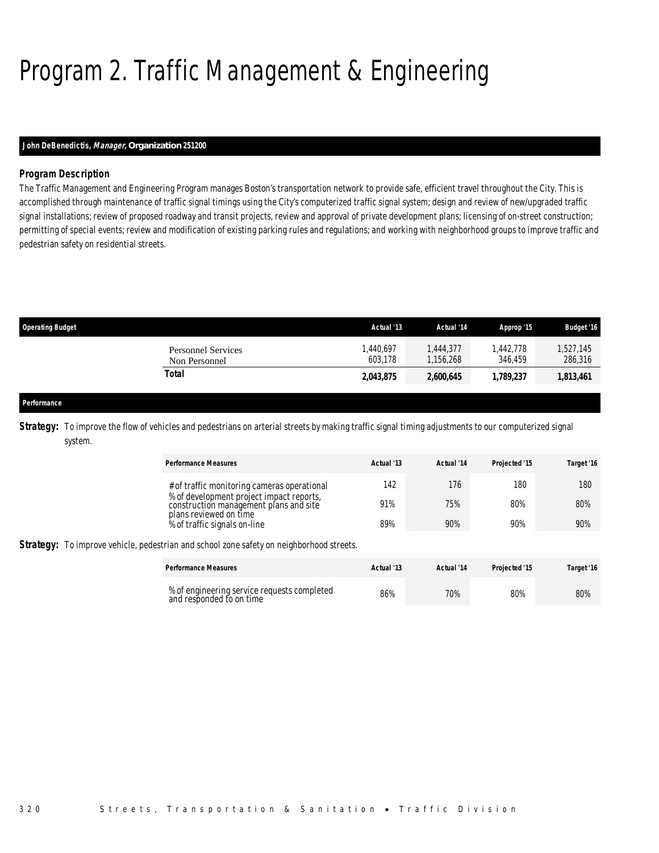# Program 2. Traffic Management & Engineering

### *John DeBenedictis, Manager, Organization 251200*

### *Program Description*

The Traffic Management and Engineering Program manages Boston's transportation network to provide safe, efficient travel throughout the City. This is accomplished through maintenance of traffic signal timings using the City's computerized traffic signal system; design and review of new/upgraded traffic signal installations; review of proposed roadway and transit projects, review and approval of private development plans; licensing of on-street construction; permitting of special events; review and modification of existing parking rules and regulations; and working with neighborhood groups to improve traffic and pedestrian safety on residential streets.

| <b>Operating Budget</b>             | Actual '13          | Actual '14             | Approp '15           | <b>Budget '16</b>   |
|-------------------------------------|---------------------|------------------------|----------------------|---------------------|
| Personnel Services<br>Non Personnel | ,440,697<br>603.178 | 1.444.377<br>1.156.268 | 1,442,778<br>346.459 | ,527,145<br>286,316 |
| Total                               | 2,043,875           | 2,600,645              | 1.789.237            | 1,813,461           |
|                                     |                     |                        |                      |                     |

#### *Performance*

Strategy: To improve the flow of vehicles and pedestrians on arterial streets by making traffic signal timing adjustments to our computerized signal system.

| <b>Performance Measures</b>                                                                     | Actual '13 | Actual '14 | Projected '15 | Target '16 |
|-------------------------------------------------------------------------------------------------|------------|------------|---------------|------------|
| # of traffic monitoring cameras operational                                                     | 142        | 176        | 180           | 180        |
| % of development project impact reports,<br>construction management plans and site              | 91%        | 75%        | 80%           | 80%        |
| plans reviewed on time<br>% of traffic signals on-line                                          | 89%        | 90%        | 90%           | 90%        |
| <b>Strategy:</b> To improve vehicle, pedestrian and school zone safety on neighborhood streets. |            |            |               |            |
| <b>Performance Measures</b>                                                                     | Actual '13 | Actual '14 | Projected '15 | Target '16 |

| % of engineering service requests completed<br>and responded to on time | 86% | 70% | 80% | 80% |
|-------------------------------------------------------------------------|-----|-----|-----|-----|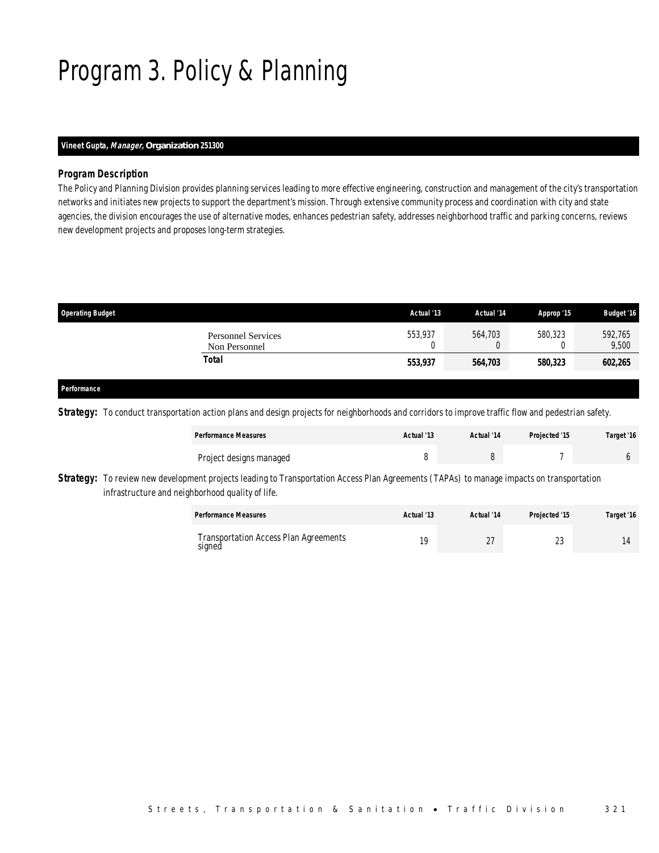# Program 3. Policy & Planning

#### *Vineet Gupta, Manager, Organization 251300*

#### *Program Description*

The Policy and Planning Division provides planning services leading to more effective engineering, construction and management of the city's transportation networks and initiates new projects to support the department's mission. Through extensive community process and coordination with city and state agencies, the division encourages the use of alternative modes, enhances pedestrian safety, addresses neighborhood traffic and parking concerns, reviews new development projects and proposes long-term strategies.

| <b>Operating Budget</b>                    | Actual '13 | Actual '14 | Approp '15 | <b>Budget '16</b> |
|--------------------------------------------|------------|------------|------------|-------------------|
| <b>Personnel Services</b><br>Non Personnel | 553,937    | 564,703    | 580,323    | 592,765<br>9,500  |
| <b>Total</b>                               | 553,937    | 564,703    | 580,323    | 602,265           |
|                                            |            |            |            |                   |

#### *Performance*

**Strategy:** To conduct transportation action plans and design projects for neighborhoods and corridors to improve traffic flow and pedestrian safety.

| <b>Performance Measures</b> | Actual '13 | Actual '14 | Projected '15 | Target '16 |
|-----------------------------|------------|------------|---------------|------------|
| Project designs managed     |            |            |               |            |

*Strategy:* To review new development projects leading to Transportation Access Plan Agreements (TAPAs) to manage impacts on transportation infrastructure and neighborhood quality of life.

| <b>Performance Measures</b>                            | Actual '13 | Actual '14                | Projected '15 | Target '16 |
|--------------------------------------------------------|------------|---------------------------|---------------|------------|
| <b>Transportation Access Plan Agreements</b><br>signed | 10         | $\sim$ $\sim$<br><u>.</u> | $\sim$<br>ے   |            |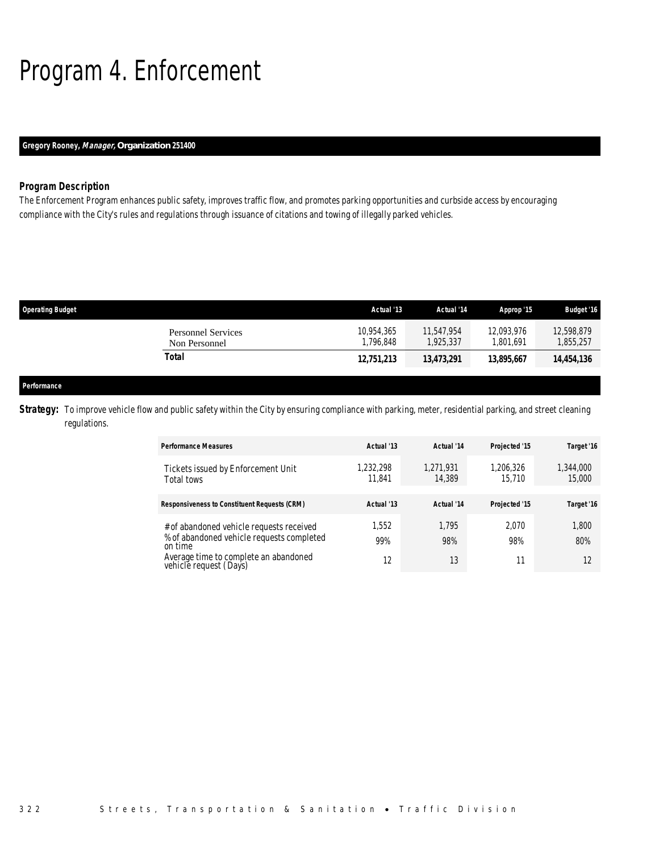# Program 4. Enforcement

## *Gregory Rooney, Manager, Organization 251400*

### *Program Description*

The Enforcement Program enhances public safety, improves traffic flow, and promotes parking opportunities and curbside access by encouraging compliance with the City's rules and regulations through issuance of citations and towing of illegally parked vehicles.

| <b>Operating Budget</b>                    | Actual '13              | Actual '14              | Approp '15              | <b>Budget '16</b>      |
|--------------------------------------------|-------------------------|-------------------------|-------------------------|------------------------|
| <b>Personnel Services</b><br>Non Personnel | 10,954,365<br>1,796,848 | 11,547,954<br>1,925,337 | 12.093.976<br>1,801,691 | 12.598.879<br>,855,257 |
| Total                                      | 12,751,213              | 13,473,291              | 13.895.667              | 14,454,136             |
|                                            |                         |                         |                         |                        |
| Performance                                |                         |                         |                         |                        |

**Strategy:** To improve vehicle flow and public safety within the City by ensuring compliance with parking, meter, residential parking, and street cleaning regulations.

| <b>Performance Measures</b>                                                                      | Actual '13          | Actual '14          | Projected '15       | Target '16          |
|--------------------------------------------------------------------------------------------------|---------------------|---------------------|---------------------|---------------------|
| Tickets issued by Enforcement Unit<br>Total tows                                                 | 1,232,298<br>11.841 | 1,271,931<br>14,389 | 1,206,326<br>15.710 | 1,344,000<br>15,000 |
| <b>Responsiveness to Constituent Requests (CRM)</b>                                              | Actual '13          | Actual '14          | Projected '15       | Target '16          |
| # of abandoned vehicle requests received<br>% of abandoned vehicle requests completed<br>on time | ,552<br>99%         | 1.795<br>98%        | 2.070<br>98%        | 1,800<br>80%        |
| Average time to complete an abandoned<br>vehicle request (Days)                                  | 12                  | 13                  | 11                  |                     |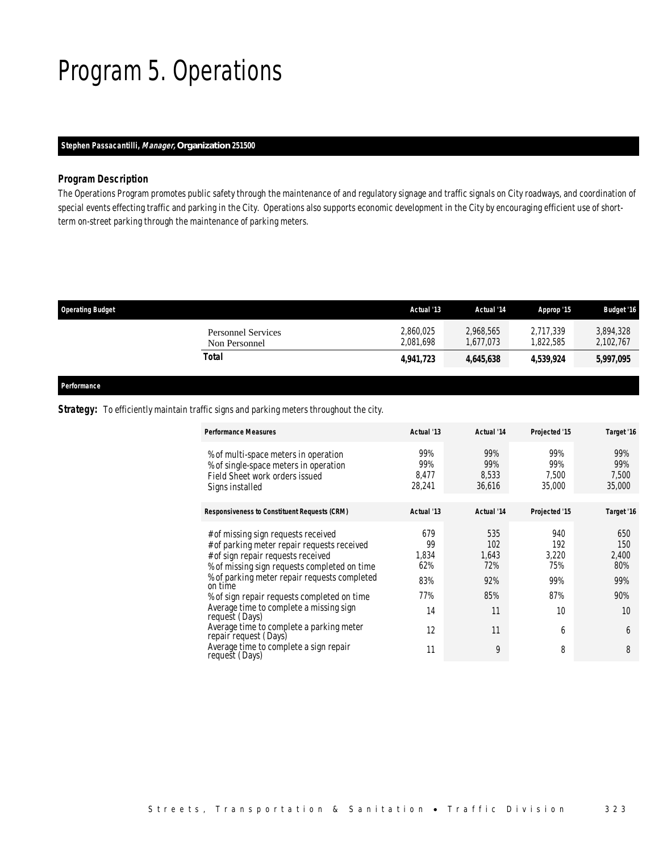# Program 5. Operations

### *Stephen Passacantilli, Manager, Organization 251500*

#### *Program Description*

The Operations Program promotes public safety through the maintenance of and regulatory signage and traffic signals on City roadways, and coordination of special events effecting traffic and parking in the City. Operations also supports economic development in the City by encouraging efficient use of shortterm on-street parking through the maintenance of parking meters.

| <b>Operating Budget</b>                    | Actual '13             | Actual '14             | Approp '15             | <b>Budget '16</b>      |
|--------------------------------------------|------------------------|------------------------|------------------------|------------------------|
| <b>Personnel Services</b><br>Non Personnel | 2,860,025<br>2,081,698 | 2,968,565<br>1.677.073 | 2,717,339<br>1,822,585 | 3,894,328<br>2,102,767 |
| Total                                      | 4,941,723              | 4,645,638              | 4.539.924              | 5,997,095              |
|                                            |                        |                        |                        |                        |

*Performance* 

#### **Strategy:** To efficiently maintain traffic signs and parking meters throughout the city.

| <b>Performance Measures</b>                                                                                                                                              | Actual '13                    | Actual '14                    | Projected '15                 | Target '16                    |
|--------------------------------------------------------------------------------------------------------------------------------------------------------------------------|-------------------------------|-------------------------------|-------------------------------|-------------------------------|
| % of multi-space meters in operation<br>% of single-space meters in operation<br>Field Sheet work orders issued<br>Signs installed                                       | 99%<br>99%<br>8,477<br>28,241 | 99%<br>99%<br>8,533<br>36,616 | 99%<br>99%<br>7,500<br>35,000 | 99%<br>99%<br>7,500<br>35,000 |
| <b>Responsiveness to Constituent Requests (CRM)</b>                                                                                                                      | Actual '13                    | Actual '14                    | Projected '15                 | Target '16                    |
| # of missing sign requests received<br># of parking meter repair requests received<br># of sign repair requests received<br>% of missing sign requests completed on time | 679<br>99<br>1,834<br>62%     | 535<br>102<br>1,643<br>72%    | 940<br>192<br>3,220<br>75%    | 650<br>150<br>2,400<br>80%    |
| % of parking meter repair requests completed<br>on time                                                                                                                  | 83%                           | 92%                           | 99%                           | 99%                           |
| % of sign repair requests completed on time<br>Average time to complete a missing sign<br>request (Days)                                                                 | 77%<br>14                     | 85%<br>11                     | 87%<br>10                     | 90%<br>10                     |
| Average time to complete a parking meter<br>repair request (Days)                                                                                                        | 12                            | 11                            | b                             | 6                             |
| Average time to complete a sign repair<br>request (Days)                                                                                                                 | 11                            | 9                             | 8                             | 8                             |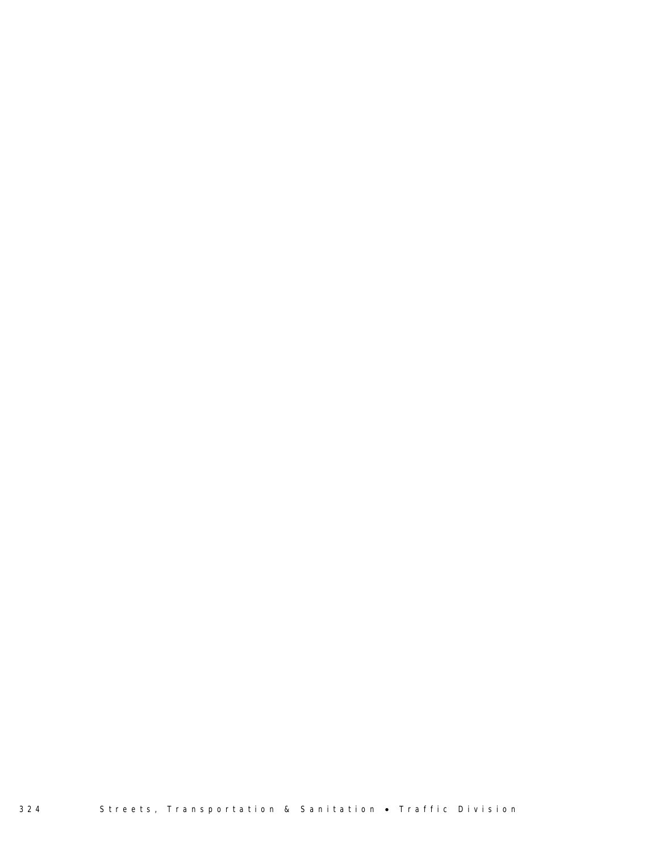3 2 4 Streets, Transportation & Sanitation • Traffic Division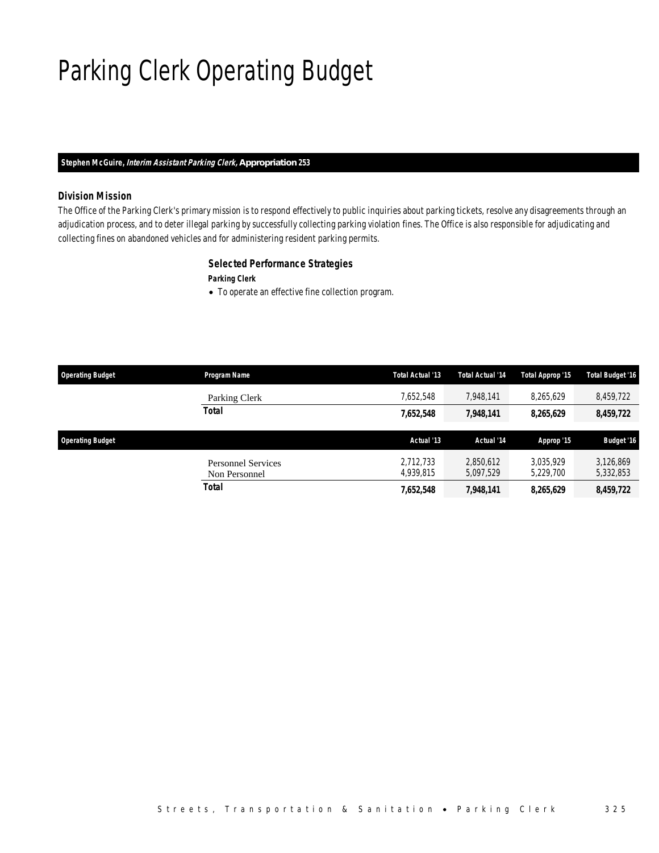# Parking Clerk Operating Budget

*Stephen McGuire, Interim Assistant Parking Clerk, Appropriation 253* 

### *Division Mission*

The Office of the Parking Clerk's primary mission is to respond effectively to public inquiries about parking tickets, resolve any disagreements through an adjudication process, and to deter illegal parking by successfully collecting parking violation fines. The Office is also responsible for adjudicating and collecting fines on abandoned vehicles and for administering resident parking permits.

### *Selected Performance Strategies*

*Parking Clerk* 

• To operate an effective fine collection program.

| <b>Operating Budget</b> | Program Name                               | Total Actual '13       | Total Actual '14       | Total Approp '15       | <b>Total Budget '16</b> |
|-------------------------|--------------------------------------------|------------------------|------------------------|------------------------|-------------------------|
|                         | Parking Clerk                              | 7.652.548              | 7.948.141              | 8.265.629              | 8,459,722               |
|                         | <b>Total</b>                               | 7,652,548              | 7,948,141              | 8,265,629              | 8,459,722               |
| <b>Operating Budget</b> |                                            | Actual '13             | Actual '14             | Approp '15             | <b>Budget '16</b>       |
|                         | <b>Personnel Services</b><br>Non Personnel | 2.712.733<br>4.939.815 | 2.850.612<br>5,097,529 | 3.035.929<br>5.229.700 | 3,126,869<br>5,332,853  |
|                         | <b>Total</b>                               | 7,652,548              | 7,948,141              | 8,265,629              | 8,459,722               |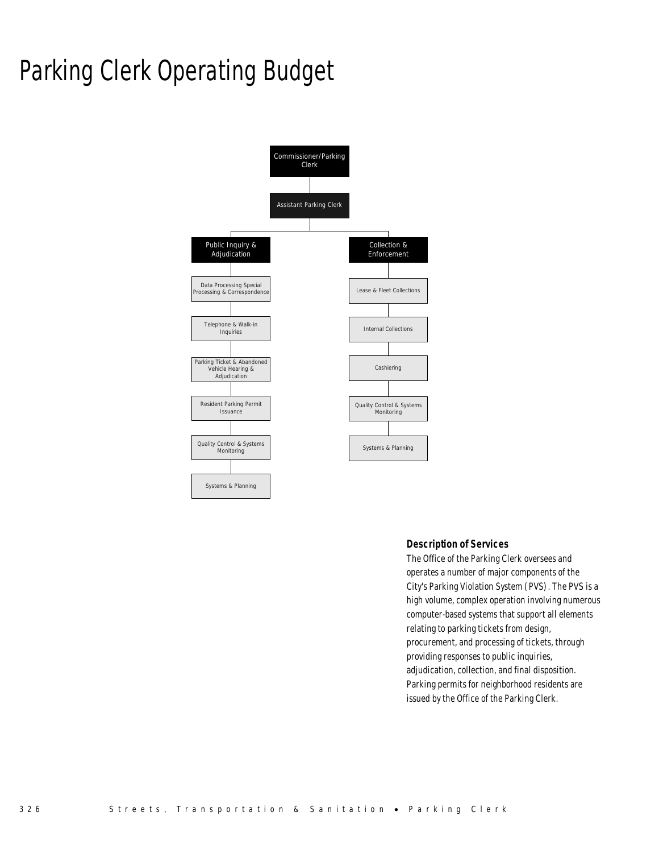# Parking Clerk Operating Budget



### *Description of Services*

The Office of the Parking Clerk oversees and operates a number of major components of the City's Parking Violation System (PVS). The PVS is a high volume, complex operation involving numerous computer-based systems that support all elements relating to parking tickets from design, procurement, and processing of tickets, through providing responses to public inquiries, adjudication, collection, and final disposition. Parking permits for neighborhood residents are issued by the Office of the Parking Clerk.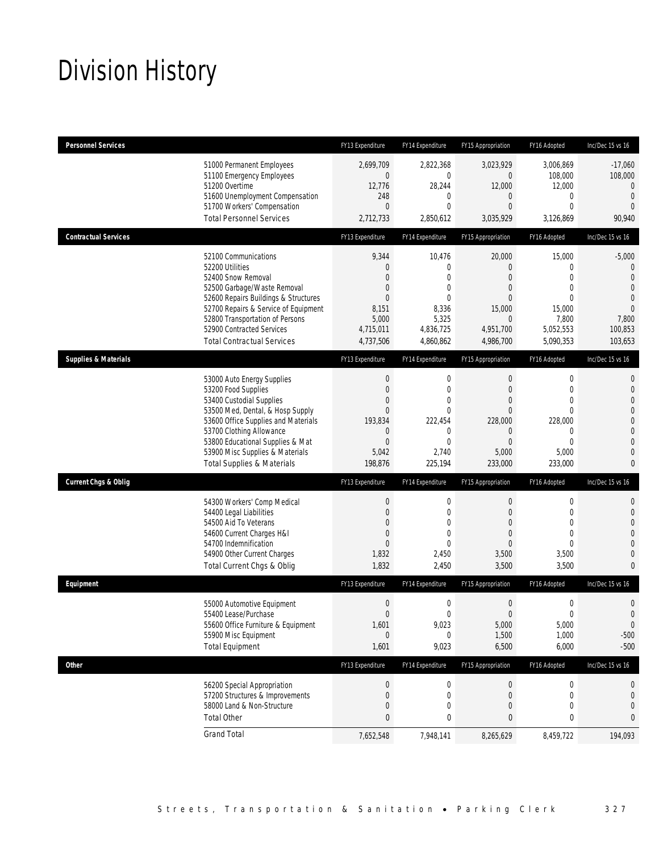# Division History

| <b>Personnel Services</b>       |                                                                                                                                                                                                                                                                                                      | FY13 Expenditure                                                                                                  | FY14 Expenditure                                                                                               | FY15 Appropriation                                                                                                       | FY16 Adopted                                                                                             | Inc/Dec 15 vs 16                                                                                                                                   |
|---------------------------------|------------------------------------------------------------------------------------------------------------------------------------------------------------------------------------------------------------------------------------------------------------------------------------------------------|-------------------------------------------------------------------------------------------------------------------|----------------------------------------------------------------------------------------------------------------|--------------------------------------------------------------------------------------------------------------------------|----------------------------------------------------------------------------------------------------------|----------------------------------------------------------------------------------------------------------------------------------------------------|
|                                 | 51000 Permanent Employees<br>51100 Emergency Employees<br>51200 Overtime<br>51600 Unemployment Compensation<br>51700 Workers' Compensation<br><b>Total Personnel Services</b>                                                                                                                        | 2,699,709<br>$\overline{0}$<br>12,776<br>248<br>$\overline{0}$<br>2,712,733                                       | 2,822,368<br>$\mathbf 0$<br>28,244<br>0<br>$\mathbf 0$<br>2,850,612                                            | 3,023,929<br>$\mathbf{0}$<br>12,000<br>$\mathbf 0$<br>$\theta$<br>3,035,929                                              | 3,006,869<br>108,000<br>12,000<br>0<br>$\mathbf{0}$<br>3,126,869                                         | $-17,060$<br>108,000<br>$\mathbf 0$<br>$\mathbf 0$<br>$\overline{0}$<br>90,940                                                                     |
| <b>Contractual Services</b>     |                                                                                                                                                                                                                                                                                                      | FY13 Expenditure                                                                                                  | FY14 Expenditure                                                                                               | FY15 Appropriation                                                                                                       | FY16 Adopted                                                                                             | Inc/Dec 15 vs 16                                                                                                                                   |
|                                 | 52100 Communications<br>52200 Utilities<br>52400 Snow Removal<br>52500 Garbage/Waste Removal<br>52600 Repairs Buildings & Structures<br>52700 Repairs & Service of Equipment<br>52800 Transportation of Persons<br>52900 Contracted Services<br><b>Total Contractual Services</b>                    | 9,344<br>0<br>0<br>0<br>$\overline{0}$<br>8,151<br>5,000<br>4,715,011<br>4,737,506                                | 10,476<br>0<br>$\mathbf{0}$<br>$\mathbf{0}$<br>$\mathbf{0}$<br>8,336<br>5,325<br>4,836,725<br>4,860,862        | 20,000<br>$\theta$<br>$\overline{0}$<br>$\theta$<br>$\overline{0}$<br>15,000<br>$\mathbf{0}$<br>4,951,700<br>4,986,700   | 15,000<br>0<br>$\mathbf{0}$<br>$\mathbf{0}$<br>$\Omega$<br>15,000<br>7,800<br>5,052,553<br>5,090,353     | $-5,000$<br>$\mathbf 0$<br>$\mathbf{0}$<br>$\overline{0}$<br>$\overline{0}$<br>$\Omega$<br>7,800<br>100,853<br>103,653                             |
| <b>Supplies &amp; Materials</b> |                                                                                                                                                                                                                                                                                                      | FY13 Expenditure                                                                                                  | FY14 Expenditure                                                                                               | FY15 Appropriation                                                                                                       | FY16 Adopted                                                                                             | Inc/Dec 15 vs 16                                                                                                                                   |
|                                 | 53000 Auto Energy Supplies<br>53200 Food Supplies<br>53400 Custodial Supplies<br>53500 Med, Dental, & Hosp Supply<br>53600 Office Supplies and Materials<br>53700 Clothing Allowance<br>53800 Educational Supplies & Mat<br>53900 Misc Supplies & Materials<br><b>Total Supplies &amp; Materials</b> | $\boldsymbol{0}$<br>$\boldsymbol{0}$<br>0<br>$\overline{0}$<br>193,834<br>0<br>$\overline{0}$<br>5,042<br>198,876 | 0<br>$\mathbf 0$<br>$\mathbf{0}$<br>$\mathbf{0}$<br>222,454<br>$\mathbf 0$<br>$\mathbf{0}$<br>2,740<br>225,194 | $\theta$<br>$\mathbf 0$<br>$\theta$<br>$\overline{0}$<br>228,000<br>$\overline{0}$<br>$\overline{0}$<br>5,000<br>233,000 | $\mathbf 0$<br>$\mathbf 0$<br>$\overline{0}$<br>$\Omega$<br>228,000<br>0<br>$\Omega$<br>5,000<br>233,000 | $\mathbf{0}$<br>$\mathbf 0$<br>$\mathbf{0}$<br>$\overline{0}$<br>$\mathbf 0$<br>$\overline{0}$<br>$\overline{0}$<br>$\overline{0}$<br>$\mathbf{0}$ |
| <b>Current Chgs &amp; Oblig</b> |                                                                                                                                                                                                                                                                                                      | FY13 Expenditure                                                                                                  | FY14 Expenditure                                                                                               | FY15 Appropriation                                                                                                       | FY16 Adopted                                                                                             | Inc/Dec 15 vs 16                                                                                                                                   |
|                                 | 54300 Workers' Comp Medical<br>54400 Legal Liabilities<br>54500 Aid To Veterans<br>54600 Current Charges H&I<br>54700 Indemnification<br>54900 Other Current Charges<br>Total Current Chgs & Oblig                                                                                                   | $\boldsymbol{0}$<br>$\overline{0}$<br>$\overline{0}$<br>$\overline{0}$<br>$\overline{0}$<br>1,832<br>1,832        | 0<br>$\mathbf{0}$<br>$\mathbf{0}$<br>$\mathbf{0}$<br>$\Omega$<br>2,450<br>2,450                                | $\boldsymbol{0}$<br>$\theta$<br>$\overline{0}$<br>$\theta$<br>$\overline{0}$<br>3,500<br>3,500                           | $\boldsymbol{0}$<br>$\mathbf{0}$<br>$\mathbf{0}$<br>$\overline{0}$<br>$\Omega$<br>3,500<br>3,500         | $\mathbf 0$<br>$\mathbf 0$<br>$\overline{0}$<br>$\overline{0}$<br>$\overline{0}$<br>$\overline{0}$<br>$\mathbf{0}$                                 |
| Equipment                       |                                                                                                                                                                                                                                                                                                      | FY13 Expenditure                                                                                                  | FY14 Expenditure                                                                                               | FY15 Appropriation                                                                                                       | FY16 Adopted                                                                                             | Inc/Dec 15 vs 16                                                                                                                                   |
|                                 | 55000 Automotive Equipment<br>55400 Lease/Purchase<br>55600 Office Furniture & Equipment<br>55900 Misc Equipment<br><b>Total Equipment</b>                                                                                                                                                           | $\boldsymbol{0}$<br>$\Omega$<br>1,601<br>$\Omega$<br>1,601                                                        | $\mathbf 0$<br>$\theta$<br>9,023<br>$\mathbf{0}$<br>9,023                                                      | $\boldsymbol{0}$<br>$\Omega$<br>5,000<br>1,500<br>6,500                                                                  | $\mathbf 0$<br>$\theta$<br>5,000<br>1,000<br>6,000                                                       | $\mathbf 0$<br>$\mathbf 0$<br>$\boldsymbol{0}$<br>$-500$<br>$-500$                                                                                 |
| <b>Other</b>                    |                                                                                                                                                                                                                                                                                                      | FY13 Expenditure                                                                                                  | FY14 Expenditure                                                                                               | FY15 Appropriation                                                                                                       | FY16 Adopted                                                                                             | Inc/Dec 15 vs 16                                                                                                                                   |
|                                 | 56200 Special Appropriation<br>57200 Structures & Improvements<br>58000 Land & Non-Structure<br><b>Total Other</b>                                                                                                                                                                                   | 0<br>$\boldsymbol{0}$<br>0<br>$\bf{0}$                                                                            | $\boldsymbol{0}$<br>$\boldsymbol{0}$<br>0<br>0                                                                 | $\boldsymbol{0}$<br>$\boldsymbol{0}$<br>$\theta$<br>$\boldsymbol{0}$                                                     | 0<br>$\boldsymbol{0}$<br>$\mathbf 0$                                                                     | 0<br>$\theta$<br>$\bf{0}$<br>0                                                                                                                     |
|                                 |                                                                                                                                                                                                                                                                                                      |                                                                                                                   |                                                                                                                |                                                                                                                          | 0                                                                                                        |                                                                                                                                                    |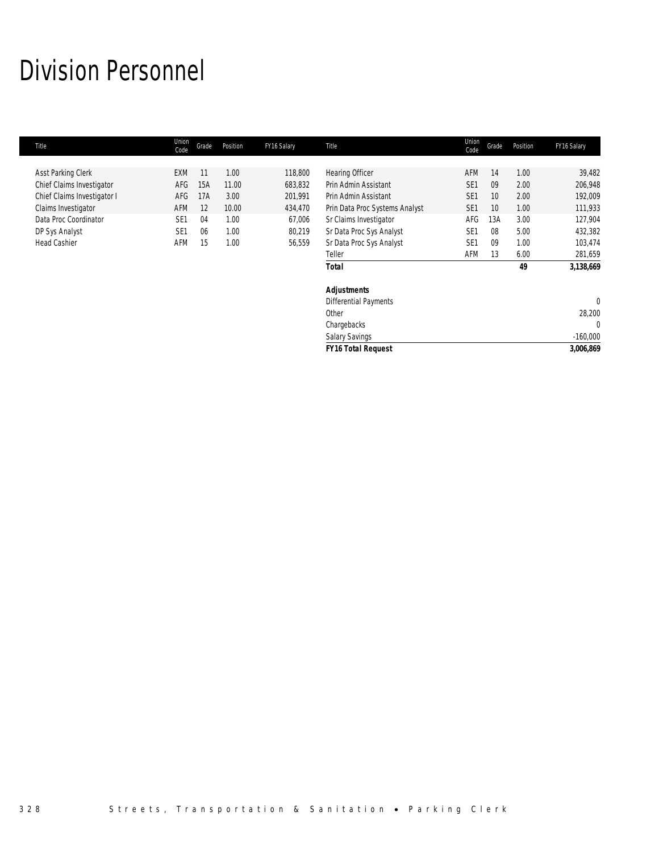# Division Personnel

| Title                       | Union<br>Code   | Grade | Position | FY16 Salary | Title                          | Union<br>Code   | Grade           | Position | FY16 Salary      |
|-----------------------------|-----------------|-------|----------|-------------|--------------------------------|-----------------|-----------------|----------|------------------|
| Asst Parking Clerk          | EXM             | 11    | 1.00     | 118,800     | <b>Hearing Officer</b>         | <b>AFM</b>      | 14              | 1.00     | 39,482           |
| Chief Claims Investigator   | AFG             | 15A   | 11.00    | 683,832     | Prin Admin Assistant           | SE <sub>1</sub> | 09              | 2.00     | 206,948          |
| Chief Claims Investigator I | AFG             | 17A   | 3.00     | 201,991     | Prin Admin Assistant           | SE <sub>1</sub> | 10 <sup>°</sup> | 2.00     | 192,009          |
| Claims Investigator         | AFM             | 12    | 10.00    | 434,470     | Prin Data Proc Systems Analyst | SE <sub>1</sub> | 10 <sup>°</sup> | 1.00     | 111,933          |
| Data Proc Coordinator       | SE <sub>1</sub> | 04    | 1.00     | 67,006      | Sr Claims Investigator         | AFG             | 13A             | 3.00     | 127,904          |
| DP Sys Analyst              | SE <sub>1</sub> | 06    | 1.00     | 80,219      | Sr Data Proc Sys Analyst       | SE <sub>1</sub> | 08              | 5.00     | 432,382          |
| <b>Head Cashier</b>         | AFM             | 15    | 1.00     | 56,559      | Sr Data Proc Sys Analyst       | SE <sub>1</sub> | 09              | 1.00     | 103,474          |
|                             |                 |       |          |             | Teller                         | AFM             | 13              | 6.00     | 281,659          |
|                             |                 |       |          |             | <b>Total</b>                   |                 |                 | 49       | 3,138,669        |
|                             |                 |       |          |             | <b>Adjustments</b>             |                 |                 |          |                  |
|                             |                 |       |          |             | Differential Payments          |                 |                 |          | $\boldsymbol{0}$ |
|                             |                 |       |          |             | Other                          |                 |                 |          | 28,200           |
|                             |                 |       |          |             | Chargebacks                    |                 |                 |          | $\Omega$         |
|                             |                 |       |          |             | <b>Salary Savings</b>          |                 |                 |          | $-160,000$       |
|                             |                 |       |          |             | <b>FY16 Total Request</b>      |                 |                 |          | 3,006,869        |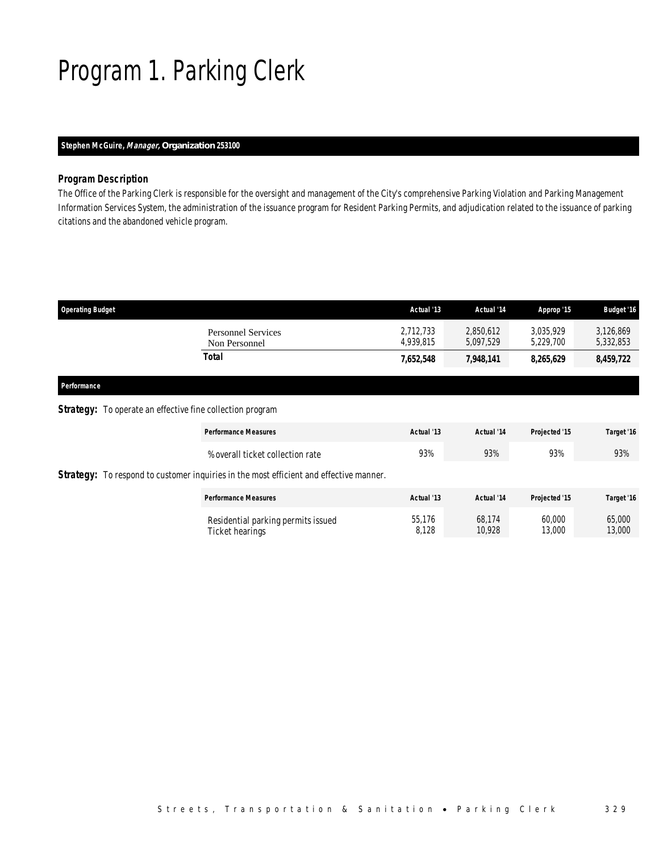# Program 1. Parking Clerk

### *Stephen McGuire, Manager, Organization 253100*

#### *Program Description*

The Office of the Parking Clerk is responsible for the oversight and management of the City's comprehensive Parking Violation and Parking Management Information Services System, the administration of the issuance program for Resident Parking Permits, and adjudication related to the issuance of parking citations and the abandoned vehicle program.

| <b>Operating Budget</b>                    | Actual '13             | Actual '14             | Approp '15             | <b>Budget '16</b>      |
|--------------------------------------------|------------------------|------------------------|------------------------|------------------------|
| <b>Personnel Services</b><br>Non Personnel | 2,712,733<br>4.939.815 | 2,850,612<br>5.097.529 | 3.035.929<br>5.229.700 | 3,126,869<br>5,332,853 |
| Total                                      | 7,652,548              | 7,948,141              | 8.265.629              | 8,459,722              |

### *Performance*

### **Strategy:** To operate an effective fine collection program

| <b>Performance Measures</b>                                                                   | Actual '13      | Actual '14       | Projected '15    | Target '16       |
|-----------------------------------------------------------------------------------------------|-----------------|------------------|------------------|------------------|
| % overall ticket collection rate                                                              | 93%             | 93%              | 93%              | 93%              |
| <b>Strategy:</b> To respond to customer inquiries in the most efficient and effective manner. |                 |                  |                  |                  |
| <b>Performance Measures</b>                                                                   | Actual '13      | Actual '14       | Projected '15    | Target '16       |
| Residential parking permits issued<br>Ticket hearings                                         | 55.176<br>8,128 | 68.174<br>10,928 | 60,000<br>13,000 | 65,000<br>13,000 |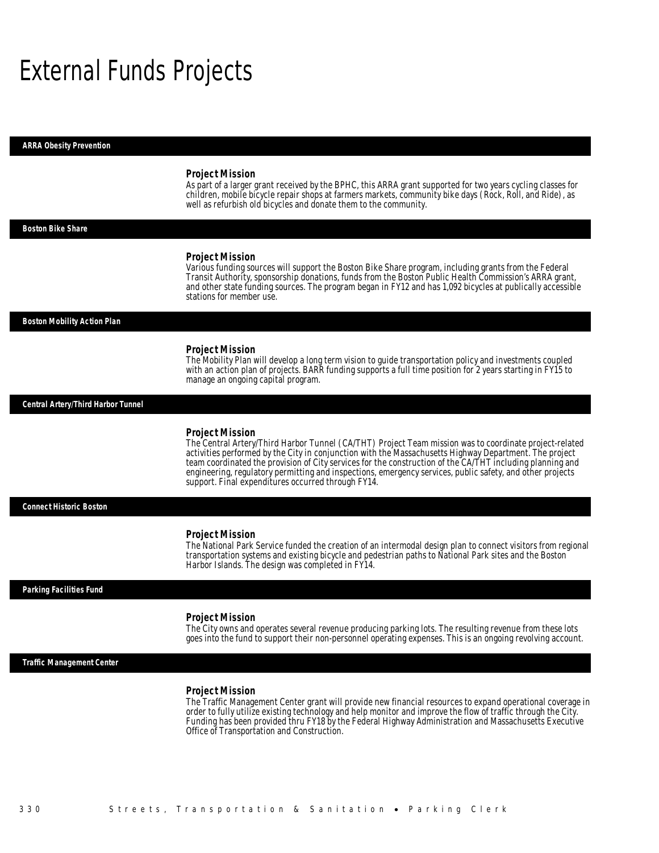# External Funds Projects

*ARRA Obesity Prevention* 

#### *Project Mission*

As part of a larger grant received by the BPHC, this ARRA grant supported for two years cycling classes for children, mobile bicycle repair shops at farmers markets, community bike days (Rock, Roll, and Ride), as well as refurbish old bicycles and donate them to the community.

*Boston Bike Share* 

#### *Project Mission*

Various funding sources will support the Boston Bike Share program, including grants from the Federal Transit Authority, sponsorship donations, funds from the Boston Public Health Commission's ARRA grant, and other state funding sources. The program began in FY12 and has 1,092 bicycles at publically accessible stations for member use.

#### *Boston Mobility Action Plan*

#### *Project Mission*

The Mobility Plan will develop a long term vision to guide transportation policy and investments coupled with an action plan of projects. BARR funding supports a full time position for 2 years starting in FY15 to manage an ongoing capital program.

#### *Central Artery/Third Harbor Tunnel*

#### *Project Mission*

The Central Artery/Third Harbor Tunnel (CA/THT) Project Team mission was to coordinate project-related activities performed by the City in conjunction with the Massachusetts Highway Department. The project team coordinated the provision of City services for the construction of the CA/THT including planning and engineering, regulatory permitting and inspections, emergency services, public safety, and other projects support. Final expenditures occurred through FY14.

*Connect Historic Boston* 

#### *Project Mission*

The National Park Service funded the creation of an intermodal design plan to connect visitors from regional transportation systems and existing bicycle and pedestrian paths to National Park sites and the Boston Harbor Islands. The design was completed in FY14.

*Parking Facilities Fund* 

#### *Project Mission*

The City owns and operates several revenue producing parking lots. The resulting revenue from these lots goes into the fund to support their non-personnel operating expenses. This is an ongoing revolving account.

*Traffic Management Center* 

#### *Project Mission*

The Traffic Management Center grant will provide new financial resources to expand operational coverage in order to fully utilize existing technology and help monitor and improve the flow of traffic through the City. Funding has been provided thru FY18 by the Federal Highway Administration and Massachusetts Executive Office of Transportation and Construction.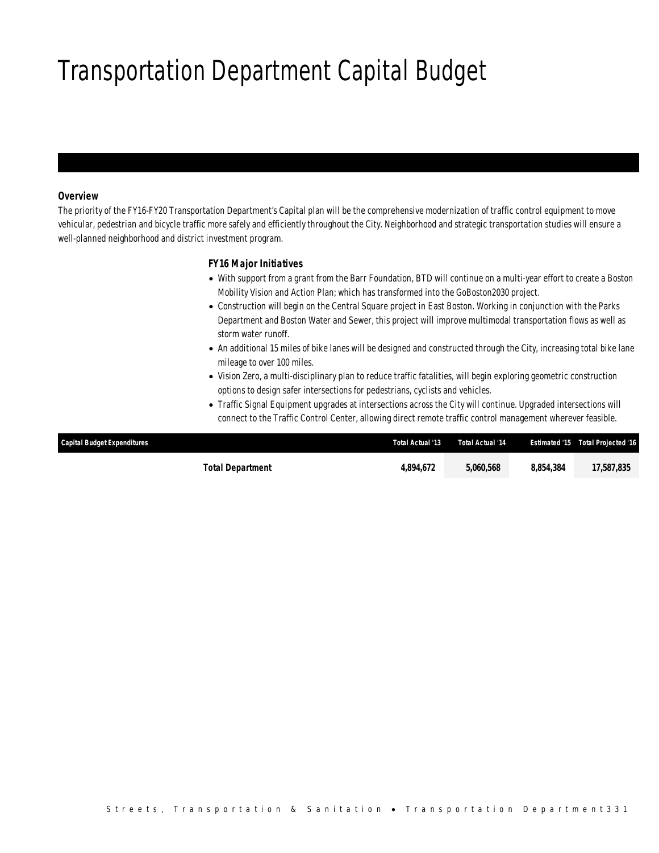# Transportation Department Capital Budget

### *Overview*

The priority of the FY16-FY20 Transportation Department's Capital plan will be the comprehensive modernization of traffic control equipment to move vehicular, pedestrian and bicycle traffic more safely and efficiently throughout the City. Neighborhood and strategic transportation studies will ensure a well-planned neighborhood and district investment program.

#### *FY16 Major Initiatives*

- With support from a grant from the Barr Foundation, BTD will continue on a multi-year effort to create a Boston Mobility Vision and Action Plan; which has transformed into the GoBoston2030 project.
- Construction will begin on the Central Square project in East Boston. Working in conjunction with the Parks Department and Boston Water and Sewer, this project will improve multimodal transportation flows as well as storm water runoff.
- An additional 15 miles of bike lanes will be designed and constructed through the City, increasing total bike lane mileage to over 100 miles.
- Vision Zero, a multi-disciplinary plan to reduce traffic fatalities, will begin exploring geometric construction options to design safer intersections for pedestrians, cyclists and vehicles.
- Traffic Signal Equipment upgrades at intersections across the City will continue. Upgraded intersections will connect to the Traffic Control Center, allowing direct remote traffic control management wherever feasible.

| <b>Capital Budget Expenditures</b> | Total Actual '13 | Total Actual '14 | <b>Estimated '15</b> | Total Projected '16 |
|------------------------------------|------------------|------------------|----------------------|---------------------|
| <b>Total Department</b>            | 4.894.672        | 5,060,568        | 8,854,384            | 17.587.835          |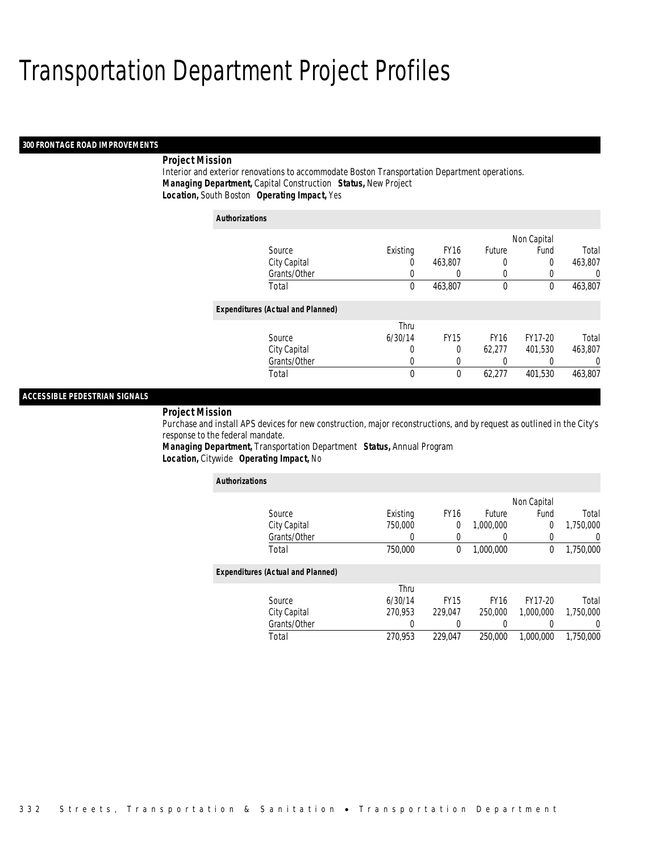#### *300 FRONTAGE ROAD IMPROVEMENTS*

#### *Project Mission*

Interior and exterior renovations to accommodate Boston Transportation Department operations. *Managing Department,* Capital Construction *Status,* New Project*Location,* South Boston *Operating Impact,* Yes

| <b>Authorizations</b> |                                          |          |             |             |             |         |
|-----------------------|------------------------------------------|----------|-------------|-------------|-------------|---------|
|                       |                                          |          |             |             | Non Capital |         |
|                       | Source                                   | Existing | <b>FY16</b> | Future      | Fund        | Total   |
|                       | City Capital                             | $\left($ | 463,807     | 0           | 0           | 463,807 |
|                       | Grants/Other                             |          |             | $\left($    |             | 0       |
|                       | Total                                    | 0        | 463,807     | $\mathbf 0$ | $\mathbf 0$ | 463,807 |
|                       | <b>Expenditures (Actual and Planned)</b> |          |             |             |             |         |
|                       |                                          | Thru     |             |             |             |         |
|                       | Source                                   | 6/30/14  | <b>FY15</b> | <b>FY16</b> | FY17-20     | Total   |
|                       | City Capital                             | 0        | 0           | 62,277      | 401.530     | 463,807 |
|                       | Grants/Other                             |          |             |             |             | 0       |
|                       | Total                                    | $\theta$ | $\mathbf 0$ | 62,277      | 401.530     | 463,807 |

#### *ACCESSIBLE PEDESTRIAN SIGNALS*

#### *Project Mission*

Purchase and install APS devices for new construction, major reconstructions, and by request as outlined in the City's response to the federal mandate.

*Managing Department,* Transportation Department *Status,* Annual Program*Location,* Citywide *Operating Impact,* No

| <b>Authorizations</b>                    |          |              |             |             |                  |
|------------------------------------------|----------|--------------|-------------|-------------|------------------|
|                                          |          |              |             | Non Capital |                  |
| Source                                   | Existing | <b>FY16</b>  | Future      | Fund        | Total            |
| City Capital                             | 750,000  | 0            | 1,000,000   | 0           | 1,750,000        |
| Grants/Other                             | 0        | 0            |             | 0           | 0                |
| Total                                    | 750,000  | $\mathbf{0}$ | 1,000,000   | 0           | 1,750,000        |
| <b>Expenditures (Actual and Planned)</b> |          |              |             |             |                  |
|                                          | Thru     |              |             |             |                  |
| Source                                   | 6/30/14  | <b>FY15</b>  | <b>FY16</b> | FY17-20     | Total            |
| City Capital                             | 270.953  | 229.047      | 250,000     | 1.000.000   | 1,750,000        |
| Grants/Other                             | 0        | 0            |             |             | $\left( \right)$ |
| Total                                    | 270.953  | 229.047      | 250,000     | 1.000.000   | 1.750.000        |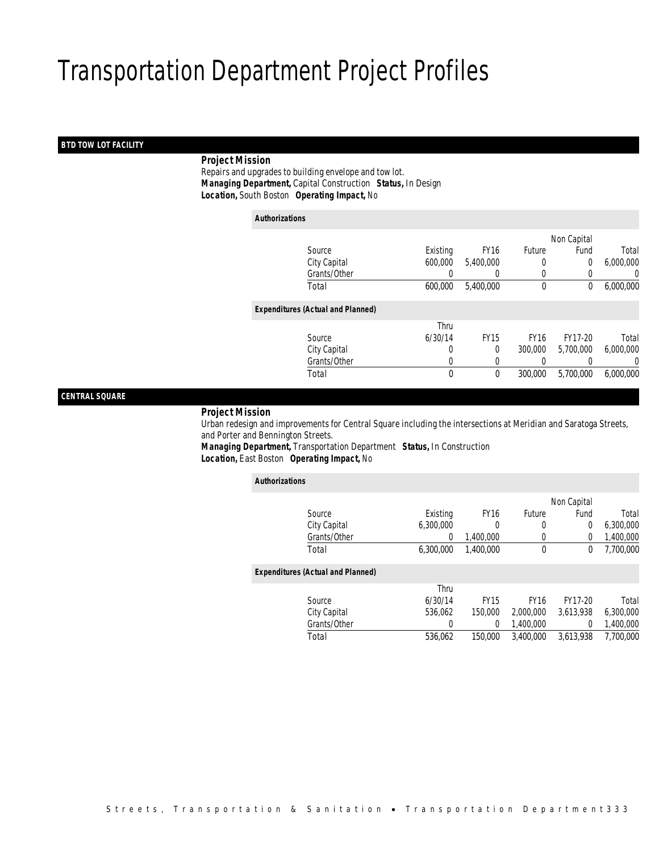#### *BTD TOW LOT FACILITY*

#### *Project Mission*

 Repairs and upgrades to building envelope and tow lot. *Managing Department,* Capital Construction *Status,* In Design*Location,* South Boston *Operating Impact,* No

| <b>Authorizations</b> |                                          |             |             |               |             |                  |
|-----------------------|------------------------------------------|-------------|-------------|---------------|-------------|------------------|
|                       |                                          |             |             |               | Non Capital |                  |
|                       | Source                                   | Existing    | <b>FY16</b> | <b>Future</b> | Fund        | Total            |
|                       | City Capital                             | 600,000     | 5,400,000   | 0             | $\Omega$    | 6,000,000        |
|                       | Grants/Other                             |             |             | $\left($      | 0           | $\left( \right)$ |
|                       | Total                                    | 600,000     | 5,400,000   | $\mathbf 0$   | 0           | 6,000,000        |
|                       | <b>Expenditures (Actual and Planned)</b> |             |             |               |             |                  |
|                       |                                          | Thru        |             |               |             |                  |
|                       | Source                                   | 6/30/14     | <b>FY15</b> | <b>FY16</b>   | FY17-20     | Total            |
|                       | City Capital                             | 0           | $\theta$    | 300,000       | 5.700.000   | 6,000,000        |
|                       | Grants/Other                             | 0           | 0           |               |             | 0                |
|                       | Total                                    | $\mathbf 0$ | 0           | 300,000       | 5.700.000   | 6.000.000        |
|                       |                                          |             |             |               |             |                  |

*CENTRAL SQUARE* 

#### *Project Mission*

*Authorizations*

 Urban redesign and improvements for Central Square including the intersections at Meridian and Saratoga Streets, and Porter and Bennington Streets.

*Managing Department,* Transportation Department *Status,* In Construction*Location,* East Boston *Operating Impact,* No

| <b>Authorizations</b> |                                          |           |             |             |             |           |
|-----------------------|------------------------------------------|-----------|-------------|-------------|-------------|-----------|
|                       |                                          |           |             |             | Non Capital |           |
|                       | Source                                   | Existing  | <b>FY16</b> | Future      | Fund        | Total     |
|                       | City Capital                             | 6.300.000 | 0           | 0           | 0           | 6,300,000 |
|                       | Grants/Other                             | 0         | 1.400.000   | 0           | 0           | 1,400,000 |
|                       | Total                                    | 6,300,000 | 1.400.000   | 0           | 0           | 7,700,000 |
|                       | <b>Expenditures (Actual and Planned)</b> |           |             |             |             |           |
|                       |                                          | Thru      |             |             |             |           |
|                       | Source                                   | 6/30/14   | <b>FY15</b> | <b>FY16</b> | FY17-20     | Total     |
|                       | City Capital                             | 536.062   | 150,000     | 2,000,000   | 3,613,938   | 6.300.000 |
|                       | Grants/Other                             | 0         | $\left($    | 1.400.000   | 0           | 1,400,000 |
|                       | Total                                    | 536.062   | 150,000     | 3.400.000   | 3.613.938   | 7.700.000 |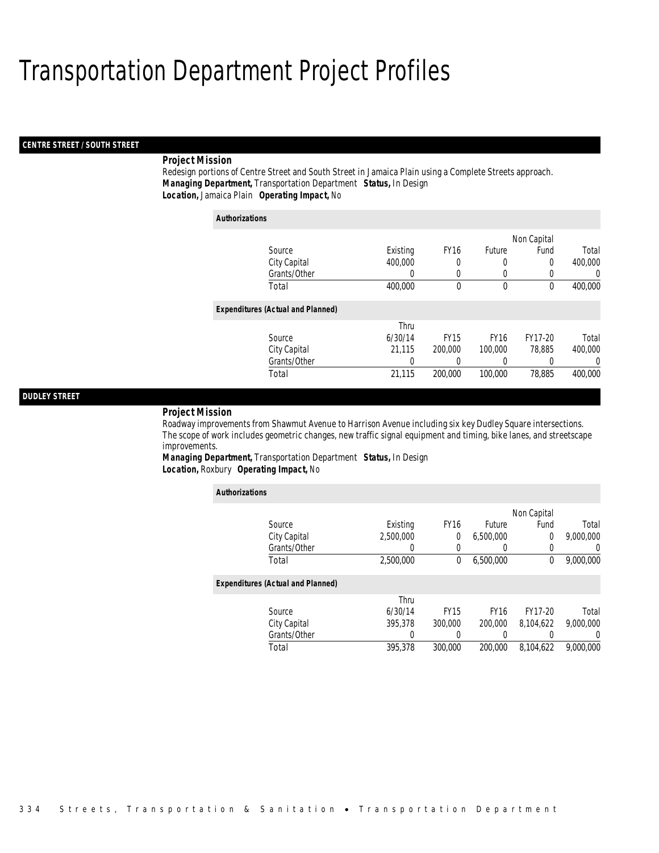#### *CENTRE STREET / SOUTH STREET*

#### *Project Mission*

Redesign portions of Centre Street and South Street in Jamaica Plain using a Complete Streets approach. *Managing Department,* Transportation Department *Status,* In Design*Location,* Jamaica Plain *Operating Impact,* No

| <b>Authorizations</b> |                                          |          |             |             |             |         |
|-----------------------|------------------------------------------|----------|-------------|-------------|-------------|---------|
|                       |                                          |          |             |             | Non Capital |         |
|                       | Source                                   | Existing | <b>FY16</b> | Future      | Fund        | Total   |
|                       | City Capital                             | 400,000  | 0           | 0           | 0           | 400,000 |
|                       | Grants/Other                             | 0        | 0           | 0           |             | 0       |
|                       | Total                                    | 400,000  | 0           | 0           | 0           | 400,000 |
|                       | <b>Expenditures (Actual and Planned)</b> |          |             |             |             |         |
|                       |                                          | Thru     |             |             |             |         |
|                       | Source                                   | 6/30/14  | <b>FY15</b> | <b>FY16</b> | FY17-20     | Total   |
|                       | City Capital                             | 21.115   | 200,000     | 100,000     | 78,885      | 400,000 |
|                       | Grants/Other                             | 0        | 0           | 0           |             | 0       |
|                       | Total                                    | 21,115   | 200,000     | 100,000     | 78,885      | 400,000 |

#### *DUDLEY STREET*

#### *Project Mission*

Roadway improvements from Shawmut Avenue to Harrison Avenue including six key Dudley Square intersections. The scope of work includes geometric changes, new traffic signal equipment and timing, bike lanes, and streetscape improvements.

*Managing Department,* Transportation Department *Status,* In Design*Location,* Roxbury *Operating Impact,* No

| <b>Authorizations</b>                    |           |             |             |             |                  |
|------------------------------------------|-----------|-------------|-------------|-------------|------------------|
|                                          |           |             |             | Non Capital |                  |
| Source                                   | Existing  | <b>FY16</b> | Future      | Fund        | Total            |
| City Capital                             | 2.500.000 | 0           | 6,500,000   | 0           | 9,000,000        |
| Grants/Other                             | 0         | $\Omega$    |             | 0           | $\left( \right)$ |
| Total                                    | 2,500,000 | 0           | 6,500,000   | 0           | 9,000,000        |
| <b>Expenditures (Actual and Planned)</b> |           |             |             |             |                  |
|                                          | Thru      |             |             |             |                  |
| Source                                   | 6/30/14   | <b>FY15</b> | <b>FY16</b> | FY17-20     | Total            |
| City Capital                             | 395,378   | 300,000     | 200,000     | 8.104.622   | 9.000.000        |
| Grants/Other                             | 0         |             |             |             | 0                |
| Total                                    | 395.378   | 300,000     | 200,000     | 8.104.622   | 9.000.000        |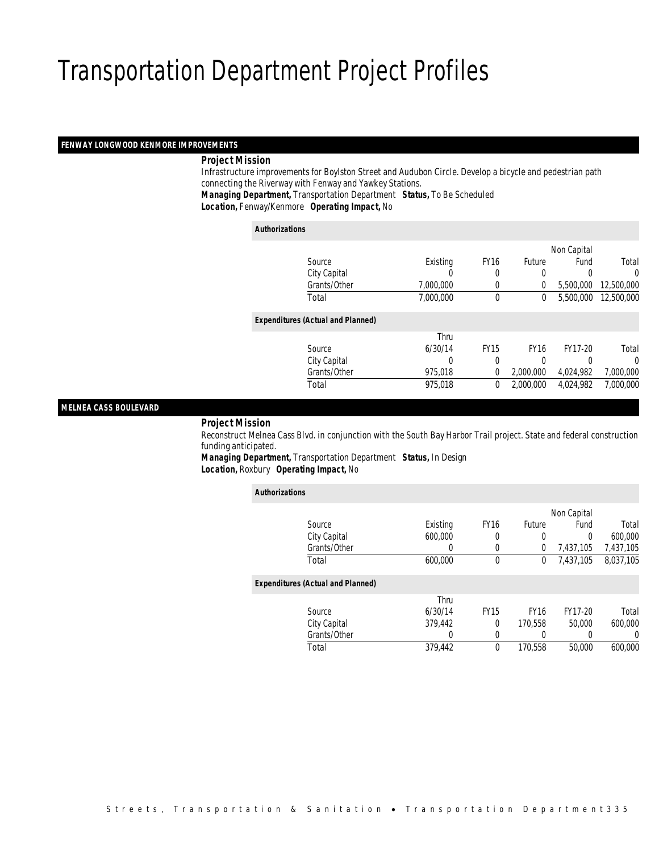### *FENWAY LONGWOOD KENMORE IMPROVEMENTS*

### *Project Mission*

 Infrastructure improvements for Boylston Street and Audubon Circle. Develop a bicycle and pedestrian path connecting the Riverway with Fenway and Yawkey Stations. *Managing Department,* Transportation Department *Status,* To Be Scheduled

*Location,* Fenway/Kenmore *Operating Impact,* No

#### *Authorizations*

|                                          |           |             |               | Non Capital |            |
|------------------------------------------|-----------|-------------|---------------|-------------|------------|
| Source                                   | Existing  | <b>FY16</b> | <b>Future</b> | Fund        | Total      |
| City Capital                             | 0         | 0           | 0             |             | 0          |
| Grants/Other                             | 7,000,000 | $\Omega$    | 0             | 5,500,000   | 12,500,000 |
| Total                                    | 7,000,000 | $\theta$    | 0             | 5,500,000   | 12,500,000 |
| <b>Expenditures (Actual and Planned)</b> |           |             |               |             |            |
|                                          | Thru      |             |               |             |            |
| Source                                   | 6/30/14   | <b>FY15</b> | <b>FY16</b>   | FY17-20     | Total      |
| City Capital                             | 0         | 0           | 0             | 0           | 0          |
| Grants/Other                             | 975,018   | 0           | 2,000,000     | 4,024,982   | 7,000,000  |
| Total                                    | 975,018   | $\theta$    | 2,000,000     | 4,024,982   | 7,000,000  |
|                                          |           |             |               |             |            |

#### *MELNEA CASS BOULEVARD*

*Project Mission*

 Reconstruct Melnea Cass Blvd. in conjunction with the South Bay Harbor Trail project. State and federal construction funding anticipated.

*Managing Department,* Transportation Department *Status,* In Design*Location,* Roxbury *Operating Impact,* No

| <b>Authorizations</b>                    |          |             |             |             |           |
|------------------------------------------|----------|-------------|-------------|-------------|-----------|
|                                          |          |             |             | Non Capital |           |
| Source                                   | Existing | <b>FY16</b> | Future      | Fund        | Total     |
| City Capital                             | 600,000  | 0           | 0           | $\Omega$    | 600,000   |
| Grants/Other                             | 0        | 0           | 0           | 7,437,105   | 7,437,105 |
| Total                                    | 600,000  | 0           | 0           | 7,437,105   | 8,037,105 |
| <b>Expenditures (Actual and Planned)</b> |          |             |             |             |           |
|                                          | Thru     |             |             |             |           |
| Source                                   | 6/30/14  | <b>FY15</b> | <b>FY16</b> | FY17-20     | Total     |
| City Capital                             | 379.442  | $\Omega$    | 170.558     | 50,000      | 600,000   |
| Grants/Other                             | 0        | 0           | 0           |             | 0         |
| Total                                    | 379.442  | 0           | 170,558     | 50,000      | 600,000   |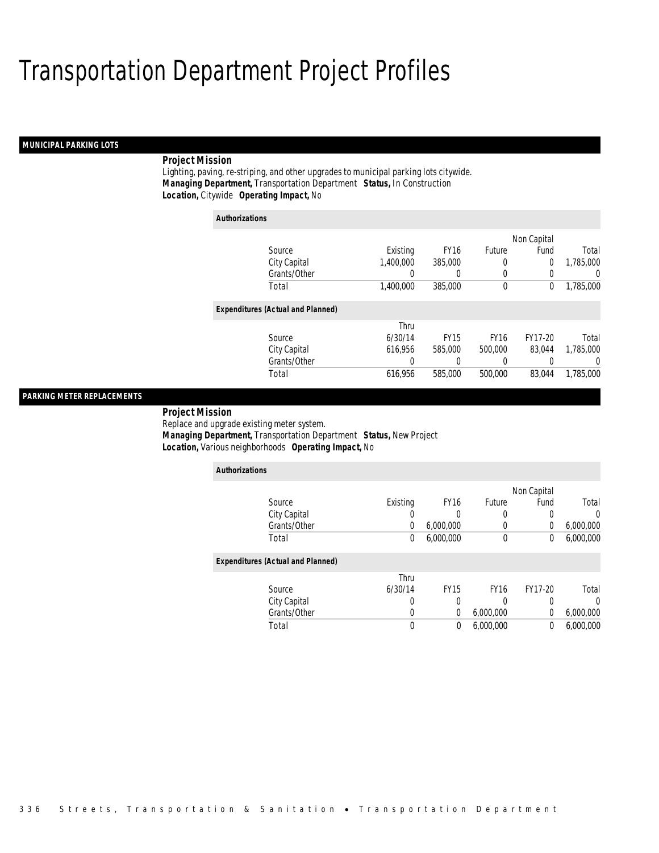#### *MUNICIPAL PARKING LOTS*

#### *Project Mission*

Lighting, paving, re-striping, and other upgrades to municipal parking lots citywide. *Managing Department,* Transportation Department *Status,* In Construction*Location,* Citywide *Operating Impact,* No

| <b>Authorizations</b> |                                          |           |             |             |             |                  |
|-----------------------|------------------------------------------|-----------|-------------|-------------|-------------|------------------|
|                       |                                          |           |             |             | Non Capital |                  |
|                       | Source                                   | Existing  | <b>FY16</b> | Future      | Fund        | Total            |
|                       | City Capital                             | 1.400.000 | 385,000     | 0           | 0           | 1.785.000        |
|                       | Grants/Other                             | 0         | 0           | 0           | $\theta$    | $\left( \right)$ |
|                       | Total                                    | 1,400,000 | 385,000     | $\mathbf 0$ | 0           | 1,785,000        |
|                       | <b>Expenditures (Actual and Planned)</b> |           |             |             |             |                  |
|                       |                                          | Thru      |             |             |             |                  |
|                       | Source                                   | 6/30/14   | <b>FY15</b> | <b>FY16</b> | FY17-20     | Total            |
|                       | City Capital                             | 616,956   | 585,000     | 500,000     | 83,044      | 1.785.000        |
|                       | Grants/Other                             | 0         | 0           | 0           |             | 0                |
|                       | Total                                    | 616,956   | 585,000     | 500,000     | 83.044      | 1.785.000        |

### *PARKING METER REPLACEMENTS*

#### *Project Mission*

Replace and upgrade existing meter system. *Managing Department,* Transportation Department *Status,* New Project*Location,* Various neighborhoods *Operating Impact,* No

| <b>Authorizations</b>                    |          |                |             |             |           |
|------------------------------------------|----------|----------------|-------------|-------------|-----------|
|                                          |          |                |             | Non Capital |           |
| Source                                   | Existing | <b>FY16</b>    | Future      | Fund        | Total     |
| City Capital                             |          |                | 0           |             | 0         |
| Grants/Other                             | $\left($ | 6,000,000      |             | 0           | 6,000,000 |
| Total                                    | 0        | 6,000,000      | 0           | 0           | 6,000,000 |
| <b>Expenditures (Actual and Planned)</b> |          |                |             |             |           |
|                                          | Thru     |                |             |             |           |
| Source                                   | 6/30/14  | <b>FY15</b>    | <b>FY16</b> | FY17-20     | Total     |
| City Capital                             | 0        | 0              | 0           | 0           | 0         |
| Grants/Other                             | 0        | $\overline{0}$ | 6,000,000   | 0           | 6,000,000 |
| Total                                    | 0        | 0              | 6.000.000   | 0           | 6.000.000 |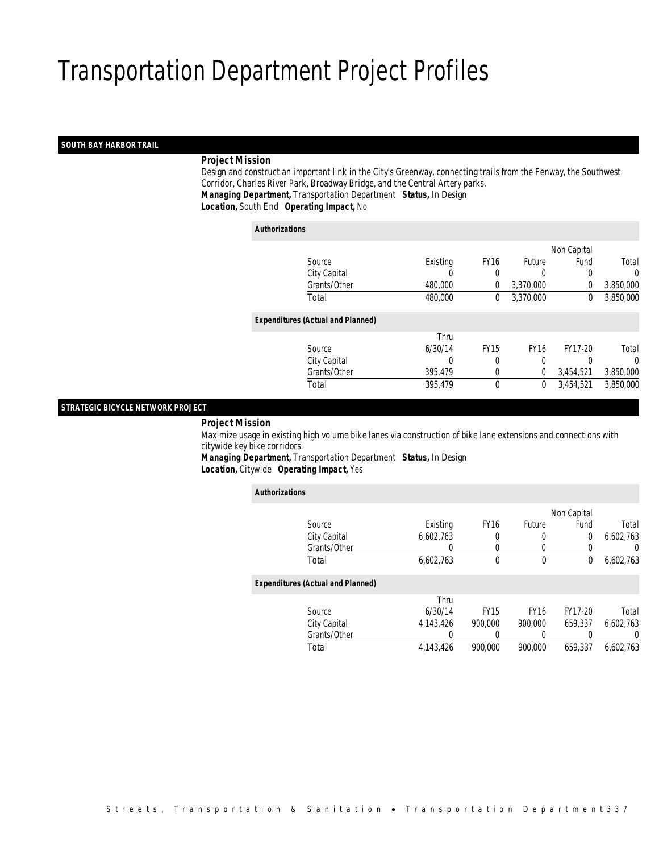#### *SOUTH BAY HARBOR TRAIL*

### *Project Mission*

 Design and construct an important link in the City's Greenway, connecting trails from the Fenway, the Southwest Corridor, Charles River Park, Broadway Bridge, and the Central Artery parks. *Managing Department,* Transportation Department *Status,* In Design*Location,* South End *Operating Impact,* No

#### *Authorizations*

|                                          |          |             |               | Non Capital |           |
|------------------------------------------|----------|-------------|---------------|-------------|-----------|
| Source                                   | Existing | <b>FY16</b> | <b>Future</b> | Fund        | Total     |
| City Capital                             | 0        | 0           |               |             | O         |
| Grants/Other                             | 480,000  | 0           | 3,370,000     | 0           | 3,850,000 |
| Total                                    | 480,000  | 0           | 3,370,000     | 0           | 3,850,000 |
| <b>Expenditures (Actual and Planned)</b> |          |             |               |             |           |
|                                          | Thru     |             |               |             |           |
| Source                                   | 6/30/14  | <b>FY15</b> | <b>FY16</b>   | FY17-20     | Total     |
| City Capital                             | 0        | 0           | 0             |             | 0         |
| Grants/Other                             | 395,479  | 0           | 0             | 3,454,521   | 3,850,000 |
| Total                                    | 395,479  | $\Omega$    | 0             | 3,454,521   | 3,850,000 |
|                                          |          |             |               |             |           |

#### *STRATEGIC BICYCLE NETWORK PROJECT*

*Project Mission*

 Maximize usage in existing high volume bike lanes via construction of bike lane extensions and connections with citywide key bike corridors.

*Managing Department,* Transportation Department *Status,* In Design*Location,* Citywide *Operating Impact,* Yes

| <b>Authorizations</b>                    |           |             |             |             |           |
|------------------------------------------|-----------|-------------|-------------|-------------|-----------|
|                                          |           |             |             | Non Capital |           |
| Source                                   | Existing  | <b>FY16</b> | Future      | Fund        | Total     |
| City Capital                             | 6,602,763 | 0           | 0           | 0           | 6,602,763 |
| Grants/Other                             |           | 0           | 0           |             | 0         |
| Total                                    | 6,602,763 | 0           | 0           | 0           | 6,602,763 |
| <b>Expenditures (Actual and Planned)</b> |           |             |             |             |           |
|                                          | Thru      |             |             |             |           |
| Source                                   | 6/30/14   | <b>FY15</b> | <b>FY16</b> | FY17-20     | Total     |
| City Capital                             | 4.143.426 | 900.000     | 900.000     | 659.337     | 6.602.763 |
| Grants/Other                             |           |             | 0           |             | 0         |
| Total                                    | 4.143.426 | 900.000     | 900.000     | 659.337     | 6.602.763 |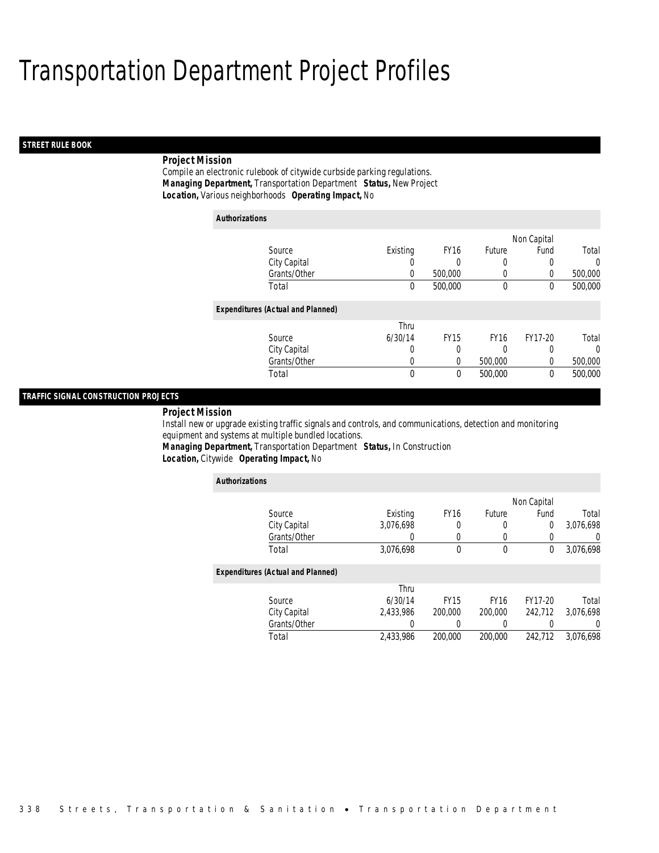#### *STREET RULE BOOK*

#### *Project Mission*

Compile an electronic rulebook of citywide curbside parking regulations. *Managing Department,* Transportation Department *Status,* New Project*Location,* Various neighborhoods *Operating Impact,* No

| <b>Authorizations</b>                    |          |             |             |             |          |
|------------------------------------------|----------|-------------|-------------|-------------|----------|
|                                          |          |             |             | Non Capital |          |
| Source                                   | Existing | <b>FY16</b> | Future      | Fund        | Total    |
| City Capital                             | 0        | 0           | 0           |             | $\Omega$ |
| Grants/Other                             | 0        | 500,000     | 0           | 0           | 500,000  |
| Total                                    | 0        | 500,000     | $\mathbf 0$ | 0           | 500,000  |
| <b>Expenditures (Actual and Planned)</b> |          |             |             |             |          |
|                                          | Thru     |             |             |             |          |
| Source                                   | 6/30/14  | <b>FY15</b> | <b>FY16</b> | FY17-20     | Total    |
| City Capital                             | 0        | 0           | 0           | 0           | $\Omega$ |
| Grants/Other                             | 0        | 0           | 500,000     | 0           | 500,000  |
| Total                                    | 0        | 0           | 500,000     | 0           | 500,000  |

### *TRAFFIC SIGNAL CONSTRUCTION PROJECTS*

*Project Mission* 

Install new or upgrade existing traffic signals and controls, and communications, detection and monitoring equipment and systems at multiple bundled locations.

*Managing Department,* Transportation Department *Status,* In Construction*Location,* Citywide *Operating Impact,* No

| <b>Authorizations</b>                    |           |                  |             |             |                  |
|------------------------------------------|-----------|------------------|-------------|-------------|------------------|
|                                          |           |                  |             | Non Capital |                  |
| Source                                   | Existing  | FY <sub>16</sub> | Future      | Fund        | Total            |
| City Capital                             | 3,076,698 | 0                |             | 0           | 3,076,698        |
| Grants/Other                             | 0         |                  |             |             | $\left( \right)$ |
| Total                                    | 3,076,698 | 0                | $\theta$    | 0           | 3,076,698        |
| <b>Expenditures (Actual and Planned)</b> |           |                  |             |             |                  |
|                                          | Thru      |                  |             |             |                  |
| Source                                   | 6/30/14   | <b>FY15</b>      | <b>FY16</b> | FY17-20     | Total            |
| City Capital                             | 2.433.986 | 200,000          | 200,000     | 242.712     | 3,076,698        |
| Grants/Other                             | 0         |                  |             |             | $\left( \right)$ |
| Total                                    | 2.433.986 | 200,000          | 200,000     | 242.712     | 3,076,698        |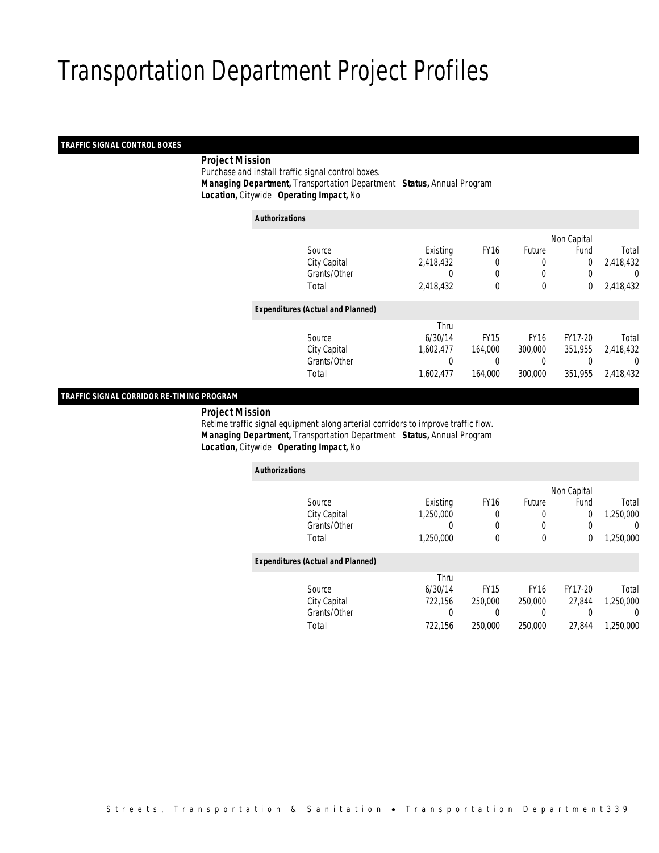#### *TRAFFIC SIGNAL CONTROL BOXES*

#### *Project Mission*

 Purchase and install traffic signal control boxes. *Managing Department,* Transportation Department *Status,* Annual Program*Location,* Citywide *Operating Impact,* No

|                       | $\epsilon$ , $\ldots$ $\epsilon$ $\epsilon$ $\epsilon$ $\ldots$ $\epsilon$ $\epsilon$ $\ldots$ $\epsilon$ |           |             |             |             |           |
|-----------------------|-----------------------------------------------------------------------------------------------------------|-----------|-------------|-------------|-------------|-----------|
| <b>Authorizations</b> |                                                                                                           |           |             |             |             |           |
|                       |                                                                                                           |           |             |             | Non Capital |           |
|                       | Source                                                                                                    | Existing  | <b>FY16</b> | Future      | Fund        | Total     |
|                       | City Capital                                                                                              | 2,418,432 | 0           | 0           | 0           | 2,418,432 |
|                       | Grants/Other                                                                                              | 0         | 0           | 0           | 0           | 0         |
|                       | Total                                                                                                     | 2,418,432 | 0           | $\mathbf 0$ | 0           | 2,418,432 |
|                       | <b>Expenditures (Actual and Planned)</b>                                                                  |           |             |             |             |           |
|                       |                                                                                                           | Thru      |             |             |             |           |
|                       | Source                                                                                                    | 6/30/14   | <b>FY15</b> | <b>FY16</b> | FY17-20     | Total     |
|                       | City Capital                                                                                              | 1,602,477 | 164,000     | 300,000     | 351.955     | 2,418,432 |
|                       | Grants/Other                                                                                              | 0         | 0           | 0           | 0           | 0         |
|                       | Total                                                                                                     | 1,602,477 | 164,000     | 300,000     | 351.955     | 2,418,432 |

*TRAFFIC SIGNAL CORRIDOR RE-TIMING PROGRAM* 

*Project Mission*

 Retime traffic signal equipment along arterial corridors to improve traffic flow. *Managing Department,* Transportation Department *Status,* Annual Program*Location,* Citywide *Operating Impact,* No

| <b>Authorizations</b>                    |           |                  |             |             |           |
|------------------------------------------|-----------|------------------|-------------|-------------|-----------|
|                                          |           |                  |             | Non Capital |           |
| Source                                   | Existing  | <b>FY16</b>      | Future      | Fund        | Total     |
| City Capital                             | 1,250,000 | 0                | 0           | 0           | 1.250.000 |
| Grants/Other                             | 0         | 0                | 0           |             | 0         |
| Total                                    | 1,250,000 | $\mathbf 0$      | 0           | 0           | 1,250,000 |
| <b>Expenditures (Actual and Planned)</b> |           |                  |             |             |           |
|                                          | Thru      |                  |             |             |           |
| Source                                   | 6/30/14   | FY <sub>15</sub> | <b>FY16</b> | FY17-20     | Total     |
| City Capital                             | 722,156   | 250,000          | 250,000     | 27,844      | 1.250.000 |
| Grants/Other                             | 0         | 0                |             |             | 0         |
| Total                                    | 722.156   | 250,000          | 250,000     | 27.844      | 1.250.000 |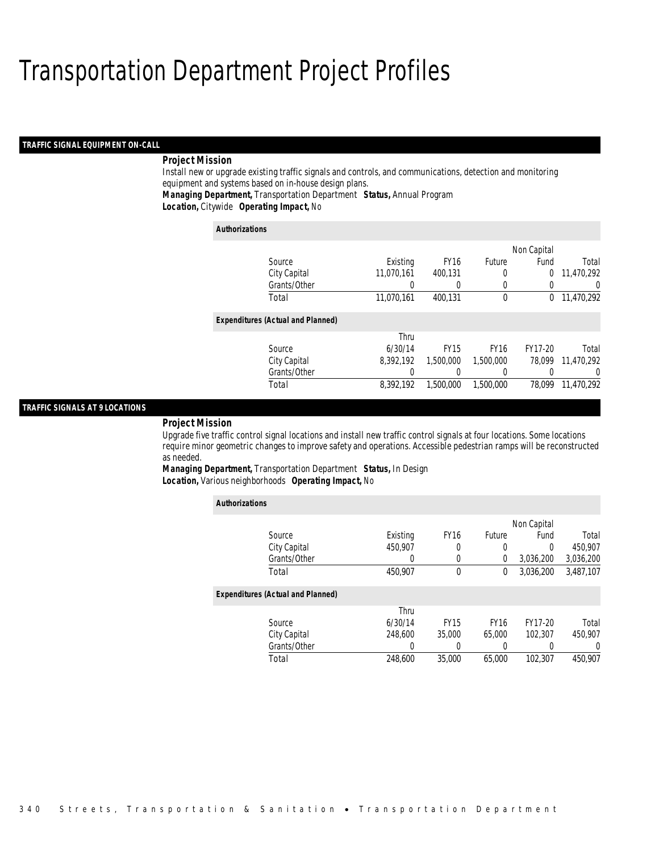#### *TRAFFIC SIGNAL EQUIPMENT ON-CALL*

#### *Project Mission*

Install new or upgrade existing traffic signals and controls, and communications, detection and monitoring equipment and systems based on in-house design plans.

*Managing Department,* Transportation Department *Status,* Annual Program

*Location,* Citywide *Operating Impact,* No

| <b>Authorizations</b>                    |            |             |             |             |                  |
|------------------------------------------|------------|-------------|-------------|-------------|------------------|
|                                          |            |             |             | Non Capital |                  |
| Source                                   | Existing   | <b>FY16</b> | Future      | Fund        | Total            |
| City Capital                             | 11,070,161 | 400,131     | 0           | 0           | 11,470,292       |
| Grants/Other                             |            | 0           |             | $\Omega$    | 0                |
| Total                                    | 11.070.161 | 400.131     | 0           | $^{0}$      | 11,470,292       |
| <b>Expenditures (Actual and Planned)</b> |            |             |             |             |                  |
|                                          | Thru       |             |             |             |                  |
| Source                                   | 6/30/14    | <b>FY15</b> | <b>FY16</b> | FY17-20     | Total            |
| City Capital                             | 8.392.192  | 1,500,000   | 1.500.000   | 78.099      | 11.470.292       |
| Grants/Other                             |            |             |             |             | $\left( \right)$ |
| Total                                    | 8,392,192  | 1,500,000   | 1,500,000   | 78.099      | 11,470,292       |

#### *TRAFFIC SIGNALS AT 9 LOCATIONS*

#### *Project Mission*

Upgrade five traffic control signal locations and install new traffic control signals at four locations. Some locations require minor geometric changes to improve safety and operations. Accessible pedestrian ramps will be reconstructed as needed.

*Managing Department,* Transportation Department *Status,* In Design*Location,* Various neighborhoods *Operating Impact,* No

| <b>Authorizations</b>                    |          |             |             |             |           |
|------------------------------------------|----------|-------------|-------------|-------------|-----------|
|                                          |          |             |             | Non Capital |           |
| Source                                   | Existing | <b>FY16</b> | Future      | Fund        | Total     |
| City Capital                             | 450.907  | 0           | 0           | 0           | 450.907   |
| Grants/Other                             | 0        | 0           | 0           | 3,036,200   | 3,036,200 |
| Total                                    | 450,907  | 0           | 0           | 3,036,200   | 3,487,107 |
| <b>Expenditures (Actual and Planned)</b> |          |             |             |             |           |
|                                          | Thru     |             |             |             |           |
| Source                                   | 6/30/14  | <b>FY15</b> | <b>FY16</b> | FY17-20     | Total     |
| City Capital                             | 248,600  | 35,000      | 65,000      | 102.307     | 450.907   |
| Grants/Other                             | 0        | 0           | 0           |             | 0         |
| Total                                    | 248,600  | 35,000      | 65,000      | 102.307     | 450.907   |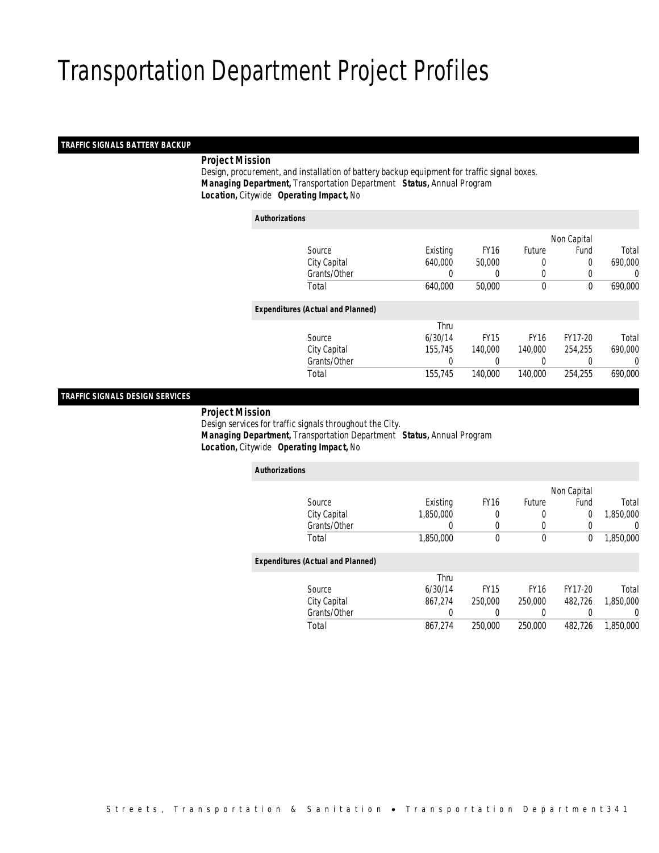#### *TRAFFIC SIGNALS BATTERY BACKUP*

#### *Project Mission*

 Design, procurement, and installation of battery backup equipment for traffic signal boxes. *Managing Department,* Transportation Department *Status,* Annual Program*Location,* Citywide *Operating Impact,* No

*Authorizations*

|                                          |          |             |               | Non Capital |         |
|------------------------------------------|----------|-------------|---------------|-------------|---------|
| Source                                   | Existing | <b>FY16</b> | <b>Future</b> | Fund        | Total   |
| City Capital                             | 640,000  | 50,000      | 0             | 0           | 690,000 |
| Grants/Other                             | $\left($ | 0           | 0             | 0           | 0       |
| Total                                    | 640,000  | 50,000      | $\theta$      | $\theta$    | 690,000 |
|                                          |          |             |               |             |         |
| <b>Expenditures (Actual and Planned)</b> |          |             |               |             |         |
|                                          | Thru     |             |               |             |         |
| Source                                   | 6/30/14  | <b>FY15</b> | <b>FY16</b>   | FY17-20     | Total   |
| City Capital                             | 155,745  | 140,000     | 140,000       | 254,255     | 690,000 |
| Grants/Other                             | 0        |             | 0             |             | 0       |
| Total                                    | 155,745  | 140,000     | 140,000       | 254,255     | 690,000 |
|                                          |          |             |               |             |         |

### *TRAFFIC SIGNALS DESIGN SERVICES*

#### *Project Mission*

 Design services for traffic signals throughout the City. *Managing Department,* Transportation Department *Status,* Annual Program*Location,* Citywide *Operating Impact,* No

| <b>Authorizations</b>                    |           |             |             |             |           |
|------------------------------------------|-----------|-------------|-------------|-------------|-----------|
|                                          |           |             |             | Non Capital |           |
| Source                                   | Existing  | <b>FY16</b> | Future      | Fund        | Total     |
| City Capital                             | 1,850,000 | 0           | 0           | 0           | 1,850,000 |
| Grants/Other                             | 0         | 0           | 0           |             | $\left($  |
| Total                                    | 1,850,000 | 0           | $\mathbf 0$ | 0           | 1,850,000 |
| <b>Expenditures (Actual and Planned)</b> |           |             |             |             |           |
|                                          | Thru      |             |             |             |           |
| Source                                   | 6/30/14   | <b>FY15</b> | <b>FY16</b> | FY17-20     | Total     |
| City Capital                             | 867.274   | 250,000     | 250,000     | 482.726     | 1.850.000 |
| Grants/Other                             | 0         | 0           | 0           |             | $\left($  |
| Total                                    | 867,274   | 250,000     | 250,000     | 482.726     | 1.850.000 |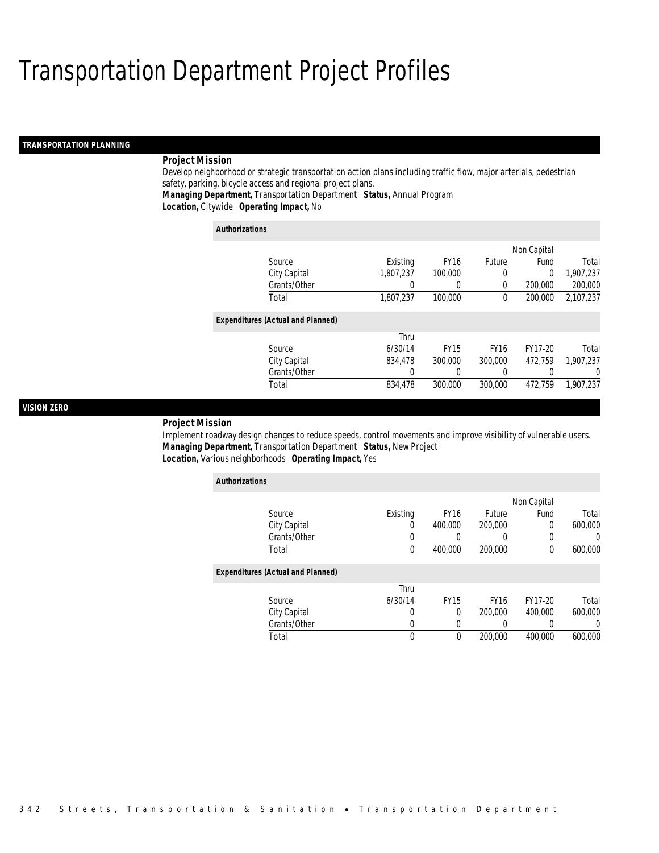#### *TRANSPORTATION PLANNING*

#### *Project Mission*

Develop neighborhood or strategic transportation action plans including traffic flow, major arterials, pedestrian safety, parking, bicycle access and regional project plans.

*Managing Department,* Transportation Department *Status,* Annual Program

*Location,* Citywide *Operating Impact,* No

| <b>Authorizations</b>                    |           |             |             |             |                  |
|------------------------------------------|-----------|-------------|-------------|-------------|------------------|
|                                          |           |             |             | Non Capital |                  |
| Source                                   | Existing  | <b>FY16</b> | Future      | Fund        | Total            |
| City Capital                             | 1.807.237 | 100,000     | 0           | $\Omega$    | 1,907,237        |
| Grants/Other                             |           | 0           | $\mathbf 0$ | 200,000     | 200,000          |
| Total                                    | 1.807.237 | 100,000     | $\theta$    | 200,000     | 2,107,237        |
| <b>Expenditures (Actual and Planned)</b> |           |             |             |             |                  |
|                                          | Thru      |             |             |             |                  |
| Source                                   | 6/30/14   | <b>FY15</b> | <b>FY16</b> | FY17-20     | Total            |
| City Capital                             | 834,478   | 300,000     | 300,000     | 472.759     | 1.907.237        |
| Grants/Other                             | 0         |             |             |             | $\left( \right)$ |
| Total                                    | 834.478   | 300,000     | 300,000     | 472.759     | 1.907.237        |

#### *VISION ZERO*

#### *Project Mission*

Implement roadway design changes to reduce speeds, control movements and improve visibility of vulnerable users. *Managing Department,* Transportation Department *Status,* New Project*Location,* Various neighborhoods *Operating Impact,* Yes

| <b>Authorizations</b>                    |          |             |             |             |         |
|------------------------------------------|----------|-------------|-------------|-------------|---------|
|                                          |          |             |             | Non Capital |         |
| Source                                   | Existing | <b>FY16</b> | Future      | Fund        | Total   |
| City Capital                             | 0        | 400,000     | 200,000     | 0           | 600,000 |
| Grants/Other                             | 0        | 0           | 0           |             | 0       |
| Total                                    | 0        | 400.000     | 200,000     | 0           | 600,000 |
| <b>Expenditures (Actual and Planned)</b> |          |             |             |             |         |
|                                          | Thru     |             |             |             |         |
| Source                                   | 6/30/14  | <b>FY15</b> | <b>FY16</b> | FY17-20     | Total   |
| City Capital                             | 0        | 0           | 200,000     | 400.000     | 600,000 |
| Grants/Other                             | 0        | 0           | 0           |             | 0       |
| Total                                    | 0        | 0           | 200,000     | 400.000     | 600,000 |